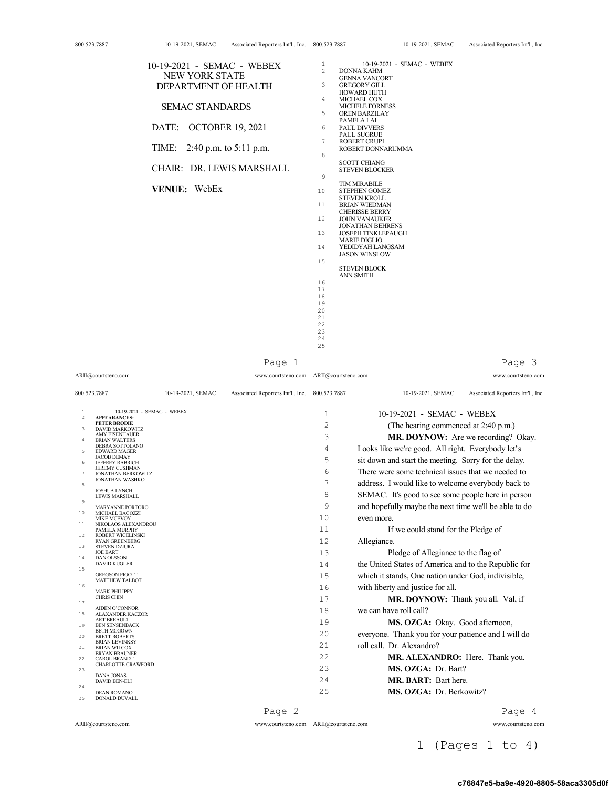| 10-19-2021 - SEMAC - WEBEX   | $\mathbf{1}$ | 10-19-2021 - SEMAC - WEBEX               |
|------------------------------|--------------|------------------------------------------|
|                              | $2^{1}$      | <b>DONNA KAHM</b>                        |
| NEW YORK STATE               |              | <b>GENNA VANCORT</b>                     |
| DEPARTMENT OF HEALTH         | 3            | <b>GREGORY GILL</b>                      |
|                              |              | <b>HOWARD HUTH</b>                       |
|                              | 4            | MICHAEL COX                              |
| <b>SEMAC STANDARDS</b>       |              | <b>MICHELE FORNESS</b>                   |
|                              | 5            | OREN BARZILAY                            |
|                              |              | PAMELA LAI                               |
| DATE: OCTOBER 19, 2021       | 6            | <b>PAUL DIVVERS</b>                      |
|                              |              | <b>PAUL SUGRUE</b>                       |
|                              | 7            | <b>ROBERT CRUPI</b><br>ROBERT DONNARUMMA |
| TIME: 2:40 p.m. to 5:11 p.m. | 8            |                                          |
|                              |              | <b>SCOTT CHIANG</b>                      |
| CHAIR: DR. LEWIS MARSHALL    |              | <b>STEVEN BLOCKER</b>                    |
|                              | 9            |                                          |
|                              |              | <b>TIM MIRABILE</b>                      |
| VENUE: WebEx                 | 10           | <b>STEPHEN GOMEZ</b>                     |
|                              |              | <b>STEVEN KROLL</b>                      |
|                              | 11           | <b>BRIAN WIEDMAN</b>                     |
|                              |              | <b>CHERISSE BERRY</b>                    |
|                              | 12           | <b>JOHN VANAUKER</b>                     |
|                              |              | <b>JONATHAN BEHRENS</b>                  |
|                              | 13           | <b>JOSEPH TINKLEPAUGH</b>                |
|                              |              | <b>MARIE DIGLIO</b>                      |
|                              | 14           | YEDIDY AH LANGSAM                        |
|                              |              | <b>JASON WINSLOW</b>                     |
|                              | 15           | <b>STEVEN BLOCK</b>                      |
|                              |              | <b>ANN SMITH</b>                         |
|                              | 16           |                                          |
|                              | 17           |                                          |
|                              | 18           |                                          |
|                              | 19           |                                          |
|                              | 20           |                                          |
|                              | 21           |                                          |
|                              | 22           |                                          |
|                              | 23           |                                          |

Page 1

ARII@courtsteno.com www.courtsteno.com ARII@courtsteno.com www.courtsteno.com

24 25

Page 3

| 800.523.7887        |                                                    | 10-19-2021, SEMAC | Associated Reporters Int'l., Inc. | 800.523.7887   | 10-19-2021, SEMAC<br>Associated Reporters Int'l., Inc. |
|---------------------|----------------------------------------------------|-------------------|-----------------------------------|----------------|--------------------------------------------------------|
| 1<br>$\overline{2}$ | 10-19-2021 - SEMAC - WEBEX<br><b>APPEARANCES:</b>  |                   |                                   | $\mathbf{1}$   | 10-19-2021 - SEMAC - WEBEX                             |
|                     | <b>PETER BRODIE</b>                                |                   |                                   | $\overline{2}$ | (The hearing commenced at 2:40 p.m.)                   |
| 3                   | <b>DAVID MARKOWITZ</b><br><b>AMY EISENHAUER</b>    |                   |                                   | 3              | MR. DOYNOW: Are we recording? Okay.                    |
| $\overline{4}$      | <b>BRIAN WALTERS</b><br>DEBRA SOTTOLANO            |                   |                                   |                |                                                        |
| 5                   | <b>EDWARD MAGER</b>                                |                   |                                   | 4              | Looks like we're good. All right. Everybody let's      |
| 6                   | <b>JACOB DEMAY</b><br><b>JEFFREY RABRICH</b>       |                   |                                   | 5              | sit down and start the meeting. Sorry for the delay.   |
| $\tau$              | <b>JEREMY CUSHMAN</b><br><b>JONATHAN BERKOWITZ</b> |                   |                                   | 6              | There were some technical issues that we needed to     |
|                     | <b>JONATHAN WASHKO</b>                             |                   |                                   | 7              | address. I would like to welcome everybody back to     |
| 8                   | <b>JOSHUA LYNCH</b>                                |                   |                                   |                |                                                        |
| $\mathcal{G}$       | <b>LEWIS MARSHALL</b>                              |                   |                                   | 8              | SEMAC. It's good to see some people here in person     |
| 10                  | <b>MARYANNE PORTORO</b><br>MICHAEL BAGOZZI         |                   |                                   | 9              | and hopefully maybe the next time we'll be able to do  |
|                     | <b>MIKE MCEVOY</b>                                 |                   |                                   | 10             | even more.                                             |
| 11                  | NIKOLAOS ALEXANDROU<br><b>PAMELA MURPHY</b>        |                   |                                   | 11             | If we could stand for the Pledge of                    |
| $12 \overline{ }$   | <b>ROBERT WICELINSKI</b><br><b>RYAN GREENBERG</b>  |                   |                                   | 12.            | Allegiance.                                            |
| 13                  | <b>STEVEN DZIURA</b>                               |                   |                                   |                |                                                        |
| 14                  | <b>JOE BART</b><br><b>DAN OLSSON</b>               |                   |                                   | 13             | Pledge of Allegiance to the flag of                    |
| 15                  | <b>DAVID KUGLER</b>                                |                   |                                   | 14             | the United States of America and to the Republic for   |
|                     | <b>GREGSON PIGOTT</b>                              |                   |                                   | 1.5            | which it stands, One nation under God, indivisible,    |
| 16                  | <b>MATTHEW TALBOT</b>                              |                   |                                   | 16             | with liberty and justice for all.                      |
|                     | <b>MARK PHILIPPY</b><br><b>CHRIS CHIN</b>          |                   |                                   | 17             |                                                        |
| 17                  |                                                    |                   |                                   |                | MR. DOYNOW: Thank you all. Val, if                     |
| 18                  | AIDEN O'CONNOR<br><b>ALAXANDER KACZOR</b>          |                   |                                   | 18             | we can have roll call?                                 |
| 19                  | <b>ART BREAULT</b><br><b>BEN SENSENBACK</b>        |                   |                                   | 19             | MS. OZGA: Okay. Good afternoon,                        |
| 20                  | <b>BETH MCGOWN</b><br><b>BRETT ROBERTS</b>         |                   |                                   | 2.0            | everyone. Thank you for your patience and I will do    |
|                     | <b>BRIAN LEVINKSY</b>                              |                   |                                   | 2.1            | roll call. Dr. Alexandro?                              |
| 21                  | <b>BRIAN WILCOX</b><br><b>BRYAN BRAUNER</b>        |                   |                                   |                |                                                        |
| 22                  | <b>CAROL BRANDT</b><br><b>CHARLOTTE CRAWFORD</b>   |                   |                                   | 2.2.           | MR. ALEXANDRO: Here. Thank you.                        |
| 23                  |                                                    |                   |                                   | 2.3            | MS. OZGA: Dr. Bart?                                    |
|                     | <b>DANA JONAS</b><br><b>DAVID BEN-ELI</b>          |                   |                                   | 24             | MR. BART: Bart here.                                   |
| 24                  | <b>DEAN ROMANO</b>                                 |                   |                                   | 25             | MS. OZGA: Dr. Berkowitz?                               |
| 25                  | <b>DONALD DUVALL</b>                               |                   |                                   |                |                                                        |
|                     |                                                    |                   | Page 2                            |                | Page 4                                                 |

ARII@courtsteno.com www.courtsteno.com

### ARII@courtsteno.com www.courtsteno.com

1 (Pages 1 to 4)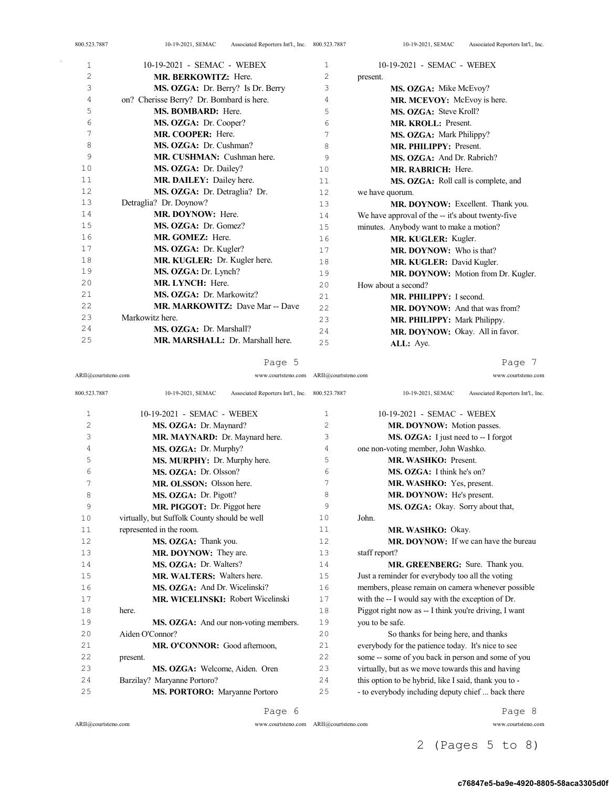| 1              | 10-19-2021 - SEMAC - WEBEX               | 1    | 10-19-2021 - SEMAC - WEBEX                        |
|----------------|------------------------------------------|------|---------------------------------------------------|
| $\overline{c}$ | <b>MR. BERKOWITZ: Here.</b>              | 2    | present.                                          |
| 3              | MS. OZGA: Dr. Berry? Is Dr. Berry        | 3    | MS. OZGA: Mike McEvoy?                            |
| 4              | on? Cherisse Berry? Dr. Bombard is here. | 4    | MR. MCEVOY: McEvoy is here.                       |
| 5              | <b>MS. BOMBARD:</b> Here.                | 5    | MS. OZGA: Steve Kroll?                            |
| 6              | MS. OZGA: Dr. Cooper?                    | 6    | MR. KROLL: Present.                               |
| 7              | MR. COOPER: Here.                        | 7    | MS. OZGA: Mark Philippy?                          |
| 8              | MS. OZGA: Dr. Cushman?                   | 8    | MR. PHILIPPY: Present.                            |
| 9              | MR. CUSHMAN: Cushman here.               | 9    | MS. OZGA: And Dr. Rabrich?                        |
| 10             | MS. OZGA: Dr. Dailey?                    | 10   | MR. RABRICH: Here.                                |
| 11             | MR. DAILEY: Dailey here.                 | 11   | MS. OZGA: Roll call is complete, and              |
| 12             | MS. OZGA: Dr. Detraglia? Dr.             | 12   | we have quorum.                                   |
| 13             | Detraglia? Dr. Doynow?                   | 13   | MR. DOYNOW: Excellent. Thank you.                 |
| 14             | MR. DOYNOW: Here.                        | 14   | We have approval of the -- it's about twenty-five |
| 15             | MS. OZGA: Dr. Gomez?                     | 15   | minutes. Anybody want to make a motion?           |
| 16             | MR. GOMEZ: Here.                         | 16   | MR. KUGLER: Kugler.                               |
| 17             | MS. OZGA: Dr. Kugler?                    | 17   | <b>MR. DOYNOW:</b> Who is that?                   |
| 18             | MR. KUGLER: Dr. Kugler here.             | 18   | MR. KUGLER: David Kugler.                         |
| 19             | MS. OZGA: Dr. Lynch?                     | 19   | MR. DOYNOW: Motion from Dr. Kugler.               |
| 20             | MR. LYNCH: Here.                         | 20   | How about a second?                               |
| 21             | MS. OZGA: Dr. Markowitz?                 | 21   | MR. PHILIPPY: I second.                           |
| 22             | MR. MARKOWITZ: Dave Mar -- Dave          | 2.2. | <b>MR. DOYNOW:</b> And that was from?             |
| 23             | Markowitz here.                          | 23   | <b>MR. PHILIPPY: Mark Philippy.</b>               |
| 24             | MS. OZGA: Dr. Marshall?                  | 2.4  | MR. DOYNOW: Okay. All in favor.                   |
| 25             | MR. MARSHALL: Dr. Marshall here.         | 25   | ALL: Aye.                                         |

Page 5

ARII@courtsteno.com www.courtsteno.com ARII@courtsteno.com www.courtsteno.com

Page 7

| 800.523.7887   | Associated Reporters Int'l., Inc. 800.523.7887<br>10-19-2021, SEMAC |                | Associated Reporters Int'l., Inc.<br>10-19-2021, SEMAC |
|----------------|---------------------------------------------------------------------|----------------|--------------------------------------------------------|
| 1              | 10-19-2021 - SEMAC - WEBEX                                          | 1              | 10-19-2021 - SEMAC - WEBEX                             |
| $\overline{c}$ | MS. OZGA: Dr. Maynard?                                              | $\overline{c}$ | MR. DOYNOW: Motion passes.                             |
| 3              | MR. MAYNARD: Dr. Maynard here.                                      | 3              | MS. OZGA: I just need to -- I forgot                   |
| 4              | MS. OZGA: Dr. Murphy?                                               | 4              | one non-voting member, John Washko.                    |
| 5              | MS. MURPHY: Dr. Murphy here.                                        | 5              | MR. WASHKO: Present.                                   |
| 6              | MS. OZGA: Dr. Olsson?                                               | 6              | MS. OZGA: I think he's on?                             |
| 7              | MR. OLSSON: Olsson here.                                            | 7              | MR. WASHKO: Yes, present.                              |
| 8              | MS. OZGA: Dr. Pigott?                                               | 8              | MR. DOYNOW: He's present.                              |
| 9              | MR. PIGGOT: Dr. Piggot here                                         | 9              | MS. OZGA: Okay. Sorry about that,                      |
| 10             | virtually, but Suffolk County should be well                        | 10             | John.                                                  |
| 11             | represented in the room.                                            | 11             | MR. WASHKO: Okay.                                      |
| 12             | MS. OZGA: Thank you.                                                | 12.            | MR. DOYNOW: If we can have the bureau                  |
| 13             | MR. DOYNOW: They are.                                               | 13             | staff report?                                          |
| 14             | MS. OZGA: Dr. Walters?                                              | 14             | MR. GREENBERG: Sure. Thank you.                        |
| 15             | <b>MR. WALTERS:</b> Walters here.                                   | 15             | Just a reminder for everybody too all the voting       |
| 16             | MS. OZGA: And Dr. Wicelinski?                                       | 16             | members, please remain on camera whenever possible     |
| 17             | <b>MR. WICELINSKI: Robert Wicelinski</b>                            | 17             | with the -- I would say with the exception of Dr.      |
| 18             | here.                                                               | 18             | Piggot right now as -- I think you're driving, I want  |
| 19             | MS. OZGA: And our non-voting members.                               | 19             | you to be safe.                                        |
| 20             | Aiden O'Connor?                                                     | 2.0            | So thanks for being here, and thanks                   |
| 21             | MR. O'CONNOR: Good afternoon,                                       | 2.1            | everybody for the patience today. It's nice to see     |
| 22             | present.                                                            | 2.2.           | some -- some of you back in person and some of you     |
| 23             | MS. OZGA: Welcome, Aiden. Oren                                      | 23             | virtually, but as we move towards this and having      |
| 24             | Barzilay? Maryanne Portoro?                                         | 24             | this option to be hybrid, like I said, thank you to -  |
| 25             | <b>MS. PORTORO:</b> Maryanne Portoro                                | 25             | - to everybody including deputy chief  back there      |

Page 6

ARII@courtsteno.com www.courtsteno.com

Page 8

ARII@courtsteno.com www.courtsteno.com

2 (Pages 5 to 8)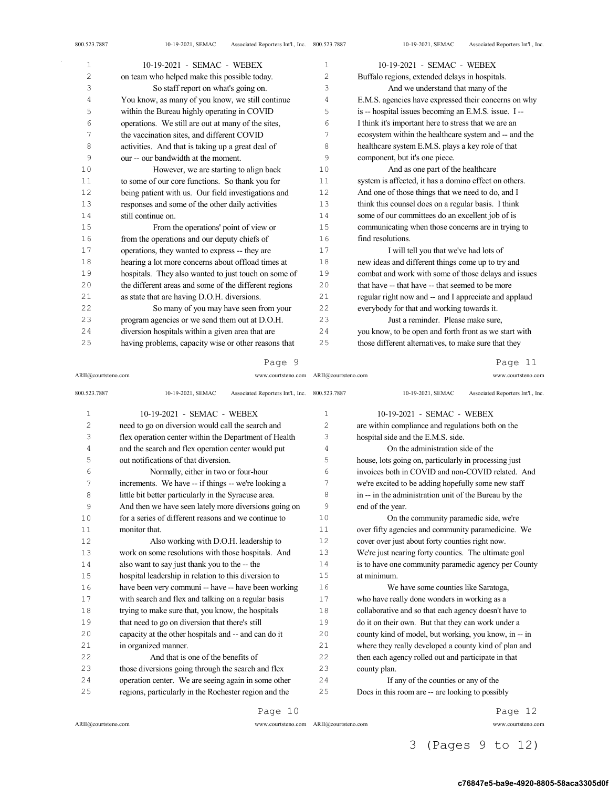| $\mathbf{1}$ | 10-19-2021 - SEMAC - WEBEX                            | $\mathbf{1}$ | 10-19-2021 - SEMAC - WEBEX                            |
|--------------|-------------------------------------------------------|--------------|-------------------------------------------------------|
| 2            | on team who helped make this possible today.          | 2            | Buffalo regions, extended delays in hospitals.        |
| 3            | So staff report on what's going on.                   | 3            | And we understand that many of the                    |
| 4            | You know, as many of you know, we still continue      | 4            | E.M.S. agencies have expressed their concerns on why  |
| 5            | within the Bureau highly operating in COVID           | 5            | is -- hospital issues becoming an E.M.S. issue. I --  |
| 6            | operations. We still are out at many of the sites,    | 6            | I think it's important here to stress that we are an  |
| 7            | the vaccination sites, and different COVID            | 7            | ecosystem within the healthcare system and -- and the |
| 8            | activities. And that is taking up a great deal of     | 8            | healthcare system E.M.S. plays a key role of that     |
| 9            | our -- our bandwidth at the moment.                   | 9            | component, but it's one piece.                        |
| 10           | However, we are starting to align back                | 10           | And as one part of the healthcare                     |
| 11           | to some of our core functions. So thank you for       | 11           | system is affected, it has a domino effect on others. |
| 12           | being patient with us. Our field investigations and   | 12           | And one of those things that we need to do, and I     |
| 13           | responses and some of the other daily activities      | 13           | think this counsel does on a regular basis. I think   |
| 14           | still continue on.                                    | 14           | some of our committees do an excellent job of is      |
| 15           | From the operations' point of view or                 | 15           | communicating when those concerns are in trying to    |
| 16           | from the operations and our deputy chiefs of          | 16           | find resolutions.                                     |
| 17           | operations, they wanted to express -- they are        | 17           | I will tell you that we've had lots of                |
| 18           | hearing a lot more concerns about offload times at    | 18           | new ideas and different things come up to try and     |
| 19           | hospitals. They also wanted to just touch on some of  | 19           | combat and work with some of those delays and issues  |
| 20           | the different areas and some of the different regions | 20           | that have -- that have -- that seemed to be more      |
| 21           | as state that are having D.O.H. diversions.           | 21           | regular right now and -- and I appreciate and applaud |
| 22           | So many of you may have seen from your                | 22           | everybody for that and working towards it.            |
| 23           | program agencies or we send them out at D.O.H.        | 23           | Just a reminder. Please make sure,                    |
| 24           | diversion hospitals within a given area that are      | 24           | you know, to be open and forth front as we start with |
| 25           | having problems, capacity wise or other reasons that  | 25           | those different alternatives, to make sure that they  |

ARII@courtsteno.com www.courtsteno.com ARII@courtsteno.com www.courtsteno.com

Page 11

| 800.523.7887   | 10-19-2021, SEMAC<br>Associated Reporters Int'l., Inc. 800.523.7887 |                | Associated Reporters Int'l., Inc.<br>10-19-2021, SEMAC |
|----------------|---------------------------------------------------------------------|----------------|--------------------------------------------------------|
| $\mathbf 1$    | 10-19-2021 - SEMAC - WEBEX                                          | $\mathbf 1$    | 10-19-2021 - SEMAC - WEBEX                             |
| $\overline{c}$ | need to go on diversion would call the search and                   | $\overline{2}$ | are within compliance and regulations both on the      |
| 3              | flex operation center within the Department of Health               | 3              | hospital side and the E.M.S. side.                     |
| 4              | and the search and flex operation center would put                  | 4              | On the administration side of the                      |
| 5              | out notifications of that diversion.                                | 5              | house, lots going on, particularly in processing just  |
| 6              | Normally, either in two or four-hour                                | 6              | invoices both in COVID and non-COVID related. And      |
| $\overline{7}$ | increments. We have -- if things -- we're looking a                 | 7              | we're excited to be adding hopefully some new staff    |
| 8              | little bit better particularly in the Syracuse area.                | 8              | in -- in the administration unit of the Bureau by the  |
| 9              | And then we have seen lately more diversions going on               | 9              | end of the year.                                       |
| 10             | for a series of different reasons and we continue to                | 10             | On the community paramedic side, we're                 |
| 11             | monitor that.                                                       | 11             | over fifty agencies and community paramedicine. We     |
| 12             | Also working with D.O.H. leadership to                              | 12             | cover over just about forty counties right now.        |
| 13             | work on some resolutions with those hospitals. And                  | 13             | We're just nearing forty counties. The ultimate goal   |
| 14             | also want to say just thank you to the -- the                       | 14             | is to have one community paramedic agency per County   |
| 15             | hospital leadership in relation to this diversion to                | 15             | at minimum.                                            |
| 16             | have been very communi -- have -- have been working                 | 16             | We have some counties like Saratoga,                   |
| 17             | with search and flex and talking on a regular basis                 | 17             | who have really done wonders in working as a           |
| 18             | trying to make sure that, you know, the hospitals                   | 18             | collaborative and so that each agency doesn't have to  |
| 19             | that need to go on diversion that there's still                     | 19             | do it on their own. But that they can work under a     |
| 20             | capacity at the other hospitals and -- and can do it                | 20             | county kind of model, but working, you know, in -- in  |
| 21             | in organized manner.                                                | 21             | where they really developed a county kind of plan and  |
| 22             | And that is one of the benefits of                                  | 22             | then each agency rolled out and participate in that    |
| 23             | those diversions going through the search and flex                  | 23             | county plan.                                           |
| 24             | operation center. We are seeing again in some other                 | 24             | If any of the counties or any of the                   |
| 25             | regions, particularly in the Rochester region and the               | 25             | Docs in this room are -- are looking to possibly       |
|                | Page 10                                                             |                | Page 12                                                |

 $\bar{\gamma}$ 

ARII@courtsteno.com www.courtsteno.com

Page 12

ARII@courtsteno.com www.courtsteno.com

3 (Pages 9 to 12)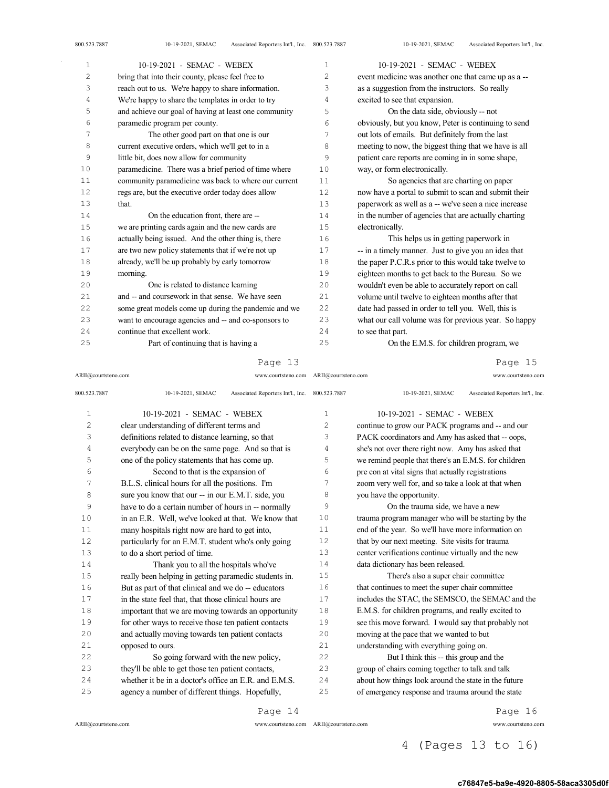| 1  | 10-19-2021 - SEMAC - WEBEX                            | 1  | 10-19-2021 - SEMAC - WEBEX                            |
|----|-------------------------------------------------------|----|-------------------------------------------------------|
| 2  | bring that into their county, please feel free to     | 2  | event medicine was another one that came up as a --   |
| 3  | reach out to us. We're happy to share information.    | 3  | as a suggestion from the instructors. So really       |
| 4  | We're happy to share the templates in order to try    | 4  | excited to see that expansion.                        |
| 5  | and achieve our goal of having at least one community | 5  | On the data side, obviously -- not                    |
| 6  | paramedic program per county.                         | 6  | obviously, but you know, Peter is continuing to send  |
| 7  | The other good part on that one is our                | 7  | out lots of emails. But definitely from the last      |
| 8  | current executive orders, which we'll get to in a     | 8  | meeting to now, the biggest thing that we have is all |
| 9  | little bit, does now allow for community              | 9  | patient care reports are coming in in some shape,     |
| 10 | paramedicine. There was a brief period of time where  | 10 | way, or form electronically.                          |
| 11 | community paramedicine was back to where our current  | 11 | So agencies that are charting on paper                |
| 12 | regs are, but the executive order today does allow    | 12 | now have a portal to submit to scan and submit their  |
| 13 | that.                                                 | 13 | paperwork as well as a -- we've seen a nice increase  |
| 14 | On the education front, there are --                  | 14 | in the number of agencies that are actually charting  |
| 15 | we are printing cards again and the new cards are     | 15 | electronically.                                       |
| 16 | actually being issued. And the other thing is, there  | 16 | This helps us in getting paperwork in                 |
| 17 | are two new policy statements that if we're not up    | 17 | -- in a timely manner. Just to give you an idea that  |
| 18 | already, we'll be up probably by early tomorrow       | 18 | the paper P.C.R.s prior to this would take twelve to  |
| 19 | morning.                                              | 19 | eighteen months to get back to the Bureau. So we      |
| 20 | One is related to distance learning                   | 20 | wouldn't even be able to accurately report on call    |
| 21 | and -- and coursework in that sense. We have seen     | 21 | volume until twelve to eighteen months after that     |
| 22 | some great models come up during the pandemic and we  | 22 | date had passed in order to tell you. Well, this is   |
| 23 | want to encourage agencies and -- and co-sponsors to  | 23 | what our call volume was for previous year. So happy  |
| 24 | continue that excellent work.                         | 24 | to see that part.                                     |
| 25 | Part of continuing that is having a                   | 25 | On the E.M.S. for children program, we                |

ARII@courtsteno.com www.courtsteno.com ARII@courtsteno.com www.courtsteno.com Page 15

| 800.523.7887 | Associated Reporters Int'l., Inc. 800.523.7887<br>10-19-2021, SEMAC |                | Associated Reporters Int'l., Inc.<br>10-19-2021, SEMAC |
|--------------|---------------------------------------------------------------------|----------------|--------------------------------------------------------|
| $\mathbf{1}$ | 10-19-2021 - SEMAC - WEBEX                                          | 1              | 10-19-2021 - SEMAC - WEBEX                             |
| 2            | clear understanding of different terms and                          | $\overline{c}$ | continue to grow our PACK programs and -- and our      |
| 3            | definitions related to distance learning, so that                   | 3              | PACK coordinators and Amy has asked that -- oops,      |
| 4            | everybody can be on the same page. And so that is                   | 4              | she's not over there right now. Amy has asked that     |
| 5            | one of the policy statements that has come up.                      | 5              | we remind people that there's an E.M.S. for children   |
| 6            | Second to that is the expansion of                                  | 6              | pre con at vital signs that actually registrations     |
| 7            | B.L.S. clinical hours for all the positions. I'm                    | 7              | zoom very well for, and so take a look at that when    |
| 8            | sure you know that our -- in our E.M.T. side, you                   | 8              | you have the opportunity.                              |
| 9            | have to do a certain number of hours in -- normally                 | 9              | On the trauma side, we have a new                      |
| 10           | in an E.R. Well, we've looked at that. We know that                 | 10             | trauma program manager who will be starting by the     |
| 11           | many hospitals right now are hard to get into,                      | 11             | end of the year. So we'll have more information on     |
| 12           | particularly for an E.M.T. student who's only going                 | 12             | that by our next meeting. Site visits for trauma       |
| 13           | to do a short period of time.                                       | 13             | center verifications continue virtually and the new    |
| 14           | Thank you to all the hospitals who've                               | 14             | data dictionary has been released.                     |
| 15           | really been helping in getting paramedic students in.               | 15             | There's also a super chair committee                   |
| 16           | But as part of that clinical and we do -- educators                 | 16             | that continues to meet the super chair committee       |
| 17           | in the state feel that, that those clinical hours are               | 17             | includes the STAC, the SEMSCO, the SEMAC and the       |
| 18           | important that we are moving towards an opportunity                 | 18             | E.M.S. for children programs, and really excited to    |
| 19           | for other ways to receive those ten patient contacts                | 19             | see this move forward. I would say that probably not   |
| 20           | and actually moving towards ten patient contacts                    | 20             | moving at the pace that we wanted to but               |
| 21           | opposed to ours.                                                    | 21             | understanding with everything going on.                |
| 22           | So going forward with the new policy,                               | 2.2.           | But I think this -- this group and the                 |
| 23           | they'll be able to get those ten patient contacts,                  | 23             | group of chairs coming together to talk and talk       |
| 24           | whether it be in a doctor's office an E.R. and E.M.S.               | 24             | about how things look around the state in the future   |
| 25           | agency a number of different things. Hopefully,                     | 25             | of emergency response and trauma around the state      |
|              | Page 14                                                             |                | Page 16                                                |

 $\mathrm{ARII}\xspace$  @courtsteno.com

ARII@courtsteno.com www.courtsteno.com

Page 16

# 4 (Pages 13 to 16)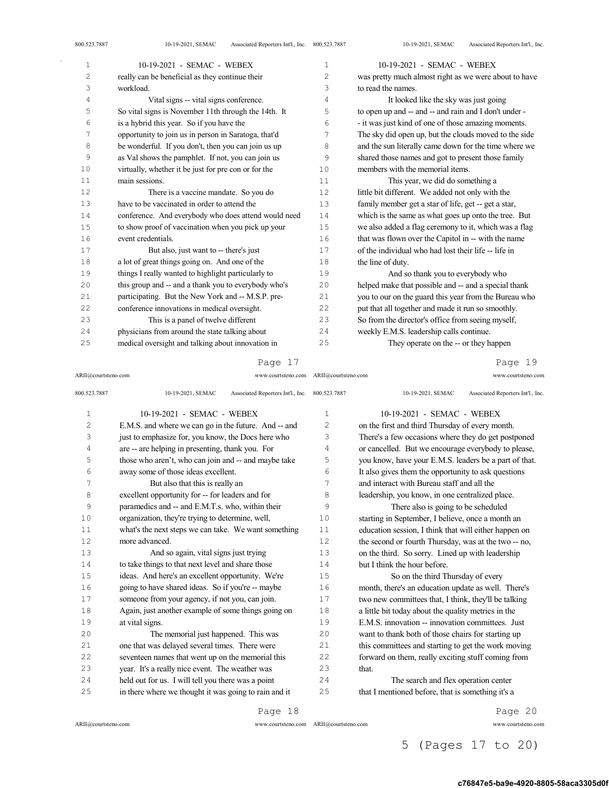| 800.523.7887 | Associated Reporters Int'l., Inc. 800.523.7887<br>10-19-2021, SEMAC |                | 10-19-2021, SEMAC<br>Associated Reporters Int'l., Inc. |
|--------------|---------------------------------------------------------------------|----------------|--------------------------------------------------------|
| $\mathbf{1}$ | 10-19-2021 - SEMAC - WEBEX                                          | $\mathbf{1}$   | 10-19-2021 - SEMAC - WEBEX                             |
| 2            | really can be beneficial as they continue their                     | $\overline{c}$ | was pretty much almost right as we were about to have  |
| 3            | workload.                                                           | 3              | to read the names.                                     |
| 4            | Vital signs -- vital signs conference.                              | 4              | It looked like the sky was just going                  |
| 5            | So vital signs is November 11th through the 14th. It                | 5              | to open up and -- and -- and rain and I don't under -  |
| 6            | is a hybrid this year. So if you have the                           | 6              | - it was just kind of one of those amazing moments.    |
| 7            | opportunity to join us in person in Saratoga, that'd                | 7              | The sky did open up, but the clouds moved to the side  |
| 8            | be wonderful. If you don't, then you can join us up                 | 8              | and the sun literally came down for the time where we  |
| 9            | as Val shows the pamphlet. If not, you can join us                  | 9              | shared those names and got to present those family     |
| 10           | virtually, whether it be just for pre con or for the                | 10             | members with the memorial items.                       |
| 11           | main sessions.                                                      | 11             | This year, we did do something a                       |
| 12           | There is a vaccine mandate. So you do                               | 12             | little bit different. We added not only with the       |
| 13           | have to be vaccinated in order to attend the                        | 13             | family member get a star of life, get -- get a star,   |
| 14           | conference. And everybody who does attend would need                | 14             | which is the same as what goes up onto the tree. But   |
| 15           | to show proof of vaccination when you pick up your                  | 15             | we also added a flag ceremony to it, which was a flag  |
| 16           | event credentials.                                                  | 16             | that was flown over the Capitol in -- with the name    |
| 17           | But also, just want to -- there's just                              | 17             | of the individual who had lost their life -- life in   |
| 18           | a lot of great things going on. And one of the                      | 18             | the line of duty.                                      |
| 19           | things I really wanted to highlight particularly to                 | 19             | And so thank you to everybody who                      |
| 20           | this group and -- and a thank you to everybody who's                | 20             | helped make that possible and -- and a special thank   |
| 21           | participating. But the New York and -- M.S.P. pre-                  | 21             | you to our on the guard this year from the Bureau who  |
| 22           | conference innovations in medical oversight.                        | 22             | put that all together and made it run so smoothly.     |
| 23           | This is a panel of twelve different                                 | 23             | So from the director's office from seeing myself,      |
| 24           | physicians from around the state talking about                      | 24             | weekly E.M.S. leadership calls continue.               |
| 25           | medical oversight and talking about innovation in                   | 25             | They operate on the -- or they happen                  |

ARII@courtsteno.com www.courtsteno.com ARII@courtsteno.com www.courtsteno.com

Page 19

| 800.523.7887   | 10-19-2021, SEMAC<br>Associated Reporters Int'l., Inc. 800.523.7887 |                | 10-19-2021, SEMAC<br>Associated Reporters Int'l., Inc. |
|----------------|---------------------------------------------------------------------|----------------|--------------------------------------------------------|
| $\mathbf{1}$   | 10-19-2021 - SEMAC - WEBEX                                          | $\mathbf{1}$   | 10-19-2021 - SEMAC - WEBEX                             |
| $\overline{c}$ | E.M.S. and where we can go in the future. And -- and                | $\overline{c}$ | on the first and third Thursday of every month.        |
| 3              | just to emphasize for, you know, the Docs here who                  | 3              | There's a few occasions where they do get postponed    |
| 4              | are -- are helping in presenting, thank you. For                    | 4              | or cancelled. But we encourage everybody to please,    |
| 5              | those who aren't, who can join and -- and maybe take                | 5              | you know, have your E.M.S. leaders be a part of that.  |
| 6              | away some of those ideas excellent.                                 | 6              | It also gives them the opportunity to ask questions    |
| 7              | But also that this is really an                                     | 7              | and interact with Bureau staff and all the             |
| 8              | excellent opportunity for -- for leaders and for                    | 8              | leadership, you know, in one centralized place.        |
| 9              | paramedics and -- and E.M.T.s. who, within their                    | 9              | There also is going to be scheduled                    |
| 10             | organization, they're trying to determine, well,                    | 10             | starting in September, I believe, once a month an      |
| 11             | what's the next steps we can take. We want something                | 11             | education session, I think that will either happen on  |
| 12             | more advanced.                                                      | 12             | the second or fourth Thursday, was at the two -- no,   |
| 13             | And so again, vital signs just trying                               | 13             | on the third. So sorry. Lined up with leadership       |
| 14             | to take things to that next level and share those                   | 14             | but I think the hour before.                           |
| 15             | ideas. And here's an excellent opportunity. We're                   | 15             | So on the third Thursday of every                      |
| 16             | going to have shared ideas. So if you're -- maybe                   | 16             | month, there's an education update as well. There's    |
| 17             | someone from your agency, if not you, can join.                     | 17             | two new committees that, I think, they'll be talking   |
| 18             | Again, just another example of some things going on                 | 18             | a little bit today about the quality metrics in the    |
| 19             | at vital signs.                                                     | 19             | E.M.S. innovation -- innovation committees. Just       |
| 20             | The memorial just happened. This was                                | 20             | want to thank both of those chairs for starting up     |
| 21             | one that was delayed several times. There were                      | 21             | this committees and starting to get the work moving    |
| 22             | seventeen names that went up on the memorial this                   | 22             | forward on them, really exciting stuff coming from     |
| 23             | year. It's a really nice event. The weather was                     | 23             | that.                                                  |
| 24             | held out for us. I will tell you there was a point                  | 24             | The search and flex operation center                   |
| 25             | in there where we thought it was going to rain and it               | 25             | that I mentioned before, that is something it's a      |
|                |                                                                     |                |                                                        |

ARII@courtsteno.com www.courtsteno.com ARII@courtsteno.com www.courtsteno.com

Page 18

Page 20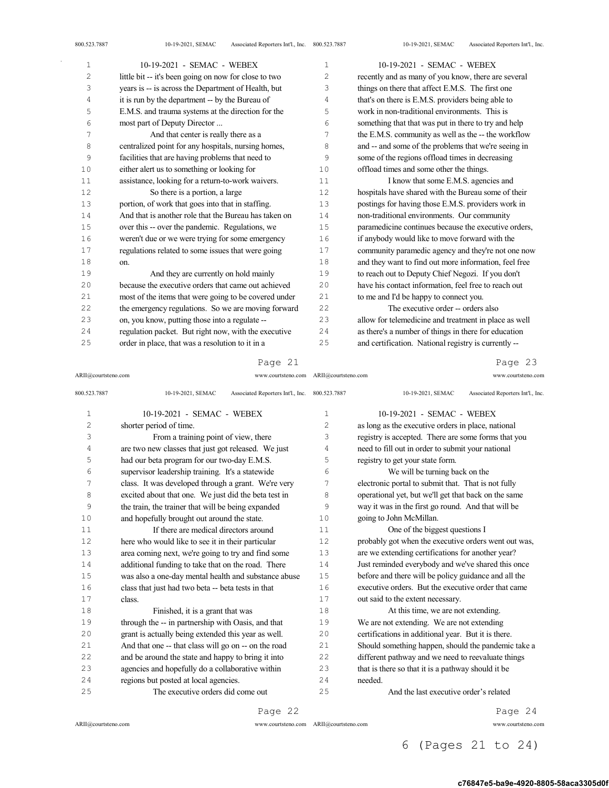| $\mathbf 1$    | 10-19-2021 - SEMAC - WEBEX                            | $\mathbf{1}$ | 10-19-2021 - SEMAC - WEBEX                            |
|----------------|-------------------------------------------------------|--------------|-------------------------------------------------------|
| $\overline{c}$ | little bit -- it's been going on now for close to two | 2            | recently and as many of you know, there are several   |
| 3              | years is -- is across the Department of Health, but   | 3            | things on there that affect E.M.S. The first one      |
| 4              | it is run by the department -- by the Bureau of       | 4            | that's on there is E.M.S. providers being able to     |
| 5              | E.M.S. and trauma systems at the direction for the    | 5            | work in non-traditional environments. This is         |
| 6              | most part of Deputy Director                          | 6            | something that that was put in there to try and help  |
| 7              | And that center is really there as a                  | 7            | the E.M.S. community as well as the -- the workflow   |
| 8              | centralized point for any hospitals, nursing homes,   | 8            | and -- and some of the problems that we're seeing in  |
| 9              | facilities that are having problems that need to      | 9            | some of the regions offload times in decreasing       |
| 10             | either alert us to something or looking for           | 10           | offload times and some other the things.              |
| 11             | assistance, looking for a return-to-work waivers.     | 11           | I know that some E.M.S. agencies and                  |
| 12             | So there is a portion, a large                        | 12           | hospitals have shared with the Bureau some of their   |
| 13             | portion, of work that goes into that in staffing.     | 13           | postings for having those E.M.S. providers work in    |
| 14             | And that is another role that the Bureau has taken on | 14           | non-traditional environments. Our community           |
| 15             | over this -- over the pandemic. Regulations, we       | 15           | paramedicine continues because the executive orders,  |
| 16             | weren't due or we were trying for some emergency      | 16           | if anybody would like to move forward with the        |
| 17             | regulations related to some issues that were going    | 17           | community paramedic agency and they're not one now    |
| 18             | on.                                                   | 18           | and they want to find out more information, feel free |
| 19             | And they are currently on hold mainly                 | 19           | to reach out to Deputy Chief Negozi. If you don't     |
| 20             | because the executive orders that came out achieved   | 20           | have his contact information, feel free to reach out  |
| 21             | most of the items that were going to be covered under | 21           | to me and I'd be happy to connect you.                |
| 22             | the emergency regulations. So we are moving forward   | 22           | The executive order -- orders also                    |
| 23             | on, you know, putting those into a regulate --        | 23           | allow for telemedicine and treatment in place as well |
| 24             | regulation packet. But right now, with the executive  | 24           | as there's a number of things in there for education  |
| 25             | order in place, that was a resolution to it in a      | 25           | and certification. National registry is currently --  |
|                |                                                       |              |                                                       |

## Page 21

### ARII@courtsteno.com www.courtsteno.com Page 23

| 800.523.7887   | Associated Reporters Int'l., Inc. 800.523.7887<br>10-19-2021, SEMAC |     | Associated Reporters Int'l., Inc.<br>10-19-2021, SEMAC |
|----------------|---------------------------------------------------------------------|-----|--------------------------------------------------------|
| $\mathbf{1}$   | 10-19-2021 - SEMAC - WEBEX                                          | 1   | 10-19-2021 - SEMAC - WEBEX                             |
| $\overline{c}$ | shorter period of time.                                             | 2   | as long as the executive orders in place, national     |
| 3              | From a training point of view, there                                | 3   | registry is accepted. There are some forms that you    |
| 4              | are two new classes that just got released. We just                 | 4   | need to fill out in order to submit your national      |
| 5              | had our beta program for our two-day E.M.S.                         | 5   | registry to get your state form.                       |
| 6              | supervisor leadership training. It's a statewide                    | 6   | We will be turning back on the                         |
| 7              | class. It was developed through a grant. We're very                 | 7   | electronic portal to submit that. That is not fully    |
| 8              | excited about that one. We just did the beta test in                | 8   | operational yet, but we'll get that back on the same   |
| 9              | the train, the trainer that will be being expanded                  | 9   | way it was in the first go round. And that will be     |
| 10             | and hopefully brought out around the state.                         | 10  | going to John McMillan.                                |
| 11             | If there are medical directors around                               | 11  | One of the biggest questions I                         |
| 12             | here who would like to see it in their particular                   | 12  | probably got when the executive orders went out was,   |
| 13             | area coming next, we're going to try and find some                  | 13  | are we extending certifications for another year?      |
| 14             | additional funding to take that on the road. There                  | 14  | Just reminded everybody and we've shared this once     |
| 15             | was also a one-day mental health and substance abuse                | 15  | before and there will be policy guidance and all the   |
| 16             | class that just had two beta -- beta tests in that                  | 16  | executive orders. But the executive order that came    |
| 17             | class.                                                              | 17  | out said to the extent necessary.                      |
| 18             | Finished, it is a grant that was                                    | 18  | At this time, we are not extending.                    |
| 19             | through the -- in partnership with Oasis, and that                  | 19  | We are not extending. We are not extending             |
| 20             | grant is actually being extended this year as well.                 | 20  | certifications in additional year. But it is there.    |
| 21             | And that one -- that class will go on -- on the road                | 21  | Should something happen, should the pandemic take a    |
| 22             | and be around the state and happy to bring it into                  | 22  | different pathway and we need to reevaluate things     |
| 23             | agencies and hopefully do a collaborative within                    | 23  | that is there so that it is a pathway should it be     |
| 24             | regions but posted at local agencies.                               | 2.4 | needed.                                                |
| 25             | The executive orders did come out                                   | 25  | And the last executive order's related                 |

Page 22

ARII@courtsteno.com

ARII@courtsteno.com www.courtsteno.com

Page 24

# 6 (Pages 21 to 24)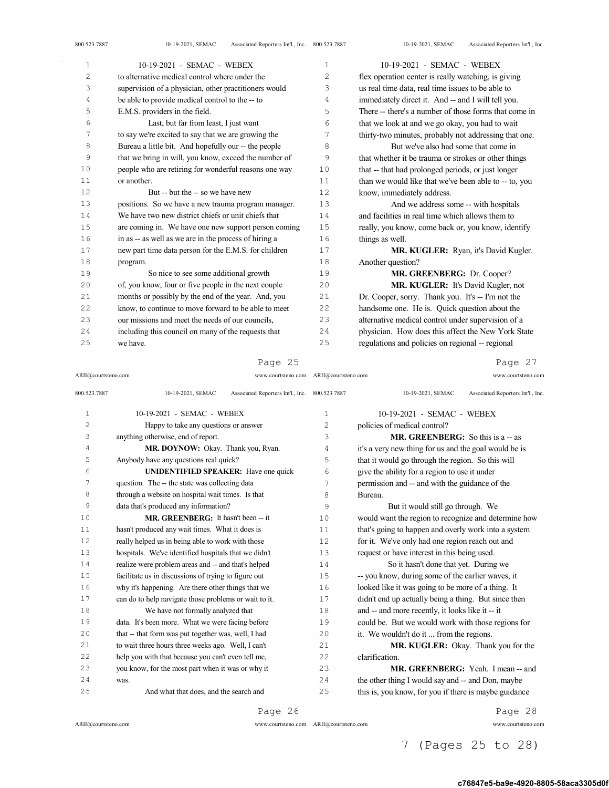| 1  | 10-19-2021 - SEMAC - WEBEX                            | 1  | 10-19-2021 - SEMAC - WEBEX                            |
|----|-------------------------------------------------------|----|-------------------------------------------------------|
| 2  | to alternative medical control where under the        | 2  | flex operation center is really watching, is giving   |
| 3  | supervision of a physician, other practitioners would | 3  | us real time data, real time issues to be able to     |
| 4  | be able to provide medical control to the -- to       | 4  | immediately direct it. And -- and I will tell you.    |
| 5  | E.M.S. providers in the field.                        | 5  | There -- there's a number of those forms that come in |
| 6  | Last, but far from least, I just want                 | 6  | that we look at and we go okay, you had to wait       |
| 7  | to say we're excited to say that we are growing the   | 7  | thirty-two minutes, probably not addressing that one. |
| 8  | Bureau a little bit. And hopefully our -- the people  | 8  | But we've also had some that come in                  |
| 9  | that we bring in will, you know, exceed the number of | 9  | that whether it be trauma or strokes or other things  |
| 10 | people who are retiring for wonderful reasons one way | 10 | that -- that had prolonged periods, or just longer    |
| 11 | or another.                                           | 11 | than we would like that we've been able to -- to, you |
| 12 | But -- but the -- so we have new                      | 12 | know, immediately address.                            |
| 13 | positions. So we have a new trauma program manager.   | 13 | And we address some -- with hospitals                 |
| 14 | We have two new district chiefs or unit chiefs that   | 14 | and facilities in real time which allows them to      |
| 15 | are coming in. We have one new support person coming  | 15 | really, you know, come back or, you know, identify    |
| 16 | in as -- as well as we are in the process of hiring a | 16 | things as well.                                       |
| 17 | new part time data person for the E.M.S. for children | 17 | MR. KUGLER: Ryan, it's David Kugler.                  |
| 18 | program.                                              | 18 | Another question?                                     |
| 19 | So nice to see some additional growth                 | 19 | MR. GREENBERG: Dr. Cooper?                            |
| 20 | of, you know, four or five people in the next couple  | 20 | MR. KUGLER: It's David Kugler, not                    |
| 21 | months or possibly by the end of the year. And, you   | 21 | Dr. Cooper, sorry. Thank you. It's -- I'm not the     |
| 22 | know, to continue to move forward to be able to meet  | 22 | handsome one. He is. Quick question about the         |
| 23 | our missions and meet the needs of our councils.      | 23 | alternative medical control under supervision of a    |
| 24 | including this council on many of the requests that   | 24 | physician. How does this affect the New York State    |
| 25 | we have.                                              | 25 | regulations and policies on regional -- regional      |

Page 25

ARII@courtsteno.com www.courtsteno.com ARII@courtsteno.com www.courtsteno.com

Page 27

| 800.523.7887   | 10-19-2021, SEMAC<br>Associated Reporters Int'l., Inc. 800.523.7887 |      | Associated Reporters Int'l., Inc.<br>10-19-2021, SEMAC |
|----------------|---------------------------------------------------------------------|------|--------------------------------------------------------|
| 1              | 10-19-2021 - SEMAC - WEBEX                                          | 1    | 10-19-2021 - SEMAC - WEBEX                             |
| $\overline{c}$ | Happy to take any questions or answer                               | 2    | policies of medical control?                           |
| 3              | anything otherwise, end of report.                                  | 3    | <b>MR. GREENBERG:</b> So this is $a - as$              |
| 4              | MR. DOYNOW: Okay. Thank you, Ryan.                                  | 4    | it's a very new thing for us and the goal would be is  |
| 5              | Anybody have any questions real quick?                              | 5    | that it would go through the region. So this will      |
| 6              | <b>UNIDENTIFIED SPEAKER:</b> Have one quick                         | 6    | give the ability for a region to use it under          |
| 7              | question. The -- the state was collecting data                      | 7    | permission and -- and with the guidance of the         |
| 8              | through a website on hospital wait times. Is that                   | 8    | Bureau.                                                |
| 9              | data that's produced any information?                               | 9    | But it would still go through. We                      |
| 10             | MR. GREENBERG: It hasn't been -- it                                 | 10   | would want the region to recognize and determine how   |
| 11             | hasn't produced any wait times. What it does is                     | 11   | that's going to happen and overly work into a system   |
| 12             | really helped us in being able to work with those                   | 12.  | for it. We've only had one region reach out and        |
| 13             | hospitals. We've identified hospitals that we didn't                | 13   | request or have interest in this being used.           |
| 14             | realize were problem areas and -- and that's helped                 | 14   | So it hasn't done that yet. During we                  |
| 15             | facilitate us in discussions of trying to figure out                | 1.5  | -- you know, during some of the earlier waves, it      |
| 16             | why it's happening. Are there other things that we                  | 16   | looked like it was going to be more of a thing. It     |
| 17             | can do to help navigate those problems or wait to it.               | 17   | didn't end up actually being a thing. But since then   |
| 18             | We have not formally analyzed that                                  | 18   | and -- and more recently, it looks like it -- it       |
| 19             | data. It's been more. What we were facing before                    | 19   | could be. But we would work with those regions for     |
| 20             | that -- that form was put together was, well, I had                 | 20   | it. We wouldn't do it  from the regions.               |
| 21             | to wait three hours three weeks ago. Well, I can't                  | 2.1  | MR. KUGLER: Okay. Thank you for the                    |
| 22             | help you with that because you can't even tell me,                  | 2.2. | clarification.                                         |
| 23             | you know, for the most part when it was or why it                   | 2.3  | MR. GREENBERG: Yeah. I mean -- and                     |
| 24             | was.                                                                | 24   | the other thing I would say and -- and Don, maybe      |
| 25             | And what that does, and the search and                              | 25   | this is, you know, for you if there is maybe guidance  |

Page 26

 $\mathrm{ARII}\xspace$  @courtsteno.com

ARII@courtsteno.com www.courtsteno.com

Page 28

7 (Pages 25 to 28)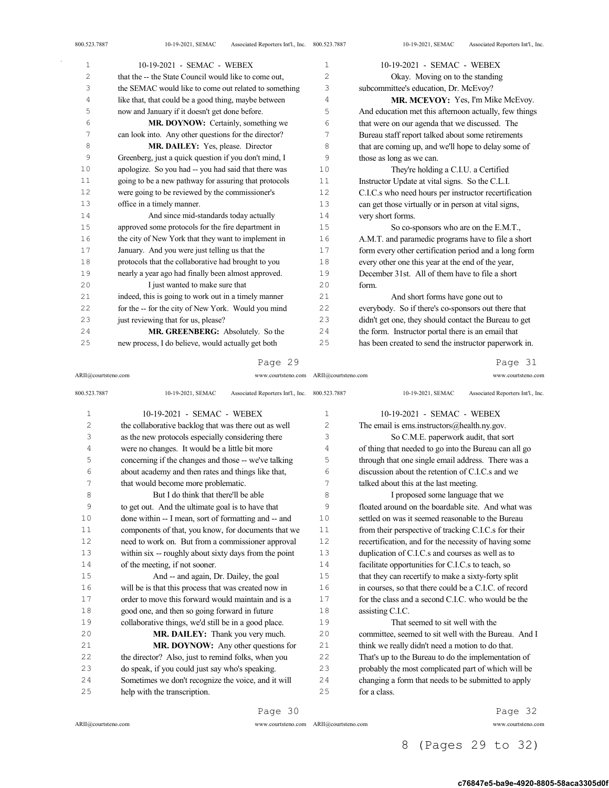| $\mathbf 1$    | 10-19-2021 - SEMAC - WEBEX                            | 1              | 10-19-2021 - SEMAC - WEBEX                            |
|----------------|-------------------------------------------------------|----------------|-------------------------------------------------------|
| $\overline{c}$ | that the -- the State Council would like to come out, | $\overline{c}$ | Okay. Moving on to the standing                       |
| 3              | the SEMAC would like to come out related to something | 3              | subcommittee's education, Dr. McEvoy?                 |
| 4              | like that, that could be a good thing, maybe between  | 4              | MR. MCEVOY: Yes, I'm Mike McEvoy.                     |
| 5              | now and January if it doesn't get done before.        | 5              | And education met this afternoon actually, few things |
| 6              | MR. DOYNOW: Certainly, something we                   | 6              | that were on our agenda that we discussed. The        |
| 7              | can look into. Any other questions for the director?  | 7              | Bureau staff report talked about some retirements     |
| 8              | <b>MR. DAILEY:</b> Yes, please. Director              | 8              | that are coming up, and we'll hope to delay some of   |
| 9              | Greenberg, just a quick question if you don't mind, I | 9              | those as long as we can.                              |
| 10             | apologize. So you had -- you had said that there was  | 10             | They're holding a C.I.U. a Certified                  |
| 11             | going to be a new pathway for assuring that protocols | 11             | Instructor Update at vital signs. So the C.L.I.       |
| 12             | were going to be reviewed by the commissioner's       | 12             | C.I.C.s who need hours per instructor recertification |
| 13             | office in a timely manner.                            | 13             | can get those virtually or in person at vital signs,  |
| 14             | And since mid-standards today actually                | 14             | very short forms.                                     |
| 15             | approved some protocols for the fire department in    | 15             | So co-sponsors who are on the E.M.T.,                 |
| 16             | the city of New York that they want to implement in   | 16             | A.M.T. and paramedic programs have to file a short    |
| 17             | January. And you were just telling us that the        | 17             | form every other certification period and a long form |
| 18             | protocols that the collaborative had brought to you   | 18             | every other one this year at the end of the year,     |
| 19             | nearly a year ago had finally been almost approved.   | 19             | December 31st. All of them have to file a short       |
| 20             | I just wanted to make sure that                       | 20             | form.                                                 |
| 21             | indeed, this is going to work out in a timely manner  | 21             | And short forms have gone out to                      |
| 22             | for the -- for the city of New York. Would you mind   | 22             | everybody. So if there's co-sponsors out there that   |
| 23             | just reviewing that for us, please?                   | 23             | didn't get one, they should contact the Bureau to get |
| 24             | MR. GREENBERG: Absolutely. So the                     | 24             | the form. Instructor portal there is an email that    |
| 25             | new process, I do believe, would actually get both    | 25             | has been created to send the instructor paperwork in. |

## Page 29

ARII@courtsteno.com www.courtsteno.com ARII@courtsteno.com www.courtsteno.com

Page 31

| 800.523.7887   | 10-19-2021, SEMAC<br>Associated Reporters Int'l., Inc. 800.523.7887 |                | 10-19-2021, SEMAC<br>Associated Reporters Int'l., Inc. |
|----------------|---------------------------------------------------------------------|----------------|--------------------------------------------------------|
| $\mathbf{1}$   | 10-19-2021 - SEMAC - WEBEX                                          | $\mathbf{1}$   | 10-19-2021 - SEMAC - WEBEX                             |
| $\overline{c}$ | the collaborative backlog that was there out as well                | $\overline{c}$ | The email is ems.instructors@health.ny.gov.            |
| 3              | as the new protocols especially considering there                   | 3              | So C.M.E. paperwork audit, that sort                   |
| 4              | were no changes. It would be a little bit more                      | 4              | of thing that needed to go into the Bureau can all go  |
| 5              | concerning if the changes and those -- we've talking                | 5              | through that one single email address. There was a     |
| 6              | about academy and then rates and things like that,                  | 6              | discussion about the retention of C.I.C.s and we       |
| 7              | that would become more problematic.                                 | 7              | talked about this at the last meeting.                 |
| 8              | But I do think that there'll be able                                | 8              | I proposed some language that we                       |
| 9              | to get out. And the ultimate goal is to have that                   | 9              | floated around on the boardable site. And what was     |
| 10             | done within -- I mean, sort of formatting and -- and                | 10             | settled on was it seemed reasonable to the Bureau      |
| 11             | components of that, you know, for documents that we                 | 11             | from their perspective of tracking C.I.C.s for their   |
| 12             | need to work on. But from a commissioner approval                   | 12             | recertification, and for the necessity of having some  |
| 13             | within six -- roughly about sixty days from the point               | 13             | duplication of C.I.C.s and courses as well as to       |
| 14             | of the meeting, if not sooner.                                      | 14             | facilitate opportunities for C.I.C.s to teach, so      |
| 15             | And -- and again, Dr. Dailey, the goal                              | 15             | that they can recertify to make a sixty-forty split    |
| 16             | will be is that this process that was created now in                | 16             | in courses, so that there could be a C.I.C. of record  |
| 17             | order to move this forward would maintain and is a                  | 17             | for the class and a second C.I.C. who would be the     |
| 18             | good one, and then so going forward in future                       | 18             | assisting C.I.C.                                       |
| 19             | collaborative things, we'd still be in a good place.                | 19             | That seemed to sit well with the                       |
| 20             | MR. DAILEY: Thank you very much.                                    | 20             | committee, seemed to sit well with the Bureau. And I   |
| 21             | MR. DOYNOW: Any other questions for                                 | 21             | think we really didn't need a motion to do that.       |
| 22             | the director? Also, just to remind folks, when you                  | 22             | That's up to the Bureau to do the implementation of    |
| 23             | do speak, if you could just say who's speaking.                     | 23             | probably the most complicated part of which will be    |
| 24             | Sometimes we don't recognize the voice, and it will                 | 24             | changing a form that needs to be submitted to apply    |
| 25             | help with the transcription.                                        | 25             | for a class.                                           |
|                |                                                                     |                |                                                        |

 $\mathrm{ARII}\xspace$  @courtsteno.com

Page 30

ARII@courtsteno.com www.courtsteno.com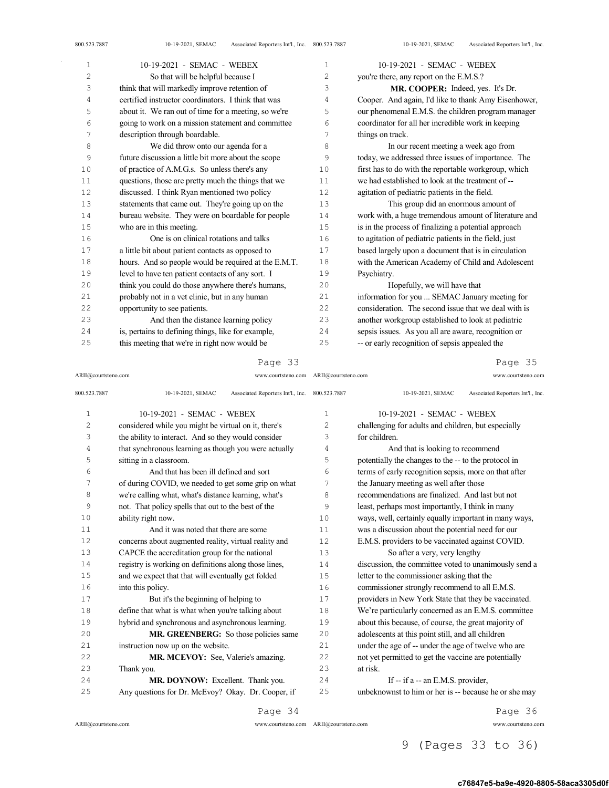| 800.523.7887 | Associated Reporters Int'l., Inc. 800.523.7887<br>10-19-2021, SEMAC |    | Associated Reporters Int'l., Inc.<br>10-19-2021, SEMAC |
|--------------|---------------------------------------------------------------------|----|--------------------------------------------------------|
| $\mathbf{1}$ | 10-19-2021 - SEMAC - WEBEX                                          | 1  | 10-19-2021 - SEMAC - WEBEX                             |
| 2            | So that will be helpful because I                                   | 2  | you're there, any report on the E.M.S.?                |
| 3            | think that will markedly improve retention of                       | 3  | MR. COOPER: Indeed, yes. It's Dr.                      |
| 4            | certified instructor coordinators. I think that was                 | 4  | Cooper. And again, I'd like to thank Amy Eisenhower,   |
| 5            | about it. We ran out of time for a meeting, so we're                | 5  | our phenomenal E.M.S. the children program manager     |
| 6            | going to work on a mission statement and committee                  | 6  | coordinator for all her incredible work in keeping     |
| 7            | description through boardable.                                      | 7  | things on track.                                       |
| 8            | We did throw onto our agenda for a                                  | 8  | In our recent meeting a week ago from                  |
| 9            | future discussion a little bit more about the scope                 | 9  | today, we addressed three issues of importance. The    |
| 10           | of practice of A.M.G.s. So unless there's any                       | 10 | first has to do with the reportable workgroup, which   |
| 11           | questions, those are pretty much the things that we                 | 11 | we had established to look at the treatment of --      |
| 12           | discussed. I think Ryan mentioned two policy                        | 12 | agitation of pediatric patients in the field.          |
| 13           | statements that came out. They're going up on the                   | 13 | This group did an enormous amount of                   |
| 14           | bureau website. They were on boardable for people                   | 14 | work with, a huge tremendous amount of literature and  |
| 15           | who are in this meeting.                                            | 15 | is in the process of finalizing a potential approach   |
| 16           | One is on clinical rotations and talks                              | 16 | to agitation of pediatric patients in the field, just  |
| 17           | a little bit about patient contacts as opposed to                   | 17 | based largely upon a document that is in circulation   |
| 18           | hours. And so people would be required at the E.M.T.                | 18 | with the American Academy of Child and Adolescent      |
| 19           | level to have ten patient contacts of any sort. I                   | 19 | Psychiatry.                                            |
| 20           | think you could do those anywhere there's humans,                   | 20 | Hopefully, we will have that                           |
| 21           | probably not in a vet clinic, but in any human                      | 21 | information for you  SEMAC January meeting for         |
| 22           | opportunity to see patients.                                        | 22 | consideration. The second issue that we deal with is   |
| 23           | And then the distance learning policy                               | 23 | another workgroup established to look at pediatric     |
| 24           | is, pertains to defining things, like for example,                  | 24 | sepsis issues. As you all are aware, recognition or    |
| 25           | this meeting that we're in right now would be                       | 25 | -- or early recognition of sepsis appealed the         |
|              |                                                                     |    |                                                        |

ARII@courtsteno.com www.courtsteno.com ARII@courtsteno.com www.courtsteno.com

Page 35

| 800.523.7887   | Associated Reporters Int'l., Inc. 800.523.7887<br>10-19-2021, SEMAC |                | Associated Reporters Int'l., Inc.<br>10-19-2021, SEMAC |
|----------------|---------------------------------------------------------------------|----------------|--------------------------------------------------------|
| $\mathbf 1$    | 10-19-2021 - SEMAC - WEBEX                                          | 1              | 10-19-2021 - SEMAC - WEBEX                             |
| $\overline{c}$ | considered while you might be virtual on it, there's                | $\overline{2}$ | challenging for adults and children, but especially    |
| 3              | the ability to interact. And so they would consider                 | 3              | for children.                                          |
| 4              | that synchronous learning as though you were actually               | 4              | And that is looking to recommend                       |
| 5              | sitting in a classroom.                                             | 5              | potentially the changes to the -- to the protocol in   |
| 6              | And that has been ill defined and sort                              | 6              | terms of early recognition sepsis, more on that after  |
| 7              | of during COVID, we needed to get some grip on what                 | 7              | the January meeting as well after those                |
| 8              | we're calling what, what's distance learning, what's                | 8              | recommendations are finalized. And last but not        |
| 9              | not. That policy spells that out to the best of the                 | 9              | least, perhaps most importantly, I think in many       |
| 10             | ability right now.                                                  | 10             | ways, well, certainly equally important in many ways,  |
| 11             | And it was noted that there are some                                | 11             | was a discussion about the potential need for our      |
| 12             | concerns about augmented reality, virtual reality and               | 12             | E.M.S. providers to be vaccinated against COVID.       |
| 13             | CAPCE the accreditation group for the national                      | 13             | So after a very, very lengthy                          |
| 14             | registry is working on definitions along those lines,               | 14             | discussion, the committee voted to unanimously send a  |
| 15             | and we expect that that will eventually get folded                  | 15             | letter to the commissioner asking that the             |
| 16             | into this policy.                                                   | 16             | commissioner strongly recommend to all E.M.S.          |
| 17             | But it's the beginning of helping to                                | 17             | providers in New York State that they be vaccinated.   |
| 18             | define that what is what when you're talking about                  | 18             | We're particularly concerned as an E.M.S. committee    |
| 19             | hybrid and synchronous and asynchronous learning.                   | 19             | about this because, of course, the great majority of   |
| 20             | MR. GREENBERG: So those policies same                               | 20             | adolescents at this point still, and all children      |
| 21             | instruction now up on the website.                                  | 21             | under the age of -- under the age of twelve who are    |
| 22             | MR. MCEVOY: See, Valerie's amazing.                                 | 22             | not yet permitted to get the vaccine are potentially   |
| 23             | Thank you.                                                          | 23             | at risk.                                               |
| 24             | MR. DOYNOW: Excellent. Thank you.                                   | 24             | If -- if a -- an E.M.S. provider,                      |
| 25             | Any questions for Dr. McEvoy? Okay. Dr. Cooper, if                  | 25             | unbeknownst to him or her is -- because he or she may  |
|                | Page 34                                                             |                | Page 36                                                |

ARII@courtsteno.com www.courtsteno.com

ARII@courtsteno.com www.courtsteno.com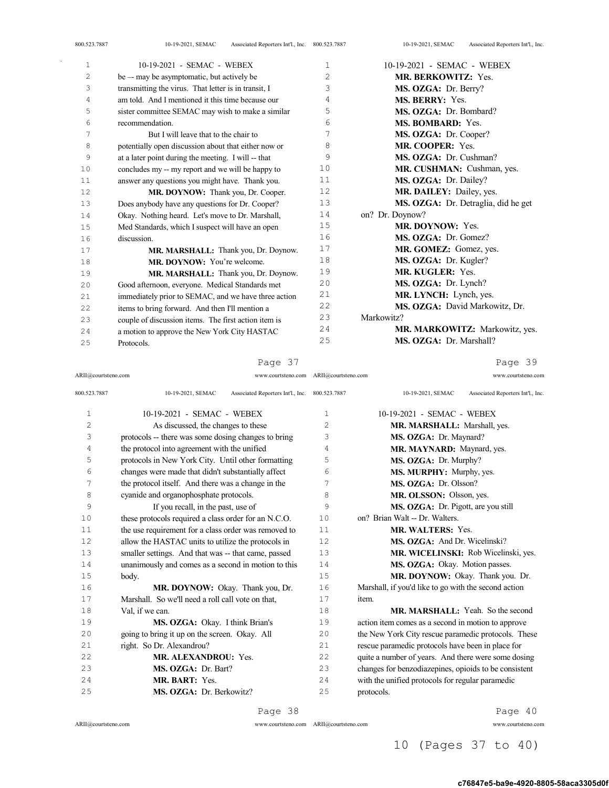| 800.523.7887 | Associated Reporters Int'l., Inc. 800.523.7887<br>10-19-2021, SEMAC |    | 10-19-2021, SEMAC<br>Associated Reporters Int'l., Inc. |
|--------------|---------------------------------------------------------------------|----|--------------------------------------------------------|
| 1            | 10-19-2021 - SEMAC - WEBEX                                          | 1  | 10-19-2021 - SEMAC - WEBEX                             |
| 2            | be — may be asymptomatic, but actively be                           | 2  | <b>MR. BERKOWITZ: Yes.</b>                             |
| 3            | transmitting the virus. That letter is in transit, I                | 3  | MS. OZGA: Dr. Berry?                                   |
| 4            | am told. And I mentioned it this time because our                   | 4  | <b>MS. BERRY: Yes.</b>                                 |
| 5            | sister committee SEMAC may wish to make a similar                   | 5  | MS. OZGA: Dr. Bombard?                                 |
| 6            | recommendation.                                                     | 6  | <b>MS. BOMBARD: Yes.</b>                               |
| 7            | But I will leave that to the chair to                               | 7  | MS. OZGA: Dr. Cooper?                                  |
| 8            | potentially open discussion about that either now or                | 8  | MR. COOPER: Yes.                                       |
| 9            | at a later point during the meeting. I will -- that                 | 9  | MS. OZGA: Dr. Cushman?                                 |
| 10           | concludes my -- my report and we will be happy to                   | 10 | MR. CUSHMAN: Cushman, yes.                             |
| 11           | answer any questions you might have. Thank you.                     | 11 | MS. OZGA: Dr. Dailey?                                  |
| 12           | MR. DOYNOW: Thank you, Dr. Cooper.                                  | 12 | MR. DAILEY: Dailey, yes.                               |
| 13           | Does anybody have any questions for Dr. Cooper?                     | 13 | MS. OZGA: Dr. Detraglia, did he get                    |
| 14           | Okay. Nothing heard. Let's move to Dr. Marshall,                    | 14 | on? Dr. Doynow?                                        |
| 15           | Med Standards, which I suspect will have an open                    | 15 | <b>MR. DOYNOW:</b> Yes.                                |
| 16           | discussion.                                                         | 16 | MS. OZGA: Dr. Gomez?                                   |
| 17           | MR. MARSHALL: Thank you, Dr. Doynow.                                | 17 | MR. GOMEZ: Gomez, yes.                                 |
| 18           | MR. DOYNOW: You're welcome.                                         | 18 | MS. OZGA: Dr. Kugler?                                  |
| 19           | MR. MARSHALL: Thank you, Dr. Doynow.                                | 19 | <b>MR. KUGLER: Yes.</b>                                |
| 20           | Good afternoon, everyone. Medical Standards met                     | 20 | MS. OZGA: Dr. Lynch?                                   |
| 21           | immediately prior to SEMAC, and we have three action                | 21 | MR. LYNCH: Lynch, yes.                                 |
| 22           | items to bring forward. And then I'll mention a                     | 22 | MS. OZGA: David Markowitz, Dr.                         |
| 23           | couple of discussion items. The first action item is                | 23 | Markowitz?                                             |
| 24           | a motion to approve the New York City HASTAC                        | 24 | MR. MARKOWITZ: Markowitz, yes.                         |
| クら           | Protocols                                                           | 25 | MS. OZGA: Dr. Marshall?                                |

Protocols.

Page 39

MS. OZGA: Dr. Marshall?

| ARII@courtsteno.com | www.courtsteno.com ARII@courtsteno.com                              |                | www.courtsteno.com                                     |
|---------------------|---------------------------------------------------------------------|----------------|--------------------------------------------------------|
| 800.523.7887        | 10-19-2021, SEMAC<br>Associated Reporters Int'l., Inc. 800.523.7887 |                | 10-19-2021, SEMAC<br>Associated Reporters Int'l., Inc. |
| $\mathbf{1}$        | 10-19-2021 - SEMAC - WEBEX                                          | 1              | 10-19-2021 - SEMAC - WEBEX                             |
| $\overline{c}$      | As discussed, the changes to these                                  | $\overline{c}$ | MR. MARSHALL: Marshall, yes.                           |
| 3                   | protocols -- there was some dosing changes to bring                 | 3              | MS. OZGA: Dr. Maynard?                                 |
| 4                   | the protocol into agreement with the unified                        | 4              | MR. MAYNARD: Maynard, yes.                             |
| 5                   | protocols in New York City. Until other formatting                  | 5              | MS. OZGA: Dr. Murphy?                                  |
| 6                   | changes were made that didn't substantially affect                  | 6              | MS. MURPHY: Murphy, yes.                               |
| 7                   | the protocol itself. And there was a change in the                  | 7              | MS. OZGA: Dr. Olsson?                                  |
| 8                   | cyanide and organophosphate protocols.                              | 8              | MR. OLSSON: Olsson, yes.                               |
| 9                   | If you recall, in the past, use of                                  | 9              | MS. OZGA: Dr. Pigott, are you still                    |
| 10                  | these protocols required a class order for an N.C.O.                | 10             | on? Brian Walt -- Dr. Walters.                         |
| 11                  | the use requirement for a class order was removed to                | 11             | <b>MR. WALTERS: Yes.</b>                               |
| 12                  | allow the HASTAC units to utilize the protocols in                  | 12.            | MS. OZGA: And Dr. Wicelinski?                          |
| 13                  | smaller settings. And that was -- that came, passed                 | 13             | MR. WICELINSKI: Rob Wicelinski, yes.                   |
| 14                  | unanimously and comes as a second in motion to this                 | 14             | MS. OZGA: Okay. Motion passes.                         |
| 15                  | body.                                                               | 15             | MR. DOYNOW: Okay. Thank you. Dr.                       |
| 16                  | MR. DOYNOW: Okay. Thank you, Dr.                                    | 16             | Marshall, if you'd like to go with the second action   |
| 17                  | Marshall. So we'll need a roll call vote on that.                   | 17             | item.                                                  |
| 18                  | Val, if we can.                                                     | 18             | <b>MR. MARSHALL:</b> Yeah. So the second               |
| 19                  | MS. OZGA: Okay. I think Brian's                                     | 19             | action item comes as a second in motion to approve     |
| 20                  | going to bring it up on the screen. Okay. All                       | 20             | the New York City rescue paramedic protocols. These    |
| 2.1                 | right. So Dr. Alexandrou?                                           | 21             | rescue paramedic protocols have been in place for      |
| 22                  | MR. ALEXANDROU: Yes.                                                | 22             | quite a number of years. And there were some dosing    |
| 23                  | MS. OZGA: Dr. Bart?                                                 | 23             | changes for benzodiazepines, opioids to be consistent  |
| 2.4                 | MR. BART: Yes.                                                      | 24             | with the unified protocols for regular paramedic       |
| 25                  | MS. OZGA: Dr. Berkowitz?                                            | 25             | protocols.                                             |
|                     |                                                                     |                |                                                        |

ARII@courtsteno.com

Page 38

ARII@courtsteno.com www.courtsteno.com

Page 40

## 10 (Pages 37 to 40)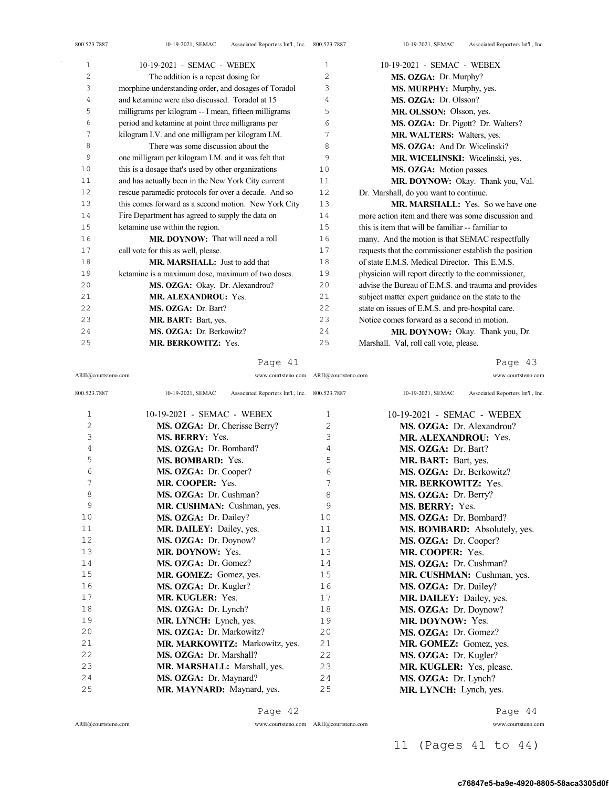| 1  | 10-19-2021 - SEMAC - WEBEX                            | $\mathbf{1}$ | 10-19-2021 - SEMAC - WEBEX                            |
|----|-------------------------------------------------------|--------------|-------------------------------------------------------|
| 2  | The addition is a repeat dosing for                   | 2            | MS. OZGA: Dr. Murphy?                                 |
| 3  | morphine understanding order, and dosages of Toradol  | 3            | MS. MURPHY: Murphy, yes.                              |
| 4  | and ketamine were also discussed. Toradol at 15       | 4            | MS. OZGA: Dr. Olsson?                                 |
| 5  | milligrams per kilogram -- I mean, fifteen milligrams | 5            | MR. OLSSON: Olsson, yes.                              |
| 6  | period and ketamine at point three milligrams per     | 6            | MS. OZGA: Dr. Pigott? Dr. Walters?                    |
| 7  | kilogram I.V. and one milligram per kilogram I.M.     | 7            | <b>MR. WALTERS:</b> Walters, yes.                     |
| 8  | There was some discussion about the                   | 8            | MS. OZGA: And Dr. Wicelinski?                         |
| 9  | one milligram per kilogram I.M. and it was felt that  | 9            | MR. WICELINSKI: Wicelinski, yes.                      |
| 10 | this is a dosage that's used by other organizations   | 10           | MS. OZGA: Motion passes.                              |
| 11 | and has actually been in the New York City current    | 11           | MR. DOYNOW: Okay. Thank you, Val.                     |
| 12 | rescue paramedic protocols for over a decade. And so  | 12           | Dr. Marshall, do you want to continue.                |
| 13 | this comes forward as a second motion. New York City  | 13           | <b>MR. MARSHALL:</b> Yes. So we have one              |
| 14 | Fire Department has agreed to supply the data on      | 14           | more action item and there was some discussion and    |
| 15 | ketamine use within the region.                       | 15           | this is item that will be familiar -- familiar to     |
| 16 | <b>MR. DOYNOW:</b> That will need a roll              | 16           | many. And the motion is that SEMAC respectfully       |
| 17 | call vote for this as well, please.                   | 17           | requests that the commissioner establish the position |
| 18 | MR. MARSHALL: Just to add that                        | 18           | of state F.M.S. Medical Director. This F.M.S.         |
| 19 | ketamine is a maximum dose, maximum of two doses.     | 19           | physician will report directly to the commissioner,   |
| 20 | MS. OZGA: Okay. Dr. Alexandrou?                       | 20           | advise the Bureau of E.M.S. and trauma and provides   |
| 21 | <b>MR. ALEXANDROU: Yes.</b>                           | 21           | subject matter expert guidance on the state to the    |
| 22 | MS. OZGA: Dr. Bart?                                   | 22           | state on issues of E.M.S. and pre-hospital care.      |
| 23 | MR. BART: Bart, yes.                                  | 23           | Notice comes forward as a second in motion.           |
| 24 | MS. OZGA: Dr. Berkowitz?                              | 24           | <b>MR. DOYNOW:</b> Okay. Thank you, Dr.               |
| 25 | MR. BERKOWITZ: Yes.                                   | 25           | Marshall. Val, roll call vote, please.                |

Page 41

ARII@courtsteno.com www.courtsteno.com ARII@courtsteno.com www.courtsteno.com

Page 43

| 800.523.7887 | Associated Reporters Int'l., Inc. 800.523.7887<br>10-19-2021, SEMAC |    | Associated Reporters Int'l., Inc.<br>10-19-2021, SEMAC |
|--------------|---------------------------------------------------------------------|----|--------------------------------------------------------|
| 1            | 10-19-2021 - SEMAC - WEBEX                                          | 1  | 10-19-2021 - SEMAC - WEBEX                             |
| 2            | MS. OZGA: Dr. Cherisse Berry?                                       | 2  | MS. OZGA: Dr. Alexandrou?                              |
| 3            | <b>MS. BERRY: Yes.</b>                                              | 3  | <b>MR. ALEXANDROU: Yes.</b>                            |
| 4            | MS. OZGA: Dr. Bombard?                                              | 4  | MS. OZGA: Dr. Bart?                                    |
| 5            | MS. BOMBARD: Yes.                                                   | 5  | MR. BART: Bart, yes.                                   |
| 6            | MS. OZGA: Dr. Cooper?                                               | 6  | MS. OZGA: Dr. Berkowitz?                               |
| 7            | MR. COOPER: Yes.                                                    | 7  | <b>MR. BERKOWITZ: Yes.</b>                             |
| 8            | MS. OZGA: Dr. Cushman?                                              | 8  | MS. OZGA: Dr. Berry?                                   |
| 9            | MR. CUSHMAN: Cushman, yes.                                          | 9  | <b>MS. BERRY: Yes.</b>                                 |
| 10           | MS. OZGA: Dr. Dailey?                                               | 10 | MS. OZGA: Dr. Bombard?                                 |
| 11           | MR. DAILEY: Dailey, yes.                                            | 11 | MS. BOMBARD: Absolutely, yes.                          |
| 12           | MS. OZGA: Dr. Doynow?                                               | 12 | MS. OZGA: Dr. Cooper?                                  |
| 13           | MR. DOYNOW: Yes.                                                    | 13 | MR. COOPER: Yes.                                       |
| 14           | MS. OZGA: Dr. Gomez?                                                | 14 | MS. OZGA: Dr. Cushman?                                 |
| 15           | MR. GOMEZ: Gomez, yes.                                              | 15 | MR. CUSHMAN: Cushman, yes.                             |
| 16           | MS. OZGA: Dr. Kugler?                                               | 16 | MS. OZGA: Dr. Dailey?                                  |
| 17           | <b>MR. KUGLER: Yes.</b>                                             | 17 | MR. DAILEY: Dailey, yes.                               |
| 18           | MS. OZGA: Dr. Lynch?                                                | 18 | MS. OZGA: Dr. Doynow?                                  |
| 19           | MR. LYNCH: Lynch, yes.                                              | 19 | <b>MR. DOYNOW:</b> Yes.                                |
| 20           | MS. OZGA: Dr. Markowitz?                                            | 20 | MS. OZGA: Dr. Gomez?                                   |
| 21           | MR. MARKOWITZ: Markowitz, yes.                                      | 21 | MR. GOMEZ: Gomez, yes.                                 |
| 22           | MS. OZGA: Dr. Marshall?                                             | 22 | MS. OZGA: Dr. Kugler?                                  |
| 23           | MR. MARSHALL: Marshall, yes.                                        | 23 | MR. KUGLER: Yes, please.                               |
| 24           | MS. OZGA: Dr. Maynard?                                              | 24 | MS. OZGA: Dr. Lynch?                                   |
| 25           | MR. MAYNARD: Maynard, yes.                                          | 25 | MR. LYNCH: Lynch, yes.                                 |
|              |                                                                     |    |                                                        |

 $\mathrm{ARII}\xspace$  @courtsteno.com

Page 42

ARII@courtsteno.com www.courtsteno.com

Page 44

11 (Pages 41 to 44)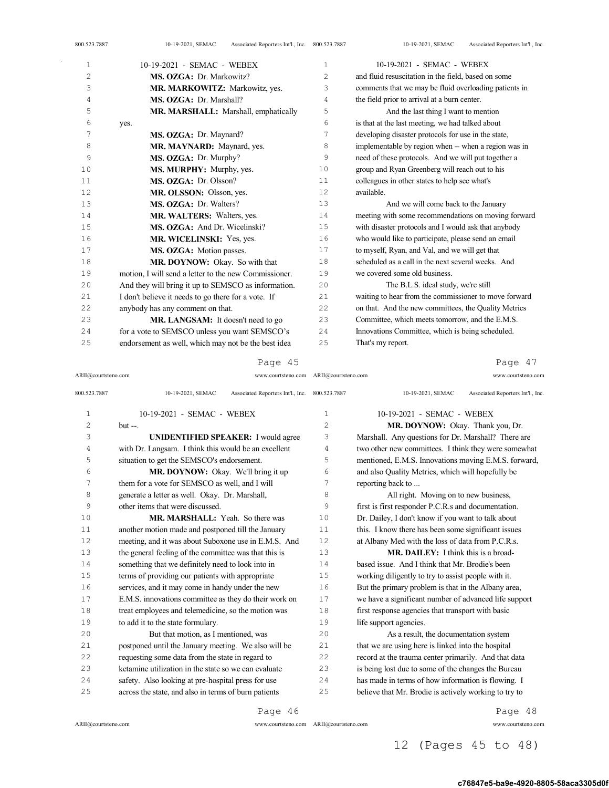| 800.523.7887 | Associated Reporters Int'l., Inc. 800.523.7887<br>10-19-2021, SEMAC |                | Associated Reporters Int'l., Inc.<br>10-19-2021, SEMAC |
|--------------|---------------------------------------------------------------------|----------------|--------------------------------------------------------|
| $\mathbf{1}$ | 10-19-2021 - SEMAC - WEBEX                                          | 1              | 10-19-2021 - SEMAC - WEBEX                             |
| $\mathbf{2}$ | MS. OZGA: Dr. Markowitz?                                            | $\overline{c}$ | and fluid resuscitation in the field, based on some    |
| 3            | MR. MARKOWITZ: Markowitz, yes.                                      | 3              | comments that we may be fluid overloading patients in  |
| 4            | MS. OZGA: Dr. Marshall?                                             | 4              | the field prior to arrival at a burn center.           |
| 5            | MR. MARSHALL: Marshall, emphatically                                | 5              | And the last thing I want to mention                   |
| 6            | yes.                                                                | 6              | is that at the last meeting, we had talked about       |
| 7            | MS. OZGA: Dr. Maynard?                                              | 7              | developing disaster protocols for use in the state,    |
| 8            | MR. MAYNARD: Maynard, yes.                                          | 8              | implementable by region when -- when a region was in   |
| 9            | MS. OZGA: Dr. Murphy?                                               | 9              | need of these protocols. And we will put together a    |
| 10           | MS. MURPHY: Murphy, yes.                                            | 10             | group and Ryan Greenberg will reach out to his         |
| 11           | MS. OZGA: Dr. Olsson?                                               | 11             | colleagues in other states to help see what's          |
| 12           | MR. OLSSON: Olsson, yes.                                            | 12             | available.                                             |
| 13           | MS. OZGA: Dr. Walters?                                              | 13             | And we will come back to the January                   |
| 14           | MR. WALTERS: Walters, yes.                                          | 14             | meeting with some recommendations on moving forward    |
| 15           | MS. OZGA: And Dr. Wicelinski?                                       | 15             | with disaster protocols and I would ask that anybody   |
| 16           | MR. WICELINSKI: Yes, yes.                                           | 16             | who would like to participate, please send an email    |
| 17           | MS. OZGA: Motion passes.                                            | 17             | to myself, Ryan, and Val, and we will get that         |
| 18           | MR. DOYNOW: Okay. So with that                                      | 18             | scheduled as a call in the next several weeks. And     |
| 19           | motion. I will send a letter to the new Commissioner.               | 19             | we covered some old business.                          |
| 20           | And they will bring it up to SEMSCO as information.                 | 20             | The B.L.S. ideal study, we're still                    |
| 21           | I don't believe it needs to go there for a vote. If                 | 21             | waiting to hear from the commissioner to move forward  |
| 22           | anybody has any comment on that.                                    | 22             | on that. And the new committees, the Quality Metrics   |
| 23           | MR. LANGSAM: It doesn't need to go                                  | 23             | Committee, which meets tomorrow, and the E.M.S.        |
| 24           | for a vote to SEMSCO unless you want SEMSCO's                       | 24             | Innovations Committee, which is being scheduled.       |
| 25           | endorsement as well, which may not be the best idea                 | 25             | That's my report.                                      |

|  | ≏ר⊿ |  |  |
|--|-----|--|--|
|--|-----|--|--|

ARII@courtsteno.com www.courtsteno.com ARII@courtsteno.com www.courtsteno.com

Page 47

| 800.523.7887   | Associated Reporters Int'l., Inc. 800.523.7887<br>10-19-2021, SEMAC |                | Associated Reporters Int'l., Inc.<br>10-19-2021, SEMAC |
|----------------|---------------------------------------------------------------------|----------------|--------------------------------------------------------|
| $\mathbf{1}$   | 10-19-2021 - SEMAC - WEBEX                                          | 1              | 10-19-2021 - SEMAC - WEBEX                             |
| $\overline{c}$ | $but --.$                                                           | $\overline{c}$ | MR. DOYNOW: Okay. Thank you, Dr.                       |
| 3              | <b>UNIDENTIFIED SPEAKER:</b> I would agree                          | 3              | Marshall. Any questions for Dr. Marshall? There are    |
| 4              | with Dr. Langsam. I think this would be an excellent                | 4              | two other new committees. I think they were somewhat   |
| 5              | situation to get the SEMSCO's endorsement.                          | 5              | mentioned, E.M.S. Innovations moving E.M.S. forward,   |
| 6              | MR. DOYNOW: Okay. We'll bring it up                                 | 6              | and also Quality Metrics, which will hopefully be      |
| 7              | them for a vote for SEMSCO as well, and I will                      | 7              | reporting back to                                      |
| 8              | generate a letter as well. Okay. Dr. Marshall,                      | 8              | All right. Moving on to new business,                  |
| 9              | other items that were discussed.                                    | 9              | first is first responder P.C.R.s and documentation.    |
| 10             | MR. MARSHALL: Yeah. So there was                                    | 10             | Dr. Dailey, I don't know if you want to talk about     |
| 11             | another motion made and postponed till the January                  | 11             | this. I know there has been some significant issues    |
| 12             | meeting, and it was about Suboxone use in E.M.S. And                | 12.            | at Albany Med with the loss of data from P.C.R.s.      |
| 13             | the general feeling of the committee was that this is               | 13             | MR. DAILEY: I think this is a broad-                   |
| 14             | something that we definitely need to look into in                   | 14             | based issue. And I think that Mr. Brodie's been        |
| 15             | terms of providing our patients with appropriate                    | 15             | working diligently to try to assist people with it.    |
| 16             | services, and it may come in handy under the new                    | 16             | But the primary problem is that in the Albany area,    |
| 17             | E.M.S. innovations committee as they do their work on               | 17             | we have a significant number of advanced life support  |
| 18             | treat employees and telemedicine, so the motion was                 | 18             | first response agencies that transport with basic      |
| 19             | to add it to the state formulary.                                   | 19             | life support agencies.                                 |
| 20             | But that motion, as I mentioned, was                                | 20             | As a result, the documentation system                  |
| 21             | postponed until the January meeting. We also will be                | 21             | that we are using here is linked into the hospital     |
| 22             | requesting some data from the state in regard to                    | 22             | record at the trauma center primarily. And that data   |
| 23             | ketamine utilization in the state so we can evaluate                | 23             | is being lost due to some of the changes the Bureau    |
| 24             | safety. Also looking at pre-hospital press for use                  | 24             | has made in terms of how information is flowing. I     |
| 25             | across the state, and also in terms of burn patients                | 25             | believe that Mr. Brodie is actively working to try to  |
|                |                                                                     |                |                                                        |

Page 46

 $\bar{z}$ 

ARII@courtsteno.com www.courtsteno.com

Page 48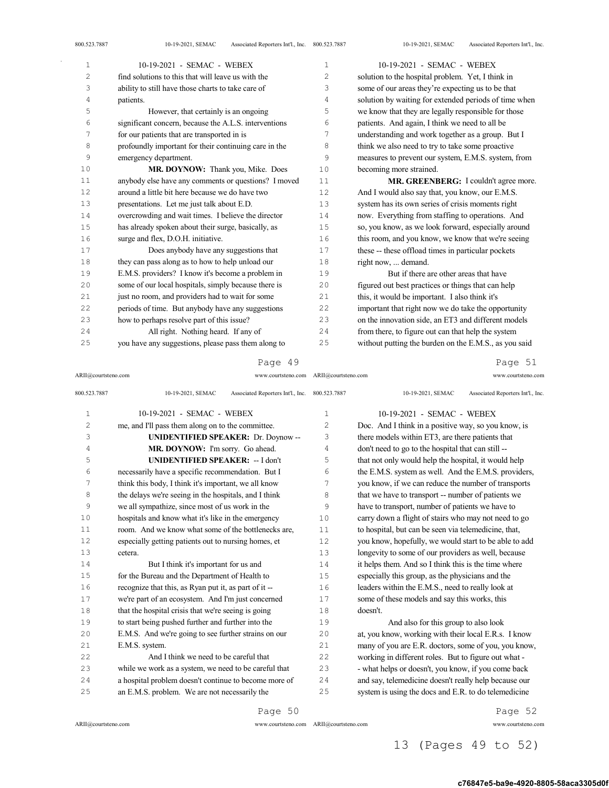| $\mathbf 1$    | 10-19-2021 - SEMAC - WEBEX                            | 1  | 10-19-2021 - SEMAC - WEBEX                            |
|----------------|-------------------------------------------------------|----|-------------------------------------------------------|
| $\overline{c}$ | find solutions to this that will leave us with the    | 2  | solution to the hospital problem. Yet, I think in     |
| 3              | ability to still have those charts to take care of    | 3  | some of our areas they're expecting us to be that     |
| 4              | patients.                                             | 4  | solution by waiting for extended periods of time when |
| 5              | However, that certainly is an ongoing                 | 5  | we know that they are legally responsible for those   |
| 6              | significant concern, because the A.L.S. interventions | 6  | patients. And again, I think we need to all be        |
| 7              | for our patients that are transported in is           | 7  | understanding and work together as a group. But I     |
| 8              | profoundly important for their continuing care in the | 8  | think we also need to try to take some proactive      |
| 9              | emergency department.                                 | 9  | measures to prevent our system, E.M.S. system, from   |
| 10             | MR. DOYNOW: Thank you, Mike. Does                     | 10 | becoming more strained.                               |
| 11             | anybody else have any comments or questions? I moved  | 11 | MR. GREENBERG: I couldn't agree more.                 |
| 12             | around a little bit here because we do have two       | 12 | And I would also say that, you know, our E.M.S.       |
| 13             | presentations. Let me just talk about E.D.            | 13 | system has its own series of crisis moments right     |
| 14             | overcrowding and wait times. I believe the director   | 14 | now. Everything from staffing to operations. And      |
| 15             | has already spoken about their surge, basically, as   | 15 | so, you know, as we look forward, especially around   |
| 16             | surge and flex, D.O.H. initiative.                    | 16 | this room, and you know, we know that we're seeing    |
| 17             | Does anybody have any suggestions that                | 17 | these -- these offload times in particular pockets    |
| 18             | they can pass along as to how to help unload our      | 18 | right now,  demand.                                   |
| 19             | E.M.S. providers? I know it's become a problem in     | 19 | But if there are other areas that have                |
| 20             | some of our local hospitals, simply because there is  | 20 | figured out best practices or things that can help    |
| 21             | just no room, and providers had to wait for some      | 21 | this, it would be important. I also think it's        |
| 22             | periods of time. But anybody have any suggestions     | 22 | important that right now we do take the opportunity   |
| 23             | how to perhaps resolve part of this issue?            | 23 | on the innovation side, an ET3 and different models   |
| 24             | All right. Nothing heard. If any of                   | 24 | from there, to figure out can that help the system    |
| 25             | you have any suggestions, please pass them along to   | 25 | without putting the burden on the E.M.S., as you said |
|                |                                                       |    |                                                       |

### Page 49

ARII@courtsteno.com www.courtsteno.com ARII@courtsteno.com www.courtsteno.com

Page 51

| 800.523.7887 | Associated Reporters Int'l., Inc. 800.523.7887<br>10-19-2021, SEMAC |    | Associated Reporters Int'l., Inc.<br>10-19-2021, SEMAC |
|--------------|---------------------------------------------------------------------|----|--------------------------------------------------------|
| 1            | 10-19-2021 - SEMAC - WEBEX                                          | 1  | 10-19-2021 - SEMAC - WEBEX                             |
| 2            | me, and I'll pass them along on to the committee.                   | 2  | Doc. And I think in a positive way, so you know, is    |
| 3            | <b>UNIDENTIFIED SPEAKER: Dr. Doynow--</b>                           | 3  | there models within ET3, are there patients that       |
| 4            | MR. DOYNOW: I'm sorry. Go ahead.                                    | 4  | don't need to go to the hospital that can still --     |
| 5            | <b>UNIDENTIFIED SPEAKER: -- I don't</b>                             | 5  | that not only would help the hospital, it would help   |
| 6            | necessarily have a specific recommendation. But I                   | 6  | the E.M.S. system as well. And the E.M.S. providers,   |
| 7            | think this body, I think it's important, we all know                | 7  | you know, if we can reduce the number of transports    |
| 8            | the delays we're seeing in the hospitals, and I think               | 8  | that we have to transport -- number of patients we     |
| 9            | we all sympathize, since most of us work in the                     | 9  | have to transport, number of patients we have to       |
| 10           | hospitals and know what it's like in the emergency                  | 10 | carry down a flight of stairs who may not need to go   |
| 11           | room. And we know what some of the bottlenecks are,                 | 11 | to hospital, but can be seen via telemedicine, that,   |
| 12.          | especially getting patients out to nursing homes, et                | 12 | you know, hopefully, we would start to be able to add  |
| 13           | cetera.                                                             | 13 | longevity to some of our providers as well, because    |
| 14           | But I think it's important for us and                               | 14 | it helps them. And so I think this is the time where   |
| 15           | for the Bureau and the Department of Health to                      | 15 | especially this group, as the physicians and the       |
| 16           | recognize that this, as Ryan put it, as part of it --               | 16 | leaders within the E.M.S., need to really look at      |
| 17           | we're part of an ecosystem. And I'm just concerned                  | 17 | some of these models and say this works, this          |
| 18           | that the hospital crisis that we're seeing is going                 | 18 | doesn't.                                               |
| 19           | to start being pushed further and further into the                  | 19 | And also for this group to also look                   |
| 20           | E.M.S. And we're going to see further strains on our                | 20 | at, you know, working with their local E.R.s. I know   |
| 21           | E.M.S. system.                                                      | 21 | many of you are E.R. doctors, some of you, you know,   |
| 22           | And I think we need to be careful that                              | 22 | working in different roles. But to figure out what -   |
| 23           | while we work as a system, we need to be careful that               | 23 | - what helps or doesn't, you know, if you come back    |
| 24           | a hospital problem doesn't continue to become more of               | 24 | and say, telemedicine doesn't really help because our  |
| 25           | an E.M.S. problem. We are not necessarily the                       | 25 | system is using the docs and E.R. to do telemedicine   |
|              | Page 50                                                             |    | Page 52                                                |

ARII@courtsteno.com www.courtsteno.com

ARII@courtsteno.com www.courtsteno.com Page 52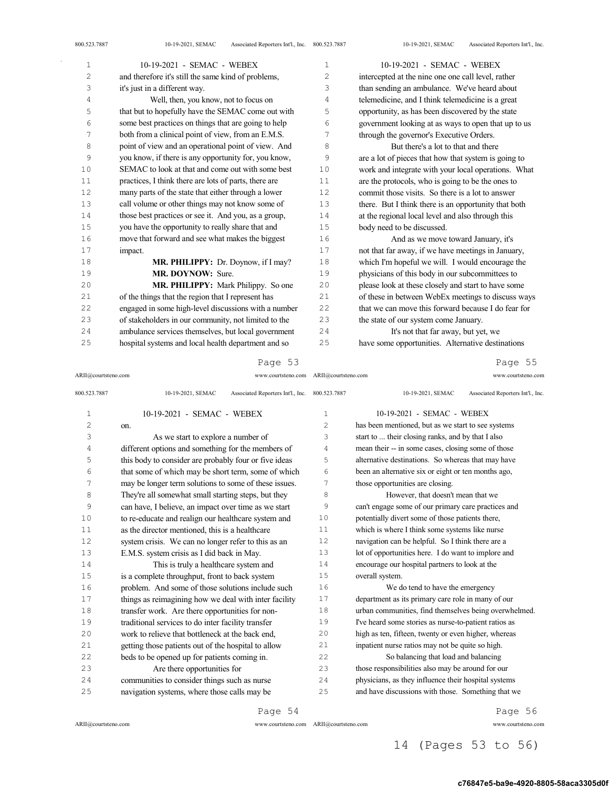| 1  | 10-19-2021 - SEMAC - WEBEX                            | $\mathbf{1}$ | 10-19-2021 - SEMAC - WEBEX                           |
|----|-------------------------------------------------------|--------------|------------------------------------------------------|
| 2  | and therefore it's still the same kind of problems,   | 2            | intercepted at the nine one one call level, rather   |
| 3  | it's just in a different way.                         | 3            | than sending an ambulance. We've heard about         |
| 4  | Well, then, you know, not to focus on                 | 4            | telemedicine, and I think telemedicine is a great    |
| 5  | that but to hopefully have the SEMAC come out with    | 5            | opportunity, as has been discovered by the state     |
| 6  | some best practices on things that are going to help  | 6            | government looking at as ways to open that up to us  |
| 7  | both from a clinical point of view, from an E.M.S.    | 7            | through the governor's Executive Orders.             |
| 8  | point of view and an operational point of view. And   | 8            | But there's a lot to that and there                  |
| 9  | you know, if there is any opportunity for, you know,  | 9            | are a lot of pieces that how that system is going to |
| 10 | SEMAC to look at that and come out with some best     | 10           | work and integrate with your local operations. What  |
| 11 | practices, I think there are lots of parts, there are | 11           | are the protocols, who is going to be the ones to    |
| 12 | many parts of the state that either through a lower   | 12           | commit those visits. So there is a lot to answer     |
| 13 | call volume or other things may not know some of      | 13           | there. But I think there is an opportunity that both |
| 14 | those best practices or see it. And you, as a group,  | 14           | at the regional local level and also through this    |
| 15 | you have the opportunity to really share that and     | 15           | body need to be discussed.                           |
| 16 | move that forward and see what makes the biggest      | 16           | And as we move toward January, it's                  |
| 17 | impact.                                               | 17           | not that far away, if we have meetings in January,   |
| 18 | MR. PHILIPPY: Dr. Doynow, if I may?                   | 18           | which I'm hopeful we will. I would encourage the     |
| 19 | MR. DOYNOW: Sure.                                     | 19           | physicians of this body in our subcommittees to      |
| 20 | <b>MR. PHILIPPY:</b> Mark Philippy. So one            | 20           | please look at these closely and start to have some  |
| 21 | of the things that the region that I represent has    | 21           | of these in between WebEx meetings to discuss ways   |
| 22 | engaged in some high-level discussions with a number  | 22           | that we can move this forward because I do fear for  |
| 23 | of stakeholders in our community, not limited to the  | 23           | the state of our system come January.                |
| 24 | ambulance services themselves, but local government   | 24           | It's not that far away, but yet, we                  |
| 25 | hospital systems and local health department and so   | 25           | have some opportunities. Alternative destinations    |

## Page 53

ARII@courtsteno.com www.courtsteno.com ARII@courtsteno.com www.courtsteno.com

Page 55

| 800.523.7887 | Associated Reporters Int'l., Inc. 800.523.7887<br>10-19-2021, SEMAC |                | Associated Reporters Int'l., Inc.<br>10-19-2021, SEMAC |
|--------------|---------------------------------------------------------------------|----------------|--------------------------------------------------------|
| $\mathbf{1}$ | 10-19-2021 - SEMAC - WEBEX                                          | 1              | 10-19-2021 - SEMAC - WEBEX                             |
| 2            | on.                                                                 | $\overline{c}$ | has been mentioned, but as we start to see systems     |
| 3            | As we start to explore a number of                                  | 3              | start to  their closing ranks, and by that I also      |
| 4            | different options and something for the members of                  | 4              | mean their -- in some cases, closing some of those     |
| 5            | this body to consider are probably four or five ideas               | 5              | alternative destinations. So whereas that may have     |
| 6            | that some of which may be short term, some of which                 | 6              | been an alternative six or eight or ten months ago,    |
| 7            | may be longer term solutions to some of these issues.               | 7              | those opportunities are closing.                       |
| 8            | They're all somewhat small starting steps, but they                 | 8              | However, that doesn't mean that we                     |
| 9            | can have, I believe, an impact over time as we start                | 9              | can't engage some of our primary care practices and    |
| 10           | to re-educate and realign our healthcare system and                 | 10             | potentially divert some of those patients there,       |
| 11           | as the director mentioned, this is a healthcare                     | 11             | which is where I think some systems like nurse         |
| 12           | system crisis. We can no longer refer to this as an                 | 12             | navigation can be helpful. So I think there are a      |
| 13           | E.M.S. system crisis as I did back in May.                          | 13             | lot of opportunities here. I do want to implore and    |
| 14           | This is truly a healthcare system and                               | 14             | encourage our hospital partners to look at the         |
| 15           | is a complete throughput, front to back system                      | 15             | overall system.                                        |
| 16           | problem. And some of those solutions include such                   | 16             | We do tend to have the emergency                       |
| 17           | things as reimagining how we deal with inter facility               | 17             | department as its primary care role in many of our     |
| 18           | transfer work. Are there opportunities for non-                     | 18             | urban communities, find themselves being overwhelmed.  |
| 19           | traditional services to do inter facility transfer                  | 19             | I've heard some stories as nurse-to-patient ratios as  |
| 20           | work to relieve that bottleneck at the back end,                    | 20             | high as ten, fifteen, twenty or even higher, whereas   |
| 21           | getting those patients out of the hospital to allow                 | 21             | inpatient nurse ratios may not be quite so high.       |
| 22           | beds to be opened up for patients coming in.                        | 22             | So balancing that load and balancing                   |
| 23           | Are there opportunities for                                         | 23             | those responsibilities also may be around for our      |
| 24           | communities to consider things such as nurse                        | 24             | physicians, as they influence their hospital systems   |
| 25           | navigation systems, where those calls may be                        | 25             | and have discussions with those. Something that we     |
|              |                                                                     |                |                                                        |

Page 54

 $\mathrm{ARII}\xspace$  @courtsteno.com

ARII@courtsteno.com www.courtsteno.com

Page 56

# 14 (Pages 53 to 56)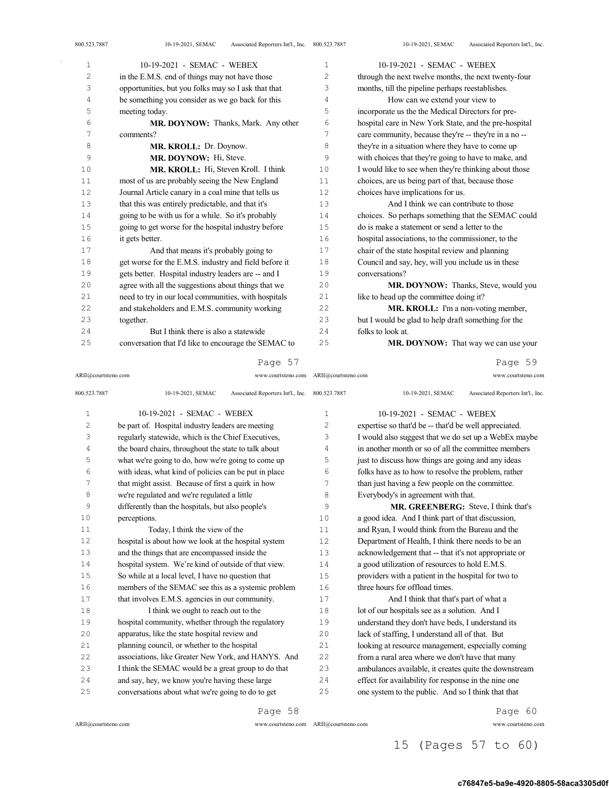| 800.523.7887   | Associated Reporters Int'l., Inc. 800.523.7887<br>10-19-2021, SEMAC |             | 10-19-2021, SEMAC<br>Associated Reporters Int'l., Inc. |
|----------------|---------------------------------------------------------------------|-------------|--------------------------------------------------------|
| $\mathbf{1}$   | 10-19-2021 - SEMAC - WEBEX                                          | $\mathbf 1$ | 10-19-2021 - SEMAC - WEBEX                             |
| $\overline{c}$ | in the E.M.S. end of things may not have those                      | 2           | through the next twelve months, the next twenty-four   |
| 3              | opportunities, but you folks may so I ask that that                 | 3           | months, till the pipeline perhaps reestablishes.       |
| 4              | be something you consider as we go back for this                    | 4           | How can we extend your view to                         |
| 5              | meeting today.                                                      | 5           | incorporate us the the Medical Directors for pre-      |
| 6              | MR. DOYNOW: Thanks, Mark. Any other                                 | 6           | hospital care in New York State, and the pre-hospital  |
| 7              | comments?                                                           | 7           | care community, because they're -- they're in a no --  |
| 8              | MR. KROLL: Dr. Doynow.                                              | 8           | they're in a situation where they have to come up      |
| 9              | MR. DOYNOW: Hi, Steve.                                              | 9           | with choices that they're going to have to make, and   |
| 10             | MR. KROLL: Hi, Steven Kroll. I think                                | 10          | I would like to see when they're thinking about those  |
| 11             | most of us are probably seeing the New England                      | 11          | choices, are us being part of that, because those      |
| 12             | Journal Article canary in a coal mine that tells us                 | 12          | choices have implications for us.                      |
| 13             | that this was entirely predictable, and that it's                   | 13          | And I think we can contribute to those                 |
| 14             | going to be with us for a while. So it's probably                   | 14          | choices. So perhaps something that the SEMAC could     |
| 15             | going to get worse for the hospital industry before                 | 15          | do is make a statement or send a letter to the         |
| 16             | it gets better.                                                     | 16          | hospital associations, to the commissioner, to the     |
| 17             | And that means it's probably going to                               | 17          | chair of the state hospital review and planning        |
| 18             | get worse for the E.M.S. industry and field before it               | 18          | Council and say, hey, will you include us in these     |
| 19             | gets better. Hospital industry leaders are -- and I                 | 19          | conversations?                                         |
| 20             | agree with all the suggestions about things that we                 | 20          | MR. DOYNOW: Thanks, Steve, would you                   |
| 21             | need to try in our local communities, with hospitals                | 21          | like to head up the committee doing it?                |
| 22             | and stakeholders and E.M.S. community working                       | 22          | MR. KROLL: I'm a non-voting member,                    |
| 23             | together.                                                           | 23          | but I would be glad to help draft something for the    |
| 24             | But I think there is also a statewide                               | 24          | folks to look at.                                      |
| 25             | conversation that I'd like to encourage the SEMAC to                | 25          | MR. DOYNOW: That way we can use your                   |
|                |                                                                     |             |                                                        |

ARII@courtsteno.com 800.523.7887 10-19-2021, SEMAC Associated Reporters Int'l., Inc. 10-19-2021 - SEMAC - WEBEX be part of. Hospital industry leaders are meeting regularly statewide, which is the Chief Executives, the board chairs, throughout the state to talk about what we're going to do, how we're going to come up with ideas, what kind of policies can be put in place that might assist. Because of first a quirk in how we're regulated and we're regulated a little differently than the hospitals, but also people's perceptions. Today, I think the view of the hospital is about how we look at the hospital system and the things that are encompassed inside the hospital system. We're kind of outside of that view. So while at a local level, I have no question that members of the SEMAC see this as a systemic problem 17 that involves E.M.S. agencies in our community. 18 I think we ought to reach out to the hospital community, whether through the regulatory apparatus, like the state hospital review and planning council, or whether to the hospital associations, like Greater New York, and HANYS. And ARII@courtsteno.com www.courtsteno.com 10-19-2021, SEMAC Associated Reporters Int'l., Inc. 10-19-2021 - SEMAC - WEBEX expertise so that'd be -- that'd be well appreciated. I would also suggest that we do set up a WebEx maybe in another month or so of all the committee members just to discuss how things are going and any ideas folks have as to how to resolve the problem, rather than just having a few people on the committee. Everybody's in agreement with that. MR. GREENBERG: Steve, I think that's a good idea. And I think part of that discussion, and Ryan, I would think from the Bureau and the Department of Health, I think there needs to be an acknowledgement that -- that it's not appropriate or a good utilization of resources to hold E.M.S. providers with a patient in the hospital for two to three hours for offload times. And I think that that's part of what a 18 lot of our hospitals see as a solution. And I understand they don't have beds, I understand its lack of staffing, I understand all of that. But looking at resource management, especially coming from a rural area where we don't have that many

 I think the SEMAC would be a great group to do that and say, hey, we know you're having these large conversations about what we're going to do to get

Page 58

ARII@courtsteno.com www.courtsteno.com

ARII@courtsteno.com www.courtsteno.com

Page 60

Page 59

### 15 (Pages 57 to 60)

 ambulances available, it creates quite the downstream effect for availability for response in the nine one one system to the public. And so I think that that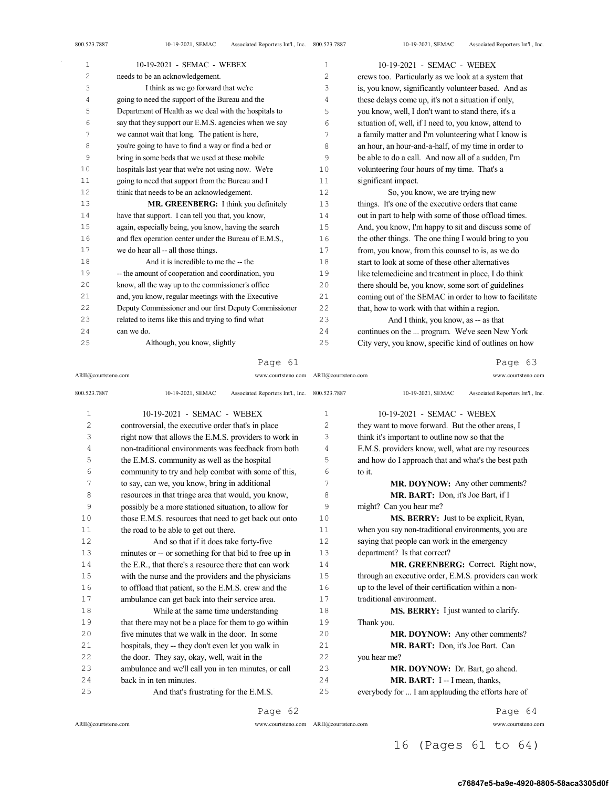| $\mathbf{1}$ | 10-19-2021 - SEMAC - WEBEX                            | 1   | 10-19-2021 - SEMAC - WEBEX                            |
|--------------|-------------------------------------------------------|-----|-------------------------------------------------------|
| $\mathbf{2}$ | needs to be an acknowledgement.                       | 2   | crews too. Particularly as we look at a system that   |
| 3            | I think as we go forward that we're                   | 3   | is, you know, significantly volunteer based. And as   |
| 4            | going to need the support of the Bureau and the       | 4   | these delays come up, it's not a situation if only,   |
| 5            | Department of Health as we deal with the hospitals to | 5   | you know, well, I don't want to stand there, it's a   |
| 6            | say that they support our E.M.S. agencies when we say | 6   | situation of, well, if I need to, you know, attend to |
| 7            | we cannot wait that long. The patient is here,        | 7   | a family matter and I'm volunteering what I know is   |
| 8            | you're going to have to find a way or find a bed or   | 8   | an hour, an hour-and-a-half, of my time in order to   |
| 9            | bring in some beds that we used at these mobile       | 9   | be able to do a call. And now all of a sudden, I'm    |
| 10           | hospitals last year that we're not using now. We're   | 10  | volunteering four hours of my time. That's a          |
| 11           | going to need that support from the Bureau and I      | 11  | significant impact.                                   |
| 12           | think that needs to be an acknowledgement.            | 12  | So, you know, we are trying new                       |
| 13           | MR. GREENBERG: I think you definitely                 | 13  | things. It's one of the executive orders that came    |
| 14           | have that support. I can tell you that, you know,     | 14  | out in part to help with some of those offload times. |
| 15           | again, especially being, you know, having the search  | 15  | And, you know, I'm happy to sit and discuss some of   |
| 16           | and flex operation center under the Bureau of E.M.S., | 16  | the other things. The one thing I would bring to you  |
| 17           | we do hear all -- all those things.                   | 17  | from, you know, from this counsel to is, as we do     |
| 18           | And it is incredible to me the -- the                 | 18  | start to look at some of these other alternatives     |
| 19           | -- the amount of cooperation and coordination, you    | 19  | like telemedicine and treatment in place, I do think  |
| 20           | know, all the way up to the commissioner's office     | 20  | there should be, you know, some sort of guidelines    |
| 21           | and, you know, regular meetings with the Executive    | 2.1 | coming out of the SEMAC in order to how to facilitate |
| 22           | Deputy Commissioner and our first Deputy Commissioner | 22  | that, how to work with that within a region.          |
| 23           | related to items like this and trying to find what    | 23  | And I think, you know, as -- as that                  |
| 24           | can we do.                                            | 24  | continues on the  program. We've seen New York        |
| 25           | Although, you know, slightly                          | 25  | City very, you know, specific kind of outlines on how |
|              |                                                       |     |                                                       |

### Page 61

ARII@courtsteno.com www.courtsteno.com

Page 63

| 800.523.7887   | 10-19-2021, SEMAC<br>Associated Reporters Int'l., Inc. 800.523.7887 |                | 10-19-2021, SEMAC<br>Associated Reporters Int'l., Inc. |
|----------------|---------------------------------------------------------------------|----------------|--------------------------------------------------------|
| $\mathbf{1}$   | 10-19-2021 - SEMAC - WEBEX                                          | $\mathbf{1}$   | 10-19-2021 - SEMAC - WEBEX                             |
| $\overline{c}$ | controversial, the executive order that's in place                  | $\overline{2}$ | they want to move forward. But the other areas, I      |
| 3              | right now that allows the E.M.S. providers to work in               | 3              | think it's important to outline now so that the        |
| 4              | non-traditional environments was feedback from both                 | 4              | E.M.S. providers know, well, what are my resources     |
| 5              | the E.M.S. community as well as the hospital                        | 5              | and how do I approach that and what's the best path    |
| 6              | community to try and help combat with some of this,                 | 6              | to it.                                                 |
| 7              | to say, can we, you know, bring in additional                       | 7              | MR. DOYNOW: Any other comments?                        |
| 8              | resources in that triage area that would, you know,                 | 8              | MR. BART: Don, it's Joe Bart, if I                     |
| 9              | possibly be a more stationed situation, to allow for                | 9              | might? Can you hear me?                                |
| 10             | those E.M.S. resources that need to get back out onto               | 10             | <b>MS. BERRY:</b> Just to be explicit, Ryan,           |
| 11             | the road to be able to get out there.                               | 11             | when you say non-traditional environments, you are     |
| 12             | And so that if it does take forty-five                              | 12             | saying that people can work in the emergency           |
| 13             | minutes or -- or something for that bid to free up in               | 13             | department? Is that correct?                           |
| 14             | the E.R., that there's a resource there that can work               | 14             | MR. GREENBERG: Correct. Right now,                     |
| 15             | with the nurse and the providers and the physicians                 | 1.5            | through an executive order, E.M.S. providers can work  |
| 16             | to offload that patient, so the E.M.S. crew and the                 | 16             | up to the level of their certification within a non-   |
| 17             | ambulance can get back into their service area.                     | 17             | traditional environment.                               |
| 18             | While at the same time understanding                                | 18             | MS. BERRY: I just wanted to clarify.                   |
| 19             | that there may not be a place for them to go within                 | 19             | Thank you.                                             |
| 20             | five minutes that we walk in the door. In some                      | 20             | MR. DOYNOW: Any other comments?                        |
| 21             | hospitals, they -- they don't even let you walk in                  | 21             | MR. BART: Don, it's Joe Bart. Can                      |
| 22             | the door. They say, okay, well, wait in the                         | 22             | you hear me?                                           |
| 23             | ambulance and we'll call you in ten minutes, or call                | 23             | MR. DOYNOW: Dr. Bart, go ahead.                        |
| 24             | back in in ten minutes.                                             | 2.4            | MR. BART: I -- I mean, thanks,                         |
| 25             | And that's frustrating for the E.M.S.                               | 25             | everybody for  I am applauding the efforts here of     |

Page 62

 $ARII@{\mbox{conrtsteno.com}}$ 

ARII@courtsteno.com

ARII@courtsteno.com www.courtsteno.com

Page 64

## 16 (Pages 61 to 64)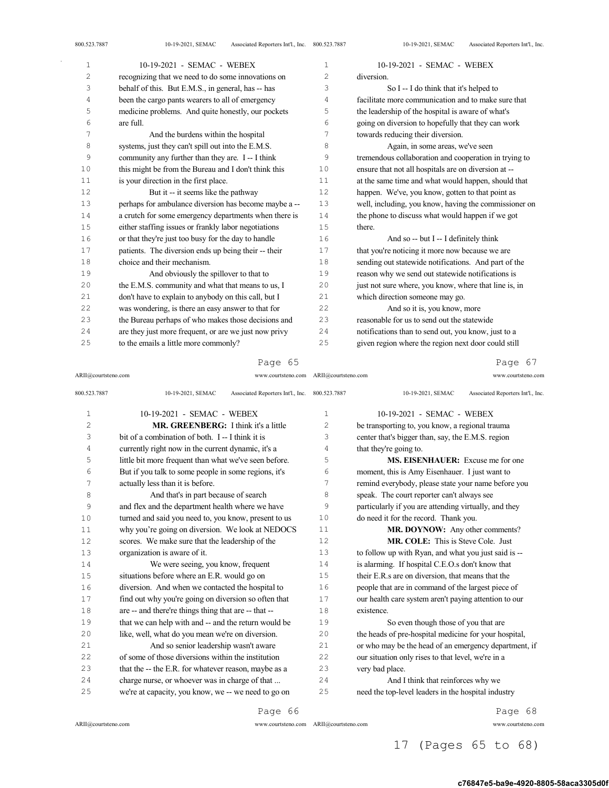$\bar{\gamma}$ 

| 1      | 10-19-2021 - SEMAC - WEBEX                            | 1  | 10-19-2021 - SEMAC - WEBEX                            |
|--------|-------------------------------------------------------|----|-------------------------------------------------------|
| 2      | recognizing that we need to do some innovations on    | 2  | diversion.                                            |
| 3      | behalf of this. But E.M.S., in general, has -- has    | 3  | So I -- I do think that it's helped to                |
| 4      | been the cargo pants wearers to all of emergency      | 4  | facilitate more communication and to make sure that   |
| 5      | medicine problems. And quite honestly, our pockets    | 5  | the leadership of the hospital is aware of what's     |
| 6      | are full.                                             | 6  | going on diversion to hopefully that they can work    |
| 7      | And the burdens within the hospital                   | 7  | towards reducing their diversion.                     |
| 8      | systems, just they can't spill out into the E.M.S.    | 8  | Again, in some areas, we've seen                      |
| 9      | community any further than they are. I -- I think     | 9  | tremendous collaboration and cooperation in trying to |
| 10     | this might be from the Bureau and I don't think this  | 10 | ensure that not all hospitals are on diversion at --  |
| 11     | is your direction in the first place.                 | 11 | at the same time and what would happen, should that   |
| 12     | But it -- it seems like the pathway                   | 12 | happen. We've, you know, gotten to that point as      |
| 13     | perhaps for ambulance diversion has become maybe a -- | 13 | well, including, you know, having the commissioner on |
| 14     | a crutch for some emergency departments when there is | 14 | the phone to discuss what would happen if we got      |
| $1\,5$ | either staffing issues or frankly labor negotiations  | 15 | there.                                                |
| 16     | or that they're just too busy for the day to handle   | 16 | And so -- but $I - I$ definitely think                |
| 17     | patients. The diversion ends up being their -- their  | 17 | that you're noticing it more now because we are       |
| 18     | choice and their mechanism.                           | 18 | sending out statewide notifications. And part of the  |
| 19     | And obviously the spillover to that to                | 19 | reason why we send out statewide notifications is     |
| 20     | the E.M.S. community and what that means to us, I     | 20 | just not sure where, you know, where that line is, in |
| 21     | don't have to explain to anybody on this call, but I  | 21 | which direction someone may go.                       |
| 22     | was wondering, is there an easy answer to that for    | 22 | And so it is, you know, more                          |
| 23     | the Bureau perhaps of who makes those decisions and   | 23 | reasonable for us to send out the statewide           |
| 24     | are they just more frequent, or are we just now privy | 24 | notifications than to send out, you know, just to a   |
| 25     | to the emails a little more commonly?                 | 25 | given region where the region next door could still   |

Page 65

ARII@courtsteno.com www.courtsteno.com ARII@courtsteno.com www.courtsteno.com

Page 67

| 800.523.7887   | Associated Reporters Int'l., Inc. 800.523.7887<br>10-19-2021, SEMAC |                | Associated Reporters Int'l., Inc.<br>10-19-2021, SEMAC |
|----------------|---------------------------------------------------------------------|----------------|--------------------------------------------------------|
| 1              | 10-19-2021 - SEMAC - WEBEX                                          | $\mathbf{1}$   | 10-19-2021 - SEMAC - WEBEX                             |
| $\overline{c}$ | <b>MR. GREENBERG:</b> I think it's a little                         | $\overline{c}$ | be transporting to, you know, a regional trauma        |
| 3              | bit of a combination of both. I -- I think it is                    | 3              | center that's bigger than, say, the E.M.S. region      |
| $\overline{4}$ | currently right now in the current dynamic, it's a                  | 4              | that they're going to.                                 |
| 5              | little bit more frequent than what we've seen before.               | 5              | <b>MS. EISENHAUER:</b> Excuse me for one               |
| 6              | But if you talk to some people in some regions, it's                | 6              | moment, this is Amy Eisenhauer. I just want to         |
| 7              | actually less than it is before.                                    | 7              | remind everybody, please state your name before you    |
| 8              | And that's in part because of search                                | 8              | speak. The court reporter can't always see             |
| 9              | and flex and the department health where we have                    | 9              | particularly if you are attending virtually, and they  |
| 10             | turned and said you need to, you know, present to us                | 10             | do need it for the record. Thank you.                  |
| 11             | why you're going on diversion. We look at NEDOCS                    | 11             | MR. DOYNOW: Any other comments?                        |
| 12             | scores. We make sure that the leadership of the                     | 12             | <b>MR. COLE:</b> This is Steve Cole. Just              |
| 13             | organization is aware of it.                                        | 13             | to follow up with Ryan, and what you just said is --   |
| 14             | We were seeing, you know, frequent                                  | 14             | is alarming. If hospital C.E.O.s don't know that       |
| 15             | situations before where an E.R. would go on                         | 15             | their E.R.s are on diversion, that means that the      |
| 16             | diversion. And when we contacted the hospital to                    | 16             | people that are in command of the largest piece of     |
| 17             | find out why you're going on diversion so often that                | 17             | our health care system aren't paying attention to our  |
| 18             | are -- and there're things thing that are -- that --                | 18             | existence.                                             |
| 19             | that we can help with and -- and the return would be                | 19             | So even though those of you that are                   |
| 20             | like, well, what do you mean we're on diversion.                    | 20             | the heads of pre-hospital medicine for your hospital,  |
| 21             | And so senior leadership wasn't aware                               | 21             | or who may be the head of an emergency department, if  |
| 22             | of some of those diversions within the institution                  | 22.2           | our situation only rises to that level, we're in a     |
| 23             | that the -- the E.R. for whatever reason, maybe as a                | 23             | very bad place.                                        |
| 24             | charge nurse, or whoever was in charge of that                      | 24             | And I think that reinforces why we                     |
| 25             | we're at capacity, you know, we -- we need to go on                 | 25             | need the top-level leaders in the hospital industry    |
|                | Page 66                                                             |                | Page 68                                                |

ARII@courtsteno.com www.courtsteno.com

ARII@courtsteno.com www.courtsteno.com

17 (Pages 65 to 68)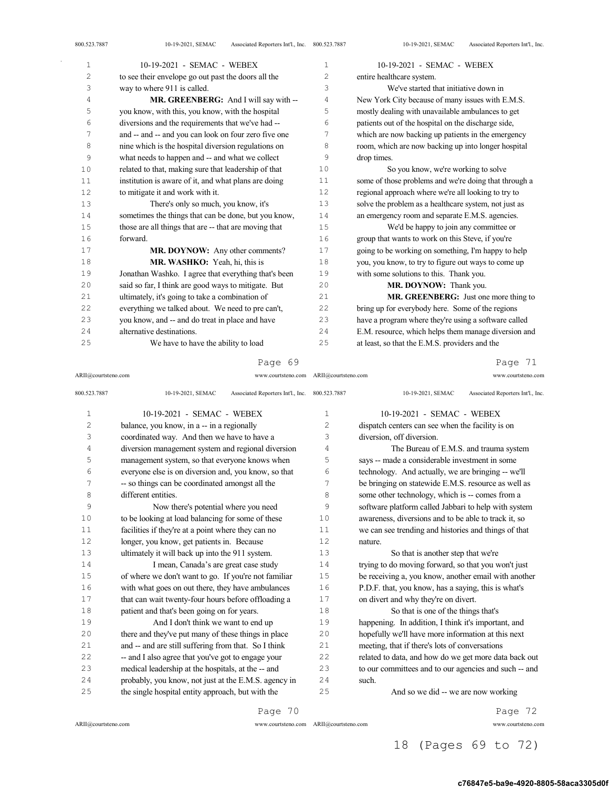| 1              | 10-19-2021 - SEMAC - WEBEX                            | 1              | 10-19-2021 - SEMAC - WEBEX                            |
|----------------|-------------------------------------------------------|----------------|-------------------------------------------------------|
| $\overline{c}$ | to see their envelope go out past the doors all the   | $\overline{c}$ | entire healthcare system.                             |
| 3              | way to where 911 is called.                           | 3              | We've started that initiative down in                 |
| 4              | MR. GREENBERG: And I will say with --                 | 4              | New York City because of many issues with E.M.S.      |
| 5              | you know, with this, you know, with the hospital      | 5              | mostly dealing with unavailable ambulances to get     |
| 6              | diversions and the requirements that we've had --     | 6              | patients out of the hospital on the discharge side,   |
| 7              | and -- and -- and you can look on four zero five one  | 7              | which are now backing up patients in the emergency    |
| 8              | nine which is the hospital diversion regulations on   | 8              | room, which are now backing up into longer hospital   |
| 9              | what needs to happen and -- and what we collect       | 9              | drop times.                                           |
| 10             | related to that, making sure that leadership of that  | 10             | So you know, we're working to solve                   |
| $1\,1$         | institution is aware of it, and what plans are doing  | 11             | some of those problems and we're doing that through a |
| 12             | to mitigate it and work with it.                      | 12             | regional approach where we're all looking to try to   |
| 13             | There's only so much, you know, it's                  | 13             | solve the problem as a healthcare system, not just as |
| 14             | sometimes the things that can be done, but you know,  | 14             | an emergency room and separate E.M.S. agencies.       |
| 15             | those are all things that are -- that are moving that | 15             | We'd be happy to join any committee or                |
| 16             | forward.                                              | 16             | group that wants to work on this Steve, if you're     |
| 17             | MR. DOYNOW: Any other comments?                       | 17             | going to be working on something, I'm happy to help   |
| 18             | MR. WASHKO: Yeah, hi, this is                         | 18             | you, you know, to try to figure out ways to come up   |
| 19             | Jonathan Washko. I agree that everything that's been  | 19             | with some solutions to this. Thank you.               |
| 20             | said so far, I think are good ways to mitigate. But   | 20             | MR. DOYNOW: Thank you.                                |
| 21             | ultimately, it's going to take a combination of       | 21             | MR. GREENBERG: Just one more thing to                 |
| 22             | everything we talked about. We need to pre can't,     | 22             | bring up for everybody here. Some of the regions      |
| 23             | you know, and -- and do treat in place and have       | 23             | have a program where they're using a software called  |
| 24             | alternative destinations.                             | 24             | E.M. resource, which helps them manage diversion and  |
| 25             | We have to have the ability to load                   | 25             | at least, so that the E.M.S. providers and the        |

## Page 69

ARII@courtsteno.com www.courtsteno.com ARII@courtsteno.com www.courtsteno.com

## Page 71

| 800.523.7887   | Associated Reporters Int'l., Inc. 800.523.7887<br>10-19-2021, SEMAC |                | Associated Reporters Int'l., Inc.<br>10-19-2021, SEMAC |
|----------------|---------------------------------------------------------------------|----------------|--------------------------------------------------------|
| $\mathbf{1}$   | 10-19-2021 - SEMAC - WEBEX                                          | $\mathbf{1}$   | 10-19-2021 - SEMAC - WEBEX                             |
| $\overline{c}$ | balance, you know, in a -- in a regionally                          | $\overline{c}$ | dispatch centers can see when the facility is on       |
| 3              | coordinated way. And then we have to have a                         | 3              | diversion, off diversion.                              |
| 4              | diversion management system and regional diversion                  | 4              | The Bureau of E.M.S. and trauma system                 |
| 5              | management system, so that everyone knows when                      | 5              | says -- made a considerable investment in some         |
| 6              | everyone else is on diversion and, you know, so that                | 6              | technology. And actually, we are bringing -- we'll     |
| 7              | -- so things can be coordinated amongst all the                     | 7              | be bringing on statewide E.M.S. resource as well as    |
| 8              | different entities.                                                 | 8              | some other technology, which is -- comes from a        |
| 9              | Now there's potential where you need                                | 9              | software platform called Jabbari to help with system   |
| 10             | to be looking at load balancing for some of these                   | 10             | awareness, diversions and to be able to track it, so   |
| 11             | facilities if they're at a point where they can no                  | 11             | we can see trending and histories and things of that   |
| 12             | longer, you know, get patients in. Because                          | 12             | nature.                                                |
| 13             | ultimately it will back up into the 911 system.                     | 13             | So that is another step that we're                     |
| 14             | I mean, Canada's are great case study                               | 14             | trying to do moving forward, so that you won't just    |
| 15             | of where we don't want to go. If you're not familiar                | 15             | be receiving a, you know, another email with another   |
| 16             | with what goes on out there, they have ambulances                   | 16             | P.D.F. that, you know, has a saying, this is what's    |
| 17             | that can wait twenty-four hours before offloading a                 | 17             | on divert and why they're on divert.                   |
| 18             | patient and that's been going on for years.                         | 18             | So that is one of the things that's                    |
| 19             | And I don't think we want to end up                                 | 19             | happening. In addition, I think it's important, and    |
| 20             | there and they've put many of these things in place                 | 20             | hopefully we'll have more information at this next     |
| 21             | and -- and are still suffering from that. So I think                | 21             | meeting, that if there's lots of conversations         |
| 22             | -- and I also agree that you've got to engage your                  | 22             | related to data, and how do we get more data back out  |
| 23             | medical leadership at the hospitals, at the -- and                  | 23             | to our committees and to our agencies and such -- and  |
| 24             | probably, you know, not just at the E.M.S. agency in                | 24             | such.                                                  |
| 25             | the single hospital entity approach, but with the                   | 25             | And so we did -- we are now working                    |

Page 70

ARII@courtsteno.com www.courtsteno.com

Page 72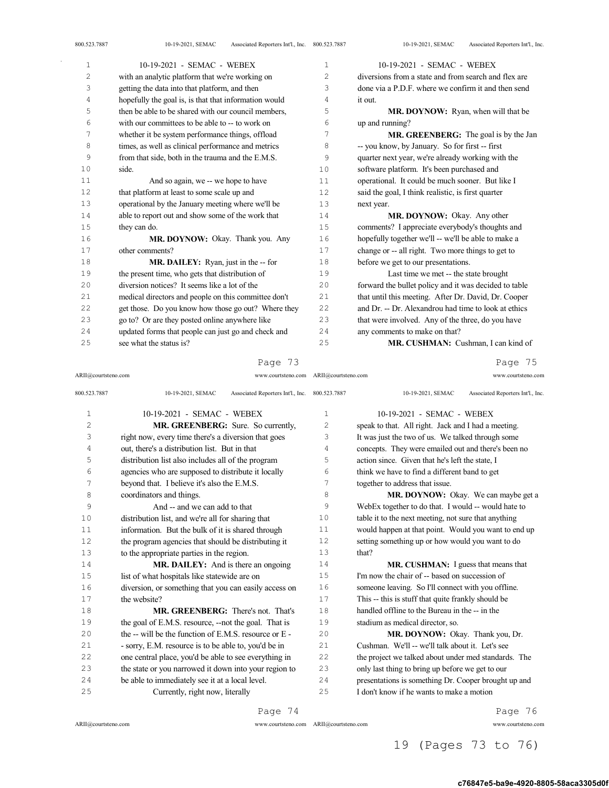800.523.7887 10-19-2021, SEMAC Associated Reporters Int'l., Inc.

| 1  | 10-19-2021 - SEMAC - WEBEX                            | $\mathbf{1}$   | 10-19-2021 - SEMAC - WEBEX                            |
|----|-------------------------------------------------------|----------------|-------------------------------------------------------|
| 2  | with an analytic platform that we're working on       | 2              | diversions from a state and from search and flex are  |
| 3  | getting the data into that platform, and then         | 3              | done via a P.D.F. where we confirm it and then send   |
| 4  | hopefully the goal is, is that that information would | $\overline{4}$ | it out.                                               |
| 5  | then be able to be shared with our council members,   | 5              | <b>MR. DOYNOW:</b> Ryan, when will that be            |
| 6  | with our committees to be able to -- to work on       | 6              | up and running?                                       |
| 7  | whether it be system performance things, offload      | 7              | MR. GREENBERG: The goal is by the Jan                 |
| 8  | times, as well as clinical performance and metrics    | 8              | -- you know, by January. So for first -- first        |
| 9  | from that side, both in the trauma and the E.M.S.     | 9              | quarter next year, we're already working with the     |
| 10 | side.                                                 | 10             | software platform. It's been purchased and            |
| 11 | And so again, we -- we hope to have                   | 11             | operational. It could be much sooner. But like I      |
| 12 | that platform at least to some scale up and           | 12             | said the goal, I think realistic, is first quarter    |
| 13 | operational by the January meeting where we'll be     | 13             | next year.                                            |
| 14 | able to report out and show some of the work that     | 14             | MR. DOYNOW: Okay. Any other                           |
| 15 | they can do.                                          | 15             | comments? I appreciate everybody's thoughts and       |
| 16 | MR. DOYNOW: Okay. Thank you. Any                      | 16             | hopefully together we'll -- we'll be able to make a   |
| 17 | other comments?                                       | 17             | change or -- all right. Two more things to get to     |
| 18 | MR. DAILEY: Ryan, just in the -- for                  | 18             | before we get to our presentations.                   |
| 19 | the present time, who gets that distribution of       | 19             | Last time we met -- the state brought                 |
| 20 | diversion notices? It seems like a lot of the         | 20             | forward the bullet policy and it was decided to table |
| 21 | medical directors and people on this committee don't  | 21             | that until this meeting. After Dr. David, Dr. Cooper  |
| 22 | get those. Do you know how those go out? Where they   | 22             | and Dr. -- Dr. Alexandrou had time to look at ethics  |
| 23 | go to? Or are they posted online anywhere like        | 23             | that were involved. Any of the three, do you have     |
| 24 | updated forms that people can just go and check and   | 24             | any comments to make on that?                         |
| 25 | see what the status is?                               | 25             | MR. CUSHMAN: Cushman, I can kind of                   |

## Page 73

ARII@courtsteno.com www.courtsteno.com ARII@courtsteno.com www.courtsteno.com Page 75

| 800.523.7887   | 10-19-2021, SEMAC<br>Associated Reporters Int'l., Inc. 800.523.7887 |             | 10-19-2021, SEMAC<br>Associated Reporters Int'l., Inc. |
|----------------|---------------------------------------------------------------------|-------------|--------------------------------------------------------|
| 1              | 10-19-2021 - SEMAC - WEBEX                                          | $\mathbf 1$ | 10-19-2021 - SEMAC - WEBEX                             |
| $\overline{c}$ | <b>MR. GREENBERG:</b> Sure. So currently,                           | 2           | speak to that. All right. Jack and I had a meeting.    |
| 3              | right now, every time there's a diversion that goes                 | 3           | It was just the two of us. We talked through some      |
| 4              | out, there's a distribution list. But in that                       | 4           | concepts. They were emailed out and there's been no    |
| 5              | distribution list also includes all of the program                  | 5           | action since. Given that he's left the state, I        |
| 6              | agencies who are supposed to distribute it locally                  | 6           | think we have to find a different band to get          |
| 7              | beyond that. I believe it's also the E.M.S.                         | 7           | together to address that issue.                        |
| 8              | coordinators and things.                                            | 8           | MR. DOYNOW: Okay. We can maybe get a                   |
| 9              | And -- and we can add to that                                       | 9           | WebEx together to do that. I would -- would hate to    |
| 10             | distribution list, and we're all for sharing that                   | 10          | table it to the next meeting, not sure that anything   |
| 11             | information. But the bulk of it is shared through                   | 11          | would happen at that point. Would you want to end up   |
| 12             | the program agencies that should be distributing it                 | 12.         | setting something up or how would you want to do       |
| 13             | to the appropriate parties in the region.                           | 13          | that?                                                  |
| 14             | MR. DAILEY: And is there an ongoing                                 | 14          | MR. CUSHMAN: I guess that means that                   |
| 15             | list of what hospitals like statewide are on                        | 15          | I'm now the chair of -- based on succession of         |
| 16             | diversion, or something that you can easily access on               | 16          | someone leaving. So I'll connect with you offline.     |
| 17             | the website?                                                        | 17          | This -- this is stuff that quite frankly should be     |
| 18             | <b>MR. GREENBERG:</b> There's not. That's                           | 18          | handled offline to the Bureau in the -- in the         |
| 19             | the goal of E.M.S. resource, --not the goal. That is                | 19          | stadium as medical director, so.                       |
| 20             | the $-$ will be the function of E.M.S. resource or $E -$            | 20          | MR. DOYNOW: Okay. Thank you, Dr.                       |
| 2.1            | - sorry, E.M. resource is to be able to, you'd be in                | 21          | Cushman. We'll -- we'll talk about it. Let's see       |
| 2.2            | one central place, you'd be able to see everything in               | 22          | the project we talked about under med standards. The   |
| 23             | the state or you narrowed it down into your region to               | 23          | only last thing to bring up before we get to our       |
| 24             | be able to immediately see it at a local level.                     | 24          | presentations is something Dr. Cooper brought up and   |
| 25             | Currently, right now, literally                                     | 25          | I don't know if he wants to make a motion              |
|                |                                                                     |             |                                                        |

Page 74

 $ARII@{\mbox{conrtsteno.com}}$ 

ARII@courtsteno.com www.courtsteno.com

Page 76

# 19 (Pages 73 to 76)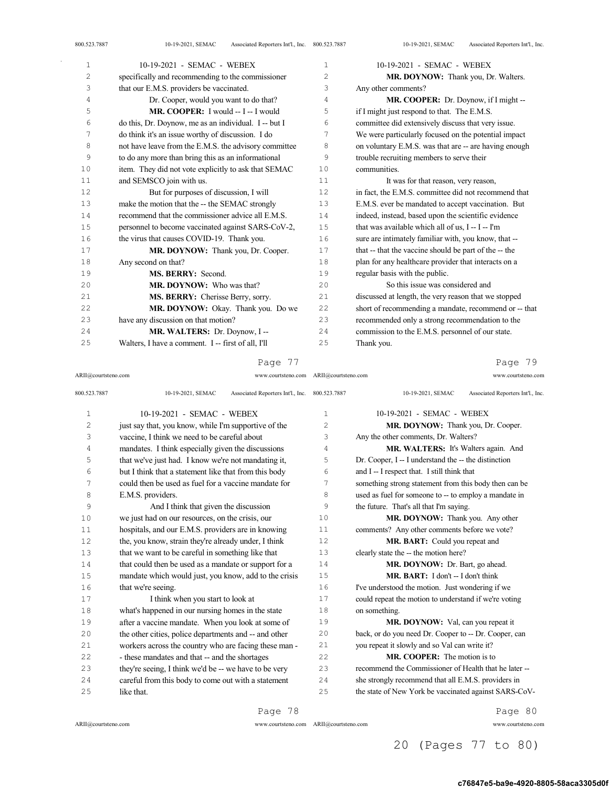| 1  | 10-19-2021 - SEMAC - WEBEX                            | $\mathbf{1}$   | 10-19-2021 - SEMAC - WEBEX                            |
|----|-------------------------------------------------------|----------------|-------------------------------------------------------|
| 2  | specifically and recommending to the commissioner     | $\overline{c}$ | MR. DOYNOW: Thank you, Dr. Walters.                   |
| 3  | that our E.M.S. providers be vaccinated.              | 3              | Any other comments?                                   |
| 4  | Dr. Cooper, would you want to do that?                | 4              | MR. COOPER: Dr. Doynow, if I might --                 |
| 5  | MR. COOPER: I would -- I -- I would                   | 5              | if I might just respond to that. The E.M.S.           |
| 6  | do this, Dr. Doynow, me as an individual. I -- but I  | 6              | committee did extensively discuss that very issue.    |
| 7  | do think it's an issue worthy of discussion. I do     | 7              | We were particularly focused on the potential impact  |
| 8  | not have leave from the E.M.S. the advisory committee | 8              | on voluntary E.M.S. was that are -- are having enough |
| 9  | to do any more than bring this as an informational    | 9              | trouble recruiting members to serve their             |
| 10 | item. They did not vote explicitly to ask that SEMAC  | 10             | communities.                                          |
| 11 | and SEMSCO join with us.                              | 11             | It was for that reason, very reason,                  |
| 12 | But for purposes of discussion, I will                | 12             | in fact, the E.M.S. committee did not recommend that  |
| 13 | make the motion that the -- the SEMAC strongly        | 13             | E.M.S. ever be mandated to accept vaccination. But    |
| 14 | recommend that the commissioner advice all E.M.S.     | 14             | indeed, instead, based upon the scientific evidence   |
| 15 | personnel to become vaccinated against SARS-CoV-2,    | 15             | that was available which all of us, I -- I -- I'm     |
| 16 | the virus that causes COVID-19. Thank you.            | 16             | sure are intimately familiar with, you know, that --  |
| 17 | MR. DOYNOW: Thank you, Dr. Cooper.                    | 17             | that -- that the vaccine should be part of the -- the |
| 18 | Any second on that?                                   | 18             | plan for any healthcare provider that interacts on a  |
| 19 | MS. BERRY: Second.                                    | 19             | regular basis with the public.                        |
| 20 | MR. DOYNOW: Who was that?                             | 20             | So this issue was considered and                      |
| 21 | MS. BERRY: Cherisse Berry, sorry.                     | 21             | discussed at length, the very reason that we stopped  |
| 22 | MR. DOYNOW: Okay. Thank you. Do we                    | 22             | short of recommending a mandate, recommend or -- that |
| 23 | have any discussion on that motion?                   | 23             | recommended only a strong recommendation to the       |
| 24 | MR. WALTERS: Dr. Doynow, I --                         | 24             | commission to the E.M.S. personnel of our state.      |
| 25 | Walters, I have a comment. I -- first of all, I'll    | 25             | Thank you.                                            |

ARII@courtsteno.com www.courtsteno.com ARII@courtsteno.com www.courtsteno.com

## Page 79

| 800.523.7887   | Associated Reporters Int'l., Inc. 800.523.7887<br>10-19-2021, SEMAC |              | Associated Reporters Int'l., Inc.<br>10-19-2021, SEMAC |
|----------------|---------------------------------------------------------------------|--------------|--------------------------------------------------------|
| $\mathbf{1}$   | 10-19-2021 - SEMAC - WEBEX                                          | $\mathbf{1}$ | 10-19-2021 - SEMAC - WEBEX                             |
| $\overline{c}$ | just say that, you know, while I'm supportive of the                | 2            | MR. DOYNOW: Thank you, Dr. Cooper.                     |
| 3              | vaccine, I think we need to be careful about                        | 3            | Any the other comments, Dr. Walters?                   |
| $\sqrt{4}$     | mandates. I think especially given the discussions                  | 4            | MR. WALTERS: It's Walters again. And                   |
| 5              | that we've just had. I know we're not mandating it,                 | 5            | Dr. Cooper, I -- I understand the -- the distinction   |
| 6              | but I think that a statement like that from this body               | 6            | and I -- I respect that. I still think that            |
| 7              | could then be used as fuel for a vaccine mandate for                | 7            | something strong statement from this body then can be  |
| 8              | E.M.S. providers.                                                   | 8            | used as fuel for someone to -- to employ a mandate in  |
| 9              | And I think that given the discussion                               | 9            | the future. That's all that I'm saying.                |
| 10             | we just had on our resources, on the crisis, our                    | 10           | MR. DOYNOW: Thank you. Any other                       |
| 11             | hospitals, and our E.M.S. providers are in knowing                  | 11           | comments? Any other comments before we vote?           |
| 12             | the, you know, strain they're already under, I think                | 12           | MR. BART: Could you repeat and                         |
| 13             | that we want to be careful in something like that                   | 13           | clearly state the -- the motion here?                  |
| 14             | that could then be used as a mandate or support for a               | 14           | MR. DOYNOW: Dr. Bart, go ahead.                        |
| 15             | mandate which would just, you know, add to the crisis               | 15           | MR. BART: I don't -- I don't think                     |
| 16             | that we're seeing.                                                  | 16           | I've understood the motion. Just wondering if we       |
| 17             | I think when you start to look at                                   | 17           | could repeat the motion to understand if we're voting  |
| 18             | what's happened in our nursing homes in the state                   | 18           | on something.                                          |
| 19             | after a vaccine mandate. When you look at some of                   | 19           | MR. DOYNOW: Val, can you repeat it                     |
| 20             | the other cities, police departments and -- and other               | 20           | back, or do you need Dr. Cooper to -- Dr. Cooper, can  |
| 21             | workers across the country who are facing these man -               | 21           | you repeat it slowly and so Val can write it?          |
| 22             | - these mandates and that -- and the shortages                      | 2.2.         | <b>MR. COOPER:</b> The motion is to                    |
| 23             | they're seeing, I think we'd be -- we have to be very               | 23           | recommend the Commissioner of Health that he later --  |
| 24             | careful from this body to come out with a statement                 | 24           | she strongly recommend that all E.M.S. providers in    |
| 25             | like that.                                                          | 25           | the state of New York be vaccinated against SARS-CoV-  |

Page 78

ARII@courtsteno.com www.courtsteno.com ARII@courtsteno.com www.courtsteno.com

Page 80

# 20 (Pages 77 to 80)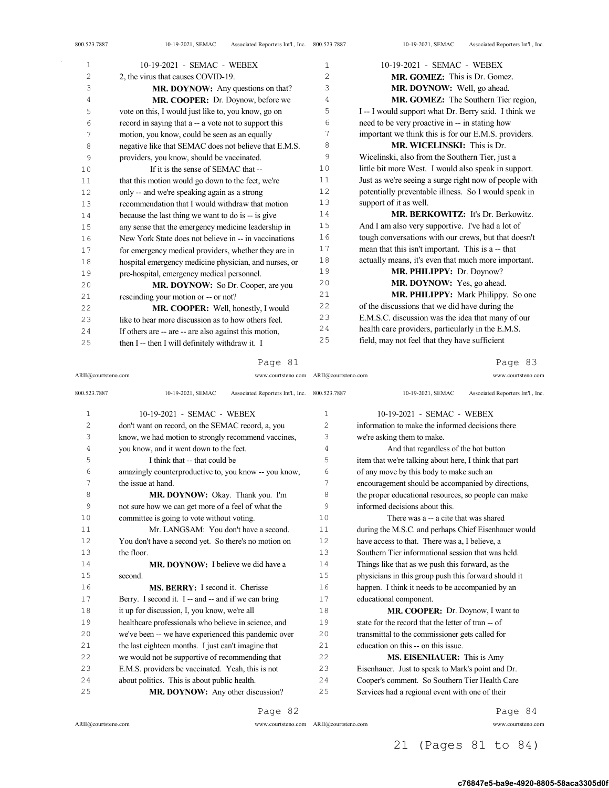| $\mathbf{1}$   | 10-19-2021 - SEMAC - WEBEX                            |                | 10-19-2021 - SEMAC - WEBEX                            |
|----------------|-------------------------------------------------------|----------------|-------------------------------------------------------|
| $\overline{2}$ | 2, the virus that causes COVID-19.                    | $\overline{2}$ | MR. GOMEZ: This is Dr. Gomez.                         |
| 3              | MR. DOYNOW: Any questions on that?                    | 3              | MR. DOYNOW: Well, go ahead.                           |
| 4              | MR. COOPER: Dr. Doynow, before we                     | 4              | MR. GOMEZ: The Southern Tier region,                  |
| 5              | vote on this, I would just like to, you know, go on   | 5              | I -- I would support what Dr. Berry said. I think we  |
| 6              | record in saying that a -- a vote not to support this | 6              | need to be very proactive in -- in stating how        |
| 7              | motion, you know, could be seen as an equally         | 7              | important we think this is for our E.M.S. providers.  |
| 8              | negative like that SEMAC does not believe that E.M.S. | 8              | <b>MR. WICELINSKI:</b> This is Dr.                    |
| 9              | providers, you know, should be vaccinated.            | 9              | Wicelinski, also from the Southern Tier, just a       |
| 10             | If it is the sense of SEMAC that --                   | 10             | little bit more West. I would also speak in support.  |
| 11             | that this motion would go down to the feet, we're     | 11             | Just as we're seeing a surge right now of people with |
| 12             | only -- and we're speaking again as a strong          | 12             | potentially preventable illness. So I would speak in  |
| 13             | recommendation that I would withdraw that motion      | 13             | support of it as well.                                |
| 14             | because the last thing we want to do is -- is give    | 14             | <b>MR. BERKOWITZ:</b> It's Dr. Berkowitz.             |
| 15             | any sense that the emergency medicine leadership in   | 15             | And I am also very supportive. I've had a lot of      |
| 16             | New York State does not believe in -- in vaccinations | 16             | tough conversations with our crews, but that doesn't  |
| 17             | for emergency medical providers, whether they are in  | 17             | mean that this isn't important. This is a -- that     |
| 18             | hospital emergency medicine physician, and nurses, or | 18             | actually means, it's even that much more important.   |
| 19             | pre-hospital, emergency medical personnel.            | 19             | MR. PHILIPPY: Dr. Doynow?                             |
| 20             | MR. DOYNOW: So Dr. Cooper, are you                    | 20             | MR. DOYNOW: Yes, go ahead.                            |
| 21             | rescinding your motion or -- or not?                  | 21             | <b>MR. PHILIPPY:</b> Mark Philippy. So one            |
| 22             | MR. COOPER: Well, honestly, I would                   | 22             | of the discussions that we did have during the        |
| 23             | like to hear more discussion as to how others feel.   | 23             | E.M.S.C. discussion was the idea that many of our     |
| 24             | If others are -- are -- are also against this motion, | 24             | health care providers, particularly in the E.M.S.     |
| 25             | then I -- then I will definitely withdraw it. I       | 25             | field, may not feel that they have sufficient         |

ARII@courtsteno.com www.courtsteno.com ARII@courtsteno.com www.courtsteno.com

Page 83

| 800.523.7887 | 10-19-2021, SEMAC<br>Associated Reporters Int'l., Inc. 800.523.7887 |                | 10-19-2021, SEMAC<br>Associated Reporters Int'l., Inc. |
|--------------|---------------------------------------------------------------------|----------------|--------------------------------------------------------|
| 1            | 10-19-2021 - SEMAC - WEBEX                                          | $\mathbf{1}$   | 10-19-2021 - SEMAC - WEBEX                             |
| 2            | don't want on record, on the SEMAC record, a, you                   | $\overline{2}$ | information to make the informed decisions there       |
| 3            | know, we had motion to strongly recommend vaccines,                 | 3              | we're asking them to make.                             |
| 4            | you know, and it went down to the feet.                             | 4              | And that regardless of the hot button                  |
| 5            | I think that -- that could be                                       | 5              | item that we're talking about here, I think that part  |
| 6            | amazingly counterproductive to, you know -- you know,               | 6              | of any move by this body to make such an               |
| 7            | the issue at hand.                                                  | 7              | encouragement should be accompanied by directions,     |
| 8            | MR. DOYNOW: Okay. Thank you. I'm                                    | 8              | the proper educational resources, so people can make   |
| 9            | not sure how we can get more of a feel of what the                  | 9              | informed decisions about this.                         |
| 10           | committee is going to vote without voting.                          | 10             | There was a -- a cite that was shared                  |
| 11           | Mr. LANGSAM: You don't have a second.                               | 11             | during the M.S.C. and perhaps Chief Eisenhauer would   |
| 12           | You don't have a second yet. So there's no motion on                | 12             | have access to that. There was a, I believe, a         |
| 13           | the floor.                                                          | 13             | Southern Tier informational session that was held.     |
| 14           | <b>MR. DOYNOW:</b> I believe we did have a                          | 14             | Things like that as we push this forward, as the       |
| 15           | second.                                                             | 15             | physicians in this group push this forward should it   |
| 16           | MS. BERRY: I second it. Cherisse                                    | 16             | happen. I think it needs to be accompanied by an       |
| 17           | Berry. I second it. I -- and -- and if we can bring                 | 17             | educational component.                                 |
| 18           | it up for discussion, I, you know, we're all                        | 18             | MR. COOPER: Dr. Doynow, I want to                      |
| 19           | healthcare professionals who believe in science, and                | 19             | state for the record that the letter of tran -- of     |
| 20           | we've been -- we have experienced this pandemic over                | 20             | transmittal to the commissioner gets called for        |
| 2.1          | the last eighteen months. I just can't imagine that                 | 21             | education on this -- on this issue.                    |
| 22           | we would not be supportive of recommending that                     | 22             | MS. EISENHAUER: This is Amy                            |
| 23           | E.M.S. providers be vaccinated. Yeah, this is not                   | 23             | Eisenhauer. Just to speak to Mark's point and Dr.      |
| 24           | about politics. This is about public health.                        | 24             | Cooper's comment. So Southern Tier Health Care         |
| 25           | MR. DOYNOW: Any other discussion?                                   | 25             | Services had a regional event with one of their        |

Page 82

 $\bar{z}$ 

ARII@courtsteno.com www.courtsteno.com

Page 84

## 21 (Pages 81 to 84)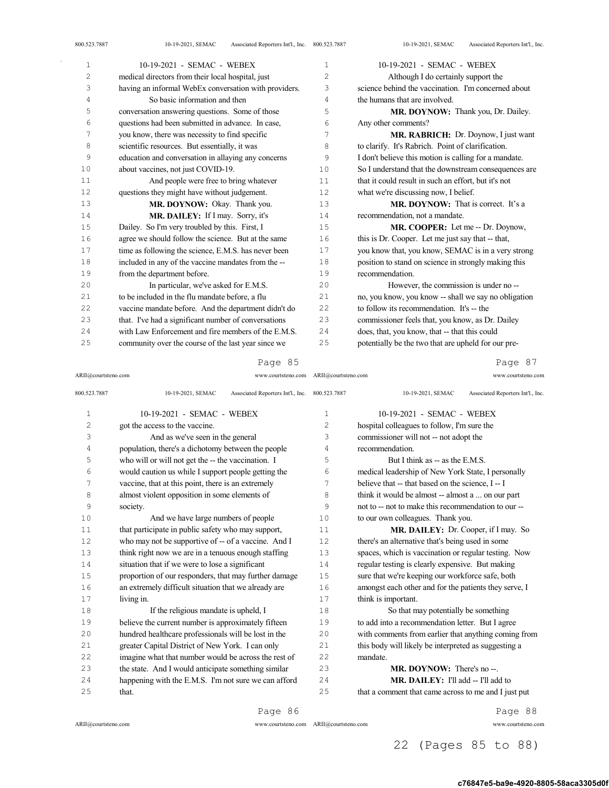| 1  | 10-19-2021 - SEMAC - WEBEX                            | $\mathbf{1}$   | 10-19-2021 - SEMAC - WEBEX                            |
|----|-------------------------------------------------------|----------------|-------------------------------------------------------|
| 2  | medical directors from their local hospital, just     | $\overline{c}$ | Although I do certainly support the                   |
| 3  | having an informal WebEx conversation with providers. | 3              | science behind the vaccination. I'm concerned about   |
| 4  | So basic information and then                         | 4              | the humans that are involved.                         |
| 5  | conversation answering questions. Some of those       | 5              | MR. DOYNOW: Thank you, Dr. Dailey.                    |
| 6  | questions had been submitted in advance. In case,     | 6              | Any other comments?                                   |
| 7  | you know, there was necessity to find specific        | 7              | <b>MR. RABRICH:</b> Dr. Doynow, I just want           |
| 8  | scientific resources. But essentially, it was         | 8              | to clarify. It's Rabrich. Point of clarification.     |
| 9  | education and conversation in allaying any concerns   | 9              | I don't believe this motion is calling for a mandate. |
| 10 | about vaccines, not just COVID-19.                    | 10             | So I understand that the downstream consequences are  |
| 11 | And people were free to bring whatever                | 11             | that it could result in such an effort, but it's not  |
| 12 | questions they might have without judgement.          | 12             | what we're discussing now, I belief.                  |
| 13 | MR. DOYNOW: Okay. Thank you.                          | 13             | <b>MR. DOYNOW:</b> That is correct. It's a            |
| 14 | MR. DAILEY: If I may. Sorry, it's                     | 14             | recommendation, not a mandate.                        |
| 15 | Dailey. So I'm very troubled by this. First, I        | 15             | MR. COOPER: Let me -- Dr. Doynow,                     |
| 16 | agree we should follow the science. But at the same   | 16             | this is Dr. Cooper. Let me just say that -- that,     |
| 17 | time as following the science, E.M.S. has never been  | 17             | you know that, you know, SEMAC is in a very strong    |
| 18 | included in any of the vaccine mandates from the --   | 18             | position to stand on science in strongly making this  |
| 19 | from the department before.                           | 19             | recommendation.                                       |
| 20 | In particular, we've asked for E.M.S.                 | 20             | However, the commission is under no --                |
| 21 | to be included in the flu mandate before, a flu       | 21             | no, you know, you know -- shall we say no obligation  |
| 22 | vaccine mandate before. And the department didn't do  | 22             | to follow its recommendation. It's -- the             |
| 23 | that. I've had a significant number of conversations  | 23             | commissioner feels that, you know, as Dr. Dailey      |
| 24 | with Law Enforcement and fire members of the E.M.S.   | 24             | does, that, you know, that -- that this could         |
| 25 | community over the course of the last year since we   | 25             | potentially be the two that are upheld for our pre-   |

Page 85

ARII@courtsteno.com www.courtsteno.com ARII@courtsteno.com www.courtsteno.com

Page 87

| $\mathbf 1$<br>2 | 10-19-2021 - SEMAC - WEBEX<br>got the access to the vaccine.<br>And as we've seen in the general | 1<br>2 | 10-19-2021 - SEMAC - WEBEX<br>hospital colleagues to follow, I'm sure the |
|------------------|--------------------------------------------------------------------------------------------------|--------|---------------------------------------------------------------------------|
|                  |                                                                                                  |        |                                                                           |
|                  |                                                                                                  |        |                                                                           |
| 3                |                                                                                                  | 3      | commissioner will not -- not adopt the                                    |
| 4                | population, there's a dichotomy between the people                                               | 4      | recommendation.                                                           |
| 5                | who will or will not get the -- the vaccination. I                                               | 5      | But I think as -- as the E.M.S.                                           |
| 6                | would caution us while I support people getting the                                              | 6      | medical leadership of New York State, I personally                        |
| 7                | vaccine, that at this point, there is an extremely                                               | 7      | believe that -- that based on the science, I -- I                         |
| 8                | almost violent opposition in some elements of                                                    | 8      | think it would be almost -- almost a  on our part                         |
| 9                | society.                                                                                         | 9      | not to -- not to make this recommendation to our --                       |
| 10               | And we have large numbers of people                                                              | 10     | to our own colleagues. Thank you.                                         |
| 11               | that participate in public safety who may support,                                               | 11     | MR. DAILEY: Dr. Cooper, if I may. So                                      |
| 12               | who may not be supportive of -- of a vaccine. And I                                              | 12     | there's an alternative that's being used in some                          |
| 13               | think right now we are in a tenuous enough staffing                                              | 13     | spaces, which is vaccination or regular testing. Now                      |
| 14               | situation that if we were to lose a significant                                                  | 14     | regular testing is clearly expensive. But making                          |
| 15               | proportion of our responders, that may further damage                                            | 15     | sure that we're keeping our workforce safe, both                          |
| 16               | an extremely difficult situation that we already are                                             | 16     | amongst each other and for the patients they serve, I                     |
| 17               | living in.                                                                                       | 17     | think is important.                                                       |
| 18               | If the religious mandate is upheld, I                                                            | 18     | So that may potentially be something                                      |
| 19               | believe the current number is approximately fifteen                                              | 19     | to add into a recommendation letter. But I agree                          |
| 20               | hundred healthcare professionals will be lost in the                                             | 20     | with comments from earlier that anything coming from                      |
| 2.1              | greater Capital District of New York. I can only                                                 | 2.1    | this body will likely be interpreted as suggesting a                      |
| 22               | imagine what that number would be across the rest of                                             | 22     | mandate.                                                                  |
| 23               | the state. And I would anticipate something similar                                              | 23     | MR. DOYNOW: There's no--.                                                 |
| 24               | happening with the E.M.S. I'm not sure we can afford                                             | 24     | MR. DAILEY: I'll add -- I'll add to                                       |
| 25               | that.                                                                                            | 25     | that a comment that came across to me and I just put                      |

 $ARII@{\mbox{conrtsteno.com}}$ 

Page 86

ARII@courtsteno.com www.courtsteno.com

Page 88

## 22 (Pages 85 to 88)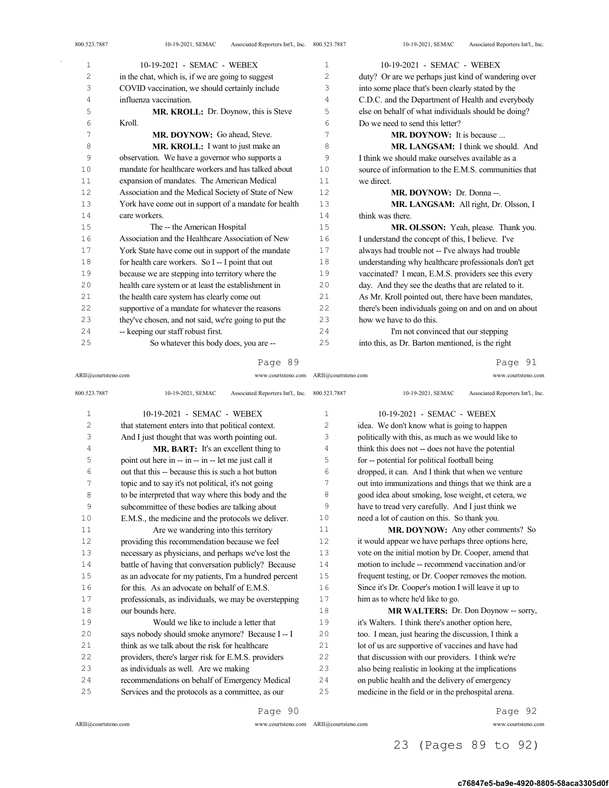| 800.523.7887 | Associated Reporters Int'l., Inc. 800.523.7887<br>10-19-2021, SEMAC |                | Associated Reporters Int'l., Inc.<br>10-19-2021, SEMAC |
|--------------|---------------------------------------------------------------------|----------------|--------------------------------------------------------|
| $\mathbf{1}$ | 10-19-2021 - SEMAC - WEBEX                                          | 1              | 10-19-2021 - SEMAC - WEBEX                             |
| 2            | in the chat, which is, if we are going to suggest                   | $\overline{c}$ | duty? Or are we perhaps just kind of wandering over    |
| 3            | COVID vaccination, we should certainly include                      | 3              | into some place that's been clearly stated by the      |
| 4            | influenza vaccination.                                              | 4              | C.D.C. and the Department of Health and everybody      |
| 5            | <b>MR. KROLL:</b> Dr. Doynow, this is Steve                         | 5              | else on behalf of what individuals should be doing?    |
| 6            | Kroll.                                                              | 6              | Do we need to send this letter?                        |
| 7            | MR. DOYNOW: Go ahead, Steve.                                        | 7              | <b>MR. DOYNOW:</b> It is because                       |
| 8            | MR. KROLL: I want to just make an                                   | 8              | MR. LANGSAM: I think we should. And                    |
| 9            | observation. We have a governor who supports a                      | 9              | I think we should make ourselves available as a        |
| 10           | mandate for healthcare workers and has talked about                 | 10             | source of information to the E.M.S. communities that   |
| 11           | expansion of mandates. The American Medical                         | 11             | we direct.                                             |
| 12           | Association and the Medical Society of State of New                 | 12             | MR. DOYNOW: Dr. Donna --.                              |
| 13           | York have come out in support of a mandate for health               | 13             | MR. LANGSAM: All right, Dr. Olsson, I                  |
| 14           | care workers.                                                       | 14             | think was there.                                       |
| 15           | The -- the American Hospital                                        | 15             | MR. OLSSON: Yeah, please. Thank you.                   |
| 16           | Association and the Healthcare Association of New                   | 16             | I understand the concept of this, I believe. I've      |
| 17           | York State have come out in support of the mandate                  | 17             | always had trouble not -- I've always had trouble      |
| 18           | for health care workers. So I -- I point that out                   | 18             | understanding why healthcare professionals don't get   |
| 19           | because we are stepping into territory where the                    | 19             | vaccinated? I mean, E.M.S. providers see this every    |
| 20           | health care system or at least the establishment in                 | 20             | day. And they see the deaths that are related to it.   |
| 21           | the health care system has clearly come out                         | 21             | As Mr. Kroll pointed out, there have been mandates,    |
| 22           | supportive of a mandate for whatever the reasons                    | 22             | there's been individuals going on and on and on about  |
| 23           | they've chosen, and not said, we're going to put the                | 23             | how we have to do this.                                |

ARII@courtsteno.com www.courtsteno.com ARII@courtsteno.com www.courtsteno.com

 I'm not convinced that our stepping into this, as Dr. Barton mentioned, is the right

Page 91

| 800.523.7887   | Associated Reporters Int'l., Inc. 800.523.7887<br>10-19-2021, SEMAC |                | Associated Reporters Int'l., Inc.<br>10-19-2021, SEMAC |
|----------------|---------------------------------------------------------------------|----------------|--------------------------------------------------------|
| 1              | 10-19-2021 - SEMAC - WEBEX                                          | 1              | 10-19-2021 - SEMAC - WEBEX                             |
| $\overline{c}$ | that statement enters into that political context.                  | 2              | idea. We don't know what is going to happen            |
| 3              | And I just thought that was worth pointing out.                     | 3              | politically with this, as much as we would like to     |
| 4              | <b>MR. BART:</b> It's an excellent thing to                         | $\overline{4}$ | think this does not -- does not have the potential     |
| 5              | point out here in -- in -- in -- let me just call it                | 5              | for -- potential for political football being          |
| 6              | out that this -- because this is such a hot button                  | 6              | dropped, it can. And I think that when we venture      |
| 7              | topic and to say it's not political, it's not going                 | 7              | out into immunizations and things that we think are a  |
| 8              | to be interpreted that way where this body and the                  | 8              | good idea about smoking, lose weight, et cetera, we    |
| 9              | subcommittee of these bodies are talking about                      | 9              | have to tread very carefully. And I just think we      |
| 10             | E.M.S., the medicine and the protocols we deliver.                  | 10             | need a lot of caution on this. So thank you.           |
| 11             | Are we wandering into this territory                                | 11             | MR. DOYNOW: Any other comments? So                     |
| 12             | providing this recommendation because we feel                       | 12             | it would appear we have perhaps three options here,    |
| 13             | necessary as physicians, and perhaps we've lost the                 | 13             | vote on the initial motion by Dr. Cooper, amend that   |
| 14             | battle of having that conversation publicly? Because                | 14             | motion to include -- recommend vaccination and/or      |
| 15             | as an advocate for my patients, I'm a hundred percent               | 15             | frequent testing, or Dr. Cooper removes the motion.    |
| 16             | for this. As an advocate on behalf of E.M.S.                        | 16             | Since it's Dr. Cooper's motion I will leave it up to   |
| 17             | professionals, as individuals, we may be overstepping               | 17             | him as to where he'd like to go.                       |
| 18             | our bounds here.                                                    | 18             | MR WALTERS: Dr. Don Doynow -- sorry,                   |
| 19             | Would we like to include a letter that                              | 19             | it's Walters. I think there's another option here,     |
| 20             | says nobody should smoke anymore? Because I-- I                     | 20             | too. I mean, just hearing the discussion, I think a    |
| 21             | think as we talk about the risk for healthcare                      | 2.1            | lot of us are supportive of vaccines and have had      |
| 22             | providers, there's larger risk for E.M.S. providers                 | 22             | that discussion with our providers. I think we're      |
| 23             | as individuals as well. Are we making                               | 23             | also being realistic in looking at the implications    |
| 2.4            | recommendations on behalf of Emergency Medical                      | 24             | on public health and the delivery of emergency         |
| 25             | Services and the protocols as a committee, as our                   | 25             | medicine in the field or in the prehospital arena.     |

Page 90

-- keeping our staff robust first.

So whatever this body does, you are --

ARII@courtsteno.com www.courtsteno.com ARII@courtsteno.com www.courtsteno.com

Page 92

### c76847e5-ba9e-4920-8805-58aca3305d0f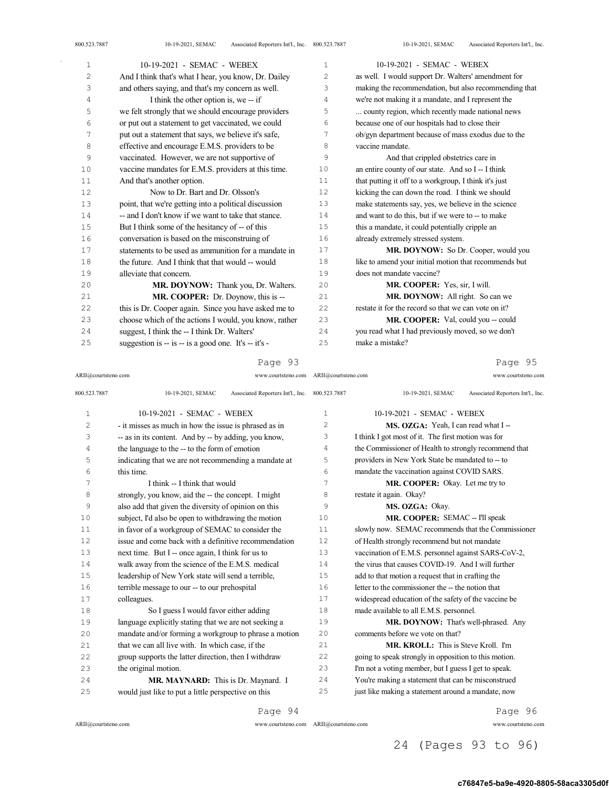| 1  | 10-19-2021 - SEMAC - WEBEX                                | 1              | 10-19-2021 - SEMAC - WEBEX                            |
|----|-----------------------------------------------------------|----------------|-------------------------------------------------------|
| 2  | And I think that's what I hear, you know, Dr. Dailey      | $\overline{c}$ | as well. I would support Dr. Walters' amendment for   |
| 3  | and others saying, and that's my concern as well.         | 3              | making the recommendation, but also recommending that |
| 4  | I think the other option is, we -- if                     | 4              | we're not making it a mandate, and I represent the    |
| 5  | we felt strongly that we should encourage providers       | 5              | county region, which recently made national news      |
| 6  | or put out a statement to get vaccinated, we could        | 6              | because one of our hospitals had to close their       |
| 7  | put out a statement that says, we believe it's safe,      | 7              | ob/gyn department because of mass exodus due to the   |
| 8  | effective and encourage E.M.S. providers to be            | 8              | vaccine mandate.                                      |
| 9  | vaccinated. However, we are not supportive of             | 9              | And that crippled obstetrics care in                  |
| 10 | vaccine mandates for E.M.S. providers at this time.       | 10             | an entire county of our state. And so I -- I think    |
| 11 | And that's another option.                                | 11             | that putting it off to a workgroup, I think it's just |
| 12 | Now to Dr. Bart and Dr. Olsson's                          | 12             | kicking the can down the road. I think we should      |
| 13 | point, that we're getting into a political discussion     | 13             | make statements say, yes, we believe in the science   |
| 14 | -- and I don't know if we want to take that stance.       | 14             | and want to do this, but if we were to -- to make     |
| 15 | But I think some of the hesitancy of -- of this           | 15             | this a mandate, it could potentially cripple an       |
| 16 | conversation is based on the misconstruing of             | 16             | already extremely stressed system.                    |
| 17 | statements to be used as ammunition for a mandate in      | 17             | MR. DOYNOW: So Dr. Cooper, would you                  |
| 18 | the future. And I think that that would -- would          | 18             | like to amend your initial motion that recommends but |
| 19 | alleviate that concern.                                   | 19             | does not mandate vaccine?                             |
| 20 | MR. DOYNOW: Thank you, Dr. Walters.                       | 20             | MR. COOPER: Yes, sir, I will.                         |
| 21 | MR. COOPER: Dr. Doynow, this is --                        | 21             | MR. DOYNOW: All right. So can we                      |
| 22 | this is Dr. Cooper again. Since you have asked me to      | 22             | restate it for the record so that we can vote on it?  |
| 23 | choose which of the actions I would, you know, rather     | 23             | MR. COOPER: Val, could you -- could                   |
| 24 | suggest, I think the -- I think Dr. Walters'              | 24             | you read what I had previously moved, so we don't     |
| 25 | suggestion is $-$ is $-$ is a good one. It's $-$ it's $-$ | 25             | make a mistake?                                       |

ARII@courtsteno.com www.courtsteno.com

### Page 95

800.523.7887 10-19-2021, SEMAC Associated Reporters Int'l., Inc. 10-19-2021 - SEMAC - WEBEX - it misses as much in how the issue is phrased as in -- as in its content. And by -- by adding, you know, the language to the -- to the form of emotion indicating that we are not recommending a mandate at this time. I think -- I think that would strongly, you know, aid the -- the concept. I might also add that given the diversity of opinion on this subject, I'd also be open to withdrawing the motion in favor of a workgroup of SEMAC to consider the issue and come back with a definitive recommendation next time. But I -- once again, I think for us to walk away from the science of the E.M.S. medical leadership of New York state will send a terrible, terrible message to our -- to our prehospital colleagues. So I guess I would favor either adding language explicitly stating that we are not seeking a mandate and/or forming a workgroup to phrase a motion that we can all live with. In which case, if the group supports the latter direction, then I withdraw the original motion. **MR. MAYNARD:** This is Dr. Maynard. I would just like to put a little perspective on this 10-19-2021, SEMAC Associated Reporters Int'l., Inc. 10-19-2021 - SEMAC - WEBEX 2 MS. OZGA: Yeah, I can read what I -- I think I got most of it. The first motion was for the Commissioner of Health to strongly recommend that 5 providers in New York State be mandated to -- to mandate the vaccination against COVID SARS. MR. COOPER: Okay. Let me try to restate it again. Okay? **MS. OZGA: Okay. MR. COOPER: SEMAC -- I'll speak**  slowly now. SEMAC recommends that the Commissioner of Health strongly recommend but not mandate vaccination of E.M.S. personnel against SARS-CoV-2, the virus that causes COVID-19. And I will further add to that motion a request that in crafting the letter to the commissioner the -- the notion that widespread education of the safety of the vaccine be made available to all E.M.S. personnel. **MR. DOYNOW:** That's well-phrased. Any comments before we vote on that? **MR. KROLL:** This is Steve Kroll. I'm going to speak strongly in opposition to this motion. I'm not a voting member, but I guess I get to speak. You're making a statement that can be misconstrued just like making a statement around a mandate, now

ARII@courtsteno.com www.courtsteno.com

ARII@courtsteno.com

Page 94

ARII@courtsteno.com www.courtsteno.com

Page 96

### 24 (Pages 93 to 96)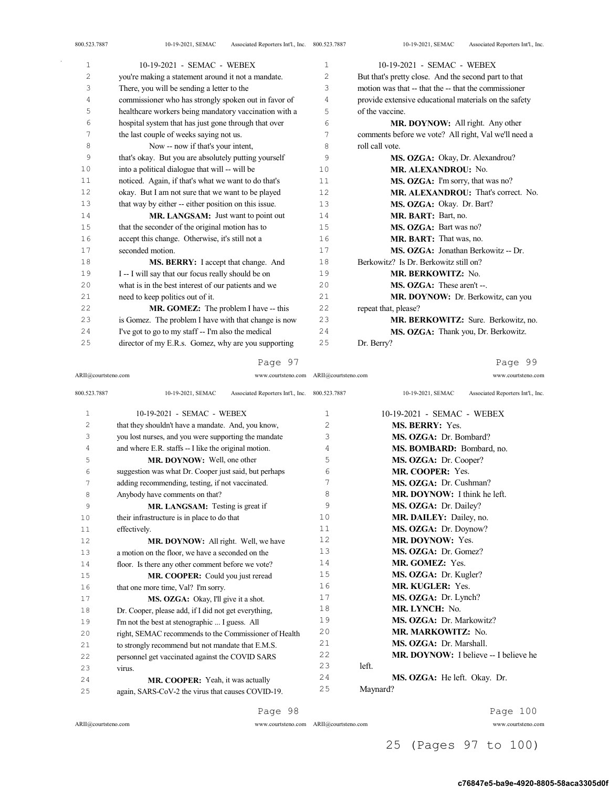| 1  | 10-19-2021 - SEMAC - WEBEX                            | $\mathbf{1}$   | 10-19-2021 - SEMAC - WEBEX                            |
|----|-------------------------------------------------------|----------------|-------------------------------------------------------|
| 2  | you're making a statement around it not a mandate.    | $\overline{c}$ | But that's pretty close. And the second part to that  |
| 3  | There, you will be sending a letter to the            | 3              | motion was that -- that the -- that the commissioner  |
| 4  | commissioner who has strongly spoken out in favor of  | 4              | provide extensive educational materials on the safety |
| 5  | healthcare workers being mandatory vaccination with a | 5              | of the vaccine.                                       |
| 6  | hospital system that has just gone through that over  | 6              | MR. DOYNOW: All right. Any other                      |
| 7  | the last couple of weeks saying not us.               | 7              | comments before we vote? All right, Val we'll need a  |
| 8  | Now -- now if that's your intent,                     | 8              | roll call vote.                                       |
| 9  | that's okay. But you are absolutely putting yourself  | 9              | MS. OZGA: Okay, Dr. Alexandrou?                       |
| 10 | into a political dialogue that will -- will be        | 10             | <b>MR. ALEXANDROU: No.</b>                            |
| 11 | noticed. Again, if that's what we want to do that's   | 11             | MS. OZGA: I'm sorry, that was no?                     |
| 12 | okay. But I am not sure that we want to be played     | 12             | MR. ALEXANDROU: That's correct. No.                   |
| 13 | that way by either -- either position on this issue.  | 13             | MS. OZGA: Okay. Dr. Bart?                             |
| 14 | MR. LANGSAM: Just want to point out                   | 14             | MR. BART: Bart, no.                                   |
| 15 | that the seconder of the original motion has to       | 15             | MS. OZGA: Bart was no?                                |
| 16 | accept this change. Otherwise, it's still not a       | 16             | MR. BART: That was, no.                               |
| 17 | seconded motion.                                      | 17             | MS. OZGA: Jonathan Berkowitz -- Dr.                   |
| 18 | MS. BERRY: I accept that change. And                  | 18             | Berkowitz? Is Dr. Berkowitz still on?                 |
| 19 | I -- I will say that our focus really should be on    | 19             | <b>MR. BERKOWITZ: No.</b>                             |
| 20 | what is in the best interest of our patients and we   | 20             | MS. OZGA: These aren't --.                            |
| 21 | need to keep politics out of it.                      | 21             | MR. DOYNOW: Dr. Berkowitz, can you                    |
| 22 | MR. GOMEZ: The problem I have -- this                 | 22             | repeat that, please?                                  |
| 23 | is Gomez. The problem I have with that change is now  | 23             | MR. BERKOWITZ: Sure. Berkowitz, no.                   |
| 24 | I've got to go to my staff -- I'm also the medical    | 24             | MS. OZGA: Thank you, Dr. Berkowitz.                   |
| 25 | director of my E.R.s. Gomez, why are you supporting   | 25             | Dr. Berry?                                            |

### Page 97

Page 99

| ARII@courtsteno.com |                                                                     | www.courtsteno.com ARII@courtsteno.com | www.courtsteno.com                                     |
|---------------------|---------------------------------------------------------------------|----------------------------------------|--------------------------------------------------------|
| 800.523.7887        | 10-19-2021, SEMAC<br>Associated Reporters Int'l., Inc. 800.523.7887 |                                        | 10-19-2021, SEMAC<br>Associated Reporters Int'l., Inc. |
| $\mathbf{1}$        | 10-19-2021 - SEMAC - WEBEX                                          | $\mathbf{1}$                           | 10-19-2021 - SEMAC - WEBEX                             |
| 2                   | that they shouldn't have a mandate. And, you know,                  | 2                                      | MS. BERRY: Yes.                                        |
| 3                   | you lost nurses, and you were supporting the mandate                | 3                                      | MS. OZGA: Dr. Bombard?                                 |
| 4                   | and where E.R. staffs -- I like the original motion.                | 4                                      | MS. BOMBARD: Bombard, no.                              |
| 5                   | MR. DOYNOW: Well, one other                                         | 5                                      | MS. OZGA: Dr. Cooper?                                  |
| 6                   | suggestion was what Dr. Cooper just said, but perhaps               | 6                                      | MR. COOPER: Yes.                                       |
| 7                   | adding recommending, testing, if not vaccinated.                    | 7                                      | MS. OZGA: Dr. Cushman?                                 |
| 8                   | Anybody have comments on that?                                      | 8                                      | MR. DOYNOW: I think he left.                           |
| 9                   | MR. LANGSAM: Testing is great if                                    | 9                                      | MS. OZGA: Dr. Dailey?                                  |
| 10                  | their infrastructure is in place to do that                         | 1 <sub>0</sub>                         | MR. DAILEY: Dailey, no.                                |
| 11                  | effectively.                                                        | 11                                     | MS. OZGA: Dr. Doynow?                                  |
| 12                  | MR. DOYNOW: All right. Well, we have                                | 12                                     | MR. DOYNOW: Yes.                                       |
| 13                  | a motion on the floor, we have a seconded on the                    | 13                                     | MS. OZGA: Dr. Gomez?                                   |
| 14                  | floor. Is there any other comment before we vote?                   | 14                                     | MR. GOMEZ: Yes.                                        |
| 15                  | MR. COOPER: Could you just reread                                   | 15                                     | MS. OZGA: Dr. Kugler?                                  |
| 16                  | that one more time, Val? I'm sorry.                                 | 16                                     | <b>MR. KUGLER: Yes.</b>                                |
| 17                  | MS. OZGA: Okay, I'll give it a shot.                                | 17                                     | MS. OZGA: Dr. Lynch?                                   |
| 18                  | Dr. Cooper, please add, if I did not get everything,                | 18                                     | MR. LYNCH: No.                                         |
| 19                  | I'm not the best at stenographic  I guess. All                      | 19                                     | MS. OZGA: Dr. Markowitz?                               |
| 20                  | right, SEMAC recommends to the Commissioner of Health               | 20                                     | <b>MR. MARKOWITZ: No.</b>                              |
| 21                  | to strongly recommend but not mandate that E.M.S.                   | 2.1                                    | MS. OZGA: Dr. Marshall.                                |
| 22                  | personnel get vaccinated against the COVID SARS                     | 22                                     | <b>MR. DOYNOW:</b> I believe -- I believe he           |
| 23                  | virus.                                                              | 23                                     | left.                                                  |
| 24                  | MR. COOPER: Yeah, it was actually                                   | 24                                     | MS. OZGA: He left. Okay. Dr.                           |
| 25                  | again, SARS-CoV-2 the virus that causes COVID-19.                   | 25                                     | Maynard?                                               |
|                     |                                                                     |                                        |                                                        |

Page 98

ARII@courtsteno.com www.courtsteno.com ARII@courtsteno.com www.courtsteno.com

Page 100

25 (Pages 97 to 100)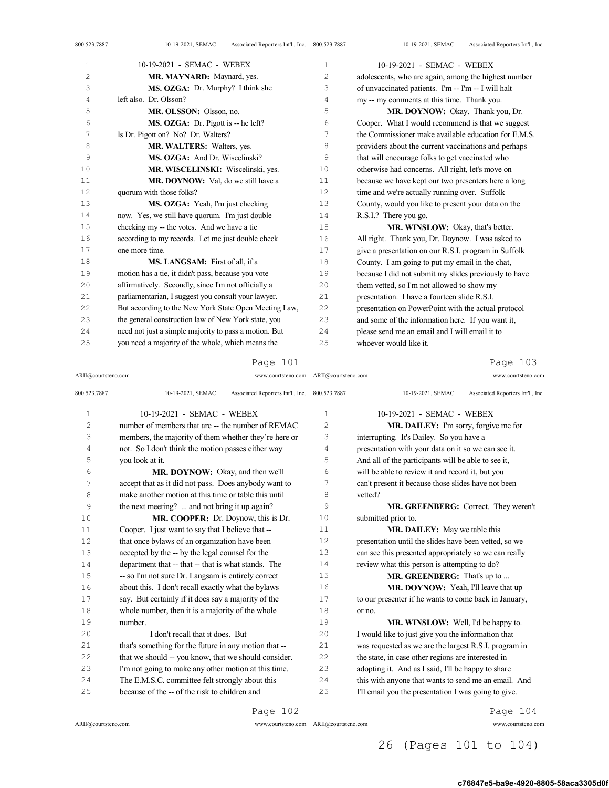| 1              | 10-19-2021 - SEMAC - WEBEX                            | $\mathbf{1}$ | 10-19-2021 - SEMAC - WEBEX                            |
|----------------|-------------------------------------------------------|--------------|-------------------------------------------------------|
| $\overline{c}$ | MR. MAYNARD: Maynard, yes.                            | 2            | adolescents, who are again, among the highest number  |
| 3              | MS. OZGA: Dr. Murphy? I think she                     | 3            | of unvaccinated patients. I'm -- I'm -- I will halt   |
| 4              | left also. Dr. Olsson?                                | 4            | my -- my comments at this time. Thank you.            |
| 5              | MR. OLSSON: Olsson, no.                               | 5            | MR. DOYNOW: Okay. Thank you, Dr.                      |
| 6              | MS. OZGA: Dr. Pigott is -- he left?                   | 6            | Cooper. What I would recommend is that we suggest     |
| 7              | Is Dr. Pigott on? No? Dr. Walters?                    | 7            | the Commissioner make available education for E.M.S.  |
| 8              | MR. WALTERS: Walters, yes.                            | 8            | providers about the current vaccinations and perhaps  |
| 9              | MS. OZGA: And Dr. Wiscelinski?                        | 9            | that will encourage folks to get vaccinated who       |
| 10             | MR. WISCELINSKI: Wiscelinski, yes.                    | 10           | otherwise had concerns. All right, let's move on      |
| 11             | MR. DOYNOW: Val. do we still have a                   | 11           | because we have kept our two presenters here a long   |
| 12             | quorum with those folks?                              | 12           | time and we're actually running over. Suffolk         |
| 13             | MS. OZGA: Yeah, I'm just checking                     | 13           | County, would you like to present your data on the    |
| 14             | now. Yes, we still have quorum. I'm just double       | 14           | R.S.I.? There you go.                                 |
| 15             | checking my -- the votes. And we have a tie           | 15           | MR. WINSLOW: Okay, that's better.                     |
| 16             | according to my records. Let me just double check     | 16           | All right. Thank you, Dr. Doynow. I was asked to      |
| 17             | one more time.                                        | 17           | give a presentation on our R.S.I. program in Suffolk  |
| 18             | MS. LANGSAM: First of all. if a                       | 18           | County. I am going to put my email in the chat,       |
| 19             | motion has a tie, it didn't pass, because you vote    | 19           | because I did not submit my slides previously to have |
| 20             | affirmatively. Secondly, since I'm not officially a   | 20           | them vetted, so I'm not allowed to show my            |
| 21             | parliamentarian, I suggest you consult your lawyer.   | 21           | presentation. I have a fourteen slide R.S.I.          |
| 22             | But according to the New York State Open Meeting Law, | 22           | presentation on PowerPoint with the actual protocol   |
| 23             | the general construction law of New York state, you   | 23           | and some of the information here. If you want it,     |
| 24             | need not just a simple majority to pass a motion. But | 24           | please send me an email and I will email it to        |
| 25             | you need a majority of the whole, which means the     | 25           | whoever would like it.                                |

ARII@courtsteno.com www.courtsteno.com ARII@courtsteno.com www.courtsteno.com

## Page 103

| 800.523.7887 | 10-19-2021, SEMAC<br>Associated Reporters Int'l., Inc. 800.523.7887 |                | Associated Reporters Int'l., Inc.<br>10-19-2021, SEMAC |
|--------------|---------------------------------------------------------------------|----------------|--------------------------------------------------------|
| $\mathbf{1}$ | 10-19-2021 - SEMAC - WEBEX                                          | 1              | 10-19-2021 - SEMAC - WEBEX                             |
| 2            | number of members that are -- the number of REMAC                   | 2              | <b>MR. DAILEY:</b> I'm sorry, forgive me for           |
| 3            | members, the majority of them whether they're here or               | 3              | interrupting. It's Dailey. So you have a               |
| 4            | not. So I don't think the motion passes either way                  | 4              | presentation with your data on it so we can see it.    |
| 5            | you look at it.                                                     | 5              | And all of the participants will be able to see it,    |
| 6            | MR. DOYNOW: Okay, and then we'll                                    | 6              | will be able to review it and record it, but you       |
| 7            | accept that as it did not pass. Does anybody want to                | 7              | can't present it because those slides have not been    |
| 8            | make another motion at this time or table this until                | 8              | vetted?                                                |
| 9            | the next meeting?  and not bring it up again?                       | 9              | MR. GREENBERG: Correct. They weren't                   |
| 10           | MR. COOPER: Dr. Doynow, this is Dr.                                 | 1 <sub>0</sub> | submitted prior to.                                    |
| 11           | Cooper. I just want to say that I believe that --                   | 11             | <b>MR. DAILEY:</b> May we table this                   |
| 12           | that once bylaws of an organization have been                       | 12             | presentation until the slides have been vetted, so we  |
| 13           | accepted by the -- by the legal counsel for the                     | 13             | can see this presented appropriately so we can really  |
| 14           | department that -- that -- that is what stands. The                 | 14             | review what this person is attempting to do?           |
| 15           | -- so I'm not sure Dr. Langsam is entirely correct                  | 15             | MR. GREENBERG: That's up to                            |
| 16           | about this. I don't recall exactly what the bylaws                  | 16             | MR. DOYNOW: Yeah, I'll leave that up                   |
| 17           | say. But certainly if it does say a majority of the                 | 17             | to our presenter if he wants to come back in January,  |
| 18           | whole number, then it is a majority of the whole                    | 18             | or no.                                                 |
| 19           | number.                                                             | 19             | MR. WINSLOW: Well, I'd be happy to.                    |
| 20           | I don't recall that it does. But                                    | 20             | I would like to just give you the information that     |
| 21           | that's something for the future in any motion that --               | 21             | was requested as we are the largest R.S.I. program in  |
| 22           | that we should -- you know, that we should consider.                | 22             | the state, in case other regions are interested in     |
| 23           | I'm not going to make any other motion at this time.                | 23             | adopting it. And as I said, I'll be happy to share     |
| 24           | The E.M.S.C. committee felt strongly about this                     | 24             | this with anyone that wants to send me an email. And   |
| 2.5          | because of the -- of the risk to children and                       | 25             | I'll email you the presentation I was going to give.   |
|              |                                                                     |                |                                                        |

Page 102

ARII@courtsteno.com www.courtsteno.com

Page 104

ARII@courtsteno.com www.courtsteno.com

## 26 (Pages 101 to 104)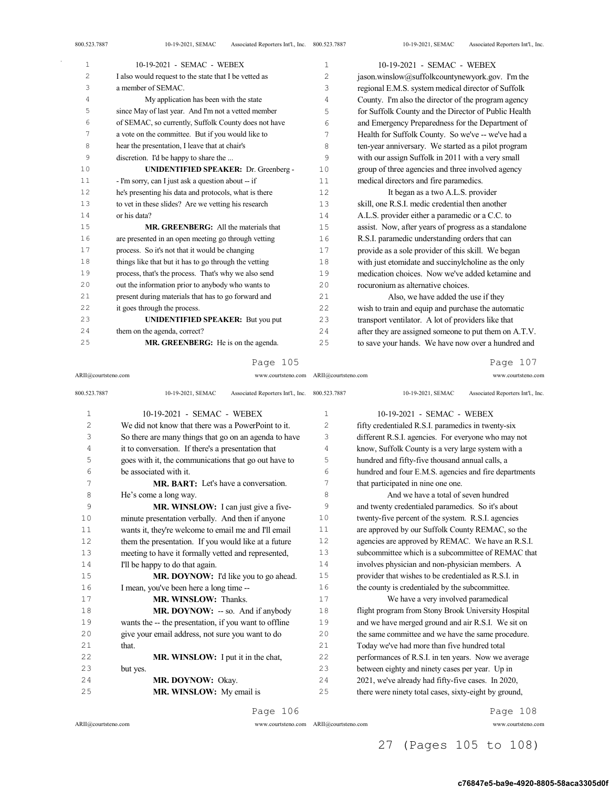| $\mathbf{1}$ | 10-19-2021 - SEMAC - WEBEX                            | 1  | 10-19-2021 - SEMAC - WEBEX                            |
|--------------|-------------------------------------------------------|----|-------------------------------------------------------|
| 2            | I also would request to the state that I be vetted as | 2  | jason.winslow@suffolkcountynewyork.gov. I'm the       |
| 3            | a member of SEMAC.                                    | 3  | regional E.M.S. system medical director of Suffolk    |
| 4            | My application has been with the state                | 4  | County. I'm also the director of the program agency   |
| 5            | since May of last year. And I'm not a vetted member   | 5  | for Suffolk County and the Director of Public Health  |
| 6            | of SEMAC, so currently, Suffolk County does not have  | 6  | and Emergency Preparedness for the Department of      |
| 7            | a vote on the committee. But if you would like to     | 7  | Health for Suffolk County. So we've -- we've had a    |
| 8            | hear the presentation, I leave that at chair's        | 8  | ten-year anniversary. We started as a pilot program   |
| 9            | discretion. I'd be happy to share the                 | 9  | with our assign Suffolk in 2011 with a very small     |
| 10           | <b>UNIDENTIFIED SPEAKER: Dr. Greenberg -</b>          | 10 | group of three agencies and three involved agency     |
| 11           | - I'm sorry, can I just ask a question about -- if    | 11 | medical directors and fire paramedics.                |
| 12           | he's presenting his data and protocols, what is there | 12 | It began as a two A.L.S. provider                     |
| 13           | to vet in these slides? Are we vetting his research   | 13 | skill, one R.S.I. medic credential then another       |
| $1\,4$       | or his data?                                          | 14 | A.L.S. provider either a paramedic or a C.C. to       |
| $1\,5$       | <b>MR. GREENBERG:</b> All the materials that          | 15 | assist. Now, after years of progress as a standalone  |
| 16           | are presented in an open meeting go through vetting   | 16 | R.S.I. paramedic understanding orders that can        |
| $17$         | process. So it's not that it would be changing        | 17 | provide as a sole provider of this skill. We began    |
| $1\,8$       | things like that but it has to go through the vetting | 18 | with just etomidate and succinylcholine as the only   |
| 19           | process, that's the process. That's why we also send  | 19 | medication choices. Now we've added ketamine and      |
| 20           | out the information prior to anybody who wants to     | 20 | rocuronium as alternative choices.                    |
| 21           | present during materials that has to go forward and   | 21 | Also, we have added the use if they                   |
| 22           | it goes through the process.                          | 22 | wish to train and equip and purchase the automatic    |
| 23           | <b>UNIDENTIFIED SPEAKER:</b> But you put              | 23 | transport ventilator. A lot of providers like that    |
| 24           | them on the agenda, correct?                          | 24 | after they are assigned someone to put them on A.T.V. |
| 25           | MR. GREENBERG: He is on the agenda.                   | 25 | to save your hands. We have now over a hundred and    |

ARII@courtsteno.com www.courtsteno.com ARII@courtsteno.com www.courtsteno.com

Page 107

| 800.523.7887 | Associated Reporters Int'l., Inc. 800.523.7887<br>10-19-2021, SEMAC |                | Associated Reporters Int'l., Inc.<br>10-19-2021, SEMAC |
|--------------|---------------------------------------------------------------------|----------------|--------------------------------------------------------|
| $\mathbf{1}$ | 10-19-2021 - SEMAC - WEBEX                                          | 1              | 10-19-2021 - SEMAC - WEBEX                             |
| 2            | We did not know that there was a PowerPoint to it.                  | $\overline{2}$ | fifty credentialed R.S.I. paramedics in twenty-six     |
| 3            | So there are many things that go on an agenda to have               | 3              | different R.S.I. agencies. For everyone who may not    |
| 4            | it to conversation. If there's a presentation that                  | $\overline{4}$ | know, Suffolk County is a very large system with a     |
| 5            | goes with it, the communications that go out have to                | 5              | hundred and fifty-five thousand annual calls, a        |
| 6            | be associated with it.                                              | 6              | hundred and four E.M.S. agencies and fire departments  |
| 7            | <b>MR. BART:</b> Let's have a conversation.                         | 7              | that participated in nine one one.                     |
| 8            | He's come a long way.                                               | 8              | And we have a total of seven hundred                   |
| 9            | <b>MR. WINSLOW:</b> I can just give a five-                         | 9              | and twenty credentialed paramedics. So it's about      |
| 10           | minute presentation verbally. And then if anyone                    | 10             | twenty-five percent of the system. R.S.I. agencies     |
| 11           | wants it, they're welcome to email me and I'll email                | 11             | are approved by our Suffolk County REMAC, so the       |
| 12           | them the presentation. If you would like at a future                | 12             | agencies are approved by REMAC. We have an R.S.I.      |
| 13           | meeting to have it formally vetted and represented,                 | 13             | subcommittee which is a subcommittee of REMAC that     |
| 14           | I'll be happy to do that again.                                     | 14             | involves physician and non-physician members. A        |
| 15           | MR. DOYNOW: I'd like you to go ahead.                               | 15             | provider that wishes to be credentialed as R.S.I. in   |
| 16           | I mean, you've been here a long time --                             | 16             | the county is credentialed by the subcommittee.        |
| 17           | <b>MR. WINSLOW: Thanks.</b>                                         | 17             | We have a very involved paramedical                    |
| 18           | <b>MR. DOYNOW:</b> -- so. And if anybody                            | 18             | flight program from Stony Brook University Hospital    |
| 19           | wants the -- the presentation, if you want to offline               | 19             | and we have merged ground and air R.S.I. We sit on     |
| 2.0          | give your email address, not sure you want to do                    | 20             | the same committee and we have the same procedure.     |
| 2.1          | that.                                                               | 2.1            | Today we've had more than five hundred total           |
| 22           | MR. WINSLOW: I put it in the chat,                                  | 22             | performances of R.S.I. in ten years. Now we average    |
| 23           | but yes.                                                            | 23             | between eighty and ninety cases per year. Up in        |
| 2.4          | MR. DOYNOW: Okay.                                                   | 24             | 2021, we've already had fifty-five cases. In 2020,     |
| 25           | MR. WINSLOW: My email is                                            | 25             | there were ninety total cases, sixty-eight by ground,  |
|              |                                                                     |                |                                                        |

Page 106

ARII@courtsteno.com www.courtsteno.com

Page 108

ARII@courtsteno.com www.courtsteno.com

27 (Pages 105 to 108)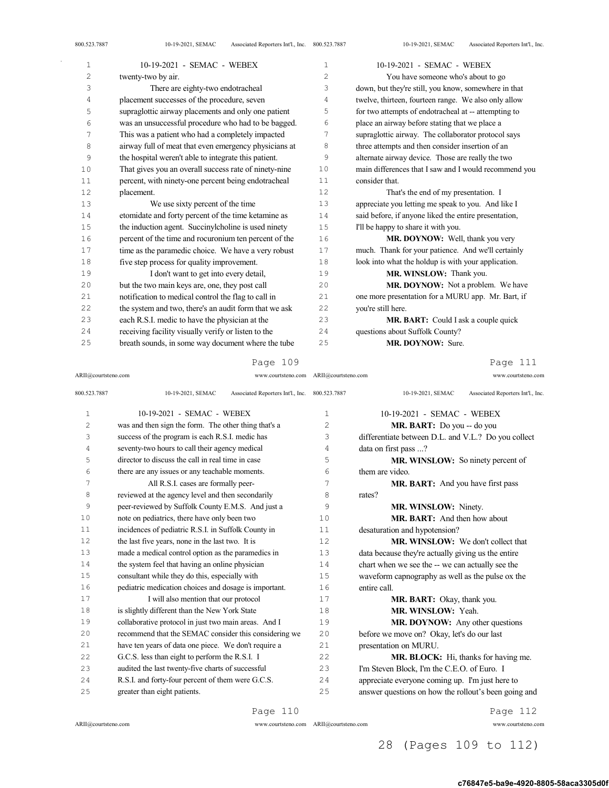| 800.523.7887 | Associated Reporters Int'l., Inc. 800.523.7887<br>10-19-2021, SEMAC |              | Associated Reporters Int'l., Inc.<br>10-19-2021, SEMAC |
|--------------|---------------------------------------------------------------------|--------------|--------------------------------------------------------|
| $\mathbf{1}$ | 10-19-2021 - SEMAC - WEBEX                                          | 1            | 10-19-2021 - SEMAC - WEBEX                             |
| 2            | twenty-two by air.                                                  | $\mathbf{2}$ | You have someone who's about to go                     |
| 3            | There are eighty-two endotracheal                                   | 3            | down, but they're still, you know, somewhere in that   |
| 4            | placement successes of the procedure, seven                         | 4            | twelve, thirteen, fourteen range. We also only allow   |
| 5            | supraglottic airway placements and only one patient                 | 5            | for two attempts of endotracheal at -- attempting to   |
| 6            | was an unsuccessful procedure who had to be bagged.                 | 6            | place an airway before stating that we place a         |
| 7            | This was a patient who had a completely impacted                    | 7            | supraglottic airway. The collaborator protocol says    |
| 8            | airway full of meat that even emergency physicians at               | 8            | three attempts and then consider insertion of an       |
| 9            | the hospital weren't able to integrate this patient.                | 9            | alternate airway device. Those are really the two      |
| 10           | That gives you an overall success rate of ninety-nine               | 10           | main differences that I saw and I would recommend you  |
| 11           | percent, with ninety-one percent being endotracheal                 | 11           | consider that.                                         |
| 12           | placement.                                                          | 12           | That's the end of my presentation. I                   |
| 13           | We use sixty percent of the time                                    | 13           | appreciate you letting me speak to you. And like I     |
| 14           | etomidate and forty percent of the time ketamine as                 | 14           | said before, if anyone liked the entire presentation,  |
| 15           | the induction agent. Succinylcholine is used ninety                 | 15           | I'll be happy to share it with you.                    |
| 16           | percent of the time and rocuronium ten percent of the               | 16           | MR. DOYNOW: Well, thank you very                       |
| 17           | time as the paramedic choice. We have a very robust                 | 17           | much. Thank for your patience. And we'll certainly     |
| 18           | five step process for quality improvement.                          | 18           | look into what the holdup is with your application.    |
| 19           | I don't want to get into every detail,                              | 19           | MR. WINSLOW: Thank you.                                |
| 20           | but the two main keys are, one, they post call                      | 20           | MR. DOYNOW: Not a problem. We have                     |
| 21           | notification to medical control the flag to call in                 | 21           | one more presentation for a MURU app. Mr. Bart, if     |
| 22           | the system and two, there's an audit form that we ask               | 22           | you're still here.                                     |
| 23           | each R.S.I. medic to have the physician at the                      | 23           | <b>MR. BART:</b> Could I ask a couple quick            |

 questions about Suffolk County? MR. DOYNOW: Sure.

Page 109

 receiving facility visually verify or listen to the breath sounds, in some way document where the tube

Page 111

| ARII@courtsteno.com | www.courtsteno.com ARII@courtsteno.com                              |                | www.courtsteno.com                                     |
|---------------------|---------------------------------------------------------------------|----------------|--------------------------------------------------------|
| 800.523.7887        | 10-19-2021, SEMAC<br>Associated Reporters Int'l., Inc. 800.523.7887 |                | 10-19-2021, SEMAC<br>Associated Reporters Int'l., Inc. |
| $\mathbf{1}$        | 10-19-2021 - SEMAC - WEBEX                                          | $\mathbf{1}$   | 10-19-2021 - SEMAC - WEBEX                             |
| $\overline{2}$      | was and then sign the form. The other thing that's a                | $\overline{c}$ | MR. BART: Do you -- do you                             |
| 3                   | success of the program is each R.S.I. medic has                     | 3              | differentiate between D.L. and V.L.? Do you collect    |
| 4                   | seventy-two hours to call their agency medical                      | 4              | data on first pass ?                                   |
| 5                   | director to discuss the call in real time in case                   | 5              | MR. WINSLOW: So ninety percent of                      |
| 6                   | there are any issues or any teachable moments.                      | 6              | them are video.                                        |
| 7                   | All R.S.I. cases are formally peer-                                 | 7              | <b>MR. BART:</b> And you have first pass               |
| 8                   | reviewed at the agency level and then secondarily                   | 8              | rates?                                                 |
| 9                   | peer-reviewed by Suffolk County E.M.S. And just a                   | 9              | MR. WINSLOW: Ninety.                                   |
| 10                  | note on pediatrics, there have only been two                        | 10             | <b>MR. BART:</b> And then how about                    |
| 11                  | incidences of pediatric R.S.I. in Suffolk County in                 | 11             | desaturation and hypotension?                          |
| 12                  | the last five years, none in the last two. It is                    | 12.            | <b>MR. WINSLOW:</b> We don't collect that              |
| 13                  | made a medical control option as the paramedics in                  | 13             | data because they're actually giving us the entire     |
| 14                  | the system feel that having an online physician                     | 14             | chart when we see the -- we can actually see the       |
| 15                  | consultant while they do this, especially with                      | 15             | waveform capnography as well as the pulse ox the       |
| 16                  | pediatric medication choices and dosage is important.               | 16             | entire call.                                           |
| 17                  | I will also mention that our protocol                               | 17             | <b>MR. BART:</b> Okay, thank you.                      |
| 18                  | is slightly different than the New York State                       | 18             | MR. WINSLOW: Yeah.                                     |
| 19                  | collaborative protocol in just two main areas. And I                | 19             | MR. DOYNOW: Any other questions                        |
| 20                  | recommend that the SEMAC consider this considering we               | 20             | before we move on? Okay, let's do our last             |
| 21                  | have ten years of data one piece. We don't require a                | 21             | presentation on MURU.                                  |
| 22                  | G.C.S. less than eight to perform the R.S.I. I                      | 22             | MR. BLOCK: Hi, thanks for having me.                   |
| 23                  | audited the last twenty-five charts of successful                   | 23             | I'm Steven Block, I'm the C.E.O. of Euro. I            |
| 24                  | R.S.I. and forty-four percent of them were G.C.S.                   | 24             | appreciate everyone coming up. I'm just here to        |
| 25                  | greater than eight patients.                                        | 25             | answer questions on how the rollout's been going and   |
|                     |                                                                     |                |                                                        |

ARII@courtsteno.com www.courtsteno.com ARII@courtsteno.com www.courtsteno.com

Page 110

Page 112

## 28 (Pages 109 to 112)

### c76847e5-ba9e-4920-8805-58aca3305d0f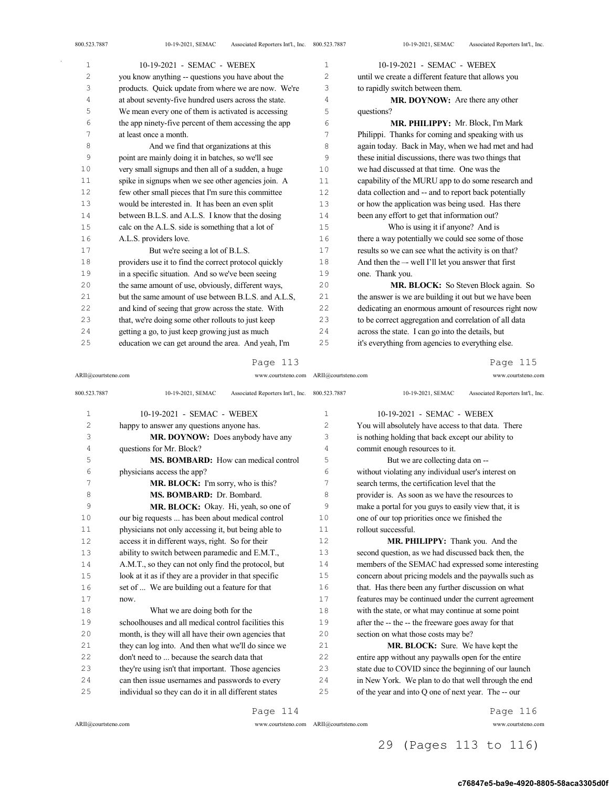| 1              | 10-19-2021 - SEMAC - WEBEX                            | $\mathbf{1}$ | 10-19-2021 - SEMAC - WEBEX                            |
|----------------|-------------------------------------------------------|--------------|-------------------------------------------------------|
| $\overline{c}$ | you know anything -- questions you have about the     | 2            | until we create a different feature that allows you   |
| 3              | products. Quick update from where we are now. We're   | 3            | to rapidly switch between them.                       |
| 4              | at about seventy-five hundred users across the state. | 4            | <b>MR. DOYNOW:</b> Are there any other                |
| 5              | We mean every one of them is activated is accessing   | 5            | questions?                                            |
| 6              | the app ninety-five percent of them accessing the app | 6            | MR. PHILIPPY: Mr. Block, I'm Mark                     |
| 7              | at least once a month.                                | 7            | Philippi. Thanks for coming and speaking with us      |
| 8              | And we find that organizations at this                | 8            | again today. Back in May, when we had met and had     |
| 9              | point are mainly doing it in batches, so we'll see    | 9            | these initial discussions, there was two things that  |
| 10             | very small signups and then all of a sudden, a huge   | 10           | we had discussed at that time. One was the            |
| 11             | spike in signups when we see other agencies join. A   | 11           | capability of the MURU app to do some research and    |
| 12             | few other small pieces that I'm sure this committee   | 12           | data collection and -- and to report back potentially |
| 13             | would be interested in. It has been an even split     | 13           | or how the application was being used. Has there      |
| 14             | between B.L.S. and A.L.S. I know that the dosing      | 14           | been any effort to get that information out?          |
| 15             | calc on the A.L.S. side is something that a lot of    | 15           | Who is using it if anyone? And is                     |
| 16             | A.L.S. providers love.                                | 16           | there a way potentially we could see some of those    |
| 17             | But we're seeing a lot of B.L.S.                      | 17           | results so we can see what the activity is on that?   |
| 18             | providers use it to find the correct protocol quickly | 18           | And then the -- well I'll let you answer that first   |
| 19             | in a specific situation. And so we've been seeing     | 19           | one. Thank you.                                       |
| 20             | the same amount of use, obviously, different ways,    | 20           | MR. BLOCK: So Steven Block again. So                  |
| 21             | but the same amount of use between B.L.S. and A.L.S.  | 21           | the answer is we are building it out but we have been |
| 22             | and kind of seeing that grow across the state. With   | 22           | dedicating an enormous amount of resources right now  |
| 23             | that, we're doing some other rollouts to just keep    | 23           | to be correct aggregation and correlation of all data |
| 24             | getting a go, to just keep growing just as much       | 24           | across the state. I can go into the details, but      |
| 25             | education we can get around the area. And yeah, I'm   | 25           | it's everything from agencies to everything else.     |

ARII@courtsteno.com www.courtsteno.com

ARII@courtsteno.com www.courtsteno.com Page 115

| 800.523.7887   | 10-19-2021, SEMAC<br>Associated Reporters Int'l., Inc. 800.523.7887 |              | 10-19-2021, SEMAC<br>Associated Reporters Int'l., Inc. |
|----------------|---------------------------------------------------------------------|--------------|--------------------------------------------------------|
| $\mathbf 1$    | 10-19-2021 - SEMAC - WEBEX                                          | $\mathbf{1}$ | 10-19-2021 - SEMAC - WEBEX                             |
| $\overline{c}$ | happy to answer any questions anyone has.                           | 2            | You will absolutely have access to that data. There    |
| 3              | <b>MR. DOYNOW:</b> Does anybody have any                            | 3            | is nothing holding that back except our ability to     |
| $\overline{4}$ | questions for Mr. Block?                                            | 4            | commit enough resources to it.                         |
| 5              | <b>MS. BOMBARD:</b> How can medical control                         | 5            | But we are collecting data on --                       |
| 6              | physicians access the app?                                          | 6            | without violating any individual user's interest on    |
| 7              | MR. BLOCK: I'm sorry, who is this?                                  | 7            | search terms, the certification level that the         |
| 8              | MS. BOMBARD: Dr. Bombard.                                           | 8            | provider is. As soon as we have the resources to       |
| 9              | MR. BLOCK: Okay. Hi, yeah, so one of                                | 9            | make a portal for you guys to easily view that, it is  |
| 10             | our big requests  has been about medical control                    | 10           | one of our top priorities once we finished the         |
| 11             | physicians not only accessing it, but being able to                 | 11           | rollout successful.                                    |
| 12             | access it in different ways, right. So for their                    | 12           | MR. PHILIPPY: Thank you. And the                       |
| 13             | ability to switch between paramedic and E.M.T.,                     | 13           | second question, as we had discussed back then, the    |
| 14             | A.M.T., so they can not only find the protocol, but                 | 14           | members of the SEMAC had expressed some interesting    |
| 15             | look at it as if they are a provider in that specific               | 15           | concern about pricing models and the paywalls such as  |
| 16             | set of  We are building out a feature for that                      | 16           | that. Has there been any further discussion on what    |
| 17             | now.                                                                | 17           | features may be continued under the current agreement  |
| 18             | What we are doing both for the                                      | 18           | with the state, or what may continue at some point     |
| 19             | schoolhouses and all medical control facilities this                | 19           | after the -- the -- the freeware goes away for that    |
| 20             | month, is they will all have their own agencies that                | 20           | section on what those costs may be?                    |
| 21             | they can log into. And then what we'll do since we                  | 21           | MR. BLOCK: Sure. We have kept the                      |
| 22             | don't need to  because the search data that                         | 22           | entire app without any paywalls open for the entire    |
| 23             | they're using isn't that important. Those agencies                  | 23           | state due to COVID since the beginning of our launch   |
| 24             | can then issue usernames and passwords to every                     | 24           | in New York. We plan to do that well through the end   |
| 25             | individual so they can do it in all different states                | 25           | of the year and into Q one of next year. The -- our    |
|                |                                                                     |              |                                                        |

Page 114

ARII@courtsteno.com www.courtsteno.com

Page 116

## 29 (Pages 113 to 116)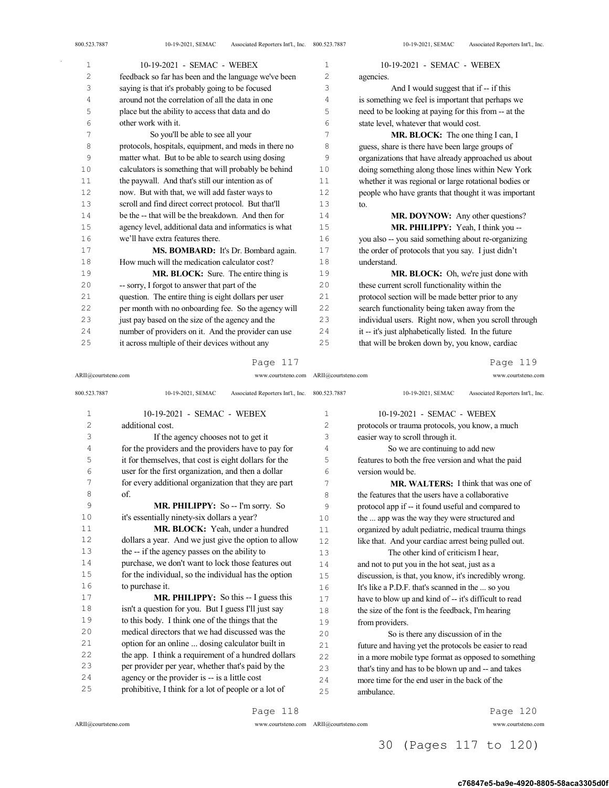800.523.7887 10-19-2021, SEMAC Associated Reporters Int'l., Inc.

| 1  | 10-19-2021 - SEMAC - WEBEX                            | 1  | 10-19-2021 - SEMAC - WEBEX                            |
|----|-------------------------------------------------------|----|-------------------------------------------------------|
| 2  | feedback so far has been and the language we've been  | 2  | agencies.                                             |
| 3  | saying is that it's probably going to be focused      | 3  | And I would suggest that if -- if this                |
| 4  | around not the correlation of all the data in one     | 4  | is something we feel is important that perhaps we     |
| 5  | place but the ability to access that data and do      | 5  | need to be looking at paying for this from -- at the  |
| 6  | other work with it.                                   | 6  | state level, whatever that would cost.                |
| 7  | So you'll be able to see all your                     | 7  | <b>MR. BLOCK:</b> The one thing I can, I              |
| 8  | protocols, hospitals, equipment, and meds in there no | 8  | guess, share is there have been large groups of       |
| 9  | matter what. But to be able to search using dosing    | 9  | organizations that have already approached us about   |
| 10 | calculators is something that will probably be behind | 10 | doing something along those lines within New York     |
| 11 | the paywall. And that's still our intention as of     | 11 | whether it was regional or large rotational bodies or |
| 12 | now. But with that, we will add faster ways to        | 12 | people who have grants that thought it was important  |
| 13 | scroll and find direct correct protocol. But that'll  | 13 | to.                                                   |
| 14 | be the -- that will be the breakdown. And then for    | 14 | MR. DOYNOW: Any other questions?                      |
| 15 | agency level, additional data and informatics is what | 15 | MR. PHILIPPY: Yeah, I think you --                    |
| 16 | we'll have extra features there.                      | 16 | you also -- you said something about re-organizing    |
| 17 | MS. BOMBARD: It's Dr. Bombard again.                  | 17 | the order of protocols that you say. I just didn't    |
| 18 | How much will the medication calculator cost?         | 18 | understand.                                           |
| 19 | MR. BLOCK: Sure. The entire thing is                  | 19 | MR. BLOCK: Oh, we're just done with                   |
| 20 | -- sorry, I forgot to answer that part of the         | 20 | these current scroll functionality within the         |
| 21 | question. The entire thing is eight dollars per user  | 21 | protocol section will be made better prior to any     |
| 22 | per month with no onboarding fee. So the agency will  | 22 | search functionality being taken away from the        |
| 23 | just pay based on the size of the agency and the      | 23 | individual users. Right now, when you scroll through  |
| 24 | number of providers on it. And the provider can use   | 24 | it -- it's just alphabetically listed. In the future  |
| 25 | it across multiple of their devices without any       | 25 | that will be broken down by, you know, cardiac        |

### Page 117

ARII@courtsteno.com www.courtsteno.com ARII@courtsteno.com www.courtsteno.com

Page 119

| 800.523.7887   | Associated Reporters Int'l., Inc.<br>10-19-2021, SEMAC | 800.523.7887   | Associated Reporters Int'l., Inc.<br>10-19-2021, SEMAC |
|----------------|--------------------------------------------------------|----------------|--------------------------------------------------------|
| $\mathbf 1$    | 10-19-2021 - SEMAC - WEBEX                             | 1              | 10-19-2021 - SEMAC - WEBEX                             |
| $\overline{c}$ | additional cost.                                       | $\overline{c}$ | protocols or trauma protocols, you know, a much        |
| 3              | If the agency chooses not to get it                    | 3              | easier way to scroll through it.                       |
| 4              | for the providers and the providers have to pay for    | 4              | So we are continuing to add new                        |
| 5              | it for themselves, that cost is eight dollars for the  | 5              | features to both the free version and what the paid    |
| 6              | user for the first organization, and then a dollar     | 6              | version would be.                                      |
| 7              | for every additional organization that they are part   | 7              | <b>MR. WALTERS:</b> I think that was one of            |
| 8              | of.                                                    | 8              | the features that the users have a collaborative       |
| 9              | MR. PHILIPPY: So -- I'm sorry. So                      | 9              | protocol app if -- it found useful and compared to     |
| 10             | it's essentially ninety-six dollars a year?            | 10             | the  app was the way they were structured and          |
| 11             | MR. BLOCK: Yeah, under a hundred                       | 11             | organized by adult pediatric, medical trauma things    |
| 12             | dollars a year. And we just give the option to allow   | 12.            | like that. And your cardiac arrest being pulled out.   |
| 13             | the -- if the agency passes on the ability to          | 13             | The other kind of criticism I hear,                    |
| 14             | purchase, we don't want to lock those features out     | 14             | and not to put you in the hot seat, just as a          |
| 15             | for the individual, so the individual has the option   | 15             | discussion, is that, you know, it's incredibly wrong.  |
| 16             | to purchase it.                                        | 16             | It's like a P.D.F. that's scanned in the  so you       |
| 17             | <b>MR. PHILIPPY:</b> So this -- I guess this           | 17             | have to blow up and kind of -- it's difficult to read  |
| 18             | isn't a question for you. But I guess I'll just say    | 18             | the size of the font is the feedback, I'm hearing      |
| 19             | to this body. I think one of the things that the       | 19             | from providers.                                        |
| 20             | medical directors that we had discussed was the        | 20             | So is there any discussion of in the                   |
| 21             | option for an online  dosing calculator built in       | 2.1            | future and having yet the protocols be easier to read  |
| 22             | the app. I think a requirement of a hundred dollars    | 2.2.           | in a more mobile type format as opposed to something   |
| 23             | per provider per year, whether that's paid by the      | 23             | that's tiny and has to be blown up and -- and takes    |
| 24             | agency or the provider is -- is a little cost          | 24             | more time for the end user in the back of the          |
| 25             | prohibitive, I think for a lot of people or a lot of   | 25             | ambulance.                                             |

ARII@courtsteno.com www.courtsteno.com

Page 120

ARII@courtsteno.com www.courtsteno.com

30 (Pages 117 to 120)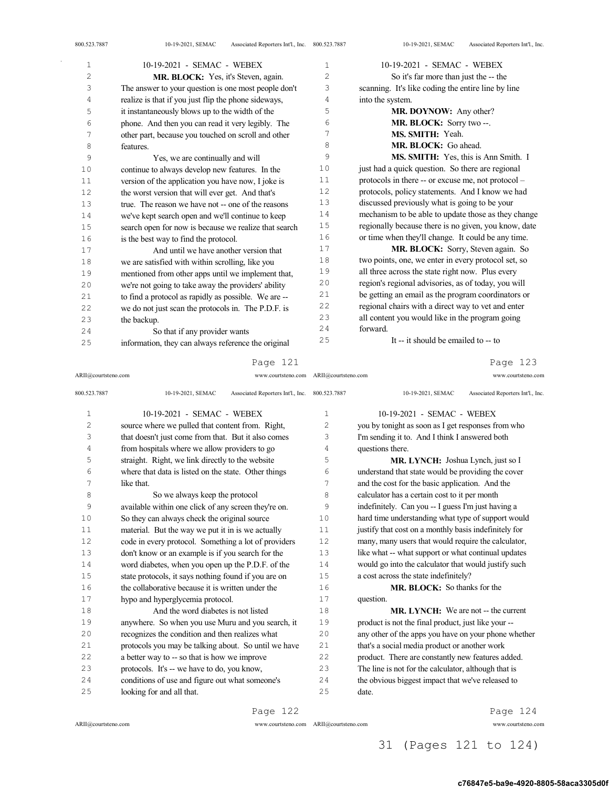| $\mathbf{1}$ | 10-19-2021 - SEMAC - WEBEX                            | $\mathbf{1}$   | 10-19-2021 - SEMAC - WEBEX                           |
|--------------|-------------------------------------------------------|----------------|------------------------------------------------------|
| 2            | MR. BLOCK: Yes, it's Steven, again.                   | $\overline{c}$ | So it's far more than just the -- the                |
| 3            | The answer to your question is one most people don't  | 3              | scanning. It's like coding the entire line by line   |
| 4            | realize is that if you just flip the phone sideways,  | 4              | into the system.                                     |
| 5            | it instantaneously blows up to the width of the       | 5              | MR. DOYNOW: Any other?                               |
| 6            | phone. And then you can read it very legibly. The     | 6              | MR. BLOCK: Sorry two --.                             |
| 7            | other part, because you touched on scroll and other   | 7              | MS. SMITH: Yeah.                                     |
| 8            | features.                                             | 8              | MR. BLOCK: Go ahead.                                 |
| 9            | Yes, we are continually and will                      | 9              | MS. SMITH: Yes, this is Ann Smith. I                 |
| 10           | continue to always develop new features. In the       | 10             | just had a quick question. So there are regional     |
| 11           | version of the application you have now, I joke is    | 11             | protocols in there -- or excuse me, not protocol -   |
| 12           | the worst version that will ever get. And that's      | 12             | protocols, policy statements. And I know we had      |
| 13           | true. The reason we have not -- one of the reasons    | 13             | discussed previously what is going to be your        |
| 14           | we've kept search open and we'll continue to keep     | 14             | mechanism to be able to update those as they change  |
| 15           | search open for now is because we realize that search | 15             | regionally because there is no given, you know, date |
| 16           | is the best way to find the protocol.                 | 16             | or time when they'll change. It could be any time.   |
| 17           | And until we have another version that                | 17             | MR. BLOCK: Sorry, Steven again. So                   |
| 18           | we are satisfied with within scrolling, like you      | 18             | two points, one, we enter in every protocol set, so  |
| 19           | mentioned from other apps until we implement that,    | 19             | all three across the state right now. Plus every     |
| 20           | we're not going to take away the providers' ability   | 20             | region's regional advisories, as of today, you will  |
| 21           | to find a protocol as rapidly as possible. We are --  | 21             | be getting an email as the program coordinators or   |
| 22           | we do not just scan the protocols in. The P.D.F. is   | 22             | regional chairs with a direct way to vet and enter   |
| 23           | the backup.                                           | 23             | all content you would like in the program going      |
| 24           | So that if any provider wants                         | 24             | forward.                                             |
| 25           | information, they can always reference the original   | 25             | It -- it should be emailed to -- to                  |
|              |                                                       |                |                                                      |

ARII@courtsteno.com www.courtsteno.com ARII@courtsteno.com www.courtsteno.com

Page 123

| 800.523.7887 | 10-19-2021, SEMAC<br>Associated Reporters Int'l., Inc. | 800.523.7887   | Associated Reporters Int'l., Inc.<br>10-19-2021, SEMAC |
|--------------|--------------------------------------------------------|----------------|--------------------------------------------------------|
| $\mathbf{1}$ | 10-19-2021 - SEMAC - WEBEX                             | 1              | 10-19-2021 - SEMAC - WEBEX                             |
| 2            | source where we pulled that content from. Right,       | $\overline{c}$ | you by tonight as soon as I get responses from who     |
| 3            | that doesn't just come from that. But it also comes    | 3              | I'm sending it to. And I think I answered both         |
| 4            | from hospitals where we allow providers to go          | 4              | questions there.                                       |
| 5            | straight. Right, we link directly to the website       | 5              | MR. LYNCH: Joshua Lynch, just so I                     |
| 6            | where that data is listed on the state. Other things   | 6              | understand that state would be providing the cover     |
| 7            | like that.                                             | 7              | and the cost for the basic application. And the        |
| 8            | So we always keep the protocol                         | 8              | calculator has a certain cost to it per month          |
| 9            | available within one click of any screen they're on.   | 9              | indefinitely. Can you -- I guess I'm just having a     |
| 10           | So they can always check the original source           | 10             | hard time understanding what type of support would     |
| 11           | material. But the way we put it in is we actually      | 11             | justify that cost on a monthly basis indefinitely for  |
| 12           | code in every protocol. Something a lot of providers   | 12.            | many, many users that would require the calculator,    |
| 13           | don't know or an example is if you search for the      | 13             | like what -- what support or what continual updates    |
| 14           | word diabetes, when you open up the P.D.F. of the      | 14             | would go into the calculator that would justify such   |
| 1.5          | state protocols, it says nothing found if you are on   | 1.5            | a cost across the state indefinitely?                  |
| 16           | the collaborative because it is written under the      | 16             | <b>MR. BLOCK:</b> So thanks for the                    |
| 17           | hypo and hyperglycemia protocol.                       | 17             | question.                                              |
| 18           | And the word diabetes is not listed                    | 18             | MR. LYNCH: We are not -- the current                   |
| 19           | anywhere. So when you use Muru and you search, it      | 19             | product is not the final product, just like your --    |
| 20           | recognizes the condition and then realizes what        | 20             | any other of the apps you have on your phone whether   |
| 21           | protocols you may be talking about. So until we have   | 21             | that's a social media product or another work          |
| 22           | a better way to -- so that is how we improve           | 22             | product. There are constantly new features added.      |
| 23           | protocols. It's -- we have to do, you know,            | 23             | The line is not for the calculator, although that is   |
| 24           | conditions of use and figure out what someone's        | 24             | the obvious biggest impact that we've released to      |
| 25           | looking for and all that.                              | 25             | date.                                                  |
|              |                                                        |                |                                                        |

Page 122

Page 124

ARII@courtsteno.com www.courtsteno.com

ARII@courtsteno.com www.courtsteno.com

31 (Pages 121 to 124)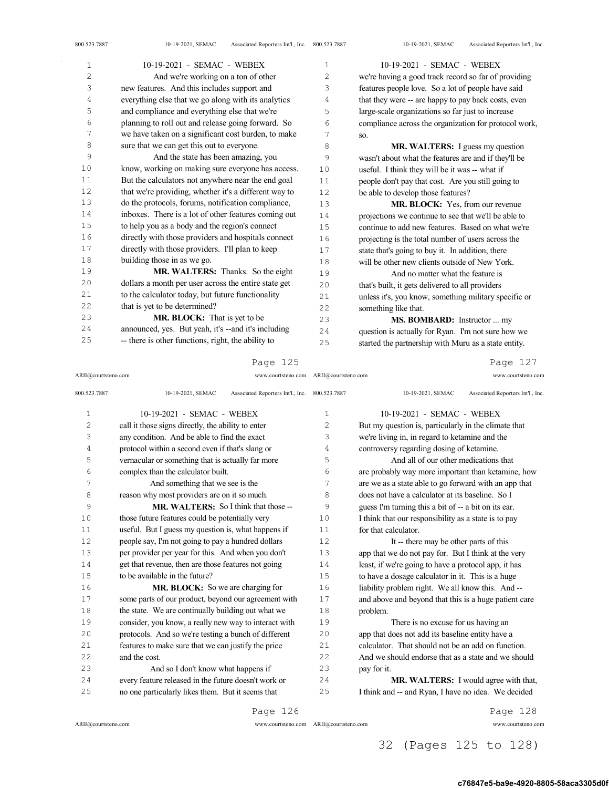| 1  | 10-19-2021 - SEMAC - WEBEX                            | 1   | 10-19-2021 - SEMAC - WEBEX                            |
|----|-------------------------------------------------------|-----|-------------------------------------------------------|
| 2  | And we're working on a ton of other                   | 2   | we're having a good track record so far of providing  |
| 3  | new features. And this includes support and           | 3   | features people love. So a lot of people have said    |
| 4  | everything else that we go along with its analytics   | 4   | that they were -- are happy to pay back costs, even   |
| 5  | and compliance and everything else that we're         | 5   | large-scale organizations so far just to increase     |
| 6  | planning to roll out and release going forward. So    | 6   | compliance across the organization for protocol work, |
| 7  | we have taken on a significant cost burden, to make   | 7   | SO.                                                   |
| 8  | sure that we can get this out to everyone.            | 8   | MR. WALTERS: I guess my question                      |
| 9  | And the state has been amazing, you                   | 9   | wasn't about what the features are and if they'll be  |
| 10 | know, working on making sure everyone has access.     | 10  | useful. I think they will be it was -- what if        |
| 11 | But the calculators not anywhere near the end goal    | 11  | people don't pay that cost. Are you still going to    |
| 12 | that we're providing, whether it's a different way to | 12  | be able to develop those features?                    |
| 13 | do the protocols, forums, notification compliance,    | 13  | MR. BLOCK: Yes, from our revenue                      |
| 14 | inboxes. There is a lot of other features coming out  | 14  | projections we continue to see that we'll be able to  |
| 15 | to help you as a body and the region's connect        | 15  | continue to add new features. Based on what we're     |
| 16 | directly with those providers and hospitals connect   | 16  | projecting is the total number of users across the    |
| 17 | directly with those providers. I'll plan to keep      | 17  | state that's going to buy it. In addition, there      |
| 18 | building those in as we go.                           | 18  | will be other new clients outside of New York.        |
| 19 | MR. WALTERS: Thanks. So the eight                     | 19  | And no matter what the feature is                     |
| 20 | dollars a month per user across the entire state get  | 20  | that's built, it gets delivered to all providers      |
| 21 | to the calculator today, but future functionality     | 21  | unless it's, you know, something military specific or |
| 22 | that is yet to be determined?                         | 22  | something like that.                                  |
| 23 | <b>MR. BLOCK:</b> That is yet to be                   | 23  | <b>MS. BOMBARD:</b> Instructor  my                    |
| 24 | announced, yes. But yeah, it's --and it's including   | 2.4 | question is actually for Ryan. I'm not sure how we    |
| 25 | -- there is other functions, right, the ability to    | 25  | started the partnership with Muru as a state entity.  |
|    |                                                       |     |                                                       |

ARII@courtsteno.com www.courtsteno.com

ARII@courtsteno.com www.courtsteno.com Page 127

| 800.523.7887   | 10-19-2021, SEMAC<br>Associated Reporters Int'l., Inc. 800.523.7887 |              | Associated Reporters Int'l., Inc.<br>10-19-2021, SEMAC |
|----------------|---------------------------------------------------------------------|--------------|--------------------------------------------------------|
| $\mathbf{1}$   | 10-19-2021 - SEMAC - WEBEX                                          | $\mathbf{1}$ | 10-19-2021 - SEMAC - WEBEX                             |
| $\overline{2}$ | call it those signs directly, the ability to enter                  | 2            | But my question is, particularly in the climate that   |
| 3              | any condition. And be able to find the exact                        | 3            | we're living in, in regard to ketamine and the         |
| 4              | protocol within a second even if that's slang or                    | 4            | controversy regarding dosing of ketamine.              |
| 5              | vernacular or something that is actually far more                   | 5            | And all of our other medications that                  |
| 6              | complex than the calculator built.                                  | 6            | are probably way more important than ketamine, how     |
| 7              | And something that we see is the                                    | 7            | are we as a state able to go forward with an app that  |
| 8              | reason why most providers are on it so much.                        | 8            | does not have a calculator at its baseline. So I       |
| 9              | MR. WALTERS: So I think that those --                               | 9            | guess I'm turning this a bit of -- a bit on its ear.   |
| 10             | those future features could be potentially very                     | 10           | I think that our responsibility as a state is to pay   |
| 11             | useful. But I guess my question is, what happens if                 | 11           | for that calculator.                                   |
| 12             | people say, I'm not going to pay a hundred dollars                  | 12           | It -- there may be other parts of this                 |
| 1.3            | per provider per year for this. And when you don't                  | 13           | app that we do not pay for. But I think at the very    |
| 14             | get that revenue, then are those features not going                 | 14           | least, if we're going to have a protocol app, it has   |
| 1.5            | to be available in the future?                                      | 1.5          | to have a dosage calculator in it. This is a huge      |
| 16             | MR. BLOCK: So we are charging for                                   | 16           | liability problem right. We all know this. And --      |
| 17             | some parts of our product, beyond our agreement with                | 17           | and above and beyond that this is a huge patient care  |
| 18             | the state. We are continually building out what we                  | 18           | problem.                                               |
| 19             | consider, you know, a really new way to interact with               | 19           | There is no excuse for us having an                    |
| 20             | protocols. And so we're testing a bunch of different                | 20           | app that does not add its baseline entity have a       |
| 21             | features to make sure that we can justify the price                 | 21           | calculator. That should not be an add on function.     |
| 22             | and the cost.                                                       | 2.2.         | And we should endorse that as a state and we should    |
| 23             | And so I don't know what happens if                                 | 23           | pay for it.                                            |
| 24             | every feature released in the future doesn't work or                | 24           | MR. WALTERS: I would agree with that,                  |
| 25             | no one particularly likes them. But it seems that                   | 25           | I think and -- and Ryan, I have no idea. We decided    |
|                | Page 126                                                            |              | Page 128                                               |

 $ARII@{\mbox{conrtsteno.com}}$ 

ARII@courtsteno.com www.courtsteno.com

32 (Pages 125 to 128)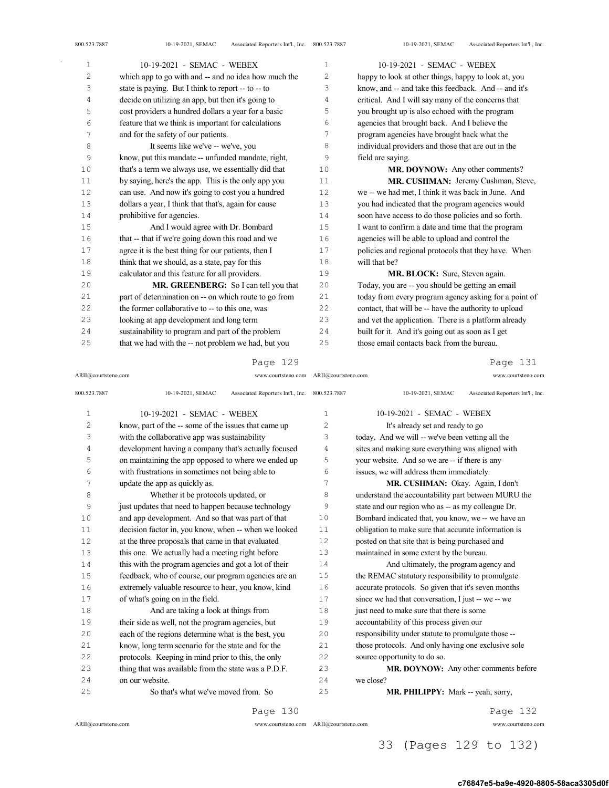| $\mathbf{1}$   | 10-19-2021 - SEMAC - WEBEX                            | 1              | 10-19-2021 - SEMAC - WEBEX                            |
|----------------|-------------------------------------------------------|----------------|-------------------------------------------------------|
| $\overline{c}$ | which app to go with and -- and no idea how much the  | $\overline{2}$ | happy to look at other things, happy to look at, you  |
| 3              | state is paying. But I think to report -- to -- to    | 3              | know, and -- and take this feedback. And -- and it's  |
| 4              | decide on utilizing an app, but then it's going to    | 4              | critical. And I will say many of the concerns that    |
| 5              | cost providers a hundred dollars a year for a basic   | 5              | you brought up is also echoed with the program        |
| 6              | feature that we think is important for calculations   | 6              | agencies that brought back. And I believe the         |
| 7              | and for the safety of our patients.                   | 7              | program agencies have brought back what the           |
| 8              | It seems like we've -- we've, you                     | 8              | individual providers and those that are out in the    |
| 9              | know, put this mandate -- unfunded mandate, right,    | 9              | field are saying.                                     |
| 10             | that's a term we always use, we essentially did that  | 10             | MR. DOYNOW: Any other comments?                       |
| 11             | by saying, here's the app. This is the only app you   | 11             | MR. CUSHMAN: Jeremy Cushman, Steve,                   |
| 12             | can use. And now it's going to cost you a hundred     | 12             | we -- we had met, I think it was back in June. And    |
| 13             | dollars a year, I think that that's, again for cause  | 13             | you had indicated that the program agencies would     |
| 14             | prohibitive for agencies.                             | 14             | soon have access to do those policies and so forth.   |
| 15             | And I would agree with Dr. Bombard                    | 15             | I want to confirm a date and time that the program    |
| 16             | that -- that if we're going down this road and we     | 16             | agencies will be able to upload and control the       |
| 17             | agree it is the best thing for our patients, then I   | 17             | policies and regional protocols that they have. When  |
| 18             | think that we should, as a state, pay for this        | 18             | will that he?                                         |
| 19             | calculator and this feature for all providers.        | 19             | MR. BLOCK: Sure, Steven again.                        |
| 20             | MR. GREENBERG: So I can tell you that                 | 20             | Today, you are -- you should be getting an email      |
| 21             | part of determination on -- on which route to go from | 21             | today from every program agency asking for a point of |
| 22             | the former collaborative to -- to this one, was       | 22             | contact, that will be -- have the authority to upload |
| 23             | looking at app development and long term              | 23             | and vet the application. There is a platform already  |
| 24             | sustainability to program and part of the problem     | 24             | built for it. And it's going out as soon as I get     |
| 25             | that we had with the -- not problem we had, but you   | 25             | those email contacts back from the bureau.            |

ARII@courtsteno.com www.courtsteno.com

### ARII@courtsteno.com www.courtsteno.com Page 131

| 800.523.7887   | Associated Reporters Int'l., Inc. 800.523.7887<br>10-19-2021, SEMAC |                | Associated Reporters Int'l., Inc.<br>10-19-2021, SEMAC |
|----------------|---------------------------------------------------------------------|----------------|--------------------------------------------------------|
| $\mathbf 1$    | 10-19-2021 - SEMAC - WEBEX                                          | 1              | 10-19-2021 - SEMAC - WEBEX                             |
| $\overline{c}$ | know, part of the -- some of the issues that came up                | $\overline{c}$ | It's already set and ready to go                       |
| 3              | with the collaborative app was sustainability                       | 3              | today. And we will -- we've been vetting all the       |
| $\overline{4}$ | development having a company that's actually focused                | 4              | sites and making sure everything was aligned with      |
| 5              | on maintaining the app opposed to where we ended up                 | 5              | your website. And so we are -- if there is any         |
| 6              | with frustrations in sometimes not being able to                    | 6              | issues, we will address them immediately.              |
| 7              | update the app as quickly as.                                       | 7              | MR. CUSHMAN: Okay. Again, I don't                      |
| 8              | Whether it be protocols updated, or                                 | 8              | understand the accountability part between MURU the    |
| 9              | just updates that need to happen because technology                 | 9              | state and our region who as -- as my colleague Dr.     |
| 10             | and app development. And so that was part of that                   | 10             | Bombard indicated that, you know, we -- we have an     |
| 11             | decision factor in, you know, when -- when we looked                | 11             | obligation to make sure that accurate information is   |
| 12             | at the three proposals that came in that evaluated                  | 12             | posted on that site that is being purchased and        |
| 13             | this one. We actually had a meeting right before                    | 13             | maintained in some extent by the bureau.               |
| 14             | this with the program agencies and got a lot of their               | 14             | And ultimately, the program agency and                 |
| 15             | feedback, who of course, our program agencies are an                | 15             | the REMAC statutory responsibility to promulgate       |
| 16             | extremely valuable resource to hear, you know, kind                 | 16             | accurate protocols. So given that it's seven months    |
| 17             | of what's going on in the field.                                    | 17             | since we had that conversation, I just -- we -- we     |
| 18             | And are taking a look at things from                                | 18             | just need to make sure that there is some              |
| 19             | their side as well, not the program agencies, but                   | 19             | accountability of this process given our               |
| 20             | each of the regions determine what is the best, you                 | 20             | responsibility under statute to promulgate those --    |
| 21             | know, long term scenario for the state and for the                  | 21             | those protocols. And only having one exclusive sole    |
| 22             | protocols. Keeping in mind prior to this, the only                  | 22             | source opportunity to do so.                           |
| 23             | thing that was available from the state was a P.D.F.                | 23             | MR. DOYNOW: Any other comments before                  |
| 24             | on our website.                                                     | 24             | we close?                                              |
| 25             | So that's what we've moved from. So                                 | 25             | MR. PHILIPPY: Mark -- yeah, sorry,                     |
|                |                                                                     |                |                                                        |

Page 130

ARII@courtsteno.com www.courtsteno.com

Page 132

ARII@courtsteno.com www.courtsteno.com

## 33 (Pages 129 to 132)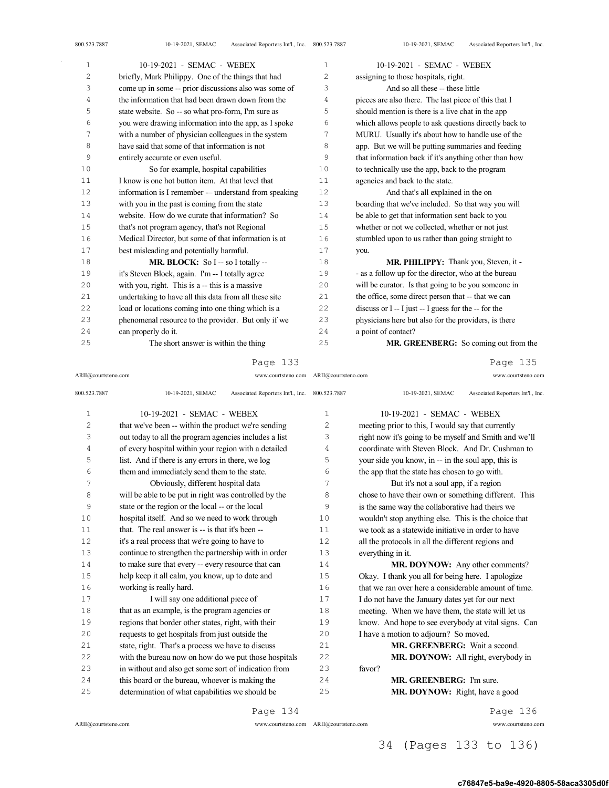| $\mathbf{1}$   | 10-19-2021 - SEMAC - WEBEX                            | 1              | 10-19-2021 - SEMAC - WEBEX                              |
|----------------|-------------------------------------------------------|----------------|---------------------------------------------------------|
| $\overline{c}$ | briefly, Mark Philippy. One of the things that had    | $\overline{c}$ | assigning to those hospitals, right.                    |
| 3              | come up in some -- prior discussions also was some of | 3              | And so all these -- these little                        |
| 4              | the information that had been drawn down from the     | 4              | pieces are also there. The last piece of this that I    |
| 5              | state website. So -- so what pro-form, I'm sure as    | 5              | should mention is there is a live chat in the app       |
| 6              | you were drawing information into the app, as I spoke | 6              | which allows people to ask questions directly back to   |
| 7              | with a number of physician colleagues in the system   | 7              | MURU. Usually it's about how to handle use of the       |
| 8              | have said that some of that information is not        | 8              | app. But we will be putting summaries and feeding       |
| 9              | entirely accurate or even useful.                     | 9              | that information back if it's anything other than how   |
| 10             | So for example, hospital capabilities                 | 10             | to technically use the app, back to the program         |
| 11             | I know is one hot button item. At that level that     | 11             | agencies and back to the state.                         |
| 12             | information is I remember - understand from speaking  | 12             | And that's all explained in the on                      |
| 13             | with you in the past is coming from the state         | 13             | boarding that we've included. So that way you will      |
| 14             | website. How do we curate that information? So        | 14             | be able to get that information sent back to you        |
| 15             | that's not program agency, that's not Regional        | 15             | whether or not we collected, whether or not just        |
| 16             | Medical Director, but some of that information is at  | 16             | stumbled upon to us rather than going straight to       |
| 17             | best misleading and potentially harmful.              | 17             | you.                                                    |
| 18             | MR. BLOCK: So I -- so I totally --                    | 18             | MR. PHILIPPY: Thank you, Steven, it -                   |
| 19             | it's Steven Block, again. I'm -- I totally agree      | 19             | - as a follow up for the director, who at the bureau    |
| 20             | with you, right. This is a -- this is a massive       | 20             | will be curator. Is that going to be you someone in     |
| 21             | undertaking to have all this data from all these site | 21             | the office, some direct person that -- that we can      |
| 22             | load or locations coming into one thing which is a    | 22             | discuss or $I - I$ just $- I$ guess for the $-$ for the |
| 23             | phenomenal resource to the provider. But only if we   | 23             | physicians here but also for the providers, is there    |
| 24             | can properly do it.                                   | 24             | a point of contact?                                     |
| 25             | The short answer is within the thing                  | 25             | MR. GREENBERG: So coming out from the                   |

ARII@courtsteno.com www.courtsteno.com ARII@courtsteno.com www.courtsteno.com

Page 135

| 800.523.7887   | Associated Reporters Int'l., Inc. 800.523.7887<br>10-19-2021, SEMAC |              | 10-19-2021, SEMAC<br>Associated Reporters Int'l., Inc. |
|----------------|---------------------------------------------------------------------|--------------|--------------------------------------------------------|
| $\mathbf{1}$   | 10-19-2021 - SEMAC - WEBEX                                          | $\mathbf{1}$ | 10-19-2021 - SEMAC - WEBEX                             |
| $\overline{c}$ | that we've been -- within the product we're sending                 | 2            | meeting prior to this, I would say that currently      |
| 3              | out today to all the program agencies includes a list               | 3            | right now it's going to be myself and Smith and we'll  |
| $\sqrt{4}$     | of every hospital within your region with a detailed                | 4            | coordinate with Steven Block. And Dr. Cushman to       |
| 5              | list. And if there is any errors in there, we log                   | 5            | your side you know, in -- in the soul app, this is     |
| 6              | them and immediately send them to the state.                        | 6            | the app that the state has chosen to go with.          |
| 7              | Obviously, different hospital data                                  | 7            | But it's not a soul app, if a region                   |
| 8              | will be able to be put in right was controlled by the               | 8            | chose to have their own or something different. This   |
| 9              | state or the region or the local -- or the local                    | 9            | is the same way the collaborative had theirs we        |
| 10             | hospital itself. And so we need to work through                     | 10           | wouldn't stop anything else. This is the choice that   |
| 11             | that. The real answer is -- is that it's been --                    | 11           | we took as a statewide initiative in order to have     |
| 12             | it's a real process that we're going to have to                     | 12           | all the protocols in all the different regions and     |
| 13             | continue to strengthen the partnership with in order                | 13           | everything in it.                                      |
| 14             | to make sure that every -- every resource that can                  | 14           | MR. DOYNOW: Any other comments?                        |
| 15             | help keep it all calm, you know, up to date and                     | 15           | Okay. I thank you all for being here. I apologize      |
| 16             | working is really hard.                                             | 16           | that we ran over here a considerable amount of time.   |
| 17             | I will say one additional piece of                                  | 17           | I do not have the January dates yet for our next       |
| 18             | that as an example, is the program agencies or                      | 18           | meeting. When we have them, the state will let us      |
| 19             | regions that border other states, right, with their                 | 19           | know. And hope to see everybody at vital signs. Can    |
| 20             | requests to get hospitals from just outside the                     | 20           | I have a motion to adjourn? So moved.                  |
| 21             | state, right. That's a process we have to discuss                   | 21           | MR. GREENBERG: Wait a second.                          |
| 22             | with the bureau now on how do we put those hospitals                | 22           | MR. DOYNOW: All right, everybody in                    |
| 23             | in without and also get some sort of indication from                | 23           | favor?                                                 |
| 24             | this board or the bureau, whoever is making the                     | 24           | <b>MR. GREENBERG:</b> I'm sure.                        |
| 25             | determination of what capabilities we should be                     | 25           | MR. DOYNOW: Right, have a good                         |
|                |                                                                     |              |                                                        |

Page 134

ARII@courtsteno.com www.courtsteno.com

Page 136

ARII@courtsteno.com www.courtsteno.com

## 34 (Pages 133 to 136)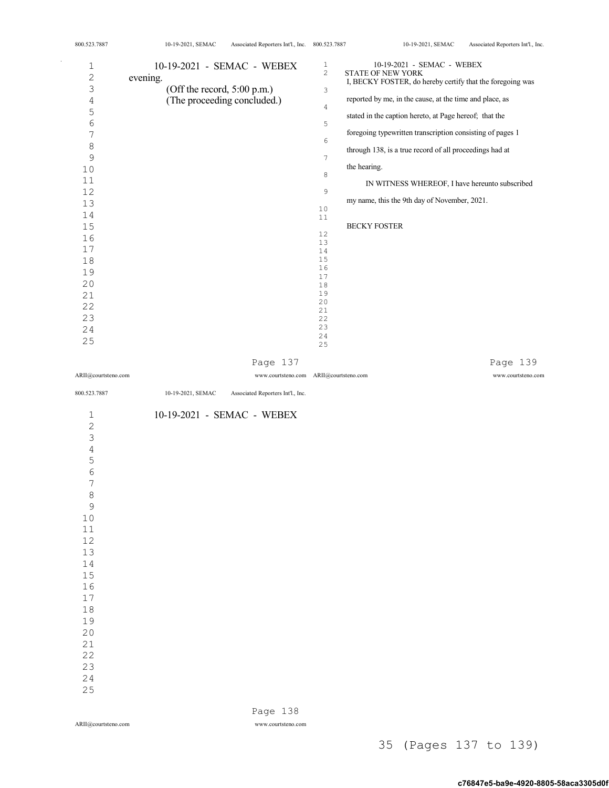| 1<br>$\overline{c}$<br>3<br>$\overline{4}$<br>5<br>$\sqrt{6}$<br>$\boldsymbol{7}$<br>$\,8\,$<br>$\mathsf 9$<br>$10$<br>11<br>12<br>13<br>14<br>15<br>16<br>17<br>18<br>19<br>20<br>21<br>22<br>23<br>24 | 10-19-2021 - SEMAC - WEBEX<br>evening.<br>(Off the record, 5:00 p.m.)<br>(The proceeding concluded.) | $\mathbf{1}$<br>$\overline{c}$<br>3<br>$\overline{4}$<br>5<br>6<br>$7\overline{ }$<br>8<br>9<br>10<br>11<br>12<br>13<br>14<br>15<br>16<br>17<br>18<br>19<br>20<br>21<br>22<br>23 | 10-19-2021 - SEMAC - WEBEX<br>STATE OF NEW YORK<br>I, BECKY FOSTER, do hereby certify that the foregoing was<br>reported by me, in the cause, at the time and place, as<br>stated in the caption hereto, at Page hereof; that the<br>foregoing typewritten transcription consisting of pages 1<br>through 138, is a true record of all proceedings had at<br>the hearing.<br>IN WITNESS WHEREOF, I have hereunto subscribed<br>my name, this the 9th day of November, 2021.<br>BECKY FOSTER |
|---------------------------------------------------------------------------------------------------------------------------------------------------------------------------------------------------------|------------------------------------------------------------------------------------------------------|----------------------------------------------------------------------------------------------------------------------------------------------------------------------------------|---------------------------------------------------------------------------------------------------------------------------------------------------------------------------------------------------------------------------------------------------------------------------------------------------------------------------------------------------------------------------------------------------------------------------------------------------------------------------------------------|
| 25                                                                                                                                                                                                      |                                                                                                      | 24<br>25                                                                                                                                                                         |                                                                                                                                                                                                                                                                                                                                                                                                                                                                                             |
|                                                                                                                                                                                                         | Page 137                                                                                             |                                                                                                                                                                                  | Page 139                                                                                                                                                                                                                                                                                                                                                                                                                                                                                    |
| ARII@courtsteno.com                                                                                                                                                                                     | www.courtsteno.com ARII@courtsteno.com                                                               |                                                                                                                                                                                  | www.courtsteno.com                                                                                                                                                                                                                                                                                                                                                                                                                                                                          |
| 800.523.7887                                                                                                                                                                                            | 10-19-2021, SEMAC<br>Associated Reporters Int'l., Inc.                                               |                                                                                                                                                                                  |                                                                                                                                                                                                                                                                                                                                                                                                                                                                                             |
| $\mathbf 1$<br>$\overline{c}$<br>$\mathfrak{Z}$<br>$\sqrt{4}$<br>5<br>6<br>7<br>8<br>9<br>10<br>$11\,$<br>12<br>13<br>14<br>15<br>16<br>$17$<br>18<br>19<br>20<br>21<br>22<br>23<br>24<br>25            | 10-19-2021 - SEMAC - WEBEX                                                                           |                                                                                                                                                                                  |                                                                                                                                                                                                                                                                                                                                                                                                                                                                                             |

800.523.7887 10-19-2021, SEMAC Associated Reporters Int'l., Inc. 800.523.7887 10-19-2021, SEMAC Associated Reporters Int'l., Inc.

 $\bar{z}$ 

Page 138

ARII@courtsteno.com www.courtsteno.com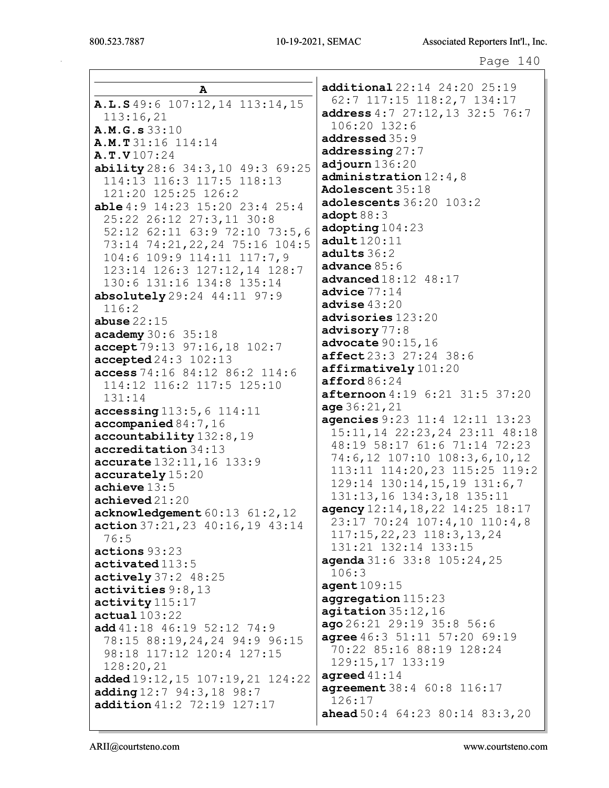|                                                  | additional 22:14 24:20 25:19                                      |
|--------------------------------------------------|-------------------------------------------------------------------|
| A                                                | 62:7 117:15 118:2,7 134:17                                        |
| A.L.S 49:6 107:12, 14 113:14, 15                 | address 4:7 27:12, 13 32:5 76:7                                   |
| 113:16,21                                        | 106:20 132:6                                                      |
| A.M.G.s 33:10                                    | addressed 35:9                                                    |
| <b>A.M.T</b> 31:16 114:14                        | addressing27:7                                                    |
| A.T.V107:24                                      | adjourn 136:20                                                    |
| ability 28:6 34:3, 10 49:3 69:25                 | administration $12:4$ , 8                                         |
| 114:13 116:3 117:5 118:13<br>121:20 125:25 126:2 | Adolescent 35:18                                                  |
| <b>able</b> 4:9 $14:23$ 15:20 23:4 25:4          | adolescents 36:20 103:2                                           |
| 25:22 26:12 27:3,11 30:8                         | $\texttt{adopt88:3}$                                              |
| 52:12 62:11 63:9 72:10 73:5,6                    | adopting 104:23                                                   |
| 73:14 74:21, 22, 24 75:16 104:5                  | adult120:11                                                       |
| 104:6 109:9 114:11 117:7,9                       | adults 36:2                                                       |
| 123:14 126:3 127:12,14 128:7                     | advance $85:6$                                                    |
| 130:6 131:16 134:8 135:14                        | <b>advanced</b> $18:12$ $48:17$                                   |
| absolutely $29:24$ $44:11$ $97:9$                | advice $77:14$                                                    |
| 116:2                                            | advise $43:20$                                                    |
| abuse $22:15$                                    | advisories 123:20                                                 |
| academy 30:6 35:18                               | advisory 77:8                                                     |
| accept 79:13 97:16,18 102:7                      | advocate $90:15,16$                                               |
| accepted 24:3 102:13                             | affect 23:3 27:24 38:6                                            |
| access 74:16 84:12 86:2 114:6                    | affirmatively 101:20                                              |
| 114:12 116:2 117:5 125:10                        | $\texttt{afford}\,86:24$                                          |
| 131:14                                           | afternoon 4:19 6:21 31:5 37:20                                    |
| accessing 113:5, 6 114:11                        | age 36:21,21                                                      |
| $\texttt{accompanied}\,84\!:\!7\text{,}16$       | agencies 9:23 11:4 12:11 13:23<br>15:11, 14 22:23, 24 23:11 48:18 |
| accountability 132:8, 19                         | 48:19 58:17 61:6 71:14 72:23                                      |
| accreditation 34:13                              | 74:6,12 107:10 108:3,6,10,12                                      |
| accurate 132:11, 16 133:9                        | 113:11 114:20,23 115:25 119:2                                     |
| accurately 15:20                                 | 129:14 130:14, 15, 19 131:6, 7                                    |
| achieve $13:5$<br>achieved 21:20                 | 131:13,16 134:3,18 135:11                                         |
| acknowledgement 60:13 61:2,12                    | agency 12:14, 18, 22 14:25 18:17                                  |
| action $37:21,23$ $40:16,19$ $43:14$             | 23:17 70:24 107:4,10 110:4,8                                      |
| 76:5                                             | 117:15, 22, 23 118:3, 13, 24                                      |
| actions 93:23                                    | 131:21 132:14 133:15                                              |
| activated 113:5                                  | agenda 31:6 33:8 105:24, 25                                       |
| $\texttt{actively} 37:2$ 48:25                   | 106:3                                                             |
| activities 9:8,13                                | agent109:15                                                       |
| activity 115:17                                  | aggregation 115:23                                                |
| actual 103:22                                    | agitation 35:12,16                                                |
| add $41:18$ $46:19$ $52:12$ $74:9$               | ago 26:21 29:19 35:8 56:6                                         |
| 78:15 88:19,24,24 94:9 96:15                     | agree 46:3 51:11 57:20 69:19                                      |
| 98:18 117:12 120:4 127:15                        | 70:22 85:16 88:19 128:24                                          |
| 128:20,21                                        | 129:15,17 133:19                                                  |
| added 19:12, 15 107:19, 21 124:22                | agreed $41:14$<br>agreement 38:4 60:8 116:17                      |
| adding 12:7 94:3, 18 98:7                        | 126:17                                                            |
| addition 41:2 72:19 127:17                       | <b>ahead</b> $50:4$ 64:23 80:14 83:3, 20                          |
|                                                  |                                                                   |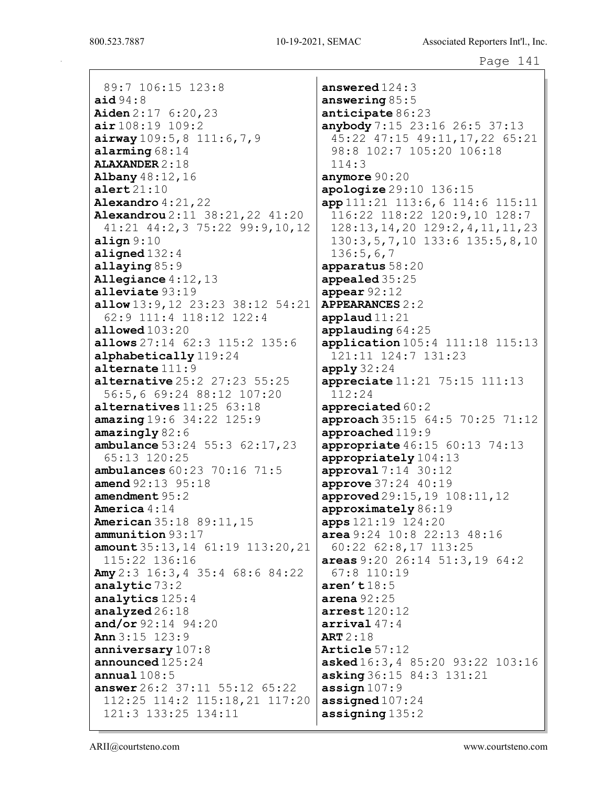800.523.7887

89:7 106:15 123:8 aid  $94:8$ **Aiden**  $2:17$  6:20,23  $air108:19 109:2$  $airway 109:5, 8 111:6, 7, 9$ alarming  $68:14$ **ALAXANDER 2:18** Albany 48:12, 16  $\texttt{alert21:10}$ Alexandro  $4:21,22$ Alexandrou 2:11 38:21, 22 41:20 41:21 44:2,3 75:22 99:9,10,12 align  $9:10$ aligned  $132:4$ allaying  $85:9$ Allegiance  $4:12,13$ alleviate  $93:19$ allow 13:9, 12 23:23 38:12 54:21 62:9 111:4 118:12 122:4 allowed  $103:20$ allows 27:14 62:3 115:2 135:6 alphabetically 119:24 alternate  $111:9$ **alternative**  $25:2$   $27:23$   $55:25$ 56:5,6 69:24 88:12 107:20 alternatives  $11:25$   $63:18$  $amazing 19:6 34:22 125:9$  $amazinqly82:6$ **ambulance**  $53:24$   $55:3$   $62:17$ , 23 65:13 120:25 ambulances  $60:23$  70:16 71:5 amend  $92:13$   $95:18$ amendment  $95:2$ America  $4:14$ **American** 35:18 89:11, 15 ammunition 93:17 amount  $35:13, 14$   $61:19$   $113:20, 21$ 115:22 136:16 **Amy** 2:3 16:3, 4 35:4 68:6 84:22 analytic 73:2 analytics  $125:4$ analyzed  $26:18$ and/or  $92:14$   $94:20$ Ann  $3:15$  123:9 anniversary  $107:8$ announced  $125:24$ annual  $108:5$ answer 26:2 37:11 55:12 65:22 112:25 114:2 115:18,21 117:20 121:3 133:25 134:11

answered  $124:3$ answering  $85:5$ anticipate 86:23 anybody 7:15 23:16 26:5 37:13 45:22 47:15 49:11, 17, 22 65:21 98:8 102:7 105:20 106:18  $114:3$ anymore  $90:20$ apologize 29:10 136:15 app 111:21 113:6, 6 114:6 115:11 116:22 118:22 120:9,10 128:7  $128:13, 14, 20$   $129:2, 4, 11, 11, 23$ 130:3,5,7,10 133:6 135:5,8,10  $136:5,6,7$ apparatus 58:20 appealed 35:25 appear  $92:12$ **APPEARANCES 2:2** applaud $11:21$  $applaudinq64:25$ application 105:4 111:18 115:13 121:11 124:7 131:23 apply  $32:24$ **appreciate**  $11:21$   $75:15$   $111:13$  $112:24$ appreciated  $60:2$ approach 35:15 64:5 70:25 71:12 approached 119:9 appropriate  $46:15$   $60:13$   $74:13$ appropriately 104:13  $approwal 7:14 30:12$ approve  $37:24$  40:19 approved 29:15, 19 108:11, 12 approximately 86:19 apps  $121:19$   $124:20$ area  $9:24$  10:8 22:13 48:16 60:22 62:8,17 113:25 areas  $9:20$  26:14 51:3,19 64:2 67:8 110:19  $\arcsin$ 't  $18:5$ arena  $92:25$  $\arcsin 120:12$  $\arrival$  47:4 ART  $2:18$ Article  $57:12$ asked 16:3, 4 85:20 93:22 103:16 **asking** 36:15 84:3 131:21 assign $107:9$ assigned  $107:24$ assigning  $135:2$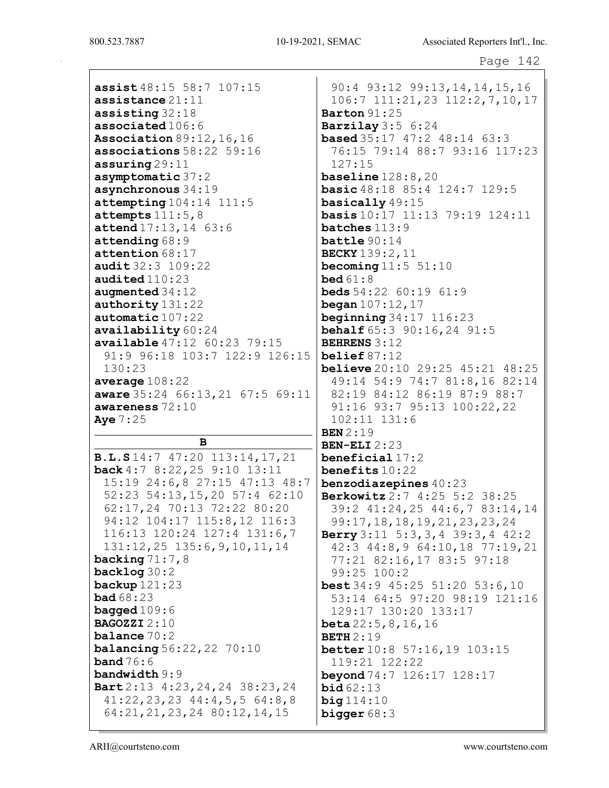assist 48:15 58:7 107:15 assistance 21:11 assisting 32:18 associated 106:6 Association 89:12,16,16 associations 58:22 59:16 assuring 29:11 asymptomatic 37:2 asynchronous 34:19 attempting 104:14 111:5 attempts  $111:5,8$ attend 17:13,14 63:6 attending 68:9 attention 68:17 audit 32:3 109:22 audited 110:23 augmented 34:12 authority 131:22 automatic 107:22 availability 60:24 available 47:12 60:23 79:15 91:9 96:18 103:7 122:9 126:15 130:23 average 108:22 aware 35:24 66:13,21 67:5 69:11 awareness 72:10 Aye 7:25

B B.L.S 14:7 47:20 113:14,17,21 back 4:7 8:22,25 9:10 13:11 15:19 24:6,8 27:15 47:13 48:7 52:23 54:13,15,20 57:4 62:10 62:17,24 70:13 72:22 80:20 94:12 104:17 115:8,12 116:3 116:13 120:24 127:4 131:6,7 131:12,25 135:6,9,10,11,14 backing  $71:7,8$ backlog 30:2 backup 121:23 bad 68:23 bagged  $109:6$ BAGOZZI 2:10 balance 70:2 **balancing** 56:22, 22 70:10 **band** 76:6 bandwidth 9:9 Bart 2:13 4:23,24,24 38:23,24 41:22,23,23 44:4,5,5 64:8,8 64:21,21,23,24 80:12,14,15

90:4 93:12 99:13,14,14,15,16 106:7 111:21,23 112:2,7,10,17 Barton 91:25 Barzilay 3:5 6:24 **based** 35:17 47:2 48:14 63:3 76:15 79:14 88:7 93:16 117:23 127:15 baseline 128:8,20 basic 48:18 85:4 124:7 129:5 basically 49:15 basis 10:17 11:13 79:19 124:11 batches 113:9 battle 90:14 BECKY 139:2,11 becoming  $11:5$   $51:10$ **bed** 61:8 **beds**  $54:22$   $60:19$   $61:9$ **began**  $107:12,17$ beginning 34:17 116:23 **behalf** 65:3 90:16,24 91:5 BEHRENS 3:12 belief 87:12 **believe** 20:10 29:25 45:21 48:25 49:14 54:9 74:7 81:8,16 82:14 82:19 84:12 86:19 87:9 88:7 91:16 93:7 95:13 100:22,22 102:11 131:6 BEN 2:19 BEN-ELI 2:23 beneficial 17:2 benefits 10:22 benzodiazepines 40:23 Berkowitz 2:7 4:25 5:2 38:25 39:2 41:24,25 44:6,7 83:14,14 99:17,18,18,19,21,23,23,24 Berry 3:11 5:3,3,4 39:3,4 42:2 42:3 44:8,9 64:10,18 77:19,21 77:21 82:16,17 83:5 97:18 99:25 100:2 best 34:9 45:25 51:20 53:6,10 53:14 64:5 97:20 98:19 121:16 129:17 130:20 133:17 beta 22:5,8,16,16 **BETH** 2:19 better 10:8 57:16,19 103:15 119:21 122:22 beyond 74:7 126:17 128:17 **bid** 62:13  $big 114:10$ bigger 68:3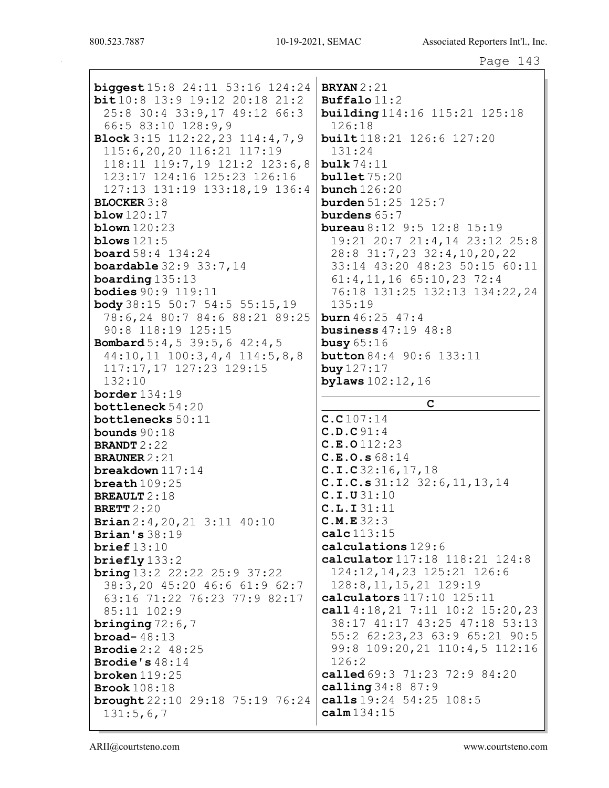| <b>biggest</b> $15:8$ 24:11 53:16 124:24<br>$bit10:8$ 13:9 19:12 20:18 21:2<br>25:8 30:4 33:9,17 49:12 66:3<br>66:5 83:10 128:9,9<br>Block $3:15$ 112:22, 23 114:4, 7, 9<br>115:6,20,20 116:21 117:19<br>118:11 119:7,19 121:2 123:6,8<br>123:17 124:16 125:23 126:16<br>127:13 131:19 133:18,19 136:4 | <b>BRYAN</b> 2:21<br>$\texttt{Buffalo11:2}$<br><b>building</b> 114:16 115:21 125:18<br>126:18<br><b>built</b> 118:21 126:6 127:20<br>131:24<br>bulk $74:11$<br>bullet 75:20<br>bunch $126:20$ |
|--------------------------------------------------------------------------------------------------------------------------------------------------------------------------------------------------------------------------------------------------------------------------------------------------------|-----------------------------------------------------------------------------------------------------------------------------------------------------------------------------------------------|
| <b>BLOCKER 3:8</b>                                                                                                                                                                                                                                                                                     | <b>burden</b> $51:25$ $125:7$                                                                                                                                                                 |
| blow $120:17$                                                                                                                                                                                                                                                                                          | burdens $65:7$                                                                                                                                                                                |
| blown $120:23$                                                                                                                                                                                                                                                                                         | <b>bureau</b> $8:12$ $9:5$ $12:8$ $15:19$                                                                                                                                                     |
| blows $121:5$                                                                                                                                                                                                                                                                                          | 19:21 20:7 21:4,14 23:12 25:8                                                                                                                                                                 |
| <b>board</b> $58:4$ $134:24$                                                                                                                                                                                                                                                                           | 28:8 31:7,23 32:4,10,20,22                                                                                                                                                                    |
| <b>boardable</b> $32:9$ $33:7,14$                                                                                                                                                                                                                                                                      | 33:14 43:20 48:23 50:15 60:11                                                                                                                                                                 |
| boarding $135:13$                                                                                                                                                                                                                                                                                      | $61:4, 11, 16$ $65:10, 23$ 72:4                                                                                                                                                               |
| <b>bodies</b> 90:9 119:11                                                                                                                                                                                                                                                                              | 76:18 131:25 132:13 134:22,24<br>135:19                                                                                                                                                       |
| <b>body</b> $38:15$ 50:7 54:5 55:15,19<br>78:6,24 80:7 84:6 88:21 89:25                                                                                                                                                                                                                                | <b>burn</b> $46:25$ $47:4$                                                                                                                                                                    |
| 90:8 118:19 125:15                                                                                                                                                                                                                                                                                     | business $47:19$ $48:8$                                                                                                                                                                       |
| <b>Bombard</b> $5:4, 5$ 39:5, 6 42:4, 5                                                                                                                                                                                                                                                                | busy $65:16$                                                                                                                                                                                  |
| $44:10, 11$ $100:3, 4, 4$ $114:5, 8, 8$                                                                                                                                                                                                                                                                | <b>button</b> 84:4 90:6 133:11                                                                                                                                                                |
| 117:17,17 127:23 129:15                                                                                                                                                                                                                                                                                | buy 127:17                                                                                                                                                                                    |
| 132:10                                                                                                                                                                                                                                                                                                 | bylaws 102:12, 16                                                                                                                                                                             |
| border $134:19$                                                                                                                                                                                                                                                                                        |                                                                                                                                                                                               |
|                                                                                                                                                                                                                                                                                                        |                                                                                                                                                                                               |
| bottleneck 54:20                                                                                                                                                                                                                                                                                       | C                                                                                                                                                                                             |
| bottlenecks 50:11                                                                                                                                                                                                                                                                                      | C.C107:14                                                                                                                                                                                     |
| bounds $90:18$                                                                                                                                                                                                                                                                                         | C.D.C91:4                                                                                                                                                                                     |
| <b>BRANDT</b> $2:22$                                                                                                                                                                                                                                                                                   | C.E.0112:23                                                                                                                                                                                   |
| <b>BRAUNER</b> $2:21$                                                                                                                                                                                                                                                                                  | C.E.O.s 68:14                                                                                                                                                                                 |
| breakdown $117:14$                                                                                                                                                                                                                                                                                     | C.I.C32:16, 17, 18                                                                                                                                                                            |
| breath $109:25$<br><b>BREAULT</b> $2:18$                                                                                                                                                                                                                                                               | C.I.C.s 31:12 32:6, 11, 13, 14<br>C.I.U31:10                                                                                                                                                  |
| BRETT $2:20$                                                                                                                                                                                                                                                                                           | C.L.I31:11                                                                                                                                                                                    |
| Brian 2:4, 20, 21 3:11 40:10                                                                                                                                                                                                                                                                           | C.M.E32:3                                                                                                                                                                                     |
| Brian's $38:19$                                                                                                                                                                                                                                                                                        | calc113:15                                                                                                                                                                                    |
| brief $13:10$                                                                                                                                                                                                                                                                                          | calculations 129:6                                                                                                                                                                            |
| briefly $133:2$                                                                                                                                                                                                                                                                                        | calculator 117:18 118:21 124:8                                                                                                                                                                |
| <b>bring</b> $13:2$ $22:22$ $25:9$ $37:22$                                                                                                                                                                                                                                                             | 124:12, 14, 23 125: 21 126: 6                                                                                                                                                                 |
| 38:3,20 45:20 46:6 61:9 62:7                                                                                                                                                                                                                                                                           | 128:8, 11, 15, 21 129:19                                                                                                                                                                      |
| 63:16 71:22 76:23 77:9 82:17                                                                                                                                                                                                                                                                           | calculators 117:10 125:11                                                                                                                                                                     |
| 85:11 102:9                                                                                                                                                                                                                                                                                            | call $4:18,21$ 7:11 $10:2$ 15:20,23<br>38:17 41:17 43:25 47:18 53:13                                                                                                                          |
| bringing $72:6,7$<br>broad- $48:13$                                                                                                                                                                                                                                                                    | 55:2 62:23,23 63:9 65:21 90:5                                                                                                                                                                 |
| <b>Brodie</b> $2:2$ 48:25                                                                                                                                                                                                                                                                              | 99:8 109:20,21 110:4,5 112:16                                                                                                                                                                 |
| <b>Brodie's</b> $48:14$                                                                                                                                                                                                                                                                                | 126:2                                                                                                                                                                                         |
| broken $119:25$                                                                                                                                                                                                                                                                                        | called 69:3 71:23 72:9 84:20                                                                                                                                                                  |
| <b>Brook</b> 108:18                                                                                                                                                                                                                                                                                    | calling 34:8 87:9                                                                                                                                                                             |
| brought $22:10$ 29:18 75:19 76:24<br>131:5,6,7                                                                                                                                                                                                                                                         | calls 19:24 54:25 108:5<br>$calm$ 134:15                                                                                                                                                      |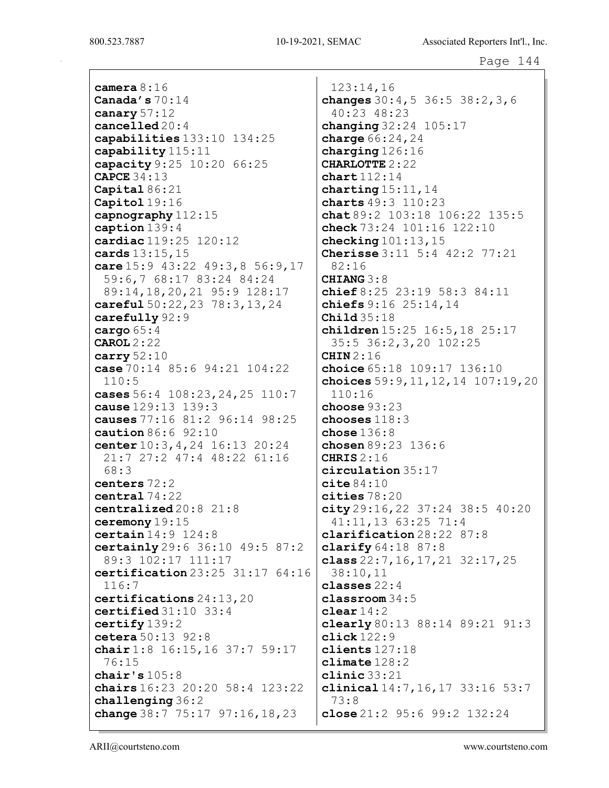camera 8:16 Canada's 70:14 canary 57:12 cancelled 20:4 capabilities 133:10 134:25 capability 115:11 capacity 9:25 10:20 66:25 CAPCE 34:13 Capital 86:21 Capitol 19:16 capnography 112:15 caption 139:4 cardiac 119:25 120:12 cards 13:15,15 care 15:9 43:22 49:3,8 56:9,17 59:6,7 68:17 83:24 84:24 89:14,18,20,21 95:9 128:17 careful 50:22,23 78:3,13,24 carefully 92:9 cargo 65:4 CAROL 2:22 carry 52:10 case 70:14 85:6 94:21 104:22 110:5 cases 56:4 108:23,24,25 110:7 cause 129:13 139:3 causes 77:16 81:2 96:14 98:25 caution 86:6 92:10 center 10:3,4,24 16:13 20:24 21:7 27:2 47:4 48:22 61:16 68:3 centers 72:2 central 74:22 centralized 20:8 21:8 ceremony 19:15 certain 14:9 124:8 certainly 29:6 36:10 49:5 87:2 89:3 102:17 111:17 certification 23:25 31:17 64:16 116:7 certifications 24:13,20 certified 31:10 33:4 certify 139:2 cetera 50:13 92:8 chair 1:8 16:15, 16 37:7 59:17 76:15 chair's 105:8 chairs 16:23 20:20 58:4 123:22 challenging 36:2 change 38:7 75:17 97:16, 18, 23

123:14,16 changes 30:4,5 36:5 38:2,3,6 40:23 48:23 changing 32:24 105:17 charge  $66:24,24$ charging 126:16 CHARLOTTE 2:22 chart 112:14 charting  $15:11,14$ charts 49:3 110:23 chat  $89:2$  103:18 106:22 135:5 check  $73:24$   $101:16$   $122:10$ checking  $101:13$ ,  $15$ Cherisse 3:11 5:4 42:2 77:21 82:16 CHIANG 3:8 chief 8:25 23:19 58:3 84:11 chiefs 9:16 25:14,14 Child 35:18 children 15:25 16:5,18 25:17 35:5 36:2,3,20 102:25 CHIN 2:16 choice 65:18 109:17 136:10 choices 59:9,11,12,14 107:19,20 110:16 choose 93:23 chooses 118:3  $$ chosen 89:23 136:6 CHRIS 2:16 circulation 35:17  $cite84:10$ cities 78:20 city 29:16,22 37:24 38:5 40:20 41:11,13 63:25 71:4 clarification 28:22 87:8 clarify 64:18 87:8 class  $22:7,16,17,21$   $32:17,25$ 38:10,11 classes 22:4 classroom 34:5 clear  $14:2$ clearly 80:13 88:14 89:21 91:3  $click122:9$ clients 127:18 climate  $128:2$ clinic 33:21 clinical 14:7,16,17 33:16 53:7 73:8 close 21:2 95:6 99:2 132:24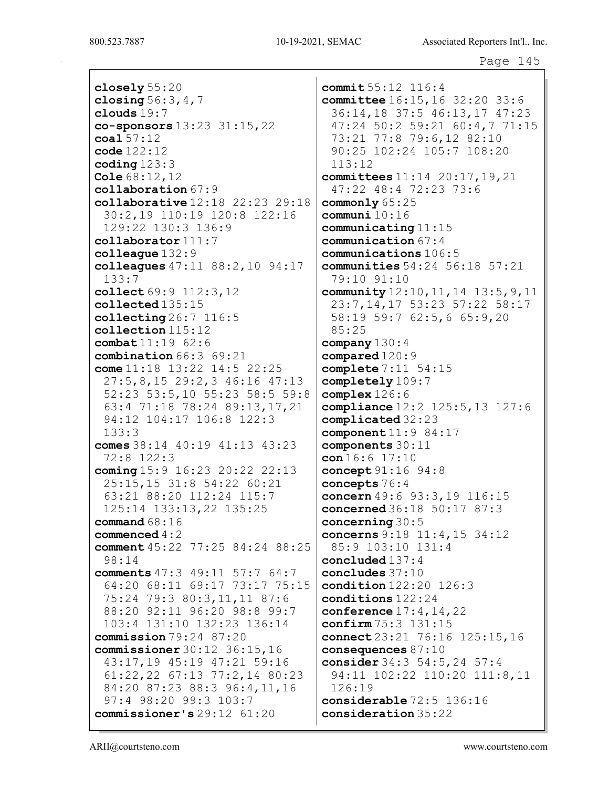800.523.7887

closely  $55:20$ closing  $56:3, 4, 7$ clouds  $19:7$ co-sponsors 13:23 31:15, 22  $\cosh 57:12$  $code 122:12$ coding  $123:3$ Cole  $68:12,12$  $\texttt{collaboration} 67:9$ collaborative  $12:18$   $22:23$   $29:18$ 30:2,19 110:19 120:8 122:16  $129:22$   $130:3$   $136:9$ collaborator 111:7 colleague  $132:9$ colleagues  $47:11$   $88:2,10$   $94:17$  $133:7$ collect 69:9 112:3, 12  $\texttt{collected}135\text{:}15$ collecting  $26:7$  116:5  $\text{collection}$  115:12 combat 11:19 62:6 combination 66:3 69:21 come  $11:18$   $13:22$   $14:5$   $22:25$  $27:5, 8, 15$  29:2,3 46:16 47:13 52:23 53:5,10 55:23 58:5 59:8 63:4 71:18 78:24 89:13,17,21 94:12 104:17 106:8 122:3  $133:3$ comes  $38:14$  40:19 41:13 43:23 72:8 122:3 coming  $15:9$   $16:23$   $20:22$   $22:13$ 25:15,15 31:8 54:22 60:21 63:21 88:20 112:24 115:7 125:14 133:13,22 135:25 command  $68:16$ commenced  $4:2$ comment  $45:22$  77:25 84:24 88:25  $98:14$ comments 47:3 49:11 57:7 64:7 64:20 68:11 69:17 73:17 75:15 75:24 79:3 80:3,11,11 87:6 88:20 92:11 96:20 98:8 99:7 103:4 131:10 132:23 136:14 commission  $79:24$   $87:20$ **commissioner**  $30:12$   $36:15,16$ 43:17,19 45:19 47:21 59:16  $61:22, 22$   $67:13$   $77:2, 14$   $80:23$ 84:20 87:23 88:3 96:4,11,16 97:4 98:20 99:3 103:7 commissioner's  $29:12$   $61:20$ 

commit  $55:12$   $116:4$ committee 16:15, 16 32:20 33:6 36:14,18 37:5 46:13,17 47:23 47:24 50:2 59:21 60:4,7 71:15 73:21 77:8 79:6,12 82:10 90:25 102:24 105:7 108:20  $113:12$ committees 11:14 20:17, 19, 21 47:22 48:4 72:23 73:6 commonly  $65:25$ communi $10:16$  $$ communication 67:4 communications  $106:5$ communities  $54:24$   $56:18$   $57:21$ 79:10 91:10 community 12:10, 11, 14 13:5, 9, 11 23:7, 14, 17 53: 23 57: 22 58: 17 58:19 59:7 62:5,6 65:9,20  $85:25$ company  $130:4$  $compared 120:9$ **complete**  $7:11 \ 54:15$ completely 109:7  $complex$  126:6 compliance  $12:2$   $125:5$ ,  $13$   $127:6$ complicated 32:23 component  $11:9$  84:17 components 30:11  $con16:6$   $17:10$ concept 91:16 94:8 concepts  $76:4$ concern  $49:6$   $93:3,19$   $116:15$ concerned 36:18 50:17 87:3 concerning  $30:5$ concerns 9:18 11:4,15 34:12 85:9 103:10 131:4 concluded  $137:4$ concludes  $37:10$ condition  $122:20$   $126:3$  $conditions 122:24$ conference  $17:4$ ,  $14$ ,  $22$ confirm 75:3 131:15 connect 23:21 76:16 125:15,16 consequences  $87:10$ consider 34:3 54:5, 24 57:4 94:11 102:22 110:20 111:8,11  $126:19$ considerable 72:5 136:16 consideration 35:22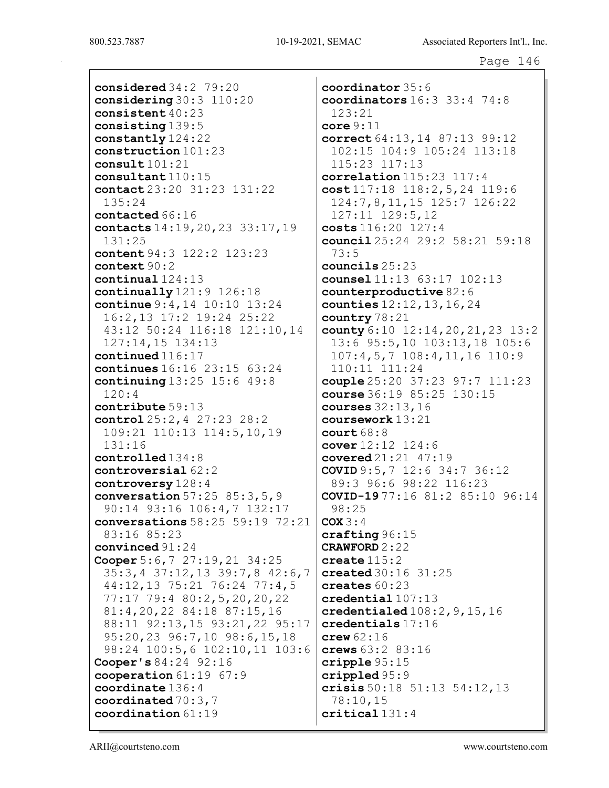considered 34:2 79:20 considering 30:3 110:20 consistent 40:23 consisting 139:5 constantly 124:22 construction 101:23 consult 101:21 consultant 110:15 contact 23:20 31:23 131:22 135:24 contacted 66:16 contacts 14:19,20,23 33:17,19 131:25 content 94:3 122:2 123:23 context 90:2 continual 124:13 continually 121:9 126:18 continue 9:4,14 10:10 13:24 16:2,13 17:2 19:24 25:22 43:12 50:24 116:18 121:10,14 127:14,15 134:13 continued 116:17 continues 16:16 23:15 63:24 continuing 13:25 15:6 49:8 120:4 contribute 59:13 control 25:2,4 27:23 28:2 109:21 110:13 114:5,10,19 131:16 controlled 134:8 controversial 62:2 controversy 128:4 conversation 57:25 85:3,5,9 90:14 93:16 106:4,7 132:17 conversations 58:25 59:19 72:21 83:16 85:23 convinced 91:24 Cooper 5:6,7 27:19,21 34:25 35:3,4 37:12,13 39:7,8 42:6,7 44:12,13 75:21 76:24 77:4,5 77:17 79:4 80:2,5,20,20,22 81:4,20,22 84:18 87:15,16 88:11 92:13,15 93:21,22 95:17 95:20,23 96:7,10 98:6,15,18 98:24 100:5,6 102:10,11 103:6 Cooper's 84:24 92:16 cooperation 61:19 67:9 coordinate 136:4 coordinated 70:3,7 coordination 61:19

coordinator 35:6 coordinators 16:3 33:4 74:8  $123:21$ core  $9:11$ correct 64:13,14 87:13 99:12 102:15 104:9 105:24 113:18 115:23 117:13 correlation 115:23 117:4 cost 117:18 118:2,5,24 119:6 124:7,8,11,15 125:7 126:22 127:11 129:5,12 costs 116:20 127:4 council 25:24 29:2 58:21 59:18 73:5 councils 25:23 counsel 11:13 63:17 102:13 counterproductive 82:6 counties  $12:12,13,16,24$ country 78:21 county 6:10 12:14, 20, 21, 23 13:2 13:6 95:5,10 103:13,18 105:6 107:4,5,7 108:4,11,16 110:9 110:11 111:24 couple 25:20 37:23 97:7 111:23 course 36:19 85:25 130:15 courses 32:13,16 coursework 13:21  $court 68:8$ cover  $12:12 \ 124:6$ covered 21:21 47:19 COVID 9:5,7 12:6 34:7 36:12 89:3 96:6 98:22 116:23 COVID-19 77:16 81:2 85:10 96:14 98:25  $COX 3:4$ crafting 96:15 CRAWFORD 2:22 create 115:2 created 30:16 31:25 creates 60:23 credential 107:13 credentialed  $108:2, 9, 15, 16$ credentials 17:16  $c$ rew  $62:16$ crews 63:2 83:16 cripple 95:15 crippled 95:9 crisis 50:18 51:13 54:12,13 78:10,15 critical 131:4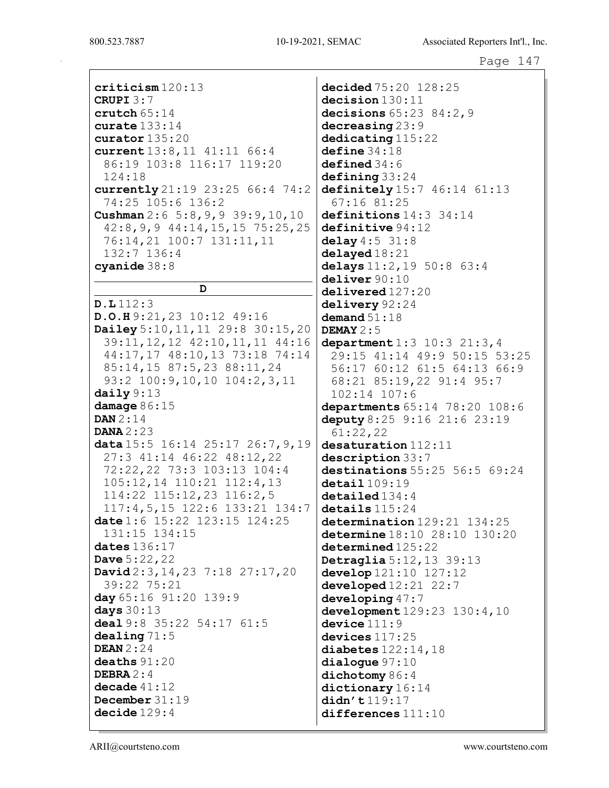criticism 120:13 CRUPI 3:7 crutch 65:14 curate 133:14 curator 135:20 current 13:8,11 41:11 66:4 86:19 103:8 116:17 119:20 124:18 currently 21:19 23:25 66:4 74:2 74:25 105:6 136:2 Cushman 2:6 5:8,9,9 39:9,10,10 42:8,9,9 44:14,15,15 75:25,25 76:14,21 100:7 131:11,11 132:7 136:4 cyanide 38:8 D D.L 112:3 D.O.H 9:21,23 10:12 49:16 Dailey 5:10,11,11 29:8 30:15,20 39:11,12,12 42:10,11,11 44:16 44:17,17 48:10,13 73:18 74:14 85:14,15 87:5,23 88:11,24 93:2 100:9,10,10 104:2,3,11 daily 9:13 damage 86:15 DAN 2:14 DANA 2:23 data 15:5 16:14 25:17 26:7, 9, 19 27:3 41:14 46:22 48:12,22 72:22,22 73:3 103:13 104:4 105:12,14 110:21 112:4,13 114:22 115:12,23 116:2,5 117:4,5,15 122:6 133:21 134:7 date 1:6 15:22 123:15 124:25 131:15 134:15 dates 136:17 Dave 5:22,22 David 2:3,14,23 7:18 27:17,20 39:22 75:21 day 65:16 91:20 139:9 days  $30:13$ deal 9:8 35:22 54:17 61:5 dealing 71:5 DEAN 2:24 deaths 91:20 DEBRA 2:4 decade 41:12 December 31:19 decide 129:4

decided 75:20 128:25 decision 130:11 decisions 65:23 84:2,9 decreasing 23:9 dedicating  $115:22$  $define$  34:18 defined 34:6  $defining 33:24$ definitely 15:7 46:14 61:13 67:16 81:25 definitions  $14:3$  34:14 definitive 94:12 delay  $4:5$  31:8  $delayed 18:21$ delays 11:2,19 50:8 63:4 deliver 90:10 delivered 127:20 delivery 92:24 demand  $51:18$ DEMAY 2:5 department 1:3 10:3 21:3, 4 29:15 41:14 49:9 50:15 53:25 56:17 60:12 61:5 64:13 66:9 68:21 85:19,22 91:4 95:7 102:14 107:6 departments 65:14 78:20 108:6 deputy 8:25 9:16 21:6 23:19 61:22,22 desaturation 112:11 description 33:7 destinations 55:25 56:5 69:24  $\det$ ail  $109:19$ detailed 134:4  $\texttt{details}$   $115:24$ determination 129:21 134:25 determine 18:10 28:10 130:20 determined  $125:22$ Detraglia 5:12,13 39:13 develop  $121:10$   $127:12$ developed 12:21 22:7 developing 47:7 development 129:23 130:4,10 device  $111:9$ devices 117:25 diabetes 122:14,18 dialogue 97:10 dichotomy 86:4 dictionary 16:14 didn't 119:17 differences 111:10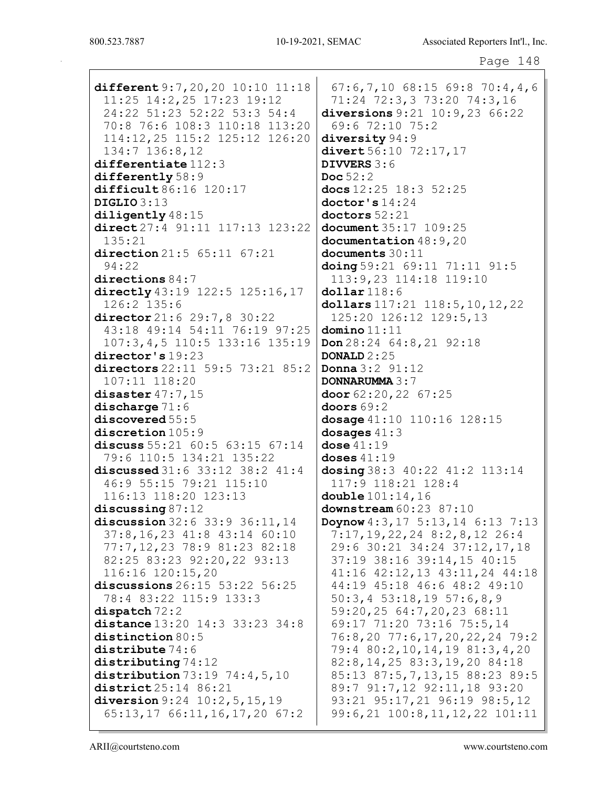Page 148

different 9:7,20,20 10:10 11:18 11:25 14:2,25 17:23 19:12 24:22 51:23 52:22 53:3 54:4 70:8 76:6 108:3 110:18 113:20 114:12,25 115:2 125:12 126:20 134:7 136:8,12 differentiate 112:3 differently  $58:9$ difficult 86:16 120:17 DIGLIO 3:13 diligently  $48:15$ direct 27:4 91:11 117:13 123:22 135:21 direction 21:5 65:11 67:21 94:22 directions 84:7 directly 43:19 122:5 125:16,17 126:2 135:6 director 21:6 29:7, 8 30:22 43:18 49:14 54:11 76:19 97:25 107:3,4,5 110:5 133:16 135:19 director's 19:23 directors 22:11 59:5 73:21 85:2 107:11 118:20 disaster 47:7,15 discharge  $71:6$ discovered 55:5 discretion  $105:9$ discuss 55:21 60:5 63:15 67:14 79:6 110:5 134:21 135:22 discussed 31:6 33:12 38:2 41:4 46:9 55:15 79:21 115:10 116:13 118:20 123:13 discussing 87:12 discussion 32:6 33:9 36:11,14 37:8,16,23 41:8 43:14 60:10 77:7,12,23 78:9 81:23 82:18 82:25 83:23 92:20,22 93:13 116:16 120:15,20 discussions 26:15 53:22 56:25 78:4 83:22 115:9 133:3 dispatch 72:2 distance 13:20 14:3 33:23 34:8 distinction 80:5 distribute  $74:6$ distributing 74:12 distribution 73:19 74:4,5,10 district 25:14 86:21 diversion 9:24 10:2, 5, 15, 19 65:13,17 66:11,16,17,20 67:2

67:6,7,10 68:15 69:8 70:4,4,6 71:24 72:3,3 73:20 74:3,16 diversions 9:21 10:9,23 66:22 69:6 72:10 75:2 diversity  $94:9$ divert 56:10 72:17, 17 DIVVERS 3:6 Doc  $52:2$ docs 12:25 18:3 52:25 doctor's 14:24  $dotors 52:21$ document 35:17 109:25 documentation  $48:9,20$ documents 30:11 doing 59:21 69:11 71:11 91:5 113:9,23 114:18 119:10 dollar 118:6 dollars 117:21 118:5,10,12,22 125:20 126:12 129:5,13  $domino 11:11$ Don 28:24 64:8,21 92:18 DONALD 2:25 Donna 3:2 91:12 DONNARUMMA 3:7 door 62:20,22 67:25 doors  $69:2$ dosage 41:10 110:16 128:15 dosages 41:3 dose 41:19 doses 41:19 dosing 38:3 40:22 41:2 113:14 117:9 118:21 128:4 double 101:14,16 downstream  $60:23$  87:10 Doynow 4:3,17 5:13,14 6:13 7:13 7:17,19,22,24 8:2,8,12 26:4 29:6 30:21 34:24 37:12,17,18 37:19 38:16 39:14,15 40:15 41:16 42:12,13 43:11,24 44:18 44:19 45:18 46:6 48:2 49:10 50:3,4 53:18,19 57:6,8,9 59:20,25 64:7,20,23 68:11 69:17 71:20 73:16 75:5,14 76:8,20 77:6,17,20,22,24 79:2 79:4 80:2,10,14,19 81:3,4,20 82:8,14,25 83:3,19,20 84:18 85:13 87:5,7,13,15 88:23 89:5 89:7 91:7,12 92:11,18 93:20 93:21 95:17,21 96:19 98:5,12 99:6,21 100:8,11,12,22 101:11

ARII@courtsteno.com www.courtsteno.com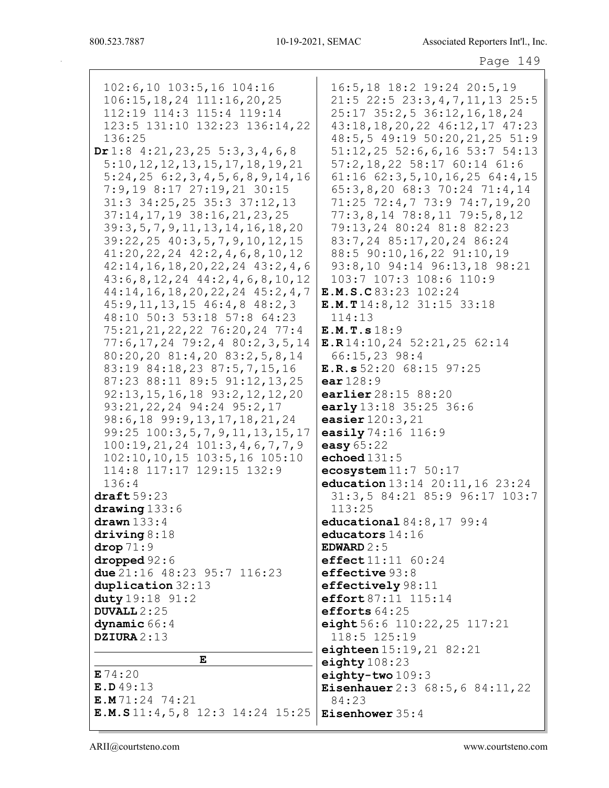102:6,10 103:5,16 104:16 106:15,18,24 111:16,20,25 112:19 114:3 115:4 119:14 123:5 131:10 132:23 136:14,22 136:25 Dr 1:8 4:21,23,25 5:3,3,4,6,8 5:10,12,12,13,15,17,18,19,21 5:24,25 6:2,3,4,5,6,8,9,14,16 7:9,19 8:17 27:19,21 30:15 31:3 34:25,25 35:3 37:12,13 37:14,17,19 38:16,21,23,25 39:3,5,7,9,11,13,14,16,18,20 39:22,25 40:3,5,7,9,10,12,15 41:20,22,24 42:2,4,6,8,10,12 42:14,16,18,20,22,24 43:2,4,6 43:6,8,12,24 44:2,4,6,8,10,12 44:14,16,18,20,22,24 45:2,4,7 45:9,11,13,15 46:4,8 48:2,3 48:10 50:3 53:18 57:8 64:23 75:21,21,22,22 76:20,24 77:4 77:6,17,24 79:2,4 80:2,3,5,14 80:20,20 81:4,20 83:2,5,8,14 83:19 84:18,23 87:5,7,15,16 87:23 88:11 89:5 91:12,13,25 92:13,15,16,18 93:2,12,12,20 93:21,22,24 94:24 95:2,17 98:6,18 99:9,13,17,18,21,24 99:25 100:3,5,7,9,11,13,15,17 100:19,21,24 101:3,4,6,7,7,9 102:10,10,15 103:5,16 105:10 114:8 117:17 129:15 132:9 136:4  $draff 59:23$ drawing 133:6 drawn  $133:4$ driving 8:18 drop 71:9 dropped 92:6 due 21:16 48:23 95:7 116:23 duplication 32:13 duty 19:18 91:2 DUVALL  $2:25$ dynamic 66:4 DZIURA 2:13 E E 74:20 **E.D** 49:13 E.M 71:24 74:21 E.M.S 11:4,5,8 12:3 14:24 15:25 16:5,18 18:2 19:24 20:5,19 21:5 22:5 23:3,4,7,11,13 25:5 25:17 35:2,5 36:12,16,18,24 43:18,18,20,22 46:12,17 47:23 48:5,5 49:19 50:20,21,25 51:9 51:12,25 52:6,6,16 53:7 54:13 57:2,18,22 58:17 60:14 61:6 61:16 62:3,5,10,16,25 64:4,15 65:3,8,20 68:3 70:24 71:4,14 71:25 72:4,7 73:9 74:7,19,20 77:3,8,14 78:8,11 79:5,8,12 79:13,24 80:24 81:8 82:23 83:7,24 85:17,20,24 86:24 88:5 90:10,16,22 91:10,19 93:8,10 94:14 96:13,18 98:21 103:7 107:3 108:6 110:9 E.M.S.C 83:23 102:24 E.M.T 14:8,12 31:15 33:18 114:13 E.M.T.s 18:9 E.R 14:10,24 52:21,25 62:14 66:15,23 98:4 E.R.s 52:20 68:15 97:25 ear  $128:9$ earlier 28:15 88:20 early 13:18 35:25 36:6 easier 120:3,21 easily 74:16 116:9 easy  $65:22$ echoed  $131:5$ ecosystem  $11:7$  50:17 education 13:14 20:11,16 23:24 31:3,5 84:21 85:9 96:17 103:7 113:25 educational 84:8,17 99:4 educators 14:16 EDWARD 2:5 effect 11:11 60:24 effective 93:8 effectively 98:11 effort 87:11 115:14 efforts 64:25 eight 56:6 110:22,25 117:21 118:5 125:19 eighteen 15:19, 21 82:21 eighty  $108:23$ eighty-two 109:3 Eisenhauer 2:3 68:5,6 84:11,22 84:23 Eisenhower 35:4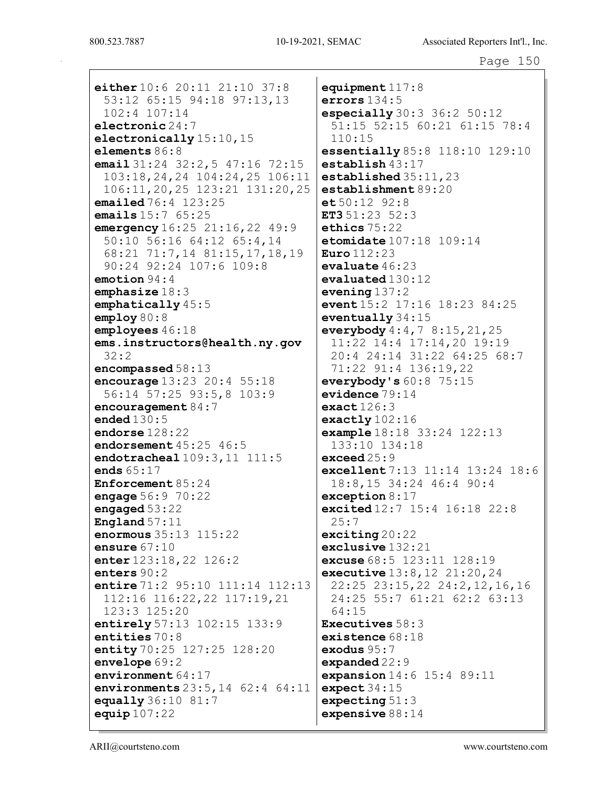either 10:6 20:11 21:10 37:8 53:12 65:15 94:18 97:13,13 102:4 107:14 electronic 24:7 electronically 15:10, 15 elements 86:8 email 31:24 32:2, 5 47:16 72:15 103:18,24,24 104:24,25 106:11 106:11,20,25 123:21 131:20,25 emailed 76:4 123:25 emails  $15:7$  65:25 emergency  $16:25$  21:16, 22 49:9 50:10 56:16 64:12 65:4,14 68:21 71:7,14 81:15,17,18,19 90:24 92:24 107:6 109:8 emotion 94:4 emphasize 18:3 emphatically 45:5 employ 80:8 employees 46:18 ems.instructors@health.ny.gov 32:2 encompassed 58:13 encourage 13:23 20:4 55:18 56:14 57:25 93:5,8 103:9 encouragement 84:7 ended  $130:5$ endorse 128:22 endorsement  $45:25$   $46:5$ endotracheal  $109:3, 11$  111:5 ends 65:17 Enforcement 85:24 engage 56:9 70:22 engaged 53:22 England 57:11 enormous 35:13 115:22 ensure  $67:10$ enter 123:18,22 126:2 enters 90:2 entire 71:2 95:10 111:14 112:13 112:16 116:22,22 117:19,21 123:3 125:20 entirely 57:13 102:15 133:9 entities 70:8 entity 70:25 127:25 128:20 envelope 69:2 environment 64:17 environments 23:5,14 62:4 64:11 equally 36:10 81:7 equip  $107:22$ 

equipment  $117:8$ errors  $134:5$ especially 30:3 36:2 50:12 51:15 52:15 60:21 61:15 78:4 110:15 essentially 85:8 118:10 129:10 establish 43:17 established 35:11,23 establishment 89:20  $et 50:12$  92:8 ET3  $51:23$   $52:3$ ethics 75:22 etomidate  $107:18$  109:14 Euro 112:23 evaluate 46:23 evaluated 130:12 evening 137:2 event 15:2 17:16 18:23 84:25 eventually 34:15 everybody  $4:4,78:15,21,25$ 11:22 14:4 17:14,20 19:19 20:4 24:14 31:22 64:25 68:7 71:22 91:4 136:19,22 everybody's 60:8 75:15 evidence 79:14 exact  $126:3$ exactly 102:16 example 18:18 33:24 122:13 133:10 134:18 exceed 25:9 excellent 7:13 11:14 13:24 18:6 18:8,15 34:24 46:4 90:4 exception 8:17 excited 12:7 15:4 16:18 22:8 25:7 exciting 20:22 exclusive 132:21 excuse 68:5 123:11 128:19 executive 13:8,12 21:20,24 22:25 23:15,22 24:2,12,16,16 24:25 55:7 61:21 62:2 63:13 64:15 Executives 58:3 existence 68:18 exodus 95:7 expanded 22:9 expansion 14:6 15:4 89:11 expect 34:15 expecting 51:3 expensive  $88:14$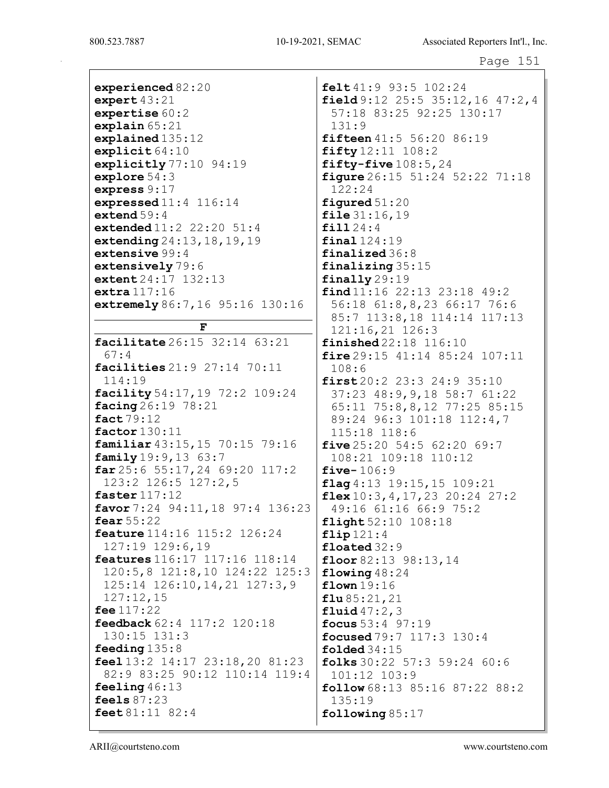Page 151

experienced 82:20 expert 43:21 expertise 60:2 explain 65:21 explained 135:12 explicit 64:10 explicitly 77:10 94:19 explore 54:3 express 9:17 expressed 11:4 116:14 extend  $59:4$ extended 11:2 22:20 51:4 extending 24:13,18,19,19 extensive 99:4 extensively 79:6 extent 24:17 132:13 extra 117:16 extremely 86:7,16 95:16 130:16

F

facilitate 26:15 32:14 63:21 67:4 facilities 21:9 27:14 70:11 114:19 facility 54:17,19 72:2 109:24 facing 26:19 78:21 fact 79:12 factor 130:11 familiar 43:15,15 70:15 79:16 family 19:9,13 63:7 far 25:6 55:17,24 69:20 117:2 123:2 126:5 127:2,5 faster 117:12 favor 7:24 94:11,18 97:4 136:23 fear 55:22 feature 114:16 115:2 126:24 127:19 129:6,19 features 116:17 117:16 118:14 120:5,8 121:8,10 124:22 125:3 125:14 126:10,14,21 127:3,9 127:12,15 fee 117:22 feedback 62:4 117:2 120:18 130:15 131:3 feeding 135:8 feel 13:2 14:17 23:18,20 81:23 82:9 83:25 90:12 110:14 119:4 feeling 46:13 feels 87:23 feet 81:11 82:4

felt 41:9 93:5 102:24 field 9:12 25:5 35:12,16 47:2,4 57:18 83:25 92:25 130:17 131:9 fifteen 41:5 56:20 86:19 fifty 12:11 108:2 fifty-five 108:5,24 figure 26:15 51:24 52:22 71:18 122:24 figured 51:20 file 31:16,19 fill 24:4 final  $124:19$ finalized 36:8 finalizing 35:15 finally 29:19 find 11:16 22:13 23:18 49:2 56:18 61:8,8,23 66:17 76:6 85:7 113:8,18 114:14 117:13 121:16,21 126:3 finished 22:18 116:10 fire 29:15 41:14 85:24 107:11 108:6 first 20:2 23:3 24:9 35:10 37:23 48:9,9,18 58:7 61:22 65:11 75:8,8,12 77:25 85:15 89:24 96:3 101:18 112:4,7 115:18 118:6 five  $25:20$  54:5 62:20 69:7 108:21 109:18 110:12 five- $106:9$ flag 4:13 19:15, 15 109:21  $flax 10:3, 4, 17, 23 20:24 27:2$ 49:16 61:16 66:9 75:2 flight 52:10 108:18 flip  $121:4$ floated 32:9 floor  $82:13$   $98:13$ ,  $14$ flowing  $48:24$ flown 19:16  $flu 85:21,21$ **fluid**  $47:2,3$ focus 53:4 97:19 focused 79:7 117:3 130:4 folded 34:15 folks 30:22 57:3 59:24 60:6 101:12 103:9 follow 68:13 85:16 87:22 88:2 135:19 following 85:17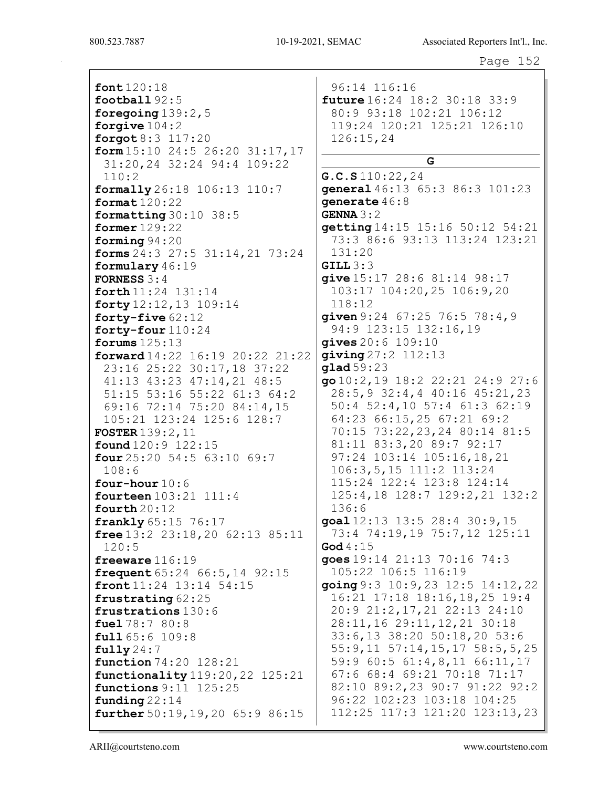font 120:18 football 92:5 foregoing 139:2,5 forgive 104:2 forgot 8:3 117:20 form 15:10 24:5 26:20 31:17,17 31:20,24 32:24 94:4 109:22 110:2 formally 26:18 106:13 110:7 format 120:22 formatting 30:10 38:5 former 129:22 forming 94:20 forms 24:3 27:5 31:14,21 73:24 formulary 46:19 FORNESS 3:4 forth 11:24 131:14 forty 12:12,13 109:14 forty-five 62:12 forty-four 110:24 forums 125:13 forward 14:22 16:19 20:22 21:22 23:16 25:22 30:17,18 37:22 41:13 43:23 47:14,21 48:5 51:15 53:16 55:22 61:3 64:2 69:16 72:14 75:20 84:14,15 105:21 123:24 125:6 128:7 FOSTER 139:2,11 found 120:9 122:15  $four 25:20 54:5 63:10 69:7$ 108:6 four-hour 10:6 fourteen 103:21 111:4 fourth 20:12 frankly 65:15 76:17 free 13:2 23:18, 20 62:13 85:11 120:5 freeware 116:19 frequent 65:24 66:5,14 92:15 front 11:24 13:14 54:15 frustrating 62:25 frustrations 130:6 fuel 78:7 80:8 full 65:6 109:8 fully  $24:7$ function 74:20 128:21 functionality 119:20,22 125:21 functions 9:11 125:25 funding 22:14 further 50:19,19,20 65:9 86:15

96:14 116:16 future 16:24 18:2 30:18 33:9 80:9 93:18 102:21 106:12 119:24 120:21 125:21 126:10 126:15,24 G G.C.S 110:22,24 general 46:13 65:3 86:3 101:23 generate 46:8 GENNA 3:2 getting 14:15 15:16 50:12 54:21 73:3 86:6 93:13 113:24 123:21 131:20  $GILL$  $3:3$ give 15:17 28:6 81:14 98:17 103:17 104:20,25 106:9,20 118:12 given 9:24 67:25 76:5 78:4, 9 94:9 123:15 132:16,19 gives 20:6 109:10 giving 27:2 112:13 glad 59:23 go 10:2,19 18:2 22:21 24:9 27:6 28:5,9 32:4,4 40:16 45:21,23 50:4 52:4,10 57:4 61:3 62:19 64:23 66:15,25 67:21 69:2 70:15 73:22,23,24 80:14 81:5 81:11 83:3,20 89:7 92:17 97:24 103:14 105:16,18,21 106:3,5,15 111:2 113:24 115:24 122:4 123:8 124:14 125:4,18 128:7 129:2,21 132:2 136:6 goal 12:13 13:5 28:4 30:9,15 73:4 74:19,19 75:7,12 125:11 God  $4:15$ goes 19:14 21:13 70:16 74:3 105:22 106:5 116:19 going 9:3 10:9,23 12:5 14:12,22 16:21 17:18 18:16,18,25 19:4 20:9 21:2,17,21 22:13 24:10 28:11,16 29:11,12,21 30:18 33:6,13 38:20 50:18,20 53:6 55:9,11 57:14,15,17 58:5,5,25 59:9 60:5 61:4,8,11 66:11,17 67:6 68:4 69:21 70:18 71:17 82:10 89:2,23 90:7 91:22 92:2 96:22 102:23 103:18 104:25 112:25 117:3 121:20 123:13,23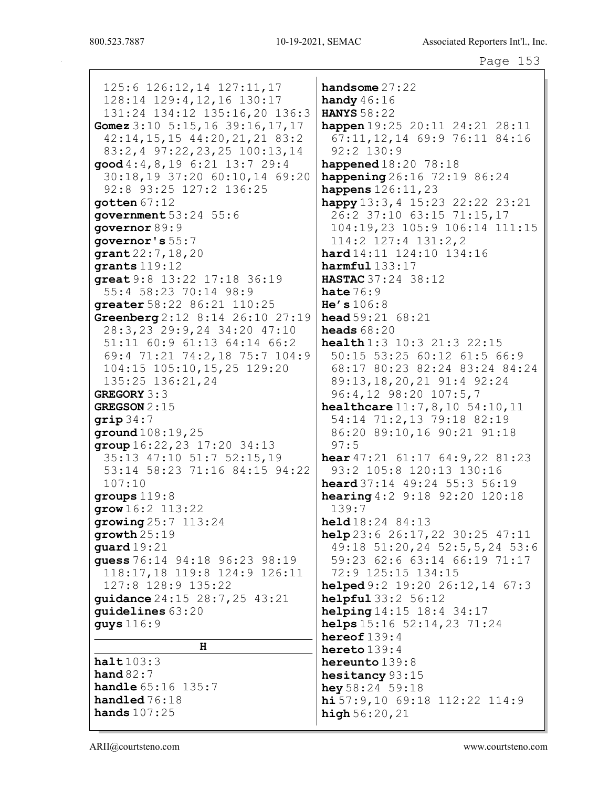125:6 126:12,14 127:11,17 128:14 129:4, 12, 16 130:17 131:24 134:12 135:16,20 136:3 Gomez 3:10 5:15,16 39:16,17,17  $42:14, 15, 15, 44:20, 21, 21, 83:2$ 83:2,4 97:22,23,25 100:13,14  $good 4:4, 8, 19 6:21 13:7 29:4$ 30:18,19 37:20 60:10,14 69:20 92:8 93:25 127:2 136:25  $q$ otten  $67:12$ **government** 53:24 55:6 qovernor 89:9 governor's  $55:7$  $grant 22:7, 18, 20$ qrants  $119:12$ great 9:8 13:22 17:18 36:19 55:4 58:23 70:14 98:9 hate  $76:9$ qreater 58:22 86:21 110:25 Greenberg  $2:12$  8:14 26:10 27:19 28:3,23 29:9,24 34:20 47:10 51:11 60:9 61:13 64:14 66:2 69:4 71:21 74:2,18 75:7 104:9 104:15 105:10, 15, 25 129:20 135:25 136:21,24 **GREGORY 3:3** GREGSON  $2:15$  $qrip34:7$  $ground108:19,25$  $group 16:22, 23 17:20 34:13$  $97:5$ 35:13 47:10 51:7 52:15,19 53:14 58:23 71:16 84:15 94:22  $107:10$ qroups  $119:8$  $grow 16:2 113:22$  $139:7$ qrowing  $25:7$  113:24  $growth25:19$  $quad 19:21$ quess 76:14 94:18 96:23 98:19 118:17,18 119:8 124:9 126:11 127:8 128:9 135:22 quidance 24:15 28:7,25 43:21 quidelines 63:20 guys 116:9  $H$  $halt103:3$ hand  $82:7$ handle 65:16 135:7

handsome  $27:22$ handy  $46:16$ **HANYS** 58:22 happen 19:25 20:11 24:21 28:11 67:11, 12, 14 69:9 76:11 84:16  $92:2$  130:9 happened 18:20 78:18 happening  $26:16$  72:19 86:24 happens 126:11, 23 happy  $13:3, 4$  15:23 22:22 23:21 26:2 37:10 63:15 71:15,17 104:19,23 105:9 106:14 111:15  $114:2$   $127:4$   $131:2,2$  $hard14:11$   $124:10$   $134:16$  $harmful$   $133:17$ HASTAC 37:24 38:12  $He's 106:8$ **head**  $59:21$   $68:21$ heads  $68:20$ health 1:3 10:3 21:3 22:15 50:15 53:25 60:12 61:5 66:9 68:17 80:23 82:24 83:24 84:24 89:13, 18, 20, 21 91:4 92:24 96:4,12 98:20 107:5,7 healthcare  $11:7,8,10$  54:10, 11 54:14 71:2,13 79:18 82:19 86:20 89:10,16 90:21 91:18 **hear**  $47:21$   $61:17$   $64:9$ ,  $22$   $81:23$ 93:2 105:8 120:13 130:16 heard 37:14 49:24 55:3 56:19 **hearing**  $4:2$  9:18 92:20 120:18  $held18:24 84:13$ help  $23:6$   $26:17,22$   $30:25$   $47:11$ 49:18 51:20,24 52:5,5,24 53:6 59:23 62:6 63:14 66:19 71:17 72:9 125:15 134:15 helped  $9:2$  19:20 26:12,14 67:3 helpful 33:2 56:12 helping  $14:15$   $18:4$   $34:17$ helps 15:16 52:14, 23 71:24 hereof  $139:4$ hereto  $139:4$ hereunto 139:8 hesitancy 93:15 **hey**  $58:24$   $59:18$  $\text{hi } 57:9,10$  69:18 112:22 114:9  $high 56:20,21$ 

handled 76:18

hands  $107:25$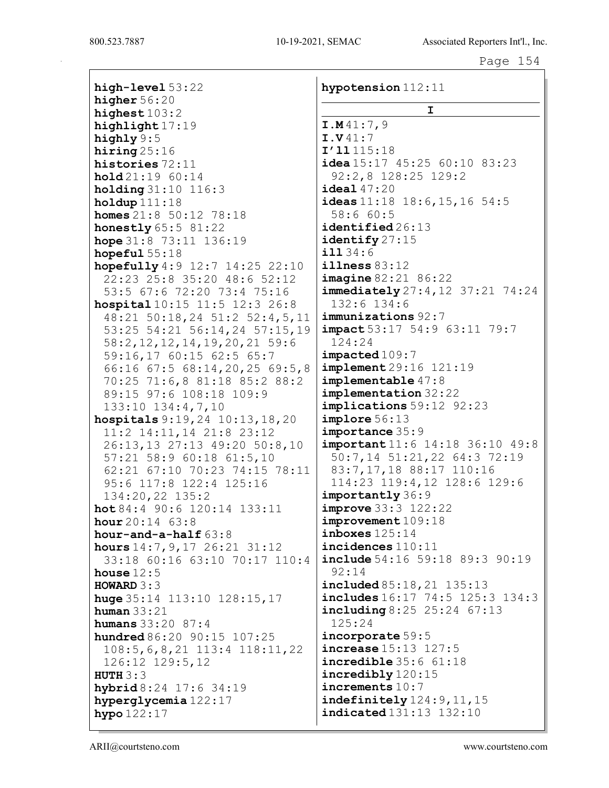high-level 53:22 higher  $56:20$ highest  $103:2$ highlight 17:19 highly 9:5 hiring 25:16 histories 72:11 hold 21:19 60:14 holding 31:10 116:3 holdup  $111:18$ homes 21:8 50:12 78:18 honestly 65:5 81:22 hope 31:8 73:11 136:19 hopeful 55:18 hopefully 4:9 12:7 14:25 22:10 22:23 25:8 35:20 48:6 52:12 53:5 67:6 72:20 73:4 75:16 hospital 10:15 11:5 12:3 26:8 48:21 50:18,24 51:2 52:4,5,11 53:25 54:21 56:14,24 57:15,19 58:2,12,12,14,19,20,21 59:6 59:16,17 60:15 62:5 65:7 66:16 67:5 68:14,20,25 69:5,8 70:25 71:6,8 81:18 85:2 88:2 89:15 97:6 108:18 109:9 133:10 134:4,7,10 hospitals 9:19,24 10:13,18,20 11:2 14:11,14 21:8 23:12 26:13,13 27:13 49:20 50:8,10 57:21 58:9 60:18 61:5,10 62:21 67:10 70:23 74:15 78:11 95:6 117:8 122:4 125:16 134:20,22 135:2 hot 84:4 90:6 120:14 133:11 **hour**  $20:14$  63:8 hour-and-a-half 63:8 hours 14:7,9,17 26:21 31:12 33:18 60:16 63:10 70:17 110:4 house  $12:5$ HOWARD 3:3 huge 35:14 113:10 128:15,17 human  $33:21$ humans 33:20 87:4 hundred  $86:20$  90:15 107:25 108:5,6,8,21 113:4 118:11,22 126:12 129:5,12 HUTH  $3:3$ hybrid 8:24 17:6 34:19 hyperglycemia 122:17 hypo 122:17

hypotension 112:11 I I.M 41:7,9 I.V 41:7 I'll 115:18 idea 15:17 45:25 60:10 83:23 92:2,8 128:25 129:2 ideal 47:20 ideas  $11:18$  18:6, 15, 16 54:5 58:6 60:5 identified  $26:13$ identify 27:15 ill 34:6 illness 83:12 imagine 82:21 86:22 immediately 27:4, 12 37:21 74:24 132:6 134:6 immunizations 92:7 impact 53:17 54:9 63:11 79:7 124:24 impacted 109:7 implement 29:16 121:19 implementable 47:8 implementation 32:22 implications 59:12 92:23 implore 56:13 importance 35:9 important 11:6 14:18 36:10 49:8 50:7,14 51:21,22 64:3 72:19 83:7,17,18 88:17 110:16 114:23 119:4,12 128:6 129:6 importantly 36:9 improve 33:3 122:22 improvement 109:18 inboxes  $125:14$ incidences 110:11 **include** 54:16 59:18 89:3 90:19 92:14 included 85:18,21 135:13 includes 16:17 74:5 125:3 134:3 including 8:25 25:24 67:13 125:24 incorporate 59:5 increase 15:13 127:5 incredible 35:6 61:18 incredibly 120:15 increments 10:7 indefinitely 124:9,11,15 indicated 131:13 132:10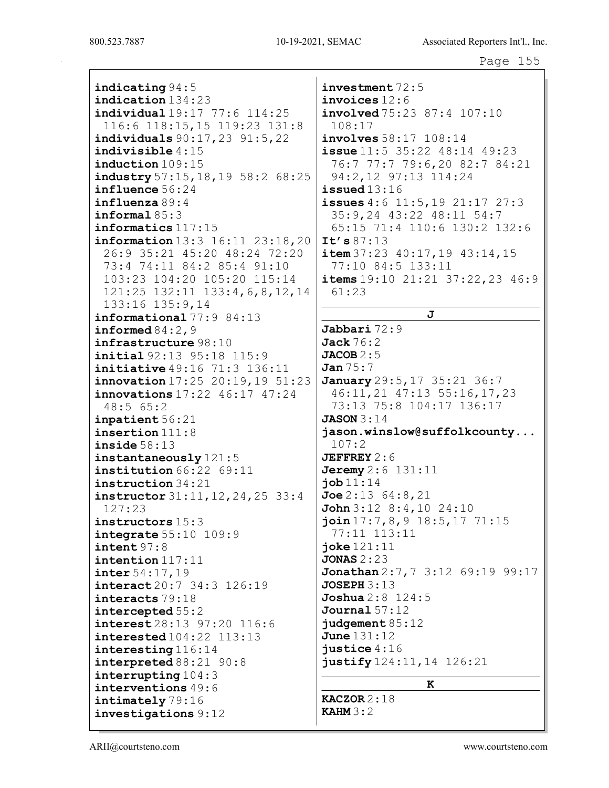indicating 94:5 indication 134:23 individual 19:17 77:6 114:25 116:6 118:15,15 119:23 131:8 individuals 90:17,23 91:5,22 indivisible 4:15 induction 109:15 industry 57:15,18,19 58:2 68:25 influence 56:24 influenza 89:4 informal 85:3 informatics 117:15 information 13:3 16:11 23:18,20 26:9 35:21 45:20 48:24 72:20 73:4 74:11 84:2 85:4 91:10 103:23 104:20 105:20 115:14 121:25 132:11 133:4,6,8,12,14 133:16 135:9,14 informational 77:9 84:13 informed 84:2,9 infrastructure 98:10 initial 92:13 95:18 115:9 initiative 49:16 71:3 136:11 innovation 17:25 20:19,19 51:23 innovations 17:22 46:17 47:24 48:5 65:2 inpatient 56:21 insertion 111:8 inside 58:13 instantaneously 121:5 institution 66:22 69:11 instruction 34:21 instructor 31:11,12,24,25 33:4 127:23 instructors 15:3 integrate 55:10 109:9 intent 97:8 intention 117:11 inter 54:17,19 interact 20:7 34:3 126:19 interacts 79:18 intercepted 55:2 interest 28:13 97:20 116:6 interested 104:22 113:13 interesting 116:14 interpreted 88:21 90:8 interrupting 104:3 interventions 49:6 intimately 79:16 investigations 9:12

investment 72:5 invoices 12:6  $involved 75:23 87:4 107:10$ 108:17 involves 58:17 108:14 issue 11:5 35:22 48:14 49:23 76:7 77:7 79:6,20 82:7 84:21 94:2,12 97:13 114:24  $i$ ssued  $13:16$ issues 4:6 11:5,19 21:17 27:3 35:9,24 43:22 48:11 54:7 65:15 71:4 110:6 130:2 132:6 It's 87:13  $item 37:23 40:17,19 43:14,15$ 77:10 84:5 133:11 items  $19:10$   $21:21$   $37:22$ ,  $23$   $46:9$ 61:23 J Jabbari 72:9  $Jack 76:2$  $JACOB 2:5$ Jan 75:7 January 29:5, 17 35:21 36:7 46:11,21 47:13 55:16,17,23 73:13 75:8 104:17 136:17  $JASON 3:14$ jason.winslow@suffolkcounty... 107:2  $JEFFREF2:6$ **Jeremy** 2:6 131:11  $j$ ob  $11:14$  $Joe 2:13$  64:8,21 John 3:12 8:4,10 24:10 join 17:7,8,9 18:5,17 71:15 77:11 113:11 joke 121:11 JONAS 2:23 Jonathan 2:7, 7 3:12 69:19 99:17 **JOSEPH 3:13**  $$ Journal 57:12 judgement 85:12 June 131:12  $i$ ustice  $4:16$ justify 124:11, 14 126:21

## K

KACZOR 2:18 **KAHM 3:2**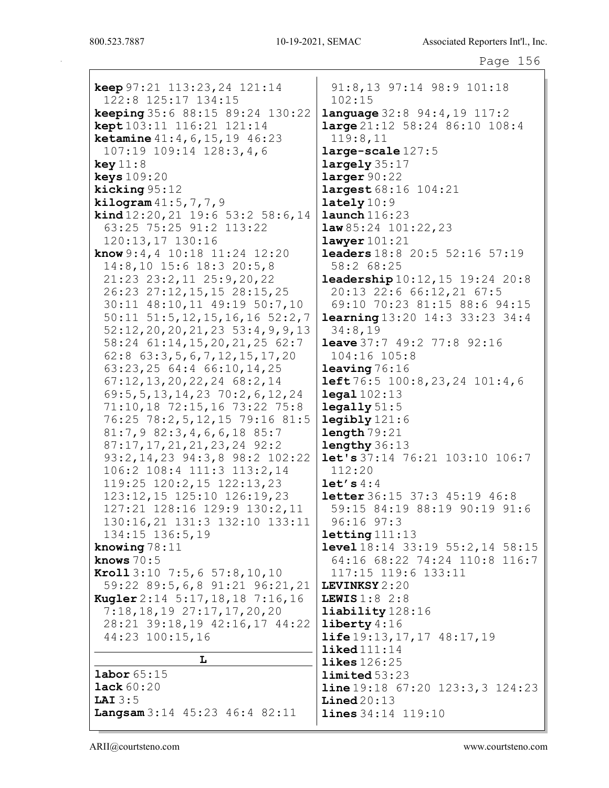keep 97:21 113:23,24 121:14 122:8 125:17 134:15 keeping 35:6 88:15 89:24 130:22 kept 103:11 116:21 121:14 ketamine 41:4,6,15,19 46:23 107:19 109:14 128:3,4,6 key 11:8 keys 109:20 kicking 95:12 **kilogram**  $41:5,7,7,9$ kind 12:20,21 19:6 53:2 58:6,14 63:25 75:25 91:2 113:22 120:13,17 130:16 know 9:4,4 10:18 11:24 12:20 14:8,10 15:6 18:3 20:5,8 21:23 23:2,11 25:9,20,22 26:23 27:12,15,15 28:15,25 30:11 48:10,11 49:19 50:7,10 50:11 51:5,12,15,16,16 52:2,7 52:12,20,20,21,23 53:4,9,9,13 58:24 61:14,15,20,21,25 62:7 62:8 63:3,5,6,7,12,15,17,20 63:23,25 64:4 66:10,14,25 67:12,13,20,22,24 68:2,14 69:5,5,13,14,23 70:2,6,12,24 71:10,18 72:15,16 73:22 75:8 76:25 78:2,5,12,15 79:16 81:5 81:7,9 82:3,4,6,6,18 85:7 87:17,17,21,21,23,24 92:2 93:2,14,23 94:3,8 98:2 102:22 106:2 108:4 111:3 113:2,14 119:25 120:2,15 122:13,23 123:12,15 125:10 126:19,23 127:21 128:16 129:9 130:2,11 130:16,21 131:3 132:10 133:11 134:15 136:5,19 knowing 78:11 knows 70:5 Kroll 3:10 7:5,6 57:8,10,10 59:22 89:5,6,8 91:21 96:21,21 Kugler 2:14 5:17,18,18 7:16,16 7:18,18,19 27:17,17,20,20 28:21 39:18,19 42:16,17 44:22 44:23 100:15,16 L labor 65:15 lack 60:20

91:8,13 97:14 98:9 101:18 102:15 language 32:8 94:4,19 117:2 large 21:12 58:24 86:10 108:4 119:8,11 large-scale 127:5 largely 35:17 larger 90:22 largest 68:16 104:21 lately  $10:9$ launch 116:23 1aw 85:24 101:22, 23 lawyer 101:21 leaders 18:8 20:5 52:16 57:19 58:2 68:25 leadership 10:12,15 19:24 20:8 20:13 22:6 66:12,21 67:5 69:10 70:23 81:15 88:6 94:15 learning 13:20 14:3 33:23 34:4 34:8,19 **leave** 37:7 49:2 77:8 92:16 104:16 105:8 leaving 76:16 left 76:5 100:8,23,24 101:4,6 legal 102:13  $\texttt{lequality} 51:5$  $leqibly$   $121:6$ length 79:21 lengthy 36:13 let's 37:14 76:21 103:10 106:7 112:20 let's  $4:4$ **letter** 36:15 37:3 45:19 46:8 59:15 84:19 88:19 90:19 91:6 96:16 97:3 letting 111:13 level 18:14 33:19 55:2,14 58:15 64:16 68:22 74:24 110:8 116:7 117:15 119:6 133:11 LEVINKSY 2:20 LEWIS 1:8 2:8 liability 128:16 liberty 4:16 life 19:13, 17, 17 48:17, 19 liked 111:14 likes 126:25 limited 53:23 line 19:18 67:20 123:3,3 124:23 Lined 20:13 lines 34:14 119:10

Langsam 3:14 45:23 46:4 82:11

LAI 3:5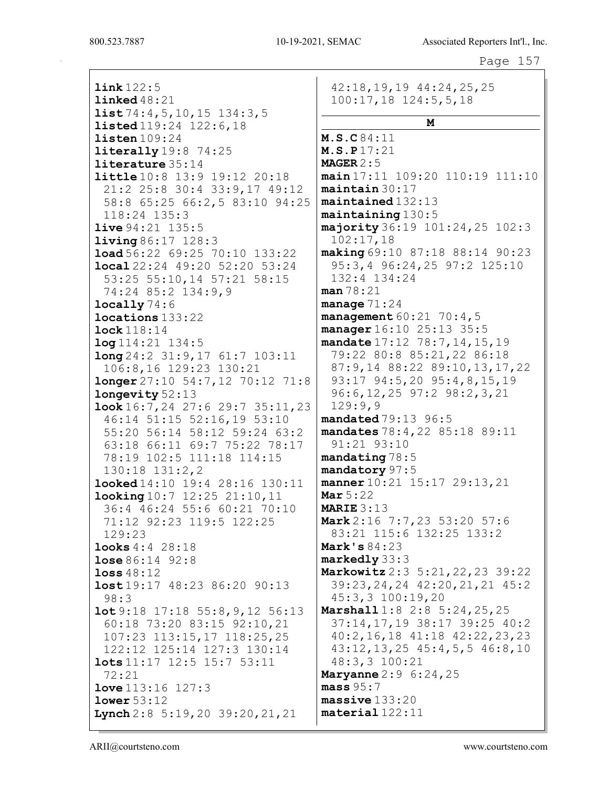## Page 157

link 122:5 linked 48:21  $list 74:4, 5, 10, 15 134:3, 5$ listed 119:24 122:6,18 listen 109:24 **literally** 19:8 74:25 literature 35:14 little 10:8 13:9 19:12 20:18 21:2 25:8 30:4 33:9,17 49:12 58:8 65:25 66:2,5 83:10 94:25 118:24 135:3 live 94:21 135:5 living 86:17 128:3 load 56:22 69:25 70:10 133:22 local 22:24 49:20 52:20 53:24 53:25 55:10,14 57:21 58:15 74:24 85:2 134:9,9  $locally74:6$ locations 133:22 lock 118:14 log 114:21 134:5 long 24:2 31:9,17 61:7 103:11 106:8,16 129:23 130:21 longer 27:10 54:7,12 70:12 71:8 longevity 52:13 look 16:7,24 27:6 29:7 35:11,23 46:14 51:15 52:16,19 53:10 55:20 56:14 58:12 59:24 63:2 63:18 66:11 69:7 75:22 78:17 78:19 102:5 111:18 114:15 130:18 131:2,2 looked 14:10 19:4 28:16 130:11 looking 10:7 12:25 21:10,11 36:4 46:24 55:6 60:21 70:10 71:12 92:23 119:5 122:25 129:23 looks 4:4 28:18 lose 86:14 92:8 loss 48:12 lost 19:17 48:23 86:20 90:13 98:3 lot 9:18 17:18 55:8,9,12 56:13 60:18 73:20 83:15 92:10,21 107:23 113:15,17 118:25,25 122:12 125:14 127:3 130:14 lots 11:17 12:5 15:7 53:11 72:21 **love** 113:16 127:3 lower 53:12 Lynch 2:8 5:19, 20 39:20, 21, 21

42:18,19,19 44:24,25,25 100:17,18 124:5,5,18 M M.S.C 84:11 M.S.P 17:21 MAGER 2:5 main 17:11 109:20 110:19 111:10 maintain 30:17 maintained 132:13 maintaining 130:5 majority 36:19 101:24,25 102:3 102:17,18 making 69:10 87:18 88:14 90:23 95:3,4 96:24,25 97:2 125:10 132:4 134:24 man 78:21 manage 71:24 management  $60:21$  70:4,5 manager 16:10 25:13 35:5 mandate 17:12 78:7, 14, 15, 19 79:22 80:8 85:21,22 86:18 87:9,14 88:22 89:10,13,17,22 93:17 94:5,20 95:4,8,15,19 96:6,12,25 97:2 98:2,3,21 129:9,9 mandated 79:13 96:5 mandates 78:4,22 85:18 89:11 91:21 93:10 mandating 78:5 mandatory 97:5 manner 10:21 15:17 29:13,21 Mar  $5:22$ MARIE 3:13 Mark 2:16 7:7,23 53:20 57:6 83:21 115:6 132:25 133:2 Mark's 84:23 markedly 33:3 Markowitz 2:3 5:21,22,23 39:22 39:23,24,24 42:20,21,21 45:2 45:3,3 100:19,20 Marshall 1:8 2:8 5:24,25,25 37:14,17,19 38:17 39:25 40:2 40:2,16,18 41:18 42:22,23,23 43:12,13,25 45:4,5,5 46:8,10 48:3,3 100:21 **Maryanne** 2:9 6:24, 25  $mass 95:7$ massive 133:20 material 122:11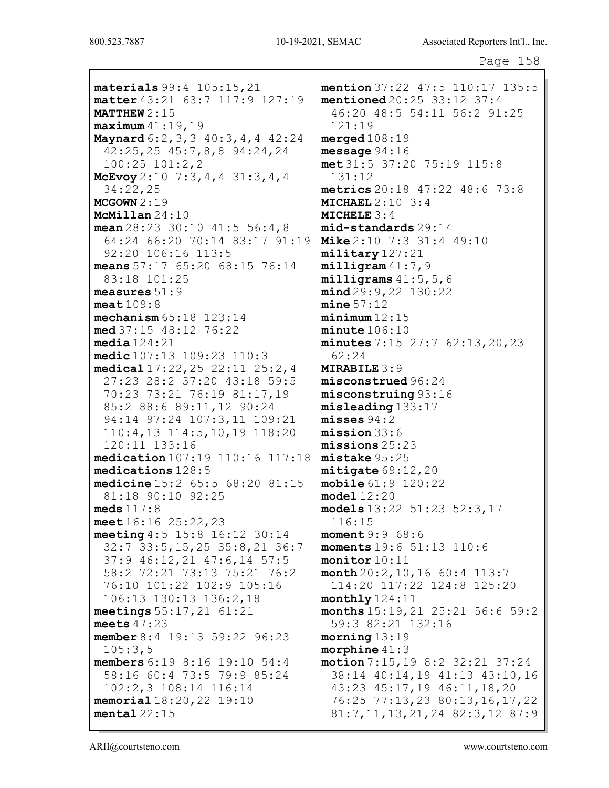materials 99:4 105:15,21 matter 43:21 63:7 117:9 127:19 MATTHEW 2:15 maximum 41:19,19 Maynard 6:2,3,3 40:3,4,4 42:24 42:25,25 45:7,8,8 94:24,24 100:25 101:2,2 McEvoy 2:10 7:3,4,4 31:3,4,4 34:22,25 MCGOWN 2:19 McMillan 24:10 mean  $28:23$  30:10  $41:5$  56:4,8 64:24 66:20 70:14 83:17 91:19 92:20 106:16 113:5 means 57:17 65:20 68:15 76:14 83:18 101:25 measures 51:9 meat 109:8 mechanism 65:18 123:14 med 37:15 48:12 76:22 media 124:21 medic 107:13 109:23 110:3 medical 17:22,25 22:11 25:2,4 27:23 28:2 37:20 43:18 59:5 70:23 73:21 76:19 81:17,19 85:2 88:6 89:11,12 90:24 94:14 97:24 107:3,11 109:21 110:4,13 114:5,10,19 118:20 120:11 133:16 medication 107:19 110:16 117:18 medications 128:5 medicine 15:2 65:5 68:20 81:15 81:18 90:10 92:25 meds 117:8 meet 16:16 25:22,23 meeting 4:5 15:8 16:12 30:14 32:7 33:5,15,25 35:8,21 36:7 37:9 46:12,21 47:6,14 57:5 58:2 72:21 73:13 75:21 76:2 76:10 101:22 102:9 105:16 106:13 130:13 136:2,18 meetings 55:17,21 61:21 meets 47:23 member 8:4 19:13 59:22 96:23 105:3,5 members 6:19 8:16 19:10 54:4 58:16 60:4 73:5 79:9 85:24 102:2,3 108:14 116:14 memorial 18:20,22 19:10 mental  $22:15$ 

mention 37:22 47:5 110:17 135:5 mentioned 20:25 33:12 37:4 46:20 48:5 54:11 56:2 91:25 121:19 merged 108:19 message 94:16 met 31:5 37:20 75:19 115:8 131:12 metrics 20:18 47:22 48:6 73:8 MICHAEL  $2:10$  3:4 MICHELE 3:4 mid-standards 29:14 Mike 2:10 7:3 31:4 49:10 military 127:21 milligram 41:7,9 milligrams 41:5,5,6 mind 29:9,22 130:22  $mine 57:12$ minimum 12:15 minute 106:10 minutes 7:15 27:7 62:13,20,23 62:24 MIRABILE 3:9 misconstrued 96:24 misconstruing 93:16 misleading 133:17 misses 94:2 mission 33:6 missions 25:23 mistake 95:25 mitigate 69:12,20 mobile 61:9 120:22 model 12:20 models 13:22 51:23 52:3,17 116:15 moment 9:9 68:6 moments 19:6 51:13 110:6 monitor 10:11 month 20:2,10,16 60:4 113:7 114:20 117:22 124:8 125:20 monthly 124:11 months 15:19,21 25:21 56:6 59:2 59:3 82:21 132:16 morning 13:19 morphine 41:3 motion 7:15,19 8:2 32:21 37:24 38:14 40:14,19 41:13 43:10,16 43:23 45:17,19 46:11,18,20 76:25 77:13,23 80:13,16,17,22 81:7,11,13,21,24 82:3,12 87:9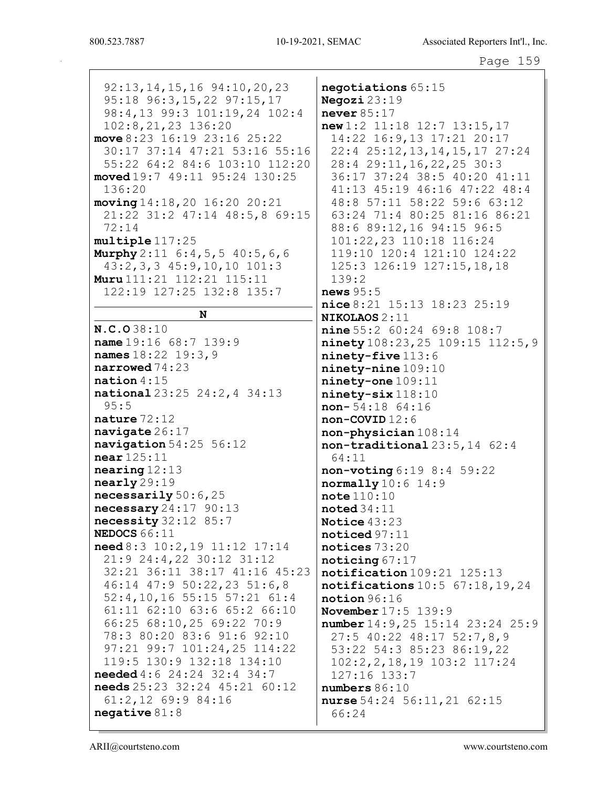$92:13, 14, 15, 16$   $94:10, 20, 23$ negotiations 65:15 95:18 96:3,15,22 97:15,17 Negozi  $23:19$ 98:4,13 99:3 101:19,24 102:4 never  $85:17$ 102:8,21,23 136:20  $new 1:2 11:18 12:7 13:15,17$ 14:22 16:9,13 17:21 20:17 move  $8:23$  16:19 23:16 25:22 30:17 37:14 47:21 53:16 55:16 22:4 25:12, 13, 14, 15, 17 27:24 55:22 64:2 84:6 103:10 112:20 28:4 29:11, 16, 22, 25 30:3 moved 19:7 49:11 95:24 130:25 36:17 37:24 38:5 40:20 41:11  $136:20$ 41:13 45:19 46:16 47:22 48:4  $moving 14:18, 20 16:20 20:21$ 48:8 57:11 58:22 59:6 63:12 63:24 71:4 80:25 81:16 86:21 21:22 31:2 47:14 48:5,8 69:15  $72:14$ 88:6 89:12,16 94:15 96:5 multiple 117:25 101:22,23 110:18 116:24 **Murphy**  $2:11 \t6:4,5,5 \t40:5,6,6$ 119:10 120:4 121:10 124:22  $43:2,3,3$   $45:9,10,10$   $101:3$ 125:3 126:19 127:15,18,18 Muru 111:21 112:21 115:11  $139:2$ 122:19 127:25 132:8 135:7  $news 95:5$ nice 8:21 15:13 18:23 25:19 N NIKOLAOS 2:11 N.C.O38:10  $nine 55:2 60:24 69:8 108:7$ name  $19:16$  68:7 139:9 ninety 108:23, 25 109:15 112:5, 9 names 18:22 19:3, 9 ninety-five 113:6 narrowed  $74:23$  $ninety$ -nine  $109:10$ ninety-one 109:11  $\mathtt{national}:15$ national 23:25 24:2, 4 34:13 ninety-six 118:10  $95:5$  $non-54:18$  64:16 nature  $72:12$  $non-COVID$  12:6 navigate  $26:17$ non-physician 108:14 navigation  $54:25$   $56:12$  $non-traditional 23:5.14 62:4$  $near 125:11$ 64:11  $nearing 12:13$  $non-voting 6:19 8:4 59:22$  $\texttt{nearly} 29:19$  $normally 10:6 14:9$ necessarily  $50:6$ ,  $25$  $note 110:10$ necessary  $24:17$  90:13  $\texttt{noted}34:11$ necessity  $32:12$   $85:7$ Notice  $43:23$ NEDOCS  $66:11$  $noticed 97:11$ need 8:3 10:2, 19 11:12 17:14 notices 73:20 21:9 24:4,22 30:12 31:12  $noticing 67:17$ 32:21 36:11 38:17 41:16 45:23 notification 109:21 125:13 46:14 47:9 50:22,23 51:6,8 notifications  $10:5$  67:18, 19, 24 52:4,10,16 55:15 57:21 61:4  $notion 96:16$ 61:11 62:10 63:6 65:2 66:10 **November 17:5 139:9** 66:25 68:10,25 69:22 70:9 number 14: 9, 25 15: 14 23: 24 25: 9 78:3 80:20 83:6 91:6 92:10 27:5 40:22 48:17 52:7,8,9 97:21 99:7 101:24,25 114:22 53:22 54:3 85:23 86:19,22 119:5 130:9 132:18 134:10  $102:2, 2, 18, 19$   $103:2$   $117:24$ **needed**  $4:6$  24:24 32:4 34:7 127:16 133:7 needs 25:23 32:24 45:21 60:12 numbers  $86:10$  $61:2,12$  69:9 84:16 nurse 54:24 56:11, 21 62:15  $neqative 81:8$ 66:24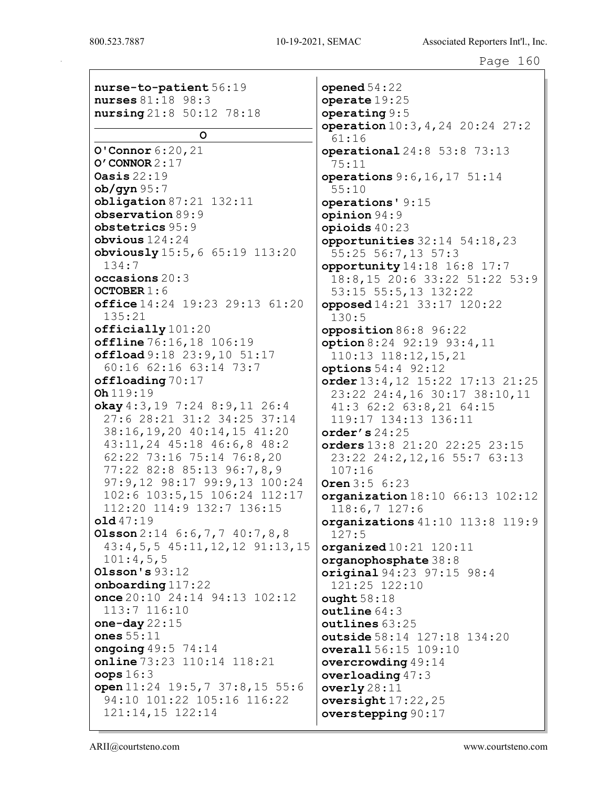nurse-to-patient 56:19 nurses 81:18 98:3 nursing 21:8 50:12 78:18 O O'Connor 6:20,21 O'CONNOR 2:17 Oasis 22:19  $ob/$ gyn  $95:7$ obligation 87:21 132:11 observation 89:9 obstetrics 95:9 obvious 124:24 obviously 15:5,6 65:19 113:20 134:7 occasions 20:3 OCTOBER 1:6 office 14:24 19:23 29:13 61:20 135:21 officially 101:20 offline 76:16,18 106:19 offload 9:18 23:9,10 51:17 60:16 62:16 63:14 73:7 offloading 70:17 Oh 119:19 okay 4:3,19 7:24 8:9,11 26:4 27:6 28:21 31:2 34:25 37:14 38:16,19,20 40:14,15 41:20 43:11,24 45:18 46:6,8 48:2 62:22 73:16 75:14 76:8,20 77:22 82:8 85:13 96:7,8,9 97:9,12 98:17 99:9,13 100:24 102:6 103:5,15 106:24 112:17 112:20 114:9 132:7 136:15 old 47:19 **Olsson** 2:14 6:6, 7, 7 40:7, 8, 8 43:4,5,5 45:11,12,12 91:13,15 101:4,5,5 Olsson's 93:12 onboarding 117:22 once 20:10 24:14 94:13 102:12 113:7 116:10 one-day 22:15 ones 55:11 ongoing  $49:5$   $74:14$ online 73:23 110:14 118:21 oops 16:3 open 11:24 19:5,7 37:8,15 55:6 94:10 101:22 105:16 116:22 121:14,15 122:14

opened 54:22 operate 19:25 operating 9:5 operation 10:3,4,24 20:24 27:2 61:16 operational 24:8 53:8 73:13 75:11 operations 9:6,16,17 51:14 55:10 operations' 9:15 opinion 94:9 opioids 40:23 opportunities 32:14 54:18,23 55:25 56:7,13 57:3 opportunity 14:18 16:8 17:7 18:8,15 20:6 33:22 51:22 53:9 53:15 55:5,13 132:22 opposed 14:21 33:17 120:22 130:5 opposition 86:8 96:22 option 8:24 92:19 93:4,11 110:13 118:12,15,21 options 54:4 92:12 order 13:4,12 15:22 17:13 21:25 23:22 24:4,16 30:17 38:10,11 41:3 62:2 63:8,21 64:15 119:17 134:13 136:11 order's 24:25 orders 13:8 21:20 22:25 23:15 23:22 24:2,12,16 55:7 63:13 107:16 Oren 3:5 6:23 organization 18:10 66:13 102:12 118:6,7 127:6 organizations 41:10 113:8 119:9 127:5  $originalized 10:21 120:11$ organophosphate 38:8 original 94:23 97:15 98:4 121:25 122:10  $\texttt{oundht}$  58:18 outline 64:3 outlines 63:25 outside 58:14 127:18 134:20 overall 56:15 109:10 overcrowding 49:14 overloading 47:3 overly  $28:11$ oversight  $17:22$ ,  $25$ overstepping 90:17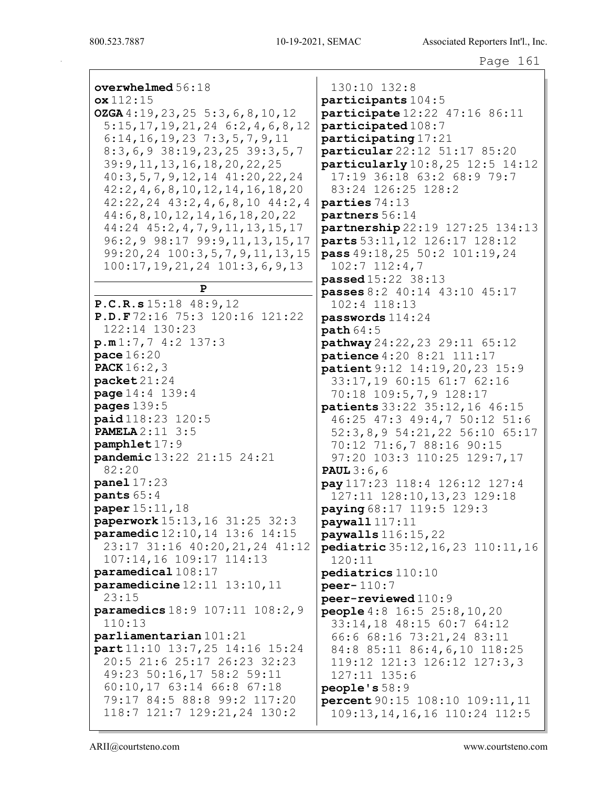| overwhelmed $56:18$                       | 130:10 132:8                        |
|-------------------------------------------|-------------------------------------|
| $\alpha x 112:15$                         | participants $1$                    |
| OZGA 4:19, 23, 25 5:3, 6, 8, 10, 12       | participate 12                      |
| 5:15,17,19,21,24 6:2,4,6,8,12             | participated $1$                    |
| $6:14, 16, 19, 23$ 7:3,5,7,9,11           | participating                       |
| $8:3,6,9$ 38:19,23,25 39:3,5,7            | particular 22:                      |
| 39: 9, 11, 13, 16, 18, 20, 22, 25         | particularly $1$                    |
| $40:3,5,7,9,12,14$ $41:20,22,24$          | $17:19$ 36:18                       |
| 42:2, 4, 6, 8, 10, 12, 14, 16, 18, 20     | 83:24 126:25                        |
| $42:22, 24$ $43:2, 4, 6, 8, 10$ $44:2, 4$ | parties 74:13                       |
| 44: 6, 8, 10, 12, 14, 16, 18, 20, 22      | partners 56:14                      |
| 44:24 45:2, 4, 7, 9, 11, 13, 15, 17       | partnership 22                      |
| 96:2, 9 98:17 99:9, 11, 13, 15, 17        | parts 53:11, 12                     |
| 99:20,24 100:3,5,7,9,11,13,15             | <b>pass</b> $49:18,25$              |
| 100:17, 19, 21, 24 101:3, 6, 9, 13        | $102:7$ $112:4$ ,<br>passed 15:22 3 |
| P                                         | passes $8:2$ 40:                    |
| P.C.R.s15:18 48:9,12                      | 102:4 118:13                        |
| P.D.F72:16 75:3 120:16 121:22             | $passwords 114$ :                   |
| 122:14 130:23                             | path 64:5                           |
| p.m1:7,74:2137:3                          | pathway $24:22$ ,                   |
| $\mathtt{pace}$ $16$ : $20$               | $\mathbf{patience}$ 4:20            |
| <b>PACK</b> $16:2,3$                      | patient 9:12 1                      |
| $\texttt{packet21:24}$                    | 33:17,1960:                         |
| <b>page</b> $14:4$ $139:4$                | $70:18$ 109:5,                      |
| <b>pages</b> 139:5                        | patients 33:22                      |
| paid 118:23 120:5                         | 46:25 47:3 4                        |
| <b>PAMELA</b> $2:11 \ 3:5$                | 52:3,8,954:                         |
| pamphlet 17:9                             | $70:12$ $71:6,7$                    |
| pandemic 13:22 21:15 24:21                | $97:20$ $103:3$                     |
| 82:20                                     | <b>PAUL</b> $3:6$ , $6$             |
| panel $17:23$                             | pay 117:23 118                      |
| pants $65:4$                              | 127:11 128:1                        |
| <b>paper</b> 15:11, 18                    | paying $68:17-1$                    |
| paperwork 15:13, 16 31:25 32:3            | paywall $117:11$                    |
| <b>paramedic</b> 12:10, 14 13:6 14:15     | paywalls 116:1                      |
| 23:17 31:16 40:20, 21, 24 41:12           | $\texttt{pediatric}35:1$            |
| 107:14,16 109:17 114:13                   | 120:11                              |
| paramedical $108:17$                      | pediatrics 110                      |
| $\texttt{parameter} 12:11 \quad 13:10,11$ | $peer - 110:7$                      |
| 23:15                                     | peer-reviewed                       |
| parameters 18:9 107:11 108:2,9            | people $4:8$ 16:                    |
| 110:13                                    | $33:14,18$ 48:                      |
| parliamentarian 101:21                    | 66:6 68:16 7                        |
| $part11:10$ 13:7,25 14:16 15:24           | 84:8 85:11 8                        |
| 20:5 21:6 25:17 26:23 32:23               | 119:12 121:3                        |
| 49:23 50:16,17 58:2 59:11                 | 127:11 135:6                        |
| 60:10,17 63:14 66:8 67:18                 | <b>people's</b> 58:9                |
| 79:17 84:5 88:8 99:2 117:20               | percent90:15                        |
| 118:7 121:7 129:21,24 130:2               | 109:13,14,16                        |

 $5$ s 104:5  $= 12:22$  47:16 86:11  $ed108:7$  $ing 17:21$ particular 22:12 51:17 85:20  $Ly 10:8,25 12:5 14:12$ 18 63:2 68:9 79:7  $:25$  128:2  $13<sup>1</sup>$  $: 14$  $22:19$  127:25 134:13 , 12 126:17 128:12 25 50:2 101:19,24  $:4,7$ 2 38:13 passes 8:2 40:14 43:10 45:17  $: 13$ passwords 114:24 pathway 24:22,23 29:11 65:12 20 8:21 111:17 patient 9:12 14:19,20,23 15:9 33:17,19 60:15 61:7 62:16  $:5,7,9$  128:17  $: 22$  35:12,16 46:15 3 49:4,7 50:12 51:6 54:21,22 56:10 65:17 70:12 71:6,7 88:16 90:15 :3 110:25 129:7,17 118:4 126:12 127:4 8:10,13,23 129:18 7 119:5 129:3  $:11$ 6:15,22 pediatric 35:12,16,23 110:11,16 110:10  $\mathsf{red}\,110\!:\!9$ people 4:8 16:5 25:8,10,20 48:15 60:7 64:12 6 73:21,24 83:11 1 86:4,6,10 118:25 1:3 126:12 127:3,3  $5:6$  $: 9$ 15 108:10 109:11,11 109:13,14,16,16 110:24 112:5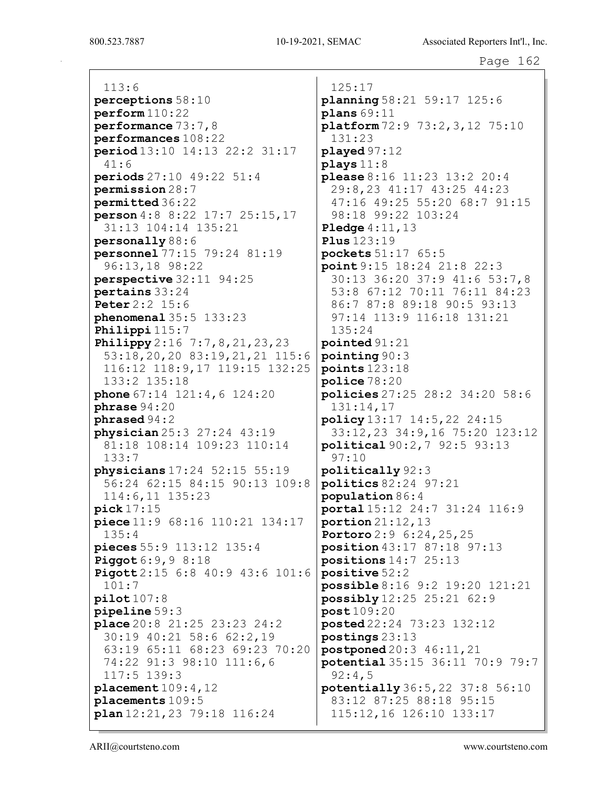113:6 perceptions 58:10 perform 110:22 performance 73:7,8 performances 108:22 period 13:10 14:13 22:2 31:17 41:6 periods 27:10 49:22 51:4 permission 28:7 permitted 36:22 person 4:8 8:22 17:7 25:15,17 31:13 104:14 135:21 personally 88:6 personnel 77:15 79:24 81:19 96:13,18 98:22 perspective 32:11 94:25 pertains 33:24 Peter 2:2 15:6 phenomenal 35:5 133:23 Philippi 115:7 **Philippy** 2:16 7:7, 8, 21, 23, 23 53:18,20,20 83:19,21,21 115:6 116:12 118:9,17 119:15 132:25 133:2 135:18 phone 67:14 121:4, 6 124:20 phrase 94:20 phrased 94:2 physician 25:3 27:24 43:19 81:18 108:14 109:23 110:14 133:7 physicians 17:24 52:15 55:19 56:24 62:15 84:15 90:13 109:8 114:6,11 135:23 pick 17:15 piece 11:9 68:16 110:21 134:17 135:4 pieces 55:9 113:12 135:4 **Piggot** 6:9,9 8:18 Pigott 2:15 6:8 40:9 43:6 101:6 101:7 pilot 107:8 pipeline 59:3 place 20:8 21:25 23:23 24:2 30:19 40:21 58:6 62:2,19 63:19 65:11 68:23 69:23 70:20 74:22 91:3 98:10 111:6,6 117:5 139:3 placement 109:4,12 placements 109:5 plan 12:21,23 79:18 116:24

125:17 planning 58:21 59:17 125:6  $plane 69:11$ platform 72:9 73:2,3,12 75:10 131:23 played 97:12 plays 11:8 please 8:16 11:23 13:2 20:4 29:8,23 41:17 43:25 44:23 47:16 49:25 55:20 68:7 91:15 98:18 99:22 103:24 **Pledge** 4:11,13 Plus 123:19 pockets 51:17 65:5 point 9:15 18:24 21:8 22:3 30:13 36:20 37:9 41:6 53:7,8 53:8 67:12 70:11 76:11 84:23 86:7 87:8 89:18 90:5 93:13 97:14 113:9 116:18 131:21 135:24 pointed 91:21 pointing 90:3 points 123:18 police 78:20 policies 27:25 28:2 34:20 58:6 131:14,17 policy 13:17 14:5,22 24:15 33:12,23 34:9,16 75:20 123:12 political 90:2,7 92:5 93:13 97:10 politically 92:3 politics 82:24 97:21 population 86:4 portal 15:12 24:7 31:24 116:9 portion  $21:12,13$ Portoro 2:9 6:24,25,25 position 43:17 87:18 97:13 positions 14:7 25:13 positive 52:2 possible 8:16 9:2 19:20 121:21 possibly 12:25 25:21 62:9 post 109:20 posted 22:24 73:23 132:12 postings 23:13 postponed 20:3 46:11,21 potential 35:15 36:11 70:9 79:7 92:4,5 potentially 36:5,22 37:8 56:10 83:12 87:25 88:18 95:15 115:12,16 126:10 133:17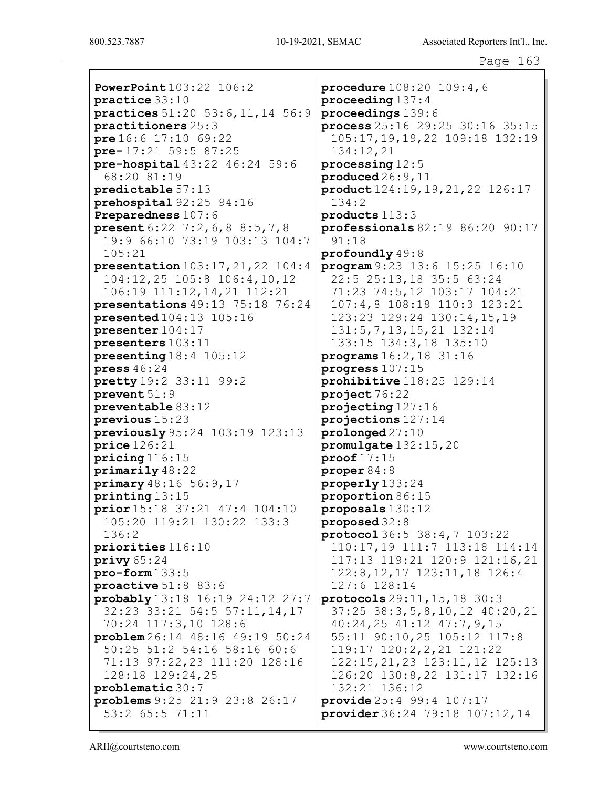PowerPoint 103:22 106:2 practice 33:10 practices 51:20 53:6,11,14 56:9 practitioners 25:3 pre 16:6 17:10 69:22 pre- 17:21 59:5 87:25 pre-hospital 43:22 46:24 59:6 68:20 81:19 predictable 57:13 prehospital 92:25 94:16 Preparedness 107:6 present 6:22 7:2,6,8 8:5,7,8 19:9 66:10 73:19 103:13 104:7 105:21 presentation 103:17,21,22 104:4 104:12,25 105:8 106:4,10,12 106:19 111:12,14,21 112:21 presentations 49:13 75:18 76:24 presented 104:13 105:16 presenter 104:17 presenters 103:11 presenting 18:4 105:12 press 46:24 pretty 19:2 33:11 99:2 prevent 51:9 preventable 83:12 previous 15:23 previously 95:24 103:19 123:13 price 126:21 pricing 116:15 primarily 48:22 primary 48:16 56:9,17 printing 13:15 prior 15:18 37:21 47:4 104:10 105:20 119:21 130:22 133:3 136:2 priorities 116:10 privy 65:24 pro-form 133:5 proactive 51:8 83:6 probably 13:18 16:19 24:12 27:7 32:23 33:21 54:5 57:11,14,17 70:24 117:3,10 128:6 problem 26:14 48:16 49:19 50:24 50:25 51:2 54:16 58:16 60:6 71:13 97:22,23 111:20 128:16 128:18 129:24,25 problematic 30:7 problems 9:25 21:9 23:8 26:17 53:2 65:5 71:11

procedure 108:20 109:4,6 proceeding 137:4 proceedings 139:6 process 25:16 29:25 30:16 35:15 105:17,19,19,22 109:18 132:19 134:12,21 processing 12:5 produced 26:9,11 product 124:19,19,21,22 126:17 134:2 products 113:3 professionals 82:19 86:20 90:17 91:18 profoundly 49:8 program 9:23 13:6 15:25 16:10 22:5 25:13,18 35:5 63:24 71:23 74:5,12 103:17 104:21 107:4,8 108:18 110:3 123:21 123:23 129:24 130:14,15,19 131:5,7,13,15,21 132:14 133:15 134:3,18 135:10 programs 16:2,18 31:16 progress 107:15 prohibitive 118:25 129:14 project 76:22 projecting 127:16 projections 127:14 prolonged 27:10 promulgate 132:15,20 proof 17:15 proper 84:8 properly 133:24 proportion 86:15 proposals 130:12 proposed 32:8 protocol 36:5 38:4,7 103:22 110:17,19 111:7 113:18 114:14 117:13 119:21 120:9 121:16,21 122:8,12,17 123:11,18 126:4 127:6 128:14 protocols 29:11,15,18 30:3 37:25 38:3,5,8,10,12 40:20,21 40:24,25 41:12 47:7,9,15 55:11 90:10,25 105:12 117:8 119:17 120:2,2,21 121:22 122:15,21,23 123:11,12 125:13 126:20 130:8,22 131:17 132:16 132:21 136:12 provide 25:4 99:4 107:17 provider 36:24 79:18 107:12,14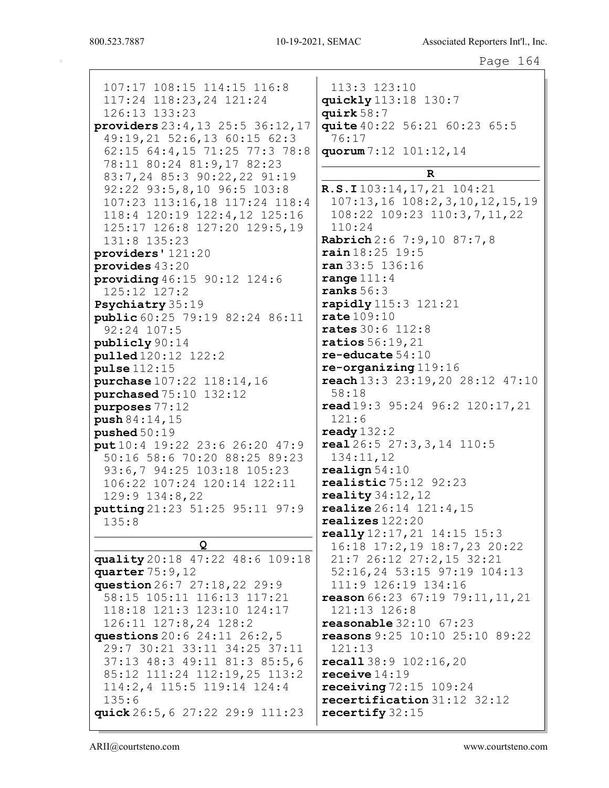107:17 108:15 114:15 116:8 117:24 118:23,24 121:24 126:13 133:23 providers 23:4, 13 25:5 36:12, 17 49:19,21 52:6,13 60:15 62:3  $76:17$ 62:15 64:4,15 71:25 77:3 78:8 78:11 80:24 81:9,17 82:23 83:7,24 85:3 90:22,22 91:19 92:22 93:5,8,10 96:5 103:8 107:23 113:16,18 117:24 118:4 118:4 120:19 122:4,12 125:16  $110:24$ 125:17 126:8 127:20 129:5,19 131:8 135:23  $provides '121:20$ provides  $43:20$ providing  $46:15$   $90:12$   $124:6$ 125:12 127:2 **Psychiatry** 35:19 **public** 60:25 79:19 82:24 86:11  $92:24$  107:5 publicly 90:14 **pulled** 120:12 122:2  $pulse 112:15$ purchase 107:22 118:14, 16  $58:18$ purchased 75:10 132:12 purposes 77:12  $121:6$ push 84:14, 15  $pushed 50:19$ put  $10:4$  19:22 23:6 26:20 47:9 50:16 58:6 70:20 88:25 89:23 93:6,7 94:25 103:18 105:23 106:22 107:24 120:14 122:11  $129:9$   $134:8$ , 22 putting 21:23 51:25 95:11 97:9  $135:8$ Q quality 20:18 47:22 48:6 109:18 quarter  $75:9,12$ question 26:7 27:18, 22 29:9 58:15 105:11 116:13 117:21 118:18 121:3 123:10 124:17 126:11 127:8,24 128:2 questions 20:6 24:11 26:2,5 29:7 30:21 33:11 34:25 37:11  $121:13$ 37:13 48:3 49:11 81:3 85:5,6 85:12 111:24 112:19,25 113:2 114:2,4 115:5 119:14 124:4  $135:6$ quick 26:5, 6 27:22 29:9 111:23

 $113:3$   $123:10$ quickly 113:18 130:7 quirk  $58:7$ quite 40:22 56:21 60:23 65:5 **quorum** 7:12 101:12,14  $\mathbb{R}$ R.S.I103:14, 17, 21 104:21  $107:13, 16$   $108:2, 3, 10, 12, 15, 19$ 108:22 109:23 110:3,7,11,22 Rabrich 2:6 7:9,10 87:7,8  $rain18:25 19:5$  $ran 33:5 136:16$ range  $111:4$ ranks  $56:3$ rapidly 115:3 121:21  $rate109:10$ **rates** 30:6 112:8 ratios  $56:19.21$  $re$ -educate  $54:10$  $re-organizing 119:16$  $reach 13:3 23:19,20 28:12 47:10$  $read19:3$  95:24 96:2 120:17,21 ready  $132:2$  $real 26:5 27:3,3,14 110:5$ 134:11,12  $real$ ign  $54:10$ **realistic** 75:12 92:23 reality  $34:12$ ,  $12$  $realize 26:14 121:4,15$  $realizes 122:20$ really 12:17, 21 14:15 15:3 16:18 17:2,19 18:7,23 20:22 21:7 26:12 27:2,15 32:21 52:16,24 53:15 97:19 104:13 111:9 126:19 134:16 reason  $66:23$   $67:19$   $79:11$ ,  $11$ ,  $21$ 121:13 126:8 **reasonable**  $32:10$   $67:23$ reasons 9:25 10:10 25:10 89:22 recall 38:9 102:16,20 receive  $14:19$  $\texttt{receiving}\,72\texttt{:}15\,109\texttt{:}24$ recertification 31:12 32:12 recertify 32:15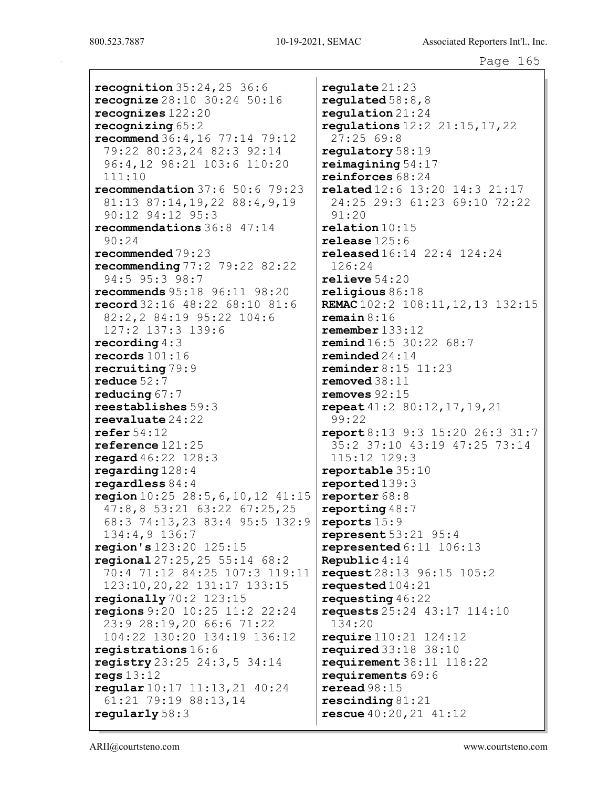recognition  $35:24,25$  36:6 recognize 28:10 30:24 50:16 recognizes 122:20 recognizing 65:2 recommend 36:4,16 77:14 79:12 79:22 80:23,24 82:3 92:14 96:4,12 98:21 103:6 110:20 111:10 recommendation 37:6 50:6 79:23 81:13 87:14,19,22 88:4,9,19 90:12 94:12 95:3 recommendations 36:8 47:14 90:24 recommended 79:23 recommending 77:2 79:22 82:22 94:5 95:3 98:7 recommends 95:18 96:11 98:20 record 32:16 48:22 68:10 81:6 82:2,2 84:19 95:22 104:6 127:2 137:3 139:6 recording 4:3 records 101:16 recruiting 79:9 reduce 52:7 reducing 67:7 reestablishes 59:3 reevaluate 24:22 refer 54:12 reference 121:25 regard 46:22 128:3 regarding 128:4 regardless 84:4 region  $10:25$   $28:5,6,10,12$   $41:15$ 47:8,8 53:21 63:22 67:25,25 68:3 74:13,23 83:4 95:5 132:9 134:4,9 136:7 region's 123:20 125:15 regional 27:25,25 55:14 68:2 70:4 71:12 84:25 107:3 119:11 123:10,20,22 131:17 133:15 regionally 70:2 123:15 regions 9:20 10:25 11:2 22:24 23:9 28:19,20 66:6 71:22 104:22 130:20 134:19 136:12 registrations 16:6 registry 23:25 24:3,5 34:14 regs 13:12 regular 10:17 11:13,21 40:24 61:21 79:19 88:13,14 regularly 58:3

regulate 21:23 regulated  $58:8,8$ regulation 21:24 regulations 12:2 21:15,17,22 27:25 69:8 regulatory 58:19 reimagining 54:17 reinforces 68:24 related 12:6 13:20 14:3 21:17 24:25 29:3 61:23 69:10 72:22 91:20 relation 10:15 release 125:6 released 16:14 22:4 124:24 126:24 relieve 54:20 religious 86:18 REMAC 102:2 108:11, 12, 13 132:15 remain 8:16 remember 133:12 remind 16:5 30:22 68:7 reminded 24:14 reminder 8:15 11:23 removed 38:11 removes 92:15 repeat 41:2 80:12,17,19,21 99:22 report 8:13 9:3 15:20 26:3 31:7 35:2 37:10 43:19 47:25 73:14 115:12 129:3 reportable 35:10 reported 139:3 reporter 68:8 reporting 48:7 reports 15:9 represent  $53:21$   $95:4$ represented  $6:11$   $106:13$ Republic 4:14 request 28:13 96:15 105:2 requested 104:21 requesting 46:22 requests 25:24 43:17 114:10 134:20 require 110:21 124:12 required 33:18 38:10  $requirement 38:11 118:22$ requirements 69:6 reread 98:15 rescinding 81:21 rescue 40:20,21 41:12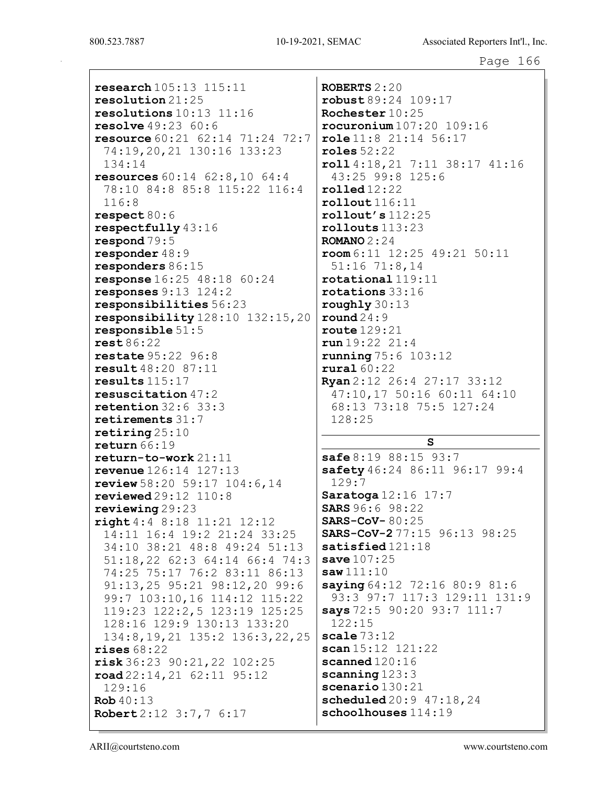research 105:13 115:11 resolution 21:25 resolutions 10:13 11:16 resolve 49:23 60:6 resource 60:21 62:14 71:24 72:7 74:19,20,21 130:16 133:23 134:14 resources 60:14 62:8,10 64:4 78:10 84:8 85:8 115:22 116:4 116:8 respect 80:6 respectfully 43:16 respond 79:5 responder 48:9 responders 86:15 response 16:25 48:18 60:24 responses 9:13 124:2 responsibilities 56:23 responsibility 128:10 132:15,20 responsible 51:5 rest 86:22 restate 95:22 96:8 result 48:20 87:11 results 115:17 resuscitation 47:2 retention 32:6 33:3 retirements 31:7 retiring 25:10 return 66:19 return-to-work 21:11 revenue 126:14 127:13 review 58:20 59:17 104:6,14 reviewed 29:12 110:8 reviewing 29:23 right 4:4 8:18 11:21 12:12 14:11 16:4 19:2 21:24 33:25 34:10 38:21 48:8 49:24 51:13 51:18,22 62:3 64:14 66:4 74:3 74:25 75:17 76:2 83:11 86:13 91:13,25 95:21 98:12,20 99:6 99:7 103:10,16 114:12 115:22 119:23 122:2,5 123:19 125:25 128:16 129:9 130:13 133:20 134:8,19,21 135:2 136:3,22,25 rises 68:22 risk 36:23 90:21,22 102:25 road 22:14,21 62:11 95:12 129:16 Rob 40:13 Robert 2:12 3:7,7 6:17

ROBERTS 2:20 robust 89:24 109:17 Rochester 10:25 rocuronium 107:20 109:16 role 11:8 21:14 56:17 roles 52:22 roll 4:18,21 7:11 38:17 41:16 43:25 99:8 125:6 rolled 12:22 rollout 116:11  $rollout's 112:25$ rollouts 113:23 ROMANO 2:24 room 6:11 12:25 49:21 50:11 51:16 71:8,14 rotational 119:11 rotations 33:16 roughly 30:13 round 24:9 route 129:21 run 19:22 21:4 running 75:6 103:12 rural 60:22 Ryan 2:12 26:4 27:17 33:12 47:10,17 50:16 60:11 64:10 68:13 73:18 75:5 127:24 128:25

## S

 $safe 8:19 88:15 93:7$ safety 46:24 86:11 96:17 99:4 129:7 Saratoga 12:16 17:7 SARS 96:6 98:22 SARS-CoV- 80:25 SARS-CoV-2 77:15 96:13 98:25 satisfied 121:18  $save 107:25$  $saw 111:10$ saying 64:12 72:16 80:9 81:6 93:3 97:7 117:3 129:11 131:9 says 72:5 90:20 93:7 111:7 122:15 scale  $73:12$ scan 15:12 121:22 scanned  $120:16$ scanning 123:3 scenario 130:21 scheduled 20:9 47:18, 24 schoolhouses  $114:19$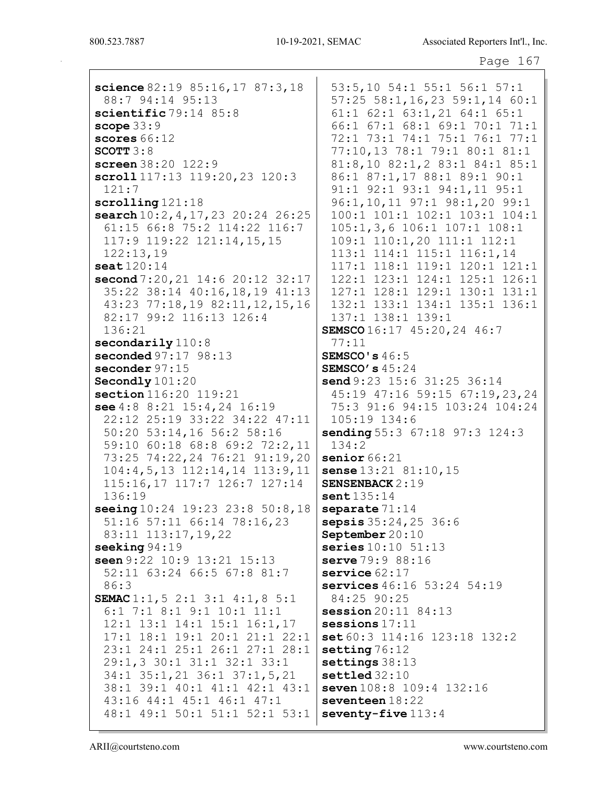| science $82:19$ $85:16$ , $17$ $87:3$ , $18$ | 53:5,10 54:1 55:1 56:1 57:1           |
|----------------------------------------------|---------------------------------------|
| 88:7 94:14 95:13                             | $57:25$ $58:1,16,23$ $59:1,14$ $60:1$ |
| scientific 79:14 85:8                        | 61:1 62:1 63:1,21 64:1 65:1           |
| scope $33:9$                                 | 66:1 67:1 68:1 69:1 70:1 71:1         |
| scores 66:12                                 | 72:1 73:1 74:1 75:1 76:1 77:1         |
| SCOTT $3:8$                                  | 77:10,13 78:1 79:1 80:1 81:1          |
| screen 38:20 122:9                           | 81:8,10 82:1,2 83:1 84:1 85:1         |
| scroll 117:13 119:20, 23 120:3               | 86:1 87:1,17 88:1 89:1 90:1           |
| 121:7                                        | 91:1 92:1 93:1 94:1,11 95:1           |
| scrolling 121:18                             | 96:1,10,11 97:1 98:1,20 99:1          |
| search 10:2, 4, 17, 23 20:24 26:25           | 100:1 101:1 102:1 103:1 104:1         |
| 61:15 66:8 75:2 114:22 116:7                 | 105:1, 3, 6 106:1 107:1 108:1         |
| 117:9 119:22 121:14,15,15                    | 109:1 110:1,20 111:1 112:1            |
| 122:13,19                                    | 113:1 114:1 115:1 116:1,14            |
| seat $120:14$                                | 117:1 118:1 119:1 120:1 121:1         |
| second 7:20, 21 14:6 20:12 32:17             | 122:1 123:1 124:1 125:1 126:1         |
| 35:22 38:14 40:16,18,19 41:13                | 127:1 128:1 129:1 130:1 131:1         |
| 43:23 77:18,19 82:11,12,15,16                | 132:1 133:1 134:1 135:1 136:1         |
| 82:17 99:2 116:13 126:4                      | 137:1 138:1 139:1                     |
| 136:21                                       | SEMSCO 16:17 45:20, 24 46:7           |
| secondarily 110:8                            | 77:11                                 |
| seconded 97:17 98:13                         | SEMSCO's $46:5$                       |
| seconder 97:15                               | SEMSCO's $45:24$                      |
| Secondly 101:20                              | send 9:23 15:6 31:25 36:14            |
| section 116:20 119:21                        | 45:19 47:16 59:15 67:19,23,24         |
| see $4:8$ $8:21$ $15:4,24$ $16:19$           | 75:3 91:6 94:15 103:24 104:24         |
| 22:12 25:19 33:22 34:22 47:11                | $105:19$ $134:6$                      |
| 50:20 53:14,16 56:2 58:16                    | sending 55:3 67:18 97:3 124:3         |
| 59:10 60:18 68:8 69:2 72:2,11                | 134:2                                 |
| 73:25 74:22,24 76:21 91:19,20                | senior $66:21$                        |
| $104:4,5,13$ $112:14,14$ $113:9,11$          | sense $13:21$ $81:10$ , $15$          |
| 115:16,17 117:7 126:7 127:14                 | <b>SENSENBACK 2:19</b>                |
| 136:19                                       | sent135:14                            |
| seeing 10:24 19:23 23:8 50:8,18              | separate $71:14$                      |
| 51:16 57:11 66:14 78:16,23                   | sepsis 35:24, 25 36:6                 |
| 83:11 113:17, 19, 22                         | September 20:10                       |
| seeking $94:19$                              | series $10:10$ $51:13$                |
| seen 9:22 10:9 13:21 15:13                   | serve 79:9 88:16                      |
| 52:11 63:24 66:5 67:8 81:7                   | service $62:17$                       |
| 86:3                                         | <b>services</b> $46:16$ 53:24 54:19   |
| <b>SEMAC</b> 1:1, 5 2:1 3:1 4:1, 8 5:1       | 84:25 90:25                           |
| 6:1 7:1 8:1 9:1 10:1 11:1                    | session 20:11 84:13                   |
| $12:1$ $13:1$ $14:1$ $15:1$ $16:1,17$        | sessions $17:11$                      |
| 17:1 18:1 19:1 20:1 21:1 22:1                | set 60:3 114:16 123:18 132:2          |
| 23:1 24:1 25:1 26:1 27:1 28:1                | setting $76:12$                       |
| 29:1,3 30:1 31:1 32:1 33:1                   | settings $38:13$                      |
| 34:1 35:1, 21 36:1 37:1, 5, 21               | $settled$ 32:10                       |
| 38:1 39:1 40:1 41:1 42:1 43:1                | seven 108:8 109:4 132:16              |
| 43:16 44:1 45:1 46:1 47:1                    | seventeen $18:22$                     |
| 48:1 49:1 50:1 51:1 52:1 53:1                | seventy-five $113:4$                  |
|                                              |                                       |
|                                              |                                       |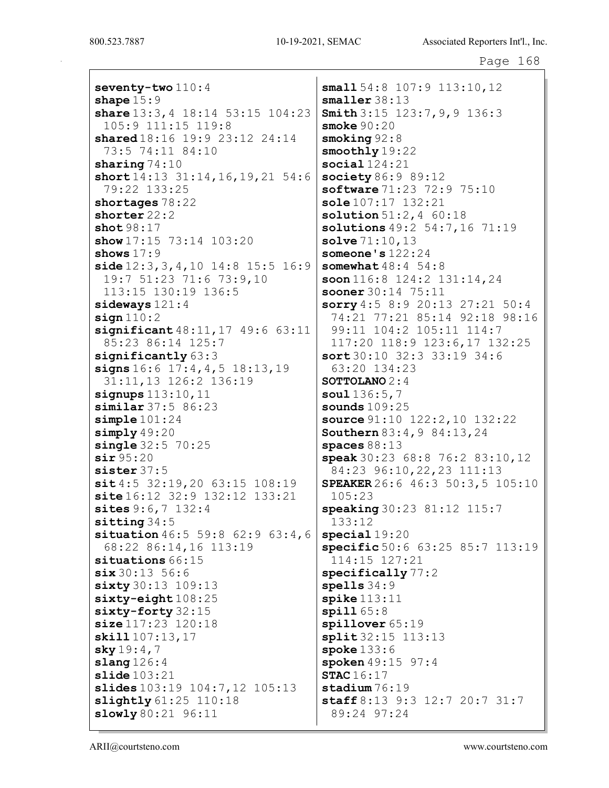seventy-two  $110:4$ shape  $15:9$ share 13:3, 4 18:14 53:15 104:23 105:9 111:15 119:8 shared 18:16 19:9 23:12 24:14 73:5 74:11 84:10 sharing  $74:10$ short 14:13 31:14, 16, 19, 21 54:6 79:22 133:25 shortages 78:22 shorter 22:2 shot 98:17 show 17:15 73:14 103:20 shows  $17:9$ side  $12:3,3,4,10$  14:8 15:5 16:9 19:7 51:23 71:6 73:9,10 113:15 130:19 136:5 sideways 121:4  $sign 110:2$ significant  $48:11,17$   $49:6$  63:11 85:23 86:14 125:7 significantly  $63:3$ signs 16:6 17:4,4,5 18:13,19 31:11,13 126:2 136:19 signups 113:10,11 similar 37:5 86:23 simple 101:24 simply  $49:20$ **single** 32:5 70:25 sir 95:20 sister 37:5 sit 4:5 32:19,20 63:15 108:19 site 16:12 32:9 132:12 133:21 sites 9:6,7 132:4 sitting 34:5 situation 46:5 59:8 62:9 63:4,6 68:22 86:14,16 113:19 situations 66:15  $six 30:13 56:6$ sixty 30:13 109:13 sixty-eight 108:25 sixty-forty 32:15 size 117:23 120:18 skill 107:13,17  $sky 19:4,7$ slang 126:4 slide 103:21 slides 103:19 104:7,12 105:13 slightly 61:25 110:18 slowly 80:21 96:11

small 54:8 107:9 113:10, 12 smaller 38:13 Smith 3:15 123:7, 9, 9 136:3 smoke 90:20 smoking 92:8 smoothly 19:22 social 124:21 society 86:9 89:12 software 71:23 72:9 75:10 sole 107:17 132:21  $solution 51:2.4 60:18$ solutions 49:2 54:7,16 71:19 solve 71:10,13 someone's 122:24 somewhat 48:4 54:8 soon 116:8 124:2 131:14,24 sooner 30:14 75:11 sorry 4:5 8:9 20:13 27:21 50:4 74:21 77:21 85:14 92:18 98:16 99:11 104:2 105:11 114:7 117:20 118:9 123:6,17 132:25 sort 30:10 32:3 33:19 34:6 63:20 134:23 SOTTOLANO 2:4 soul 136:5,7 sounds 109:25 source 91:10 122:2,10 132:22 Southern 83:4, 9 84:13, 24 spaces 88:13 speak 30:23 68:8 76:2 83:10,12 84:23 96:10,22,23 111:13 SPEAKER 26:6 46:3 50:3,5 105:10 105:23 speaking 30:23 81:12 115:7 133:12 special 19:20 specific 50:6 63:25 85:7 113:19 114:15 127:21 specifically 77:2 spells 34:9  $\texttt{spike}$   $113:11$ spill 65:8 spillover 65:19 split 32:15 113:13 spoke 133:6 spoken 49:15 97:4 STAC 16:17 stadium 76:19 staff 8:13 9:3 12:7 20:7 31:7 89:24 97:24

ARII@courtsteno.com www.courtsteno.com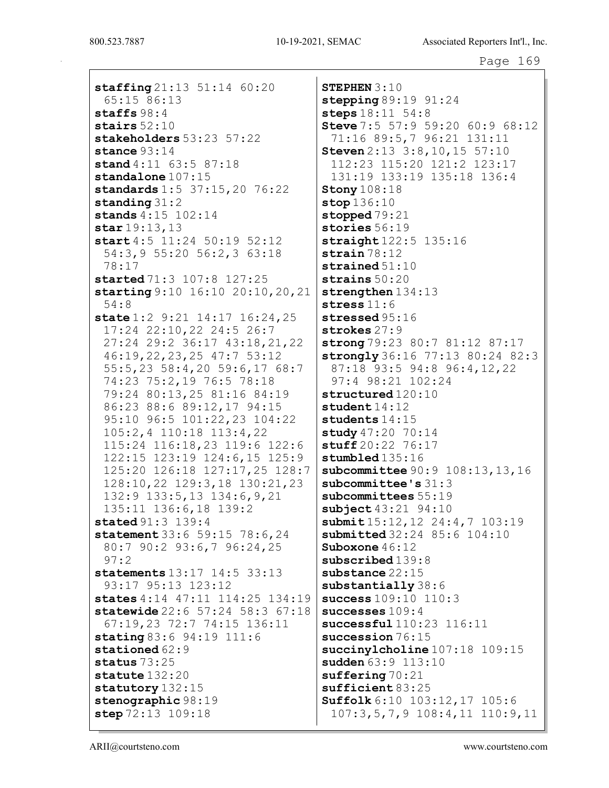staffing 21:13 51:14 60:20 65:15 86:13 staffs 98:4 stairs 52:10 stakeholders 53:23 57:22 stance 93:14 stand 4:11 63:5 87:18 standalone 107:15 standards 1:5 37:15,20 76:22 standing 31:2 stands 4:15 102:14 star 19:13,13 start 4:5 11:24 50:19 52:12 54:3,9 55:20 56:2,3 63:18 78:17 started 71:3 107:8 127:25 starting 9:10 16:10 20:10,20,21 54:8 state 1:2 9:21 14:17 16:24,25 17:24 22:10,22 24:5 26:7 27:24 29:2 36:17 43:18,21,22 46:19,22,23,25 47:7 53:12 55:5,23 58:4,20 59:6,17 68:7 74:23 75:2,19 76:5 78:18 79:24 80:13,25 81:16 84:19 86:23 88:6 89:12,17 94:15 95:10 96:5 101:22,23 104:22 105:2,4 110:18 113:4,22 115:24 116:18,23 119:6 122:6 122:15 123:19 124:6,15 125:9 125:20 126:18 127:17,25 128:7 128:10,22 129:3,18 130:21,23 132:9 133:5,13 134:6,9,21 135:11 136:6,18 139:2 stated 91:3 139:4 statement 33:6 59:15 78:6, 24 80:7 90:2 93:6,7 96:24,25 97:2 statements 13:17 14:5 33:13 93:17 95:13 123:12 states 4:14 47:11 114:25 134:19 statewide 22:6 57:24 58:3 67:18 67:19,23 72:7 74:15 136:11 stating 83:6 94:19 111:6 stationed 62:9 status 73:25 statute 132:20 statutory 132:15 stenographic 98:19 step 72:13 109:18

STEPHEN 3:10 stepping  $89:19$   $91:24$ steps  $18:11 \ 54:8$ Steve 7:5 57:9 59:20 60:9 68:12 71:16 89:5,7 96:21 131:11 **Steven** 2:13 3:8, 10, 15 57:10 112:23 115:20 121:2 123:17 131:19 133:19 135:18 136:4 **Stony**  $108:18$ stop 136:10 stopped  $79:21$ stories 56:19 straight  $122:5$  135:16 strain 78:12 strained 51:10 strains 50:20 strengthen  $134:13$ stress 11:6 stressed 95:16 strokes 27:9 strong 79:23 80:7 81:12 87:17 strongly 36:16 77:13 80:24 82:3 87:18 93:5 94:8 96:4,12,22 97:4 98:21 102:24 structured  $120:10$ student 14:12 students 14:15 study 47:20 70:14  ${\tt stufff20:22}$  76:17 stumbled  $135:16$ subcommittee 90:9 108:13, 13, 16 subcommittee's 31:3 subcommittees  $55:19$ subject 43:21 94:10 submit 15:12, 12 24:4, 7 103:19 submitted 32:24 85:6 104:10 Suboxone 46:12 subscribed  $139:8$ substance 22:15 substantially 38:6 success 109:10 110:3 successes 109:4 successful  $110:23$  116:11 succession 76:15 succinylcholine  $107:18$  109:15 sudden 63:9 113:10 suffering 70:21 sufficient 83:25 Suffolk 6:10 103:12,17 105:6 107:3,5,7,9 108:4,11 110:9,11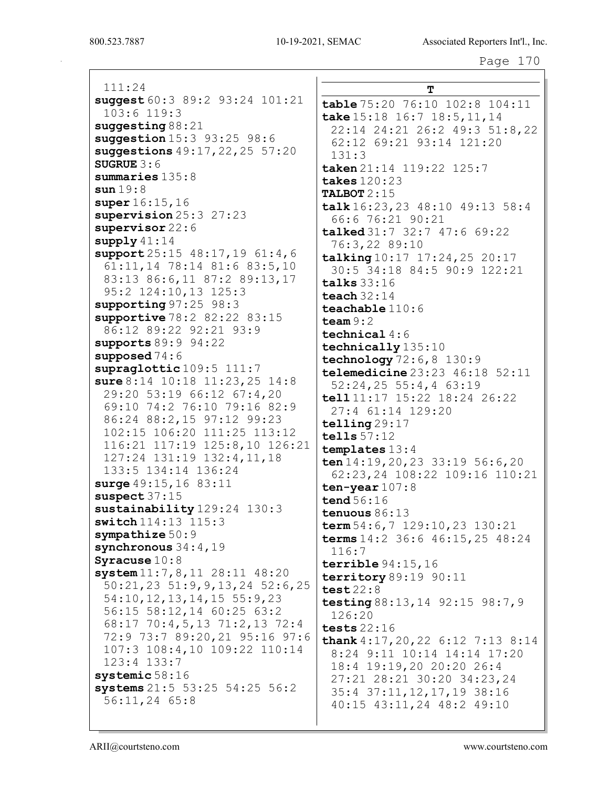111:24 suggest 60:3 89:2 93:24 101:21 103:6 119:3 suggesting 88:21 suggestion 15:3 93:25 98:6 suggestions 49:17,22,25 57:20 SUGRUE 3:6 summaries 135:8 sun 19:8 super 16:15,16 supervision 25:3 27:23 supervisor 22:6 supply 41:14 support 25:15 48:17, 19 61:4, 6 61:11,14 78:14 81:6 83:5,10 83:13 86:6,11 87:2 89:13,17 95:2 124:10,13 125:3 supporting 97:25 98:3 supportive 78:2 82:22 83:15 86:12 89:22 92:21 93:9 supports 89:9 94:22 supposed 74:6 supraglottic 109:5 111:7 sure 8:14 10:18 11:23,25 14:8 29:20 53:19 66:12 67:4,20 69:10 74:2 76:10 79:16 82:9 86:24 88:2,15 97:12 99:23 102:15 106:20 111:25 113:12 116:21 117:19 125:8,10 126:21 127:24 131:19 132:4,11,18 133:5 134:14 136:24 surge 49:15,16 83:11 suspect 37:15 sustainability 129:24 130:3 switch 114:13 115:3 sympathize 50:9 synchronous  $34:4,19$ Syracuse 10:8 system 11:7,8,11 28:11 48:20 50:21,23 51:9,9,13,24 52:6,25 54:10,12,13,14,15 55:9,23 56:15 58:12,14 60:25 63:2 68:17 70:4,5,13 71:2,13 72:4 72:9 73:7 89:20,21 95:16 97:6 107:3 108:4,10 109:22 110:14 123:4 133:7 systemic 58:16 systems 21:5 53:25 54:25 56:2 56:11,24 65:8

T table 75:20 76:10 102:8 104:11 take 15:18 16:7 18:5, 11, 14 22:14 24:21 26:2 49:3 51:8,22 62:12 69:21 93:14 121:20 131:3 taken 21:14 119:22 125:7 takes 120:23 TALBOT 2:15 talk 16:23,23 48:10 49:13 58:4 66:6 76:21 90:21 talked 31:7 32:7 47:6 69:22 76:3,22 89:10 talking 10:17 17:24,25 20:17 30:5 34:18 84:5 90:9 122:21 talks 33:16 teach 32:14 teachable 110:6 team  $9:2$ technical 4:6 technically 135:10 technology 72:6,8 130:9 telemedicine 23:23 46:18 52:11 52:24,25 55:4,4 63:19 tell 11:17 15:22 18:24 26:22 27:4 61:14 129:20 telling 29:17 tells 57:12 templates 13:4 ten 14:19,20,23 33:19 56:6,20 62:23,24 108:22 109:16 110:21 ten-year 107:8 tend 56:16 tenuous 86:13 term 54:6,7 129:10,23 130:21 terms 14:2 36:6 46:15,25 48:24 116:7 terrible 94:15,16 territory 89:19 90:11 test 22:8 testing 88:13, 14 92:15 98:7, 9 126:20 tests 22:16 thank 4:17,20,22 6:12 7:13 8:14 8:24 9:11 10:14 14:14 17:20 18:4 19:19,20 20:20 26:4 27:21 28:21 30:20 34:23,24 35:4 37:11,12,17,19 38:16 40:15 43:11,24 48:2 49:10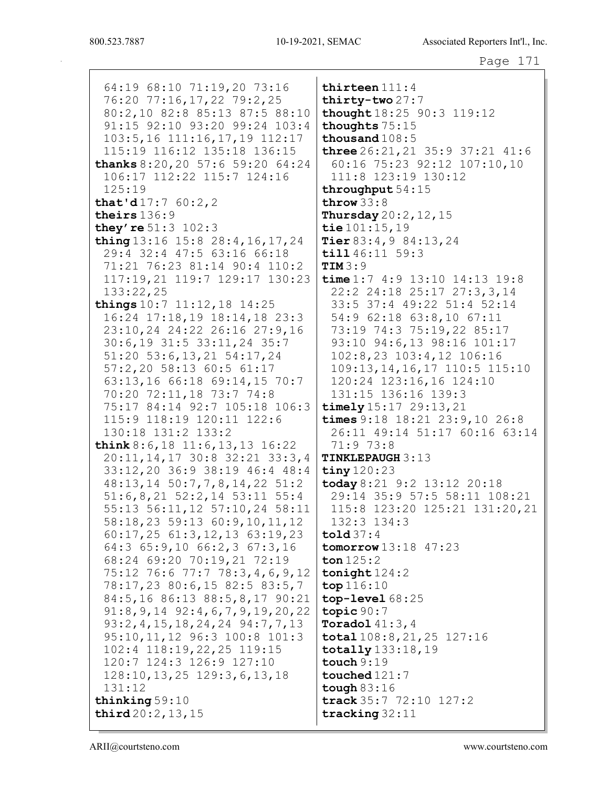64:19 68:10 71:19,20 73:16 76:20 77:16,17,22 79:2,25 80:2,10 82:8 85:13 87:5 88:10 91:15 92:10 93:20 99:24 103:4  $103:5, 16$  111:16, 17, 19 112:17 115:19 116:12 135:18 136:15 thanks  $8:20, 20, 57:6, 59:20, 64:24$ 106:17 112:22 115:7 124:16  $125:19$ that'd $17:760:2,2$ theirs  $136:9$ they're  $51:3$   $102:3$ thing  $13:16$   $15:8$   $28:4$ ,  $16$ ,  $17$ ,  $24$ 29:4 32:4 47:5 63:16 66:18 71:21 76:23 81:14 90:4 110:2  $TIM3:9$ 117:19,21 119:7 129:17 130:23  $133:22,25$ things  $10:7$  11:12, 18 14:25 16:24 17:18,19 18:14,18 23:3 23:10,24 24:22 26:16 27:9,16 30:6,19 31:5 33:11,24 35:7 51:20 53:6, 13, 21 54:17, 24 57:2,20 58:13 60:5 61:17 63:13,16 66:18 69:14,15 70:7 70:20 72:11,18 73:7 74:8 75:17 84:14 92:7 105:18 106:3 115:9 118:19 120:11 122:6 130:18 131:2 133:2 think  $8:6, 18$  11:6, 13, 13 16:22 20:11, 14, 17 30:8 32:21 33:3, 4 33:12,20 36:9 38:19 46:4 48:4 48:13,14 50:7,7,8,14,22 51:2  $51:6, 8, 21$   $52:2, 14$   $53:11$   $55:4$ 55:13 56:11,12 57:10,24 58:11 58:18,23 59:13 60:9,10,11,12  $60:17, 25$   $61:3, 12, 13$   $63:19, 23$  $64:3$   $65:9,10$   $66:2,3$   $67:3,16$ 68:24 69:20 70:19,21 72:19 75:12 76:6 77:7 78:3,4,6,9,12 78:17,23 80:6,15 82:5 83:5,7 84:5,16 86:13 88:5,8,17 90:21  $91:8, 9, 14$   $92:4, 6, 7, 9, 19, 20, 22$ 93:2, 4, 15, 18, 24, 24 94: 7, 7, 13 95:10, 11, 12 96:3 100:8 101:3 102:4 118:19,22,25 119:15 120:7 124:3 126:9 127:10  $128:10, 13, 25$   $129:3, 6, 13, 18$  $131:12$ thinking  $59:10$ third  $20:2, 13, 15$ 

thirteen  $111:4$ thirty-two  $27:7$ thought 18:25 90:3 119:12 thoughts 75:15 thousand  $108:5$ **three**  $26:21$ ,  $21$   $35:9$   $37:21$   $41:6$ 60:16 75:23 92:12 107:10,10 111:8 123:19 130:12 throughput  $54:15$ throw  $33:8$ Thursday 20:2, 12, 15 tie  $101:15.19$ Tier  $83:4,984:13,24$  $\texttt{til1} 46:11 59:3$ time  $1:7$   $4:9$   $13:10$   $14:13$   $19:8$ 22:2 24:18 25:17 27:3,3,14 33:5 37:4 49:22 51:4 52:14 54:9 62:18 63:8,10 67:11 73:19 74:3 75:19,22 85:17 93:10 94:6,13 98:16 101:17 102:8,23 103:4,12 106:16 109:13, 14, 16, 17 110:5 115:10 120:24 123:16,16 124:10 131:15 136:16 139:3 timely  $15:17$   $29:13$ ,  $21$ times  $9:18$  18:21 23:9,10 26:8 26:11 49:14 51:17 60:16 63:14  $71:973:8$ **TINKLEPAUGH 3:13** tiny  $120:23$ today 8:21 9:2 13:12 20:18 29:14 35:9 57:5 58:11 108:21 115:8 123:20 125:21 131:20,21  $132:3$   $134:3$  $\text{told}37:4$ tomorrow  $13:18$   $47:23$ ton  $125:2$ tonight  $124:2$  $top 116:10$  $top-level 68:25$ topic  $90:7$ Toradol  $41:3$ ,  $4$  $\texttt{total}$  108:8, 21, 25 127:16  $\text{totally} 133:18,19$ touch  $9:19$ touched  $121:7$ tough  $83:16$ track 35:7 72:10 127:2 tracking  $32:11$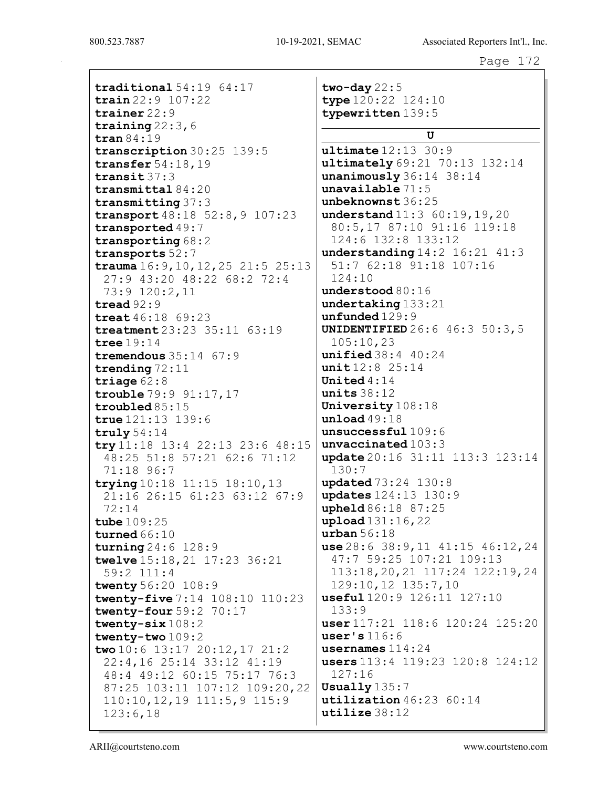traditional 54:19 64:17 train 22:9 107:22 trainer 22:9 training 22:3,6 tran 84:19 transcription 30:25 139:5 transfer 54:18,19 transit 37:3 transmittal 84:20 transmitting 37:3 transport 48:18 52:8,9 107:23 transported 49:7 transporting 68:2 transports 52:7 trauma 16:9,10,12,25 21:5 25:13 27:9 43:20 48:22 68:2 72:4 73:9 120:2,11 tread 92:9 treat 46:18 69:23 treatment 23:23 35:11 63:19 tree 19:14 tremendous 35:14 67:9 trending 72:11 triage 62:8 trouble 79:9 91:17,17 troubled 85:15 true 121:13 139:6 truly 54:14 try 11:18 13:4 22:13 23:6 48:15 48:25 51:8 57:21 62:6 71:12 71:18 96:7 trying 10:18 11:15 18:10,13 21:16 26:15 61:23 63:12 67:9 72:14 tube 109:25 turned  $66:10$ turning 24:6 128:9 twelve 15:18,21 17:23 36:21 59:2 111:4 twenty 56:20 108:9 twenty-five 7:14 108:10 110:23 twenty-four 59:2 70:17 twenty-six 108:2 twenty-two 109:2 two 10:6 13:17 20:12,17 21:2 22:4,16 25:14 33:12 41:19 48:4 49:12 60:15 75:17 76:3 87:25 103:11 107:12 109:20,22 110:10,12,19 111:5,9 115:9 123:6,18

two-day  $22:5$ type 120:22 124:10 typewritten 139:5 U  $ultime 12:13 30:9$ ultimately 69:21 70:13 132:14 unanimously 36:14 38:14 unavailable 71:5 unbeknownst 36:25 understand 11:3 60:19, 19, 20 80:5,17 87:10 91:16 119:18 124:6 132:8 133:12 understanding 14:2 16:21 41:3 51:7 62:18 91:18 107:16 124:10 understood 80:16 undertaking 133:21 unfunded 129:9 UNIDENTIFIED 26:6 46:3 50:3,5 105:10,23 unified 38:4 40:24 unit 12:8 25:14 United 4:14 units 38:12 University 108:18 unload 49:18 unsuccessful 109:6 unvaccinated 103:3 update 20:16 31:11 113:3 123:14 130:7 updated 73:24 130:8 updates 124:13 130:9 upheld 86:18 87:25 upload 131:16,22 urban 56:18 use 28:6 38:9,11 41:15 46:12,24 47:7 59:25 107:21 109:13 113:18,20,21 117:24 122:19,24 129:10,12 135:7,10 useful 120:9 126:11 127:10 133:9 user 117:21 118:6 120:24 125:20 user's 116:6 usernames 114:24 users 113:4 119:23 120:8 124:12 127:16 Usually 135:7 utilization 46:23 60:14 utilize 38:12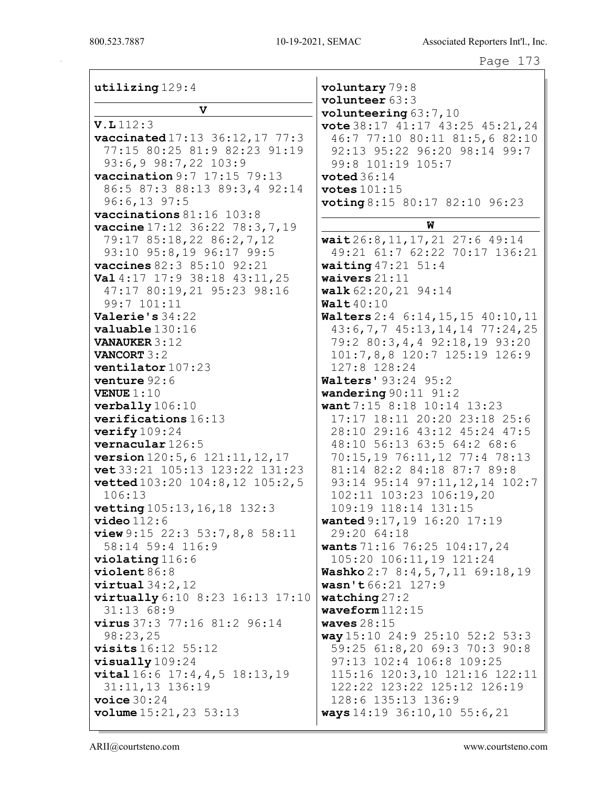| utilizing 129:4                                      | voluntary 79:8<br>volunteer 63:3                                 |
|------------------------------------------------------|------------------------------------------------------------------|
| $\mathbf v$                                          | volunteering $63:7,10$                                           |
| V.L112:3                                             | vote 38:17 41:17 43:25 45:21, 24                                 |
| vaccinated 17:13 36:12, 17 77:3                      | 46:7 77:10 80:11 81:5,6 82:10                                    |
| 77:15 80:25 81:9 82:23 91:19                         | 92:13 95:22 96:20 98:14 99:7                                     |
| 93:6,9 98:7,22 103:9                                 | 99:8 101:19 105:7                                                |
| vaccination 9:7 17:15 79:13                          | voted $36:14$                                                    |
| 86:5 87:3 88:13 89:3,4 92:14                         | votes $101:15$                                                   |
| $96:6,13$ 97:5                                       | <b>voting</b> 8:15 80:17 82:10 96:23                             |
| vaccinations 81:16 103:8                             |                                                                  |
| vaccine 17:12 36:22 78:3, 7, 19                      | W                                                                |
| 79:17 85:18,22 86:2,7,12                             | wait $26:8, 11, 17, 21$ 27:6 49:14                               |
| 93:10 95:8,19 96:17 99:5                             | 49:21 61:7 62:22 70:17 136:21                                    |
| vaccines 82:3 85:10 92:21                            | <b>waiting</b> $47:21$ 51:4                                      |
| Val 4:17 17:9 38:18 43:11, 25                        | waivers $21:11$                                                  |
| 47:17 80:19,21 95:23 98:16                           | walk 62:20, 21 94:14                                             |
| 99:7 101:11                                          | Walt $40:10$                                                     |
| Valerie's $34:22$                                    | Walters 2:4 6:14, 15, 15 40:10, 11                               |
| valuable 130:16                                      | 43:6,7,7 45:13,14,14 77:24,25                                    |
| <b>VANAUKER 3:12</b>                                 | 79:2 80:3,4,4 92:18,19 93:20                                     |
| <b>VANCORT 3:2</b>                                   | $101:7,8,8$ $120:7$ $125:19$ $126:9$                             |
| ventilator 107:23                                    | 127:8 128:24                                                     |
| venture 92:6                                         | <b>Walters' 93:24 95:2</b>                                       |
| <b>VENUE</b> $1:10$                                  | wandering $90:11$ $91:2$                                         |
| verbally 106:10                                      | want 7:15 8:18 10:14 13:23                                       |
| verifications 16:13                                  | 17:17 18:11 20:20 23:18 25:6                                     |
| verify $109:24$                                      | 28:10 29:16 43:12 45:24 47:5                                     |
| vernacular 126:5                                     | 48:10 56:13 63:5 64:2 68:6                                       |
| version 120:5, 6 121:11, 12, 17                      | 70:15,19 76:11,12 77:4 78:13                                     |
| vet 33:21 105:13 123:22 131:23                       | 81:14 82:2 84:18 87:7 89:8                                       |
| <b>vetted</b> 103:20 104:8, 12 105:2, 5              | 93:14 95:14 97:11, 12, 14 102:7                                  |
| 106:13                                               | 102:11 103:23 106:19,20                                          |
| vetting 105:13, 16, 18 132:3                         | 109:19 118:14 131:15                                             |
| $\verb video 112:6 $                                 | wanted 9:17, 19 16:20 17:19                                      |
| <b>view</b> 9:15 22:3 53:7,8,8 58:11                 | 29:20 64:18                                                      |
| 58:14 59:4 116:9                                     | wants 71:16 76:25 104:17, 24                                     |
| $violation 116:6$                                    | 105:20 106:11,19 121:24                                          |
| violet86:8                                           | <b>Washko</b> $2:78:4,5,7,1169:18,19$                            |
| $virtual\,34:2,12$                                   | wasn't 66:21 127:9                                               |
| virtually 6:10 8:23 16:13 17:10                      | watching $27:2$                                                  |
| 31:1368:9                                            | waveform $112:15$                                                |
| <b>virus</b> $37:3$ $77:16$ $81:2$ $96:14$           | waves $28:15$                                                    |
| 98:23,25<br><b>visits</b> 16:12 55:12                | way $15:10$ 24:9 25:10 52:2 53:3<br>59:25 61:8,20 69:3 70:3 90:8 |
|                                                      | 97:13 102:4 106:8 109:25                                         |
| $visually 109:24$<br>vital 16:6 17:4, 4, 5 18:13, 19 | 115:16 120:3,10 121:16 122:11                                    |
| 31:11,13 136:19                                      | 122:22 123:22 125:12 126:19                                      |
| voice $30:24$                                        | 128:6 135:13 136:9                                               |
| volume $15:21,23$ 53:13                              | ways 14:19 36:10, 10 55:6, 21                                    |
|                                                      |                                                                  |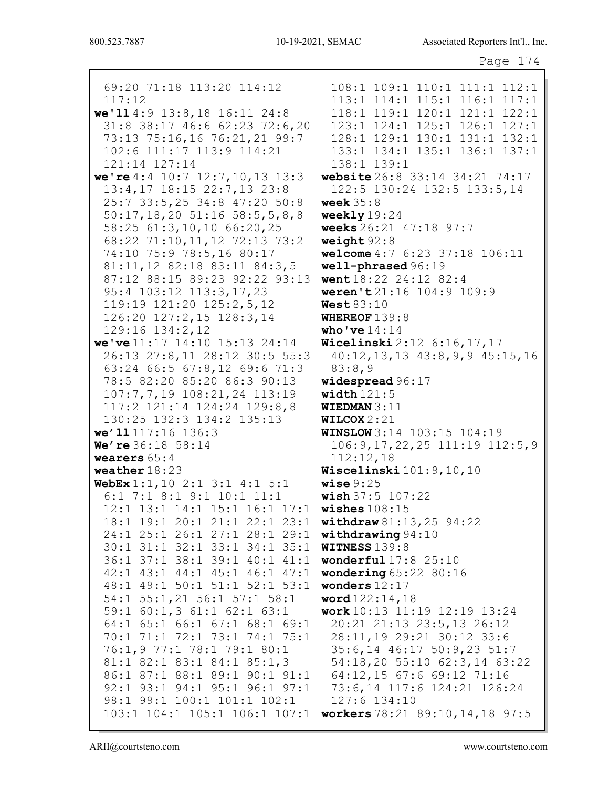| . . |  |
|-----|--|
|-----|--|

| 69:20 71:18 113:20 114:12                                                                                                                                                                       | 108:1 109:1 110:1 111:1 112:1                                                                                                                                  |
|-------------------------------------------------------------------------------------------------------------------------------------------------------------------------------------------------|----------------------------------------------------------------------------------------------------------------------------------------------------------------|
| 117:12                                                                                                                                                                                          | 113:1 114:1 115:1 116:1 117:1                                                                                                                                  |
| we'll 4:9 13:8, 18 16:11 24:8                                                                                                                                                                   | 118:1 119:1 120:1 121:1 122:1                                                                                                                                  |
| 31:8 38:17 46:6 62:23 72:6,20                                                                                                                                                                   | 123:1 124:1 125:1 126:1 127:1                                                                                                                                  |
| 73:13 75:16,16 76:21,21 99:7                                                                                                                                                                    | 128:1 129:1 130:1 131:1 132:1                                                                                                                                  |
| 102:6 111:17 113:9 114:21                                                                                                                                                                       | 133:1 134:1 135:1 136:1 137:1                                                                                                                                  |
| 121:14 127:14                                                                                                                                                                                   | 138:1 139:1                                                                                                                                                    |
| we're $4:4$ 10:7 12:7, 10, 13 13:3                                                                                                                                                              | website 26:8 33:14 34:21 74:17                                                                                                                                 |
| 13:4,17 18:15 22:7,13 23:8                                                                                                                                                                      | 122:5 130:24 132:5 133:5,14                                                                                                                                    |
| 25:7 33:5,25 34:8 47:20 50:8                                                                                                                                                                    | week $35:8$                                                                                                                                                    |
| $50:17, 18, 20$ $51:16$ $58:5, 5, 8, 8$                                                                                                                                                         | weekly $19:24$                                                                                                                                                 |
| 58:25 61:3,10,10 66:20,25                                                                                                                                                                       | weeks 26:21 47:18 97:7                                                                                                                                         |
| 68:22 71:10, 11, 12 72:13 73:2                                                                                                                                                                  | weight $92:8$                                                                                                                                                  |
| 74:10 75:9 78:5,16 80:17                                                                                                                                                                        | welcome 4:7 6:23 37:18 106:11                                                                                                                                  |
| 81:11, 12 82:18 83:11 84:3, 5                                                                                                                                                                   | well-phrased 96:19                                                                                                                                             |
| 87:12 88:15 89:23 92:22 93:13                                                                                                                                                                   | went 18:22 24:12 82:4                                                                                                                                          |
| 95:4 103:12 113:3,17,23                                                                                                                                                                         | weren't21:16 104:9 109:9                                                                                                                                       |
| 119:19 121:20 125:2,5,12                                                                                                                                                                        | West $83:10$                                                                                                                                                   |
| 126:20 127:2,15 128:3,14                                                                                                                                                                        | WHEREOF $139:8$                                                                                                                                                |
| 129:16 134:2,12                                                                                                                                                                                 | who've $14:14$                                                                                                                                                 |
| we've 11:17 14:10 15:13 24:14                                                                                                                                                                   | Wicelinski 2:12 6:16, 17, 17                                                                                                                                   |
| 26:13 27:8,11 28:12 30:5 55:3                                                                                                                                                                   | 40:12, 13, 13 43:8, 9, 9 45:15, 16                                                                                                                             |
| 63:24 66:5 67:8,12 69:6 71:3                                                                                                                                                                    | 83:8,9                                                                                                                                                         |
| 78:5 82:20 85:20 86:3 90:13                                                                                                                                                                     | widespread $96:17$                                                                                                                                             |
| 107:7,7,19 108:21,24 113:19                                                                                                                                                                     | width $121:5$                                                                                                                                                  |
| 117:2 121:14 124:24 129:8,8<br>130:25 132:3 134:2 135:13<br>we'll 117:16 136:3<br>We're 36:18 58:14<br>wearers $65:4$                                                                           | <b>WIEDMAN</b> $3:11$<br>WILCOX $2:21$<br><b>WINSLOW</b> 3:14 103:15 104:19<br>$106:9, 17, 22, 25$ $111:19$ $112:5, 9$<br>112:12,18<br>Wiscelinski 101:9,10,10 |
| weather $18:23$<br>WebEx $1:1$ , $10$ $2:1$ $3:1$ $4:1$ $5:1$<br>$6:1$ 7:1 8:1 9:1 10:1 11:1<br>12:1 13:1 14:1 15:1 16:1 17:1<br>18:1 19:1 20:1 21:1 22:1 23:1<br>24:1 25:1 26:1 27:1 28:1 29:1 | wise $9:25$<br>wish 37:5 107:22<br>wishes $108:15$<br>withdraw $81:13,25$ $94:22$<br>withdrawing $94:10$                                                       |
| 30:1 31:1 32:1 33:1 34:1 35:1                                                                                                                                                                   | <b>WITNESS 139:8</b>                                                                                                                                           |
| 36:1 37:1 38:1 39:1 40:1 41:1                                                                                                                                                                   | wonderful $17:8$ $25:10$                                                                                                                                       |
| 42:1 43:1 44:1 45:1 46:1 47:1                                                                                                                                                                   | wondering $65:22$ 80:16                                                                                                                                        |
| 48:1 49:1 50:1 51:1 52:1 53:1                                                                                                                                                                   | wonders $12:17$                                                                                                                                                |
| 54:1 55:1,21 56:1 57:1 58:1                                                                                                                                                                     | word 122:14,18                                                                                                                                                 |
| 59:1 60:1,3 61:1 62:1 63:1                                                                                                                                                                      | work 10:13 11:19 12:19 13:24                                                                                                                                   |
| 64:1 65:1 66:1 67:1 68:1 69:1                                                                                                                                                                   | 20:21 21:13 23:5,13 26:12                                                                                                                                      |
| 70:1 71:1 72:1 73:1 74:1 75:1                                                                                                                                                                   | 28:11,19 29:21 30:12 33:6                                                                                                                                      |
| 76:1,9 77:1 78:1 79:1 80:1                                                                                                                                                                      | 35:6,14 46:17 50:9,23 51:7                                                                                                                                     |
| 81:1 82:1 83:1 84:1 85:1,3                                                                                                                                                                      | 54:18,20 55:10 62:3,14 63:22                                                                                                                                   |
| 86:1 87:1 88:1 89:1 90:1 91:1                                                                                                                                                                   | 64:12,15 67:6 69:12 71:16                                                                                                                                      |
| 92:1 93:1 94:1 95:1 96:1 97:1                                                                                                                                                                   | 73:6,14 117:6 124:21 126:24                                                                                                                                    |
| 98:1 99:1 100:1 101:1 102:1                                                                                                                                                                     | 127:6 134:10                                                                                                                                                   |
| 103:1 104:1 105:1 106:1 107:1                                                                                                                                                                   | workers 78:21 89:10, 14, 18 97:5                                                                                                                               |
|                                                                                                                                                                                                 |                                                                                                                                                                |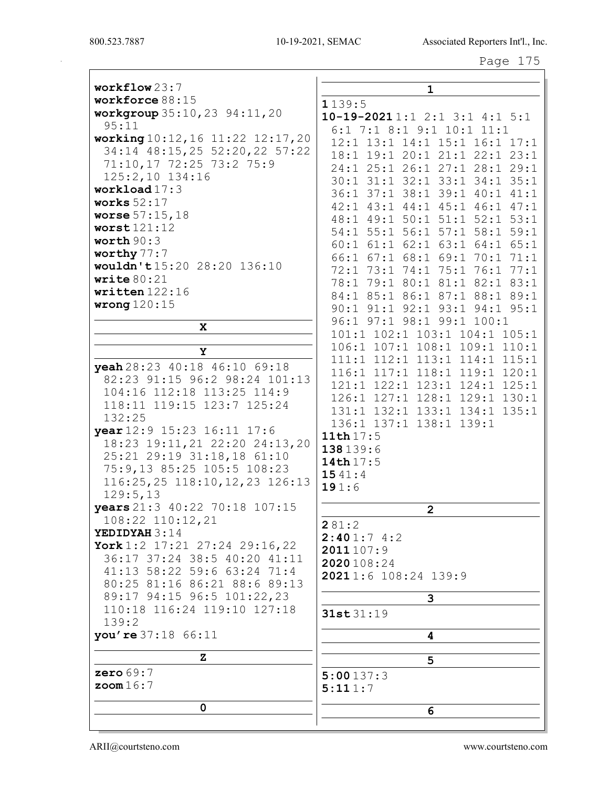800.523.7887

Page 175

| workflow 23:7<br>workforce 88:15                                   | $\mathbf{1}$                     |
|--------------------------------------------------------------------|----------------------------------|
|                                                                    | 1139:5                           |
| workgroup 35:10, 23 94:11, 20<br>95:11                             | $10-19-20211:12:13:14:15:1$      |
|                                                                    | 6:1 7:1 8:1 9:1 10:1 11:1        |
| working 10:12, 16 11:22 12:17, 20<br>34:14 48:15,25 52:20,22 57:22 | 12:1 13:1 14:1 15:1 16:1 17:1    |
|                                                                    | 18:1 19:1 20:1 21:1 22:1 23:1    |
| 71:10,17 72:25 73:2 75:9                                           | 24:1 25:1 26:1 27:1 28:1 29:1    |
| 125:2,10 134:16                                                    | 30:1 31:1 32:1 33:1 34:1 35:1    |
| workload $17:3$                                                    | 36:1 37:1 38:1 39:1 40:1 41:1    |
| works $52:17$                                                      | 42:1 43:1 44:1 45:1 46:1 47:1    |
| worse $57:15,18$                                                   | 48:1 49:1 50:1 51:1 52:1 53:1    |
| worst121:12<br>worth $90:3$                                        | 54:1 55:1 56:1 57:1 58:1 59:1    |
|                                                                    | 60:1 61:1 62:1 63:1 64:1 65:1    |
| worthy 77:7                                                        | 66:1 67:1 68:1 69:1 70:1 71:1    |
| wouldn't 15:20 28:20 136:10<br>write $80:21$                       | 72:1 73:1 74:1 75:1 76:1 77:1    |
|                                                                    | 78:1 79:1 80:1 81:1 82:1 83:1    |
| written $122:16$                                                   | 84:1 85:1 86:1 87:1 88:1 89:1    |
| wrong $120:15$                                                     | 90:1 91:1 92:1 93:1 94:1 95:1    |
| X                                                                  | 96:1 97:1 98:1 99:1 100:1        |
|                                                                    | 101:1 102:1 103:1 104:1 105:1    |
| Y                                                                  | 106:1 107:1 108:1 109:1 110:1    |
| yeah 28:23 40:18 46:10 69:18                                       | 111:1 112:1 113:1 114:1<br>115:1 |
| 82:23 91:15 96:2 98:24 101:13                                      | 116:1 117:1 118:1 119:1 120:1    |
| 104:16 112:18 113:25 114:9                                         | 121:1 122:1 123:1 124:1 125:1    |
| 118:11 119:15 123:7 125:24                                         | 126:1 127:1 128:1 129:1 130:1    |
| 132:25                                                             | 131:1 132:1 133:1 134:1 135:1    |
| year 12:9 15:23 16:11 17:6                                         | 136:1 137:1 138:1 139:1          |
| 18:23 19:11, 21 22:20 24:13, 20                                    | 11th $17:5$                      |
| 25:21 29:19 31:18,18 61:10                                         | 138139:6                         |
| 75:9,13 85:25 105:5 108:23                                         | 14th 17:5                        |
| 116:25,25 118:10,12,23 126:13                                      | 1541:4                           |
| 129:5,13                                                           | 191:6                            |
| years 21:3 40:22 70:18 107:15                                      | $\mathbf{2}$                     |
| 108:22 110:12,21                                                   |                                  |
| YEDIDYAH 3:14                                                      | 281:2<br>2:401:74:2              |
| York 1:2 $17:21$ 27:24 29:16,22                                    | 2011 107:9                       |
| 36:17 37:24 38:5 40:20 41:11                                       | 2020108:24                       |
| 41:13 58:22 59:6 63:24 71:4                                        | 20211:6 108:24 139:9             |
| 80:25 81:16 86:21 88:6 89:13                                       |                                  |
| 89:17 94:15 96:5 101:22,23                                         | 3                                |
| 110:18 116:24 119:10 127:18                                        | 31st 31:19                       |
| 139:2                                                              |                                  |
| you're 37:18 66:11                                                 | 4                                |
| z                                                                  | 5                                |
| zero $69:7$                                                        | 5:00137:3                        |
| $z$ oom $16:7$                                                     | 5:111:7                          |
|                                                                    |                                  |
| 0                                                                  | 6                                |
|                                                                    |                                  |

www.courtsteno.com